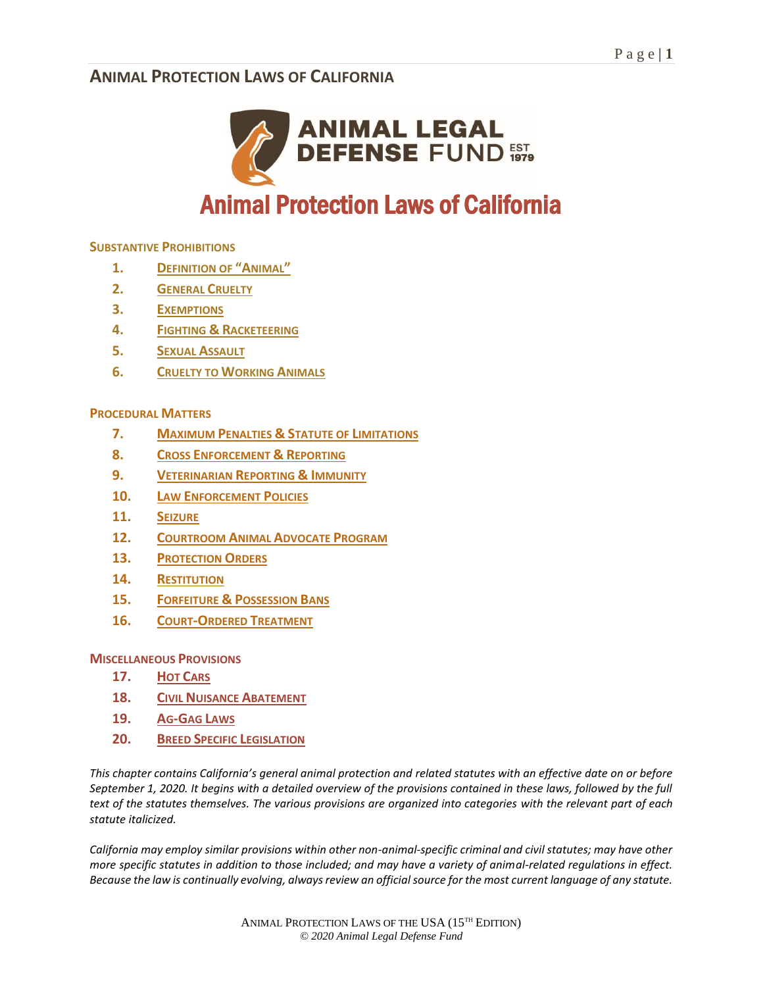

# Animal Protection Laws of California

#### **SUBSTANTIVE PROHIBITIONS**

- **1. DEFINITION OF "ANIMAL"**
- **2. GENERAL CRUELTY**
- **3. EXEMPTIONS**
- **4. FIGHTING & RACKETEERING**
- **5. SEXUAL ASSAULT**
- **6. CRUELTY TO WORKING ANIMALS**

#### **PROCEDURAL MATTERS**

- **7. MAXIMUM PENALTIES & STATUTE OF LIMITATIONS**
- **8. CROSS ENFORCEMENT & REPORTING**
- **9. VETERINARIAN REPORTING & IMMUNITY**
- **10. LAW ENFORCEMENT POLICIES**
- **11. SEIZURE**
- **12. COURTROOM ANIMAL ADVOCATE PROGRAM**
- **13. PROTECTION ORDERS**
- **14. RESTITUTION**
- **15. FORFEITURE & POSSESSION BANS**
- **16. COURT-ORDERED TREATMENT**

#### **MISCELLANEOUS PROVISIONS**

- **17. HOT CARS**
- **18. CIVIL NUISANCE ABATEMENT**
- **19. AG-GAG LAWS**
- **20. BREED SPECIFIC LEGISLATION**

*This chapter contains California's general animal protection and related statutes with an effective date on or before September 1, 2020. It begins with a detailed overview of the provisions contained in these laws, followed by the full text of the statutes themselves. The various provisions are organized into categories with the relevant part of each statute italicized.* 

*California may employ similar provisions within other non-animal-specific criminal and civil statutes; may have other more specific statutes in addition to those included; and may have a variety of animal-related regulations in effect. Because the law is continually evolving, always review an official source for the most current language of any statute.*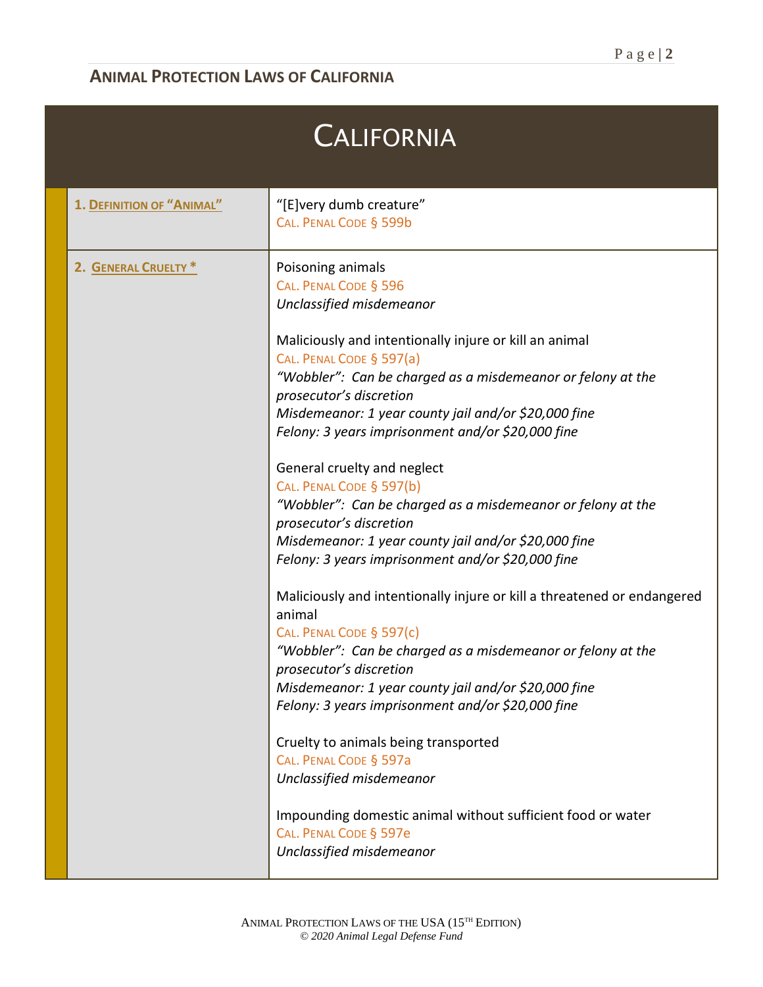| <b>CALIFORNIA</b> |                           |                                                                                                                                                                                                                                                                                                                                                                                                                                                                                                                                                                                                                                                                                                                                                                                                                                                                                                                                                                                                                                                                                                                                                      |
|-------------------|---------------------------|------------------------------------------------------------------------------------------------------------------------------------------------------------------------------------------------------------------------------------------------------------------------------------------------------------------------------------------------------------------------------------------------------------------------------------------------------------------------------------------------------------------------------------------------------------------------------------------------------------------------------------------------------------------------------------------------------------------------------------------------------------------------------------------------------------------------------------------------------------------------------------------------------------------------------------------------------------------------------------------------------------------------------------------------------------------------------------------------------------------------------------------------------|
|                   | 1. DEFINITION OF "ANIMAL" | "[E]very dumb creature"<br>CAL. PENAL CODE § 599b                                                                                                                                                                                                                                                                                                                                                                                                                                                                                                                                                                                                                                                                                                                                                                                                                                                                                                                                                                                                                                                                                                    |
|                   | 2. GENERAL CRUELTY *      | Poisoning animals<br>CAL. PENAL CODE § 596<br>Unclassified misdemeanor<br>Maliciously and intentionally injure or kill an animal<br>CAL. PENAL CODE § 597(a)<br>"Wobbler": Can be charged as a misdemeanor or felony at the<br>prosecutor's discretion<br>Misdemeanor: 1 year county jail and/or \$20,000 fine<br>Felony: 3 years imprisonment and/or \$20,000 fine<br>General cruelty and neglect<br>CAL. PENAL CODE § 597(b)<br>"Wobbler": Can be charged as a misdemeanor or felony at the<br>prosecutor's discretion<br>Misdemeanor: 1 year county jail and/or \$20,000 fine<br>Felony: 3 years imprisonment and/or \$20,000 fine<br>Maliciously and intentionally injure or kill a threatened or endangered<br>animal<br>CAL. PENAL CODE § 597(c)<br>"Wobbler": Can be charged as a misdemeanor or felony at the<br>prosecutor's discretion<br>Misdemeanor: 1 year county jail and/or \$20,000 fine<br>Felony: 3 years imprisonment and/or \$20,000 fine<br>Cruelty to animals being transported<br>CAL. PENAL CODE § 597a<br>Unclassified misdemeanor<br>Impounding domestic animal without sufficient food or water<br>CAL. PENAL CODE § 597e |
|                   |                           | Unclassified misdemeanor                                                                                                                                                                                                                                                                                                                                                                                                                                                                                                                                                                                                                                                                                                                                                                                                                                                                                                                                                                                                                                                                                                                             |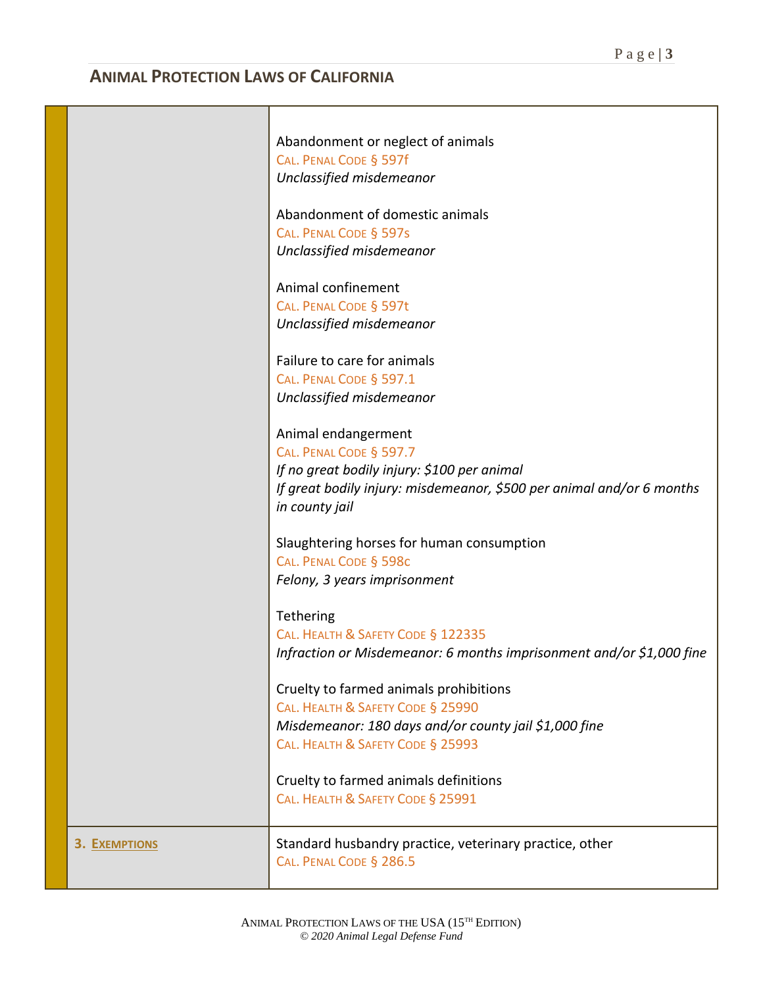|                      | Abandonment or neglect of animals<br>CAL. PENAL CODE § 597f<br>Unclassified misdemeanor                                                                                                  |
|----------------------|------------------------------------------------------------------------------------------------------------------------------------------------------------------------------------------|
|                      | Abandonment of domestic animals<br>CAL. PENAL CODE § 597s<br>Unclassified misdemeanor                                                                                                    |
|                      | Animal confinement<br>CAL. PENAL CODE § 597t<br>Unclassified misdemeanor                                                                                                                 |
|                      | Failure to care for animals<br>CAL. PENAL CODE § 597.1<br>Unclassified misdemeanor                                                                                                       |
|                      | Animal endangerment<br>CAL. PENAL CODE § 597.7<br>If no great bodily injury: \$100 per animal<br>If great bodily injury: misdemeanor, \$500 per animal and/or 6 months<br>in county jail |
|                      | Slaughtering horses for human consumption<br>CAL. PENAL CODE § 598c<br>Felony, 3 years imprisonment                                                                                      |
|                      | Tethering<br>CAL. HEALTH & SAFETY CODE § 122335<br>Infraction or Misdemeanor: 6 months imprisonment and/or \$1,000 fine                                                                  |
|                      | Cruelty to farmed animals prohibitions<br>CAL. HEALTH & SAFETY CODE § 25990<br>Misdemeanor: 180 days and/or county jail \$1,000 fine<br>CAL. HEALTH & SAFETY CODE § 25993                |
|                      | Cruelty to farmed animals definitions<br>CAL. HEALTH & SAFETY CODE § 25991                                                                                                               |
| <b>3. EXEMPTIONS</b> | Standard husbandry practice, veterinary practice, other<br>CAL. PENAL CODE § 286.5                                                                                                       |

ī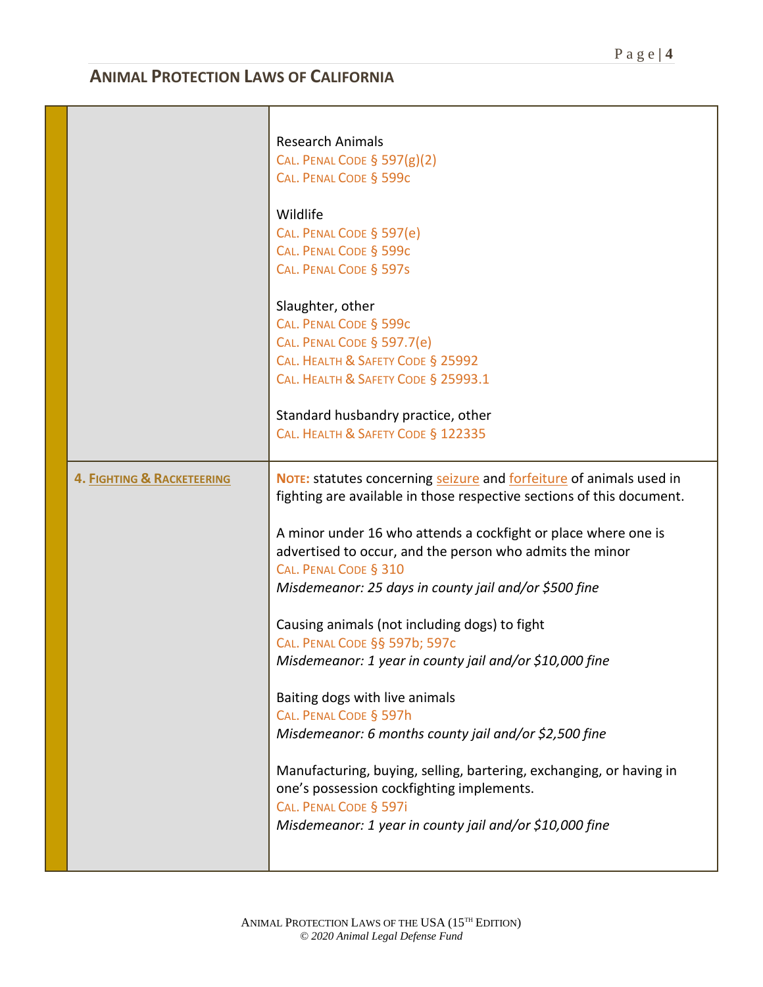|                            | <b>Research Animals</b><br>CAL. PENAL CODE § 597(g)(2)<br>CAL. PENAL CODE § 599c<br>Wildlife<br>CAL. PENAL CODE § 597(e)<br>CAL. PENAL CODE § 599c<br>CAL. PENAL CODE § 597s<br>Slaughter, other<br>CAL. PENAL CODE § 599c<br>CAL. PENAL CODE § 597.7(e)<br>CAL. HEALTH & SAFETY CODE § 25992<br>CAL. HEALTH & SAFETY CODE § 25993.1<br>Standard husbandry practice, other<br>CAL. HEALTH & SAFETY CODE § 122335                                                                                                                                                                                                                                                                                                                                                                                                                        |
|----------------------------|-----------------------------------------------------------------------------------------------------------------------------------------------------------------------------------------------------------------------------------------------------------------------------------------------------------------------------------------------------------------------------------------------------------------------------------------------------------------------------------------------------------------------------------------------------------------------------------------------------------------------------------------------------------------------------------------------------------------------------------------------------------------------------------------------------------------------------------------|
| 4. FIGHTING & RACKETEERING | NOTE: statutes concerning seizure and forfeiture of animals used in<br>fighting are available in those respective sections of this document.<br>A minor under 16 who attends a cockfight or place where one is<br>advertised to occur, and the person who admits the minor<br>CAL. PENAL CODE § 310<br>Misdemeanor: 25 days in county jail and/or \$500 fine<br>Causing animals (not including dogs) to fight<br>CAL. PENAL CODE §§ 597b; 597c<br>Misdemeanor: 1 year in county jail and/or \$10,000 fine<br>Baiting dogs with live animals<br>CAL. PENAL CODE § 597h<br>Misdemeanor: 6 months county jail and/or \$2,500 fine<br>Manufacturing, buying, selling, bartering, exchanging, or having in<br>one's possession cockfighting implements.<br>CAL. PENAL CODE § 597i<br>Misdemeanor: 1 year in county jail and/or \$10,000 fine |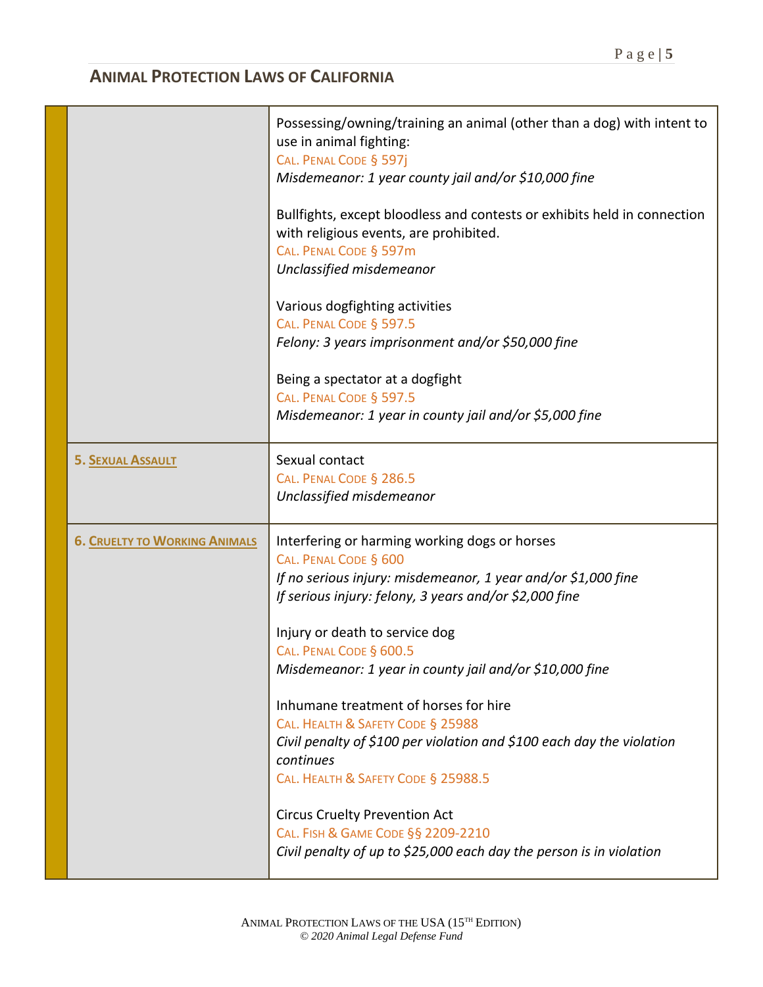|                                      | Possessing/owning/training an animal (other than a dog) with intent to<br>use in animal fighting:<br>CAL. PENAL CODE § 597j<br>Misdemeanor: 1 year county jail and/or \$10,000 fine<br>Bullfights, except bloodless and contests or exhibits held in connection<br>with religious events, are prohibited.<br>CAL. PENAL CODE § 597m<br>Unclassified misdemeanor<br>Various dogfighting activities<br>CAL. PENAL CODE § 597.5<br>Felony: 3 years imprisonment and/or \$50,000 fine<br>Being a spectator at a dogfight<br>CAL. PENAL CODE § 597.5<br>Misdemeanor: 1 year in county jail and/or \$5,000 fine                                                                                 |
|--------------------------------------|-------------------------------------------------------------------------------------------------------------------------------------------------------------------------------------------------------------------------------------------------------------------------------------------------------------------------------------------------------------------------------------------------------------------------------------------------------------------------------------------------------------------------------------------------------------------------------------------------------------------------------------------------------------------------------------------|
| <b>5. SEXUAL ASSAULT</b>             | Sexual contact<br>CAL. PENAL CODE § 286.5<br>Unclassified misdemeanor                                                                                                                                                                                                                                                                                                                                                                                                                                                                                                                                                                                                                     |
| <b>6. CRUELTY TO WORKING ANIMALS</b> | Interfering or harming working dogs or horses<br>CAL. PENAL CODE § 600<br>If no serious injury: misdemeanor, 1 year and/or \$1,000 fine<br>If serious injury: felony, 3 years and/or \$2,000 fine<br>Injury or death to service dog<br>CAL. PENAL CODE § 600.5<br>Misdemeanor: 1 year in county jail and/or \$10,000 fine<br>Inhumane treatment of horses for hire<br>CAL. HEALTH & SAFETY CODE § 25988<br>Civil penalty of \$100 per violation and \$100 each day the violation<br>continues<br>CAL. HEALTH & SAFETY CODE § 25988.5<br><b>Circus Cruelty Prevention Act</b><br>CAL. FISH & GAME CODE §§ 2209-2210<br>Civil penalty of up to \$25,000 each day the person is in violation |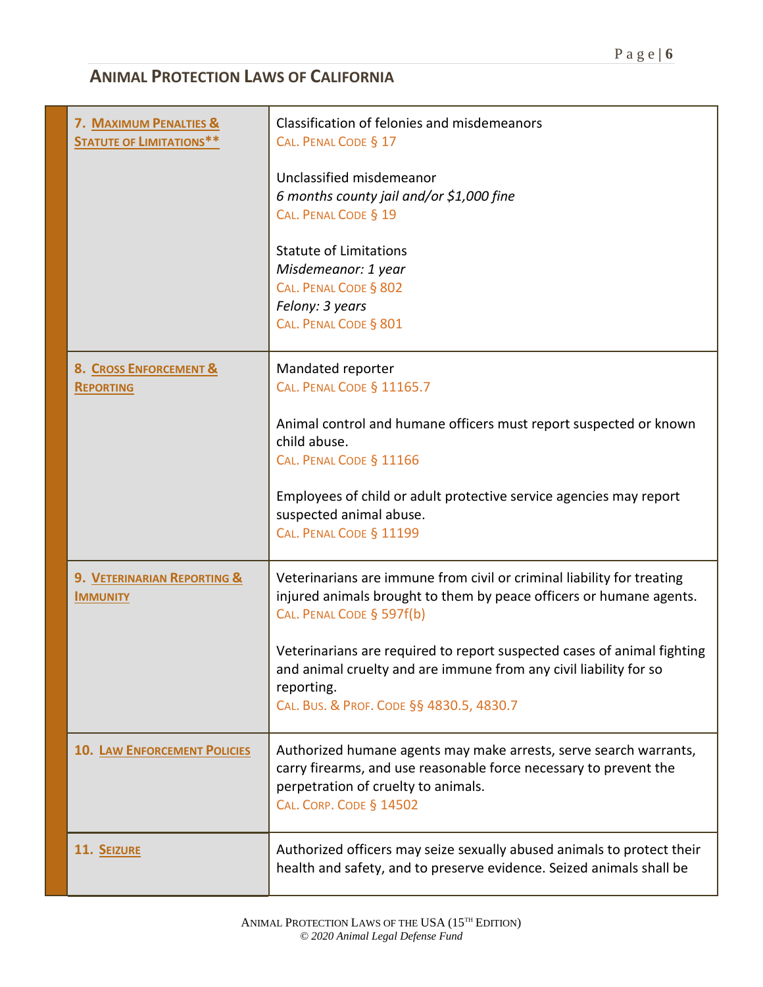| 7. MAXIMUM PENALTIES &<br><b>STATUTE OF LIMITATIONS**</b> | Classification of felonies and misdemeanors<br>CAL. PENAL CODE § 17                                                                                                                                             |
|-----------------------------------------------------------|-----------------------------------------------------------------------------------------------------------------------------------------------------------------------------------------------------------------|
|                                                           | Unclassified misdemeanor<br>6 months county jail and/or \$1,000 fine<br>CAL. PENAL CODE § 19                                                                                                                    |
|                                                           | <b>Statute of Limitations</b><br>Misdemeanor: 1 year<br>CAL. PENAL CODE § 802<br>Felony: 3 years<br>CAL. PENAL CODE § 801                                                                                       |
| 8. CROSS ENFORCEMENT &<br><b>REPORTING</b>                | Mandated reporter<br><b>CAL. PENAL CODE § 11165.7</b>                                                                                                                                                           |
|                                                           | Animal control and humane officers must report suspected or known<br>child abuse.<br>CAL. PENAL CODE § 11166                                                                                                    |
|                                                           | Employees of child or adult protective service agencies may report<br>suspected animal abuse.<br>CAL. PENAL CODE § 11199                                                                                        |
| 9. VETERINARIAN REPORTING &<br><b>IMMUNITY</b>            | Veterinarians are immune from civil or criminal liability for treating<br>injured animals brought to them by peace officers or humane agents.<br>CAL. PENAL CODE § 597f(b)                                      |
|                                                           | Veterinarians are required to report suspected cases of animal fighting<br>and animal cruelty and are immune from any civil liability for so<br>reporting.<br>CAL. BUS. & PROF. CODE §§ 4830.5, 4830.7          |
| <b>10. LAW ENFORCEMENT POLICIES</b>                       | Authorized humane agents may make arrests, serve search warrants,<br>carry firearms, and use reasonable force necessary to prevent the<br>perpetration of cruelty to animals.<br><b>CAL. CORP. CODE § 14502</b> |
| 11. SEIZURE                                               | Authorized officers may seize sexually abused animals to protect their<br>health and safety, and to preserve evidence. Seized animals shall be                                                                  |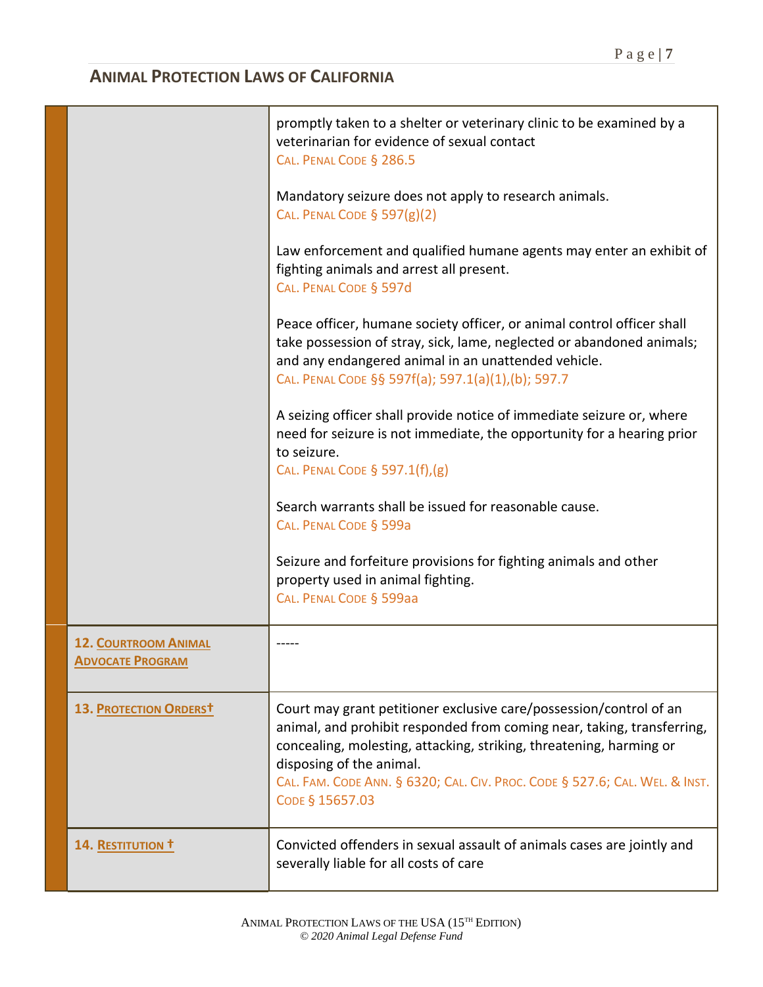|                                                        | promptly taken to a shelter or veterinary clinic to be examined by a<br>veterinarian for evidence of sexual contact<br>CAL. PENAL CODE § 286.5                                                                                                                                                                                                    |
|--------------------------------------------------------|---------------------------------------------------------------------------------------------------------------------------------------------------------------------------------------------------------------------------------------------------------------------------------------------------------------------------------------------------|
|                                                        | Mandatory seizure does not apply to research animals.<br>CAL. PENAL CODE § 597(g)(2)                                                                                                                                                                                                                                                              |
|                                                        | Law enforcement and qualified humane agents may enter an exhibit of<br>fighting animals and arrest all present.<br>CAL. PENAL CODE § 597d                                                                                                                                                                                                         |
|                                                        | Peace officer, humane society officer, or animal control officer shall<br>take possession of stray, sick, lame, neglected or abandoned animals;<br>and any endangered animal in an unattended vehicle.<br>CAL. PENAL CODE §§ 597f(a); 597.1(a)(1),(b); 597.7                                                                                      |
|                                                        | A seizing officer shall provide notice of immediate seizure or, where<br>need for seizure is not immediate, the opportunity for a hearing prior<br>to seizure.<br>CAL. PENAL CODE § 597.1(f),(g)                                                                                                                                                  |
|                                                        | Search warrants shall be issued for reasonable cause.<br>CAL. PENAL CODE § 599a                                                                                                                                                                                                                                                                   |
|                                                        | Seizure and forfeiture provisions for fighting animals and other<br>property used in animal fighting.<br>CAL. PENAL CODE § 599aa                                                                                                                                                                                                                  |
| <b>12. COURTROOM ANIMAL</b><br><b>ADVOCATE PROGRAM</b> |                                                                                                                                                                                                                                                                                                                                                   |
| 13. PROTECTION ORDERST                                 | Court may grant petitioner exclusive care/possession/control of an<br>animal, and prohibit responded from coming near, taking, transferring,<br>concealing, molesting, attacking, striking, threatening, harming or<br>disposing of the animal.<br>CAL. FAM. CODE ANN. § 6320; CAL. CIV. PROC. CODE § 527.6; CAL. WEL. & INST.<br>CODE § 15657.03 |
| 14. RESTITUTION T                                      | Convicted offenders in sexual assault of animals cases are jointly and<br>severally liable for all costs of care                                                                                                                                                                                                                                  |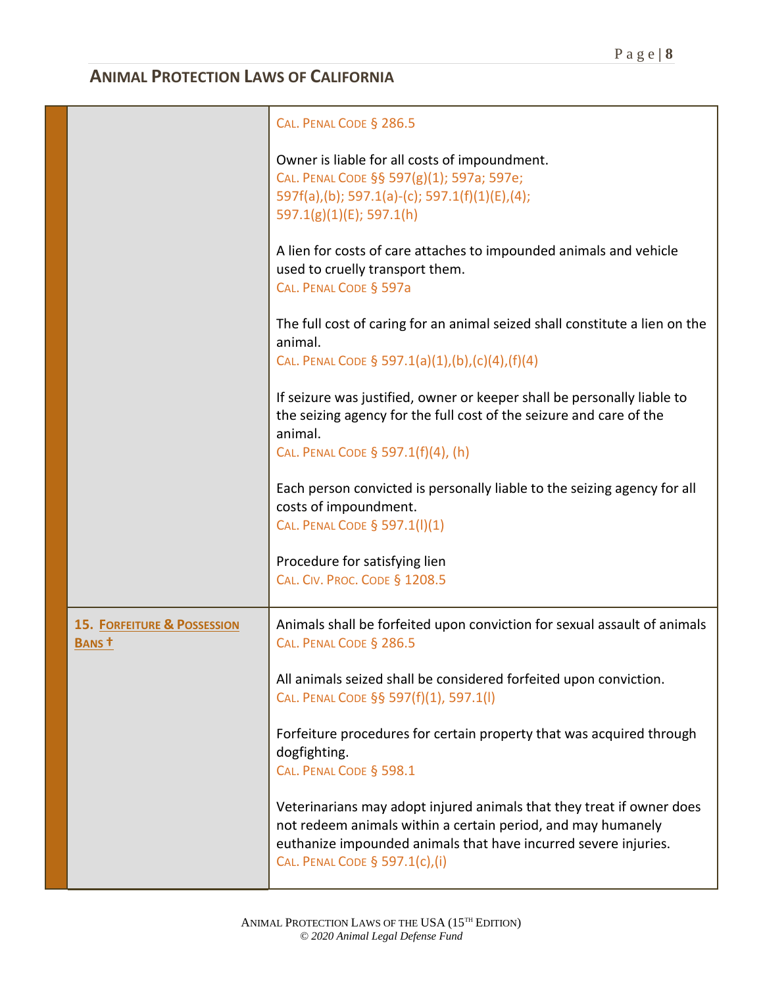|                                                             | CAL. PENAL CODE § 286.5                                                                                                                                                                                                                    |
|-------------------------------------------------------------|--------------------------------------------------------------------------------------------------------------------------------------------------------------------------------------------------------------------------------------------|
|                                                             | Owner is liable for all costs of impoundment.<br>CAL. PENAL CODE §§ 597(g)(1); 597a; 597e;<br>597f(a),(b); 597.1(a)-(c); 597.1(f)(1)(E),(4);<br>597.1(g)(1)(E); 597.1(h)                                                                   |
|                                                             | A lien for costs of care attaches to impounded animals and vehicle<br>used to cruelly transport them.<br>CAL. PENAL CODE § 597a                                                                                                            |
|                                                             | The full cost of caring for an animal seized shall constitute a lien on the<br>animal.<br>CAL. PENAL CODE § 597.1(a)(1),(b),(c)(4),(f)(4)                                                                                                  |
|                                                             | If seizure was justified, owner or keeper shall be personally liable to<br>the seizing agency for the full cost of the seizure and care of the<br>animal.<br>CAL. PENAL CODE § 597.1(f)(4), (h)                                            |
|                                                             | Each person convicted is personally liable to the seizing agency for all<br>costs of impoundment.<br>CAL. PENAL CODE § 597.1(I)(1)                                                                                                         |
|                                                             | Procedure for satisfying lien<br>CAL. CIV. PROC. CODE § 1208.5                                                                                                                                                                             |
| <b>15. FORFEITURE &amp; POSSESSION</b><br>BANS <sub>T</sub> | Animals shall be forfeited upon conviction for sexual assault of animals<br>CAL. PENAL CODE § 286.5                                                                                                                                        |
|                                                             | All animals seized shall be considered forfeited upon conviction.<br>CAL. PENAL CODE §§ 597(f)(1), 597.1(l)                                                                                                                                |
|                                                             | Forfeiture procedures for certain property that was acquired through<br>dogfighting.<br>CAL. PENAL CODE § 598.1                                                                                                                            |
|                                                             | Veterinarians may adopt injured animals that they treat if owner does<br>not redeem animals within a certain period, and may humanely<br>euthanize impounded animals that have incurred severe injuries.<br>CAL. PENAL CODE § 597.1(c),(i) |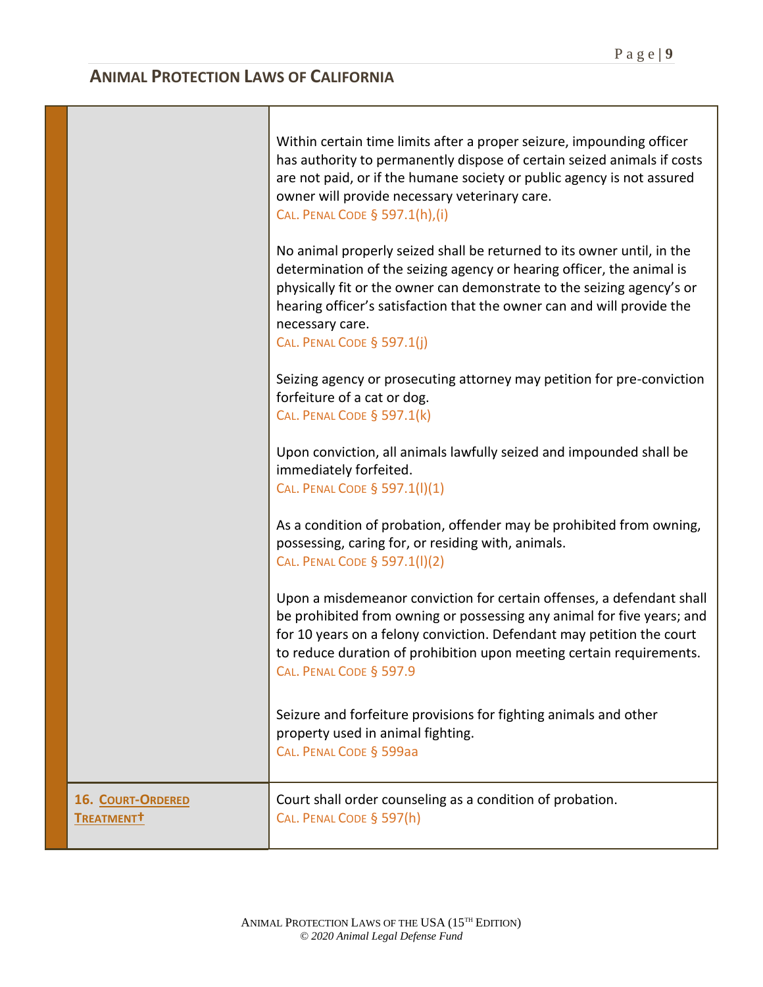|                                                    | Within certain time limits after a proper seizure, impounding officer<br>has authority to permanently dispose of certain seized animals if costs<br>are not paid, or if the humane society or public agency is not assured<br>owner will provide necessary veterinary care.<br>CAL. PENAL CODE § 597.1(h),(i)<br>No animal properly seized shall be returned to its owner until, in the |
|----------------------------------------------------|-----------------------------------------------------------------------------------------------------------------------------------------------------------------------------------------------------------------------------------------------------------------------------------------------------------------------------------------------------------------------------------------|
|                                                    | determination of the seizing agency or hearing officer, the animal is<br>physically fit or the owner can demonstrate to the seizing agency's or<br>hearing officer's satisfaction that the owner can and will provide the<br>necessary care.<br>CAL. PENAL CODE § 597.1(j)                                                                                                              |
|                                                    | Seizing agency or prosecuting attorney may petition for pre-conviction<br>forfeiture of a cat or dog.<br>CAL. PENAL CODE § 597.1(k)                                                                                                                                                                                                                                                     |
|                                                    | Upon conviction, all animals lawfully seized and impounded shall be<br>immediately forfeited.<br>CAL. PENAL CODE § 597.1(I)(1)                                                                                                                                                                                                                                                          |
|                                                    | As a condition of probation, offender may be prohibited from owning,<br>possessing, caring for, or residing with, animals.<br>CAL. PENAL CODE § 597.1(I)(2)                                                                                                                                                                                                                             |
|                                                    | Upon a misdemeanor conviction for certain offenses, a defendant shall<br>be prohibited from owning or possessing any animal for five years; and<br>for 10 years on a felony conviction. Defendant may petition the court<br>to reduce duration of prohibition upon meeting certain requirements.<br>CAL. PENAL CODE § 597.9                                                             |
|                                                    | Seizure and forfeiture provisions for fighting animals and other<br>property used in animal fighting.<br>CAL. PENAL CODE § 599aa                                                                                                                                                                                                                                                        |
| <b>16. COURT-ORDERED</b><br>TREATMENT <sup>†</sup> | Court shall order counseling as a condition of probation.<br>CAL. PENAL CODE § 597(h)                                                                                                                                                                                                                                                                                                   |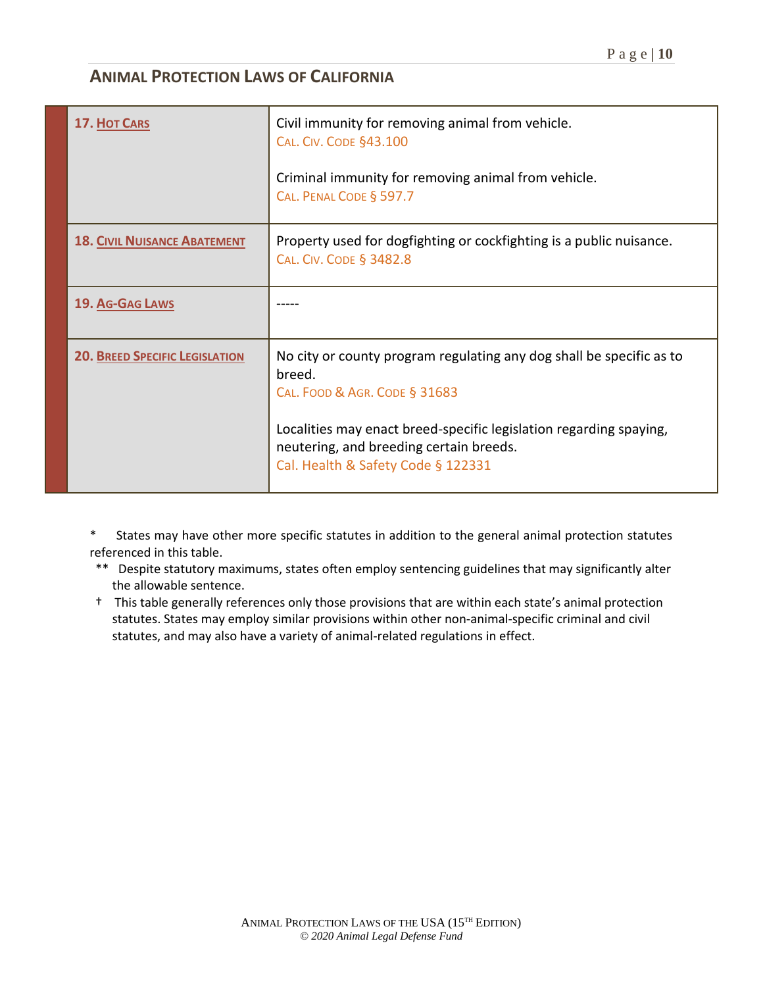| 17. HOT CARS                          | Civil immunity for removing animal from vehicle.<br><b>CAL. CIV. CODE §43.100</b><br>Criminal immunity for removing animal from vehicle.<br>CAL. PENAL CODE § 597.7                                                                                                    |
|---------------------------------------|------------------------------------------------------------------------------------------------------------------------------------------------------------------------------------------------------------------------------------------------------------------------|
| <b>18. CIVIL NUISANCE ABATEMENT</b>   | Property used for dogfighting or cockfighting is a public nuisance.<br>CAL. CIV. CODE § 3482.8                                                                                                                                                                         |
| 19. AG-GAG LAWS                       |                                                                                                                                                                                                                                                                        |
| <b>20. BREED SPECIFIC LEGISLATION</b> | No city or county program regulating any dog shall be specific as to<br>breed.<br>CAL. FOOD & AGR. CODE § 31683<br>Localities may enact breed-specific legislation regarding spaying,<br>neutering, and breeding certain breeds.<br>Cal. Health & Safety Code § 122331 |

\* States may have other more specific statutes in addition to the general animal protection statutes referenced in this table.

- \*\* Despite statutory maximums, states often employ sentencing guidelines that may significantly alter the allowable sentence.
- † This table generally references only those provisions that are within each state's animal protection statutes. States may employ similar provisions within other non-animal-specific criminal and civil statutes, and may also have a variety of animal-related regulations in effect.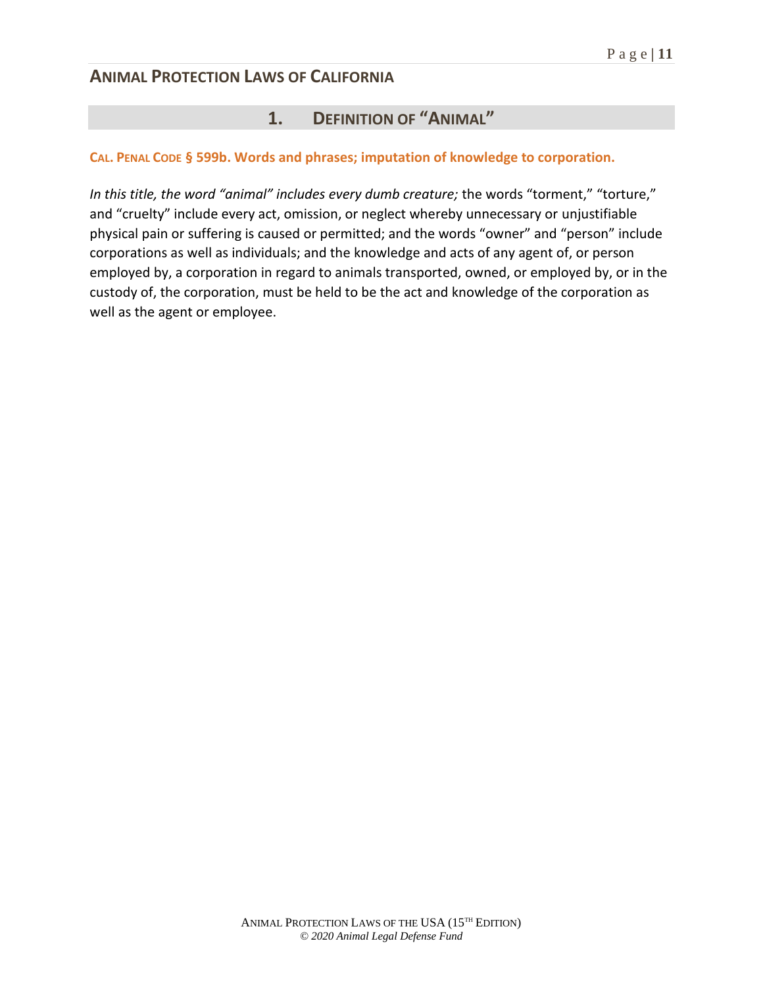## **1. DEFINITION OF "ANIMAL"**

#### **CAL. PENAL CODE § 599b. Words and phrases; imputation of knowledge to corporation.**

*In this title, the word "animal" includes every dumb creature;* the words "torment," "torture," and "cruelty" include every act, omission, or neglect whereby unnecessary or unjustifiable physical pain or suffering is caused or permitted; and the words "owner" and "person" include corporations as well as individuals; and the knowledge and acts of any agent of, or person employed by, a corporation in regard to animals transported, owned, or employed by, or in the custody of, the corporation, must be held to be the act and knowledge of the corporation as well as the agent or employee.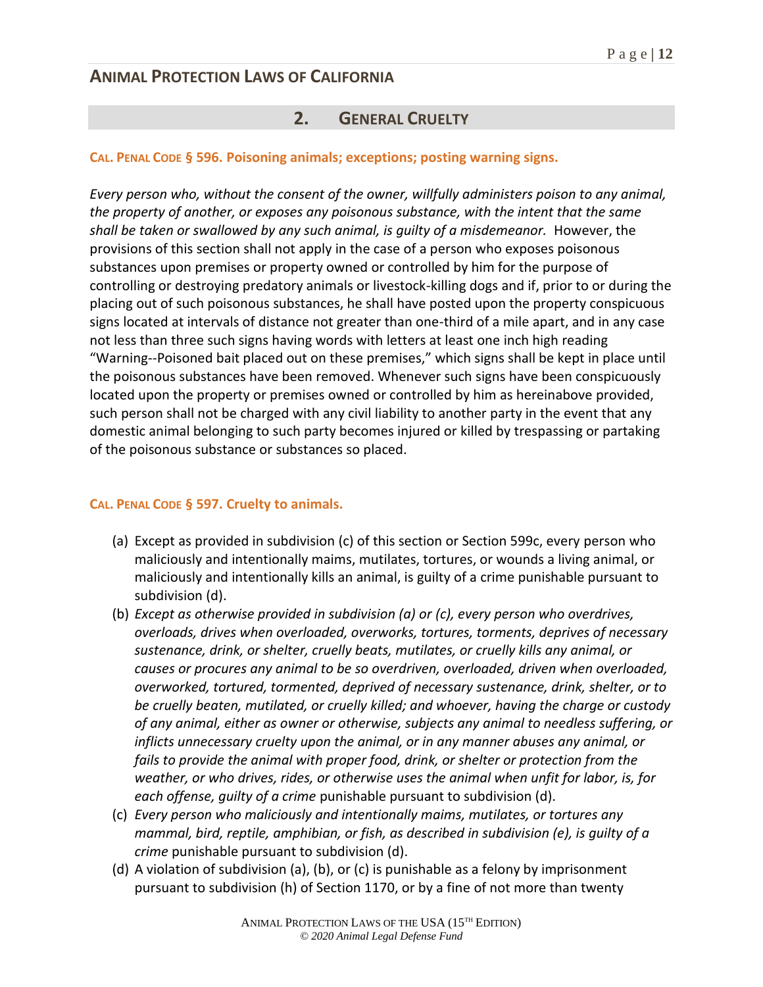## **2. GENERAL CRUELTY**

#### **CAL. PENAL CODE § 596. Poisoning animals; exceptions; posting warning signs.**

*Every person who, without the consent of the owner, willfully administers poison to any animal, the property of another, or exposes any poisonous substance, with the intent that the same shall be taken or swallowed by any such animal, is guilty of a misdemeanor.* However, the provisions of this section shall not apply in the case of a person who exposes poisonous substances upon premises or property owned or controlled by him for the purpose of controlling or destroying predatory animals or livestock-killing dogs and if, prior to or during the placing out of such poisonous substances, he shall have posted upon the property conspicuous signs located at intervals of distance not greater than one-third of a mile apart, and in any case not less than three such signs having words with letters at least one inch high reading "Warning--Poisoned bait placed out on these premises," which signs shall be kept in place until the poisonous substances have been removed. Whenever such signs have been conspicuously located upon the property or premises owned or controlled by him as hereinabove provided, such person shall not be charged with any civil liability to another party in the event that any domestic animal belonging to such party becomes injured or killed by trespassing or partaking of the poisonous substance or substances so placed.

#### **CAL. PENAL CODE § 597. Cruelty to animals.**

- (a) Except as provided in subdivision (c) of this section or Section 599c, every person who maliciously and intentionally maims, mutilates, tortures, or wounds a living animal, or maliciously and intentionally kills an animal, is guilty of a crime punishable pursuant to subdivision (d).
- (b) *Except as otherwise provided in subdivision (a) or (c), every person who overdrives, overloads, drives when overloaded, overworks, tortures, torments, deprives of necessary sustenance, drink, or shelter, cruelly beats, mutilates, or cruelly kills any animal, or causes or procures any animal to be so overdriven, overloaded, driven when overloaded, overworked, tortured, tormented, deprived of necessary sustenance, drink, shelter, or to be cruelly beaten, mutilated, or cruelly killed; and whoever, having the charge or custody of any animal, either as owner or otherwise, subjects any animal to needless suffering, or inflicts unnecessary cruelty upon the animal, or in any manner abuses any animal, or fails to provide the animal with proper food, drink, or shelter or protection from the weather, or who drives, rides, or otherwise uses the animal when unfit for labor, is, for each offense, guilty of a crime* punishable pursuant to subdivision (d).
- (c) *Every person who maliciously and intentionally maims, mutilates, or tortures any mammal, bird, reptile, amphibian, or fish, as described in subdivision (e), is guilty of a crime* punishable pursuant to subdivision (d).
- (d) A violation of subdivision (a), (b), or (c) is punishable as a felony by imprisonment pursuant to subdivision (h) of Section 1170, or by a fine of not more than twenty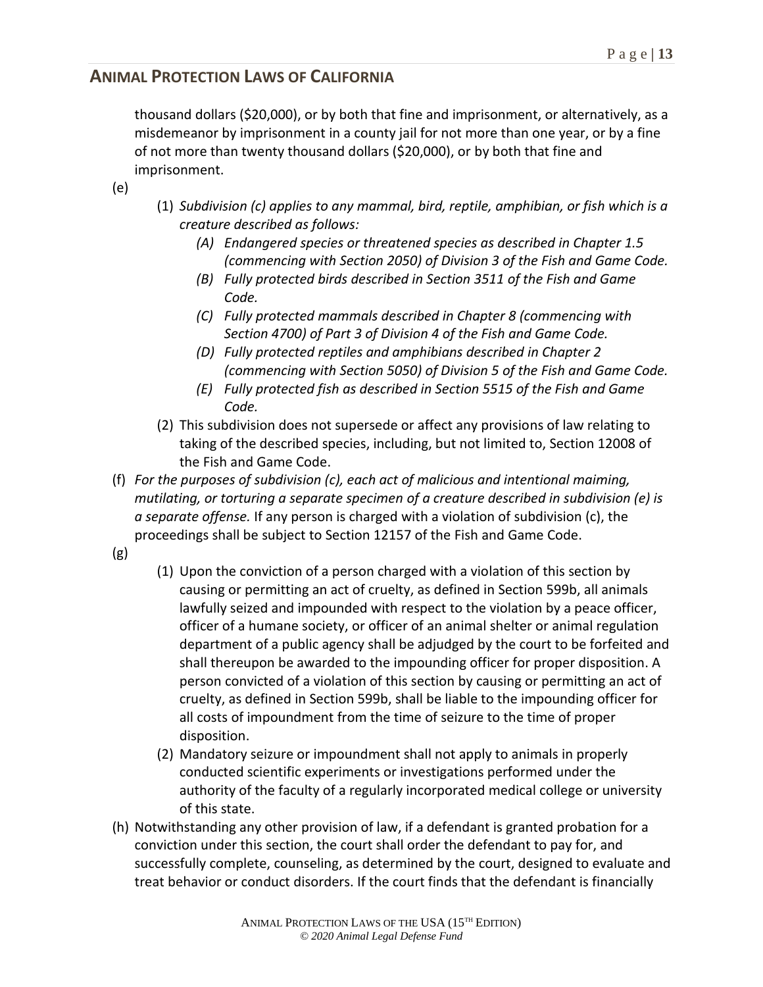thousand dollars (\$20,000), or by both that fine and imprisonment, or alternatively, as a misdemeanor by imprisonment in a county jail for not more than one year, or by a fine of not more than twenty thousand dollars (\$20,000), or by both that fine and imprisonment.

- (e)
- (1) *Subdivision (c) applies to any mammal, bird, reptile, amphibian, or fish which is a creature described as follows:*
	- *(A) Endangered species or threatened species as described in Chapter 1.5 (commencing with Section 2050) of Division 3 of the Fish and Game Code.*
	- *(B) Fully protected birds described in Section 3511 of the Fish and Game Code.*
	- *(C) Fully protected mammals described in Chapter 8 (commencing with Section 4700) of Part 3 of Division 4 of the Fish and Game Code.*
	- *(D) Fully protected reptiles and amphibians described in Chapter 2 (commencing with Section 5050) of Division 5 of the Fish and Game Code.*
	- *(E) Fully protected fish as described in Section 5515 of the Fish and Game Code.*
- (2) This subdivision does not supersede or affect any provisions of law relating to taking of the described species, including, but not limited to, Section 12008 of the Fish and Game Code.
- (f) *For the purposes of subdivision (c), each act of malicious and intentional maiming, mutilating, or torturing a separate specimen of a creature described in subdivision (e) is a separate offense.* If any person is charged with a violation of subdivision (c), the proceedings shall be subject to Section 12157 of the Fish and Game Code.
- (g)
- (1) Upon the conviction of a person charged with a violation of this section by causing or permitting an act of cruelty, as defined in Section 599b, all animals lawfully seized and impounded with respect to the violation by a peace officer, officer of a humane society, or officer of an animal shelter or animal regulation department of a public agency shall be adjudged by the court to be forfeited and shall thereupon be awarded to the impounding officer for proper disposition. A person convicted of a violation of this section by causing or permitting an act of cruelty, as defined in Section 599b, shall be liable to the impounding officer for all costs of impoundment from the time of seizure to the time of proper disposition.
- (2) Mandatory seizure or impoundment shall not apply to animals in properly conducted scientific experiments or investigations performed under the authority of the faculty of a regularly incorporated medical college or university of this state.
- (h) Notwithstanding any other provision of law, if a defendant is granted probation for a conviction under this section, the court shall order the defendant to pay for, and successfully complete, counseling, as determined by the court, designed to evaluate and treat behavior or conduct disorders. If the court finds that the defendant is financially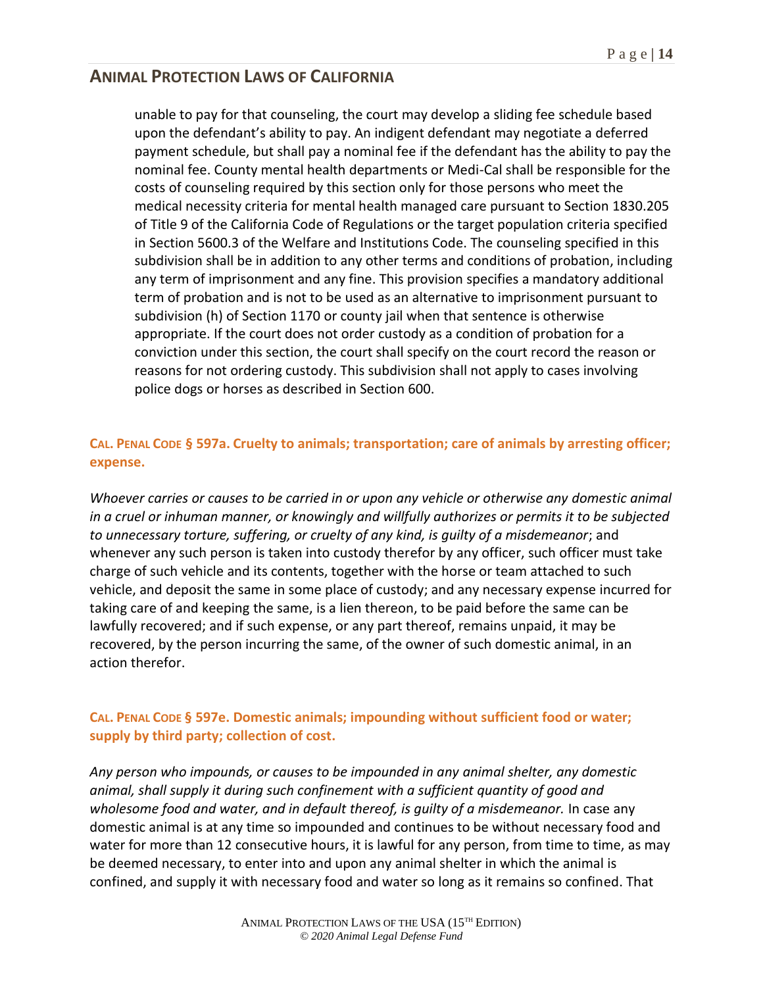unable to pay for that counseling, the court may develop a sliding fee schedule based upon the defendant's ability to pay. An indigent defendant may negotiate a deferred payment schedule, but shall pay a nominal fee if the defendant has the ability to pay the nominal fee. County mental health departments or Medi-Cal shall be responsible for the costs of counseling required by this section only for those persons who meet the medical necessity criteria for mental health managed care pursuant to Section 1830.205 of Title 9 of the California Code of Regulations or the target population criteria specified in Section 5600.3 of the Welfare and Institutions Code. The counseling specified in this subdivision shall be in addition to any other terms and conditions of probation, including any term of imprisonment and any fine. This provision specifies a mandatory additional term of probation and is not to be used as an alternative to imprisonment pursuant to subdivision (h) of Section 1170 or county jail when that sentence is otherwise appropriate. If the court does not order custody as a condition of probation for a conviction under this section, the court shall specify on the court record the reason or reasons for not ordering custody. This subdivision shall not apply to cases involving police dogs or horses as described in Section 600.

#### **CAL. PENAL CODE § 597a. Cruelty to animals; transportation; care of animals by arresting officer; expense.**

*Whoever carries or causes to be carried in or upon any vehicle or otherwise any domestic animal in a cruel or inhuman manner, or knowingly and willfully authorizes or permits it to be subjected to unnecessary torture, suffering, or cruelty of any kind, is guilty of a misdemeanor*; and whenever any such person is taken into custody therefor by any officer, such officer must take charge of such vehicle and its contents, together with the horse or team attached to such vehicle, and deposit the same in some place of custody; and any necessary expense incurred for taking care of and keeping the same, is a lien thereon, to be paid before the same can be lawfully recovered; and if such expense, or any part thereof, remains unpaid, it may be recovered, by the person incurring the same, of the owner of such domestic animal, in an action therefor.

#### **CAL. PENAL CODE § 597e. Domestic animals; impounding without sufficient food or water; supply by third party; collection of cost.**

*Any person who impounds, or causes to be impounded in any animal shelter, any domestic animal, shall supply it during such confinement with a sufficient quantity of good and wholesome food and water, and in default thereof, is guilty of a misdemeanor.* In case any domestic animal is at any time so impounded and continues to be without necessary food and water for more than 12 consecutive hours, it is lawful for any person, from time to time, as may be deemed necessary, to enter into and upon any animal shelter in which the animal is confined, and supply it with necessary food and water so long as it remains so confined. That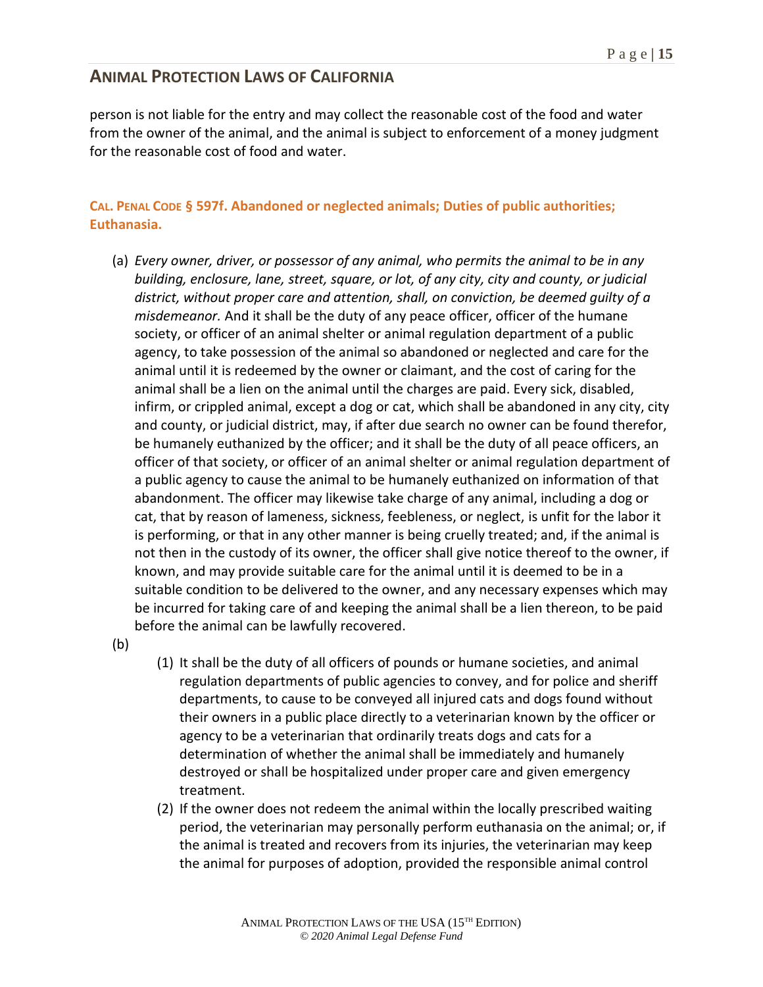person is not liable for the entry and may collect the reasonable cost of the food and water from the owner of the animal, and the animal is subject to enforcement of a money judgment for the reasonable cost of food and water.

#### **CAL. PENAL CODE § 597f. Abandoned or neglected animals; Duties of public authorities; Euthanasia.**

(a) *Every owner, driver, or possessor of any animal, who permits the animal to be in any building, enclosure, lane, street, square, or lot, of any city, city and county, or judicial district, without proper care and attention, shall, on conviction, be deemed guilty of a misdemeanor.* And it shall be the duty of any peace officer, officer of the humane society, or officer of an animal shelter or animal regulation department of a public agency, to take possession of the animal so abandoned or neglected and care for the animal until it is redeemed by the owner or claimant, and the cost of caring for the animal shall be a lien on the animal until the charges are paid. Every sick, disabled, infirm, or crippled animal, except a dog or cat, which shall be abandoned in any city, city and county, or judicial district, may, if after due search no owner can be found therefor, be humanely euthanized by the officer; and it shall be the duty of all peace officers, an officer of that society, or officer of an animal shelter or animal regulation department of a public agency to cause the animal to be humanely euthanized on information of that abandonment. The officer may likewise take charge of any animal, including a dog or cat, that by reason of lameness, sickness, feebleness, or neglect, is unfit for the labor it is performing, or that in any other manner is being cruelly treated; and, if the animal is not then in the custody of its owner, the officer shall give notice thereof to the owner, if known, and may provide suitable care for the animal until it is deemed to be in a suitable condition to be delivered to the owner, and any necessary expenses which may be incurred for taking care of and keeping the animal shall be a lien thereon, to be paid before the animal can be lawfully recovered.

(b)

- (1) It shall be the duty of all officers of pounds or humane societies, and animal regulation departments of public agencies to convey, and for police and sheriff departments, to cause to be conveyed all injured cats and dogs found without their owners in a public place directly to a veterinarian known by the officer or agency to be a veterinarian that ordinarily treats dogs and cats for a determination of whether the animal shall be immediately and humanely destroyed or shall be hospitalized under proper care and given emergency treatment.
- (2) If the owner does not redeem the animal within the locally prescribed waiting period, the veterinarian may personally perform euthanasia on the animal; or, if the animal is treated and recovers from its injuries, the veterinarian may keep the animal for purposes of adoption, provided the responsible animal control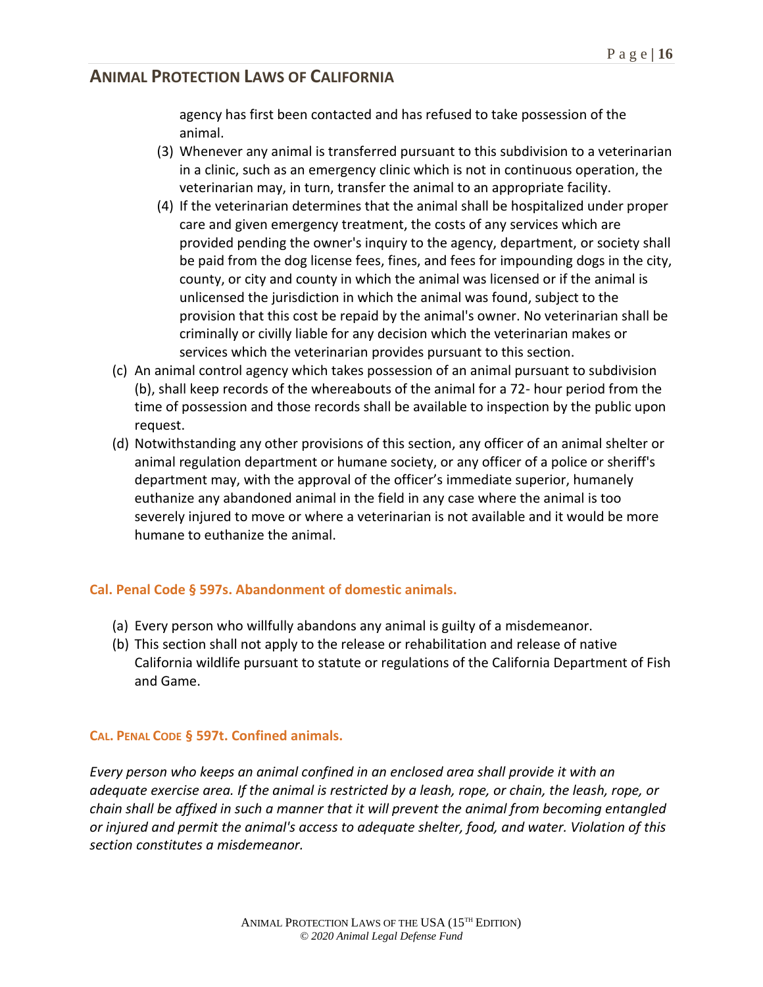agency has first been contacted and has refused to take possession of the animal.

- (3) Whenever any animal is transferred pursuant to this subdivision to a veterinarian in a clinic, such as an emergency clinic which is not in continuous operation, the veterinarian may, in turn, transfer the animal to an appropriate facility.
- (4) If the veterinarian determines that the animal shall be hospitalized under proper care and given emergency treatment, the costs of any services which are provided pending the owner's inquiry to the agency, department, or society shall be paid from the dog license fees, fines, and fees for impounding dogs in the city, county, or city and county in which the animal was licensed or if the animal is unlicensed the jurisdiction in which the animal was found, subject to the provision that this cost be repaid by the animal's owner. No veterinarian shall be criminally or civilly liable for any decision which the veterinarian makes or services which the veterinarian provides pursuant to this section.
- (c) An animal control agency which takes possession of an animal pursuant to subdivision (b), shall keep records of the whereabouts of the animal for a 72- hour period from the time of possession and those records shall be available to inspection by the public upon request.
- (d) Notwithstanding any other provisions of this section, any officer of an animal shelter or animal regulation department or humane society, or any officer of a police or sheriff's department may, with the approval of the officer's immediate superior, humanely euthanize any abandoned animal in the field in any case where the animal is too severely injured to move or where a veterinarian is not available and it would be more humane to euthanize the animal.

#### **Cal. Penal Code § 597s. Abandonment of domestic animals.**

- (a) Every person who willfully abandons any animal is guilty of a misdemeanor.
- (b) This section shall not apply to the release or rehabilitation and release of native California wildlife pursuant to statute or regulations of the California Department of Fish and Game.

#### **CAL. PENAL CODE § 597t. Confined animals.**

*Every person who keeps an animal confined in an enclosed area shall provide it with an adequate exercise area. If the animal is restricted by a leash, rope, or chain, the leash, rope, or chain shall be affixed in such a manner that it will prevent the animal from becoming entangled or injured and permit the animal's access to adequate shelter, food, and water. Violation of this section constitutes a misdemeanor.*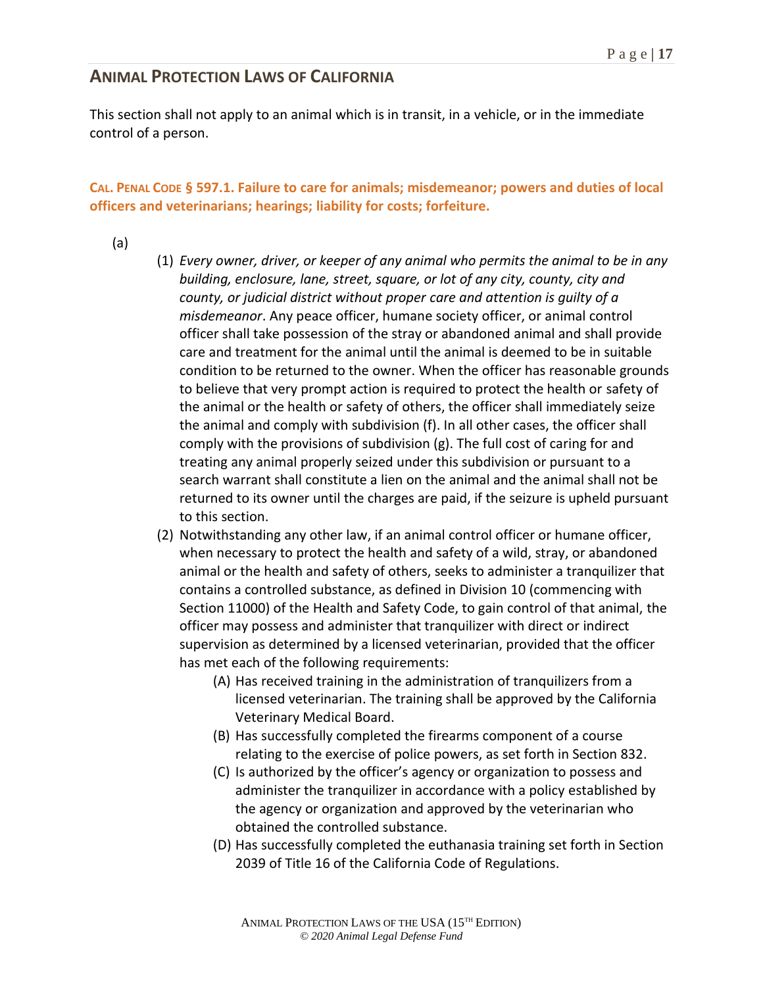This section shall not apply to an animal which is in transit, in a vehicle, or in the immediate control of a person.

#### **CAL. PENAL CODE § 597.1. Failure to care for animals; misdemeanor; powers and duties of local officers and veterinarians; hearings; liability for costs; forfeiture.**

- (a)
- (1) *Every owner, driver, or keeper of any animal who permits the animal to be in any building, enclosure, lane, street, square, or lot of any city, county, city and county, or judicial district without proper care and attention is guilty of a misdemeanor*. Any peace officer, humane society officer, or animal control officer shall take possession of the stray or abandoned animal and shall provide care and treatment for the animal until the animal is deemed to be in suitable condition to be returned to the owner. When the officer has reasonable grounds to believe that very prompt action is required to protect the health or safety of the animal or the health or safety of others, the officer shall immediately seize the animal and comply with subdivision (f). In all other cases, the officer shall comply with the provisions of subdivision (g). The full cost of caring for and treating any animal properly seized under this subdivision or pursuant to a search warrant shall constitute a lien on the animal and the animal shall not be returned to its owner until the charges are paid, if the seizure is upheld pursuant to this section.
- (2) Notwithstanding any other law, if an animal control officer or humane officer, when necessary to protect the health and safety of a wild, stray, or abandoned animal or the health and safety of others, seeks to administer a tranquilizer that contains a controlled substance, as defined in Division 10 (commencing with Section 11000) of the Health and Safety Code, to gain control of that animal, the officer may possess and administer that tranquilizer with direct or indirect supervision as determined by a licensed veterinarian, provided that the officer has met each of the following requirements:
	- (A) Has received training in the administration of tranquilizers from a licensed veterinarian. The training shall be approved by the California Veterinary Medical Board.
	- (B) Has successfully completed the firearms component of a course relating to the exercise of police powers, as set forth in Section 832.
	- (C) Is authorized by the officer's agency or organization to possess and administer the tranquilizer in accordance with a policy established by the agency or organization and approved by the veterinarian who obtained the controlled substance.
	- (D) Has successfully completed the euthanasia training set forth in Section 2039 of Title 16 of the California Code of Regulations.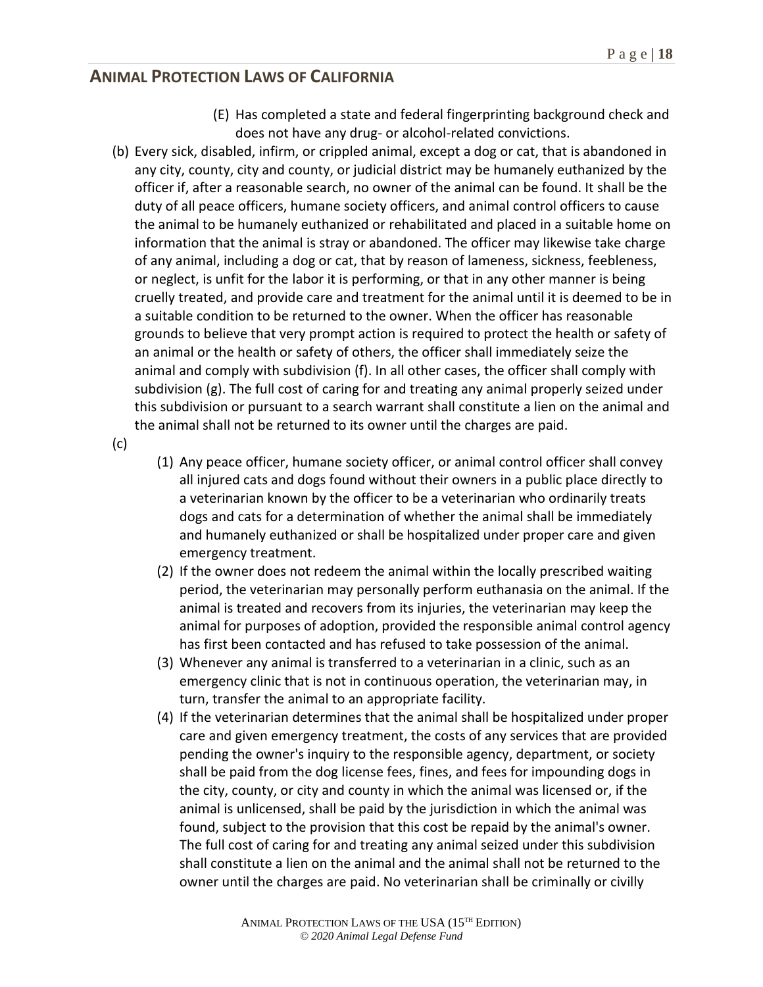- (E) Has completed a state and federal fingerprinting background check and does not have any drug- or alcohol-related convictions.
- (b) Every sick, disabled, infirm, or crippled animal, except a dog or cat, that is abandoned in any city, county, city and county, or judicial district may be humanely euthanized by the officer if, after a reasonable search, no owner of the animal can be found. It shall be the duty of all peace officers, humane society officers, and animal control officers to cause the animal to be humanely euthanized or rehabilitated and placed in a suitable home on information that the animal is stray or abandoned. The officer may likewise take charge of any animal, including a dog or cat, that by reason of lameness, sickness, feebleness, or neglect, is unfit for the labor it is performing, or that in any other manner is being cruelly treated, and provide care and treatment for the animal until it is deemed to be in a suitable condition to be returned to the owner. When the officer has reasonable grounds to believe that very prompt action is required to protect the health or safety of an animal or the health or safety of others, the officer shall immediately seize the animal and comply with subdivision (f). In all other cases, the officer shall comply with subdivision (g). The full cost of caring for and treating any animal properly seized under this subdivision or pursuant to a search warrant shall constitute a lien on the animal and the animal shall not be returned to its owner until the charges are paid.
- (c)
- (1) Any peace officer, humane society officer, or animal control officer shall convey all injured cats and dogs found without their owners in a public place directly to a veterinarian known by the officer to be a veterinarian who ordinarily treats dogs and cats for a determination of whether the animal shall be immediately and humanely euthanized or shall be hospitalized under proper care and given emergency treatment.
- (2) If the owner does not redeem the animal within the locally prescribed waiting period, the veterinarian may personally perform euthanasia on the animal. If the animal is treated and recovers from its injuries, the veterinarian may keep the animal for purposes of adoption, provided the responsible animal control agency has first been contacted and has refused to take possession of the animal.
- (3) Whenever any animal is transferred to a veterinarian in a clinic, such as an emergency clinic that is not in continuous operation, the veterinarian may, in turn, transfer the animal to an appropriate facility.
- (4) If the veterinarian determines that the animal shall be hospitalized under proper care and given emergency treatment, the costs of any services that are provided pending the owner's inquiry to the responsible agency, department, or society shall be paid from the dog license fees, fines, and fees for impounding dogs in the city, county, or city and county in which the animal was licensed or, if the animal is unlicensed, shall be paid by the jurisdiction in which the animal was found, subject to the provision that this cost be repaid by the animal's owner. The full cost of caring for and treating any animal seized under this subdivision shall constitute a lien on the animal and the animal shall not be returned to the owner until the charges are paid. No veterinarian shall be criminally or civilly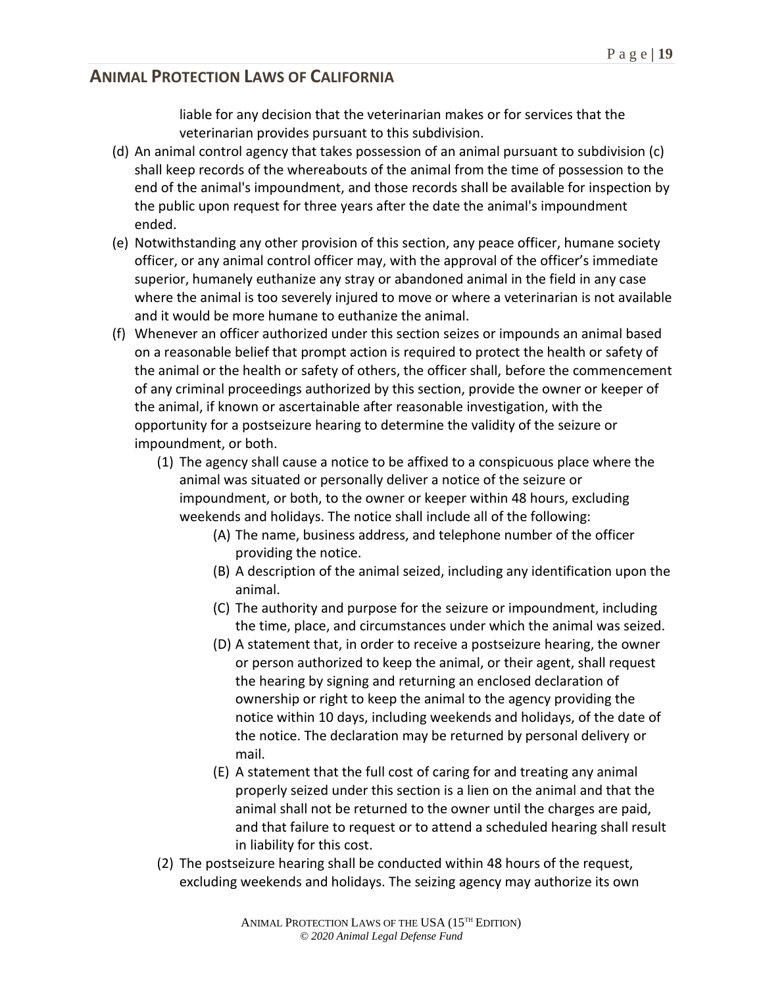liable for any decision that the veterinarian makes or for services that the veterinarian provides pursuant to this subdivision.

- (d) An animal control agency that takes possession of an animal pursuant to subdivision (c) shall keep records of the whereabouts of the animal from the time of possession to the end of the animal's impoundment, and those records shall be available for inspection by the public upon request for three years after the date the animal's impoundment ended.
- (e) Notwithstanding any other provision of this section, any peace officer, humane society officer, or any animal control officer may, with the approval of the officer's immediate superior, humanely euthanize any stray or abandoned animal in the field in any case where the animal is too severely injured to move or where a veterinarian is not available and it would be more humane to euthanize the animal.
- (f) Whenever an officer authorized under this section seizes or impounds an animal based on a reasonable belief that prompt action is required to protect the health or safety of the animal or the health or safety of others, the officer shall, before the commencement of any criminal proceedings authorized by this section, provide the owner or keeper of the animal, if known or ascertainable after reasonable investigation, with the opportunity for a postseizure hearing to determine the validity of the seizure or impoundment, or both.
	- (1) The agency shall cause a notice to be affixed to a conspicuous place where the animal was situated or personally deliver a notice of the seizure or impoundment, or both, to the owner or keeper within 48 hours, excluding weekends and holidays. The notice shall include all of the following:
		- (A) The name, business address, and telephone number of the officer providing the notice.
		- (B) A description of the animal seized, including any identification upon the animal.
		- (C) The authority and purpose for the seizure or impoundment, including the time, place, and circumstances under which the animal was seized.
		- (D) A statement that, in order to receive a postseizure hearing, the owner or person authorized to keep the animal, or their agent, shall request the hearing by signing and returning an enclosed declaration of ownership or right to keep the animal to the agency providing the notice within 10 days, including weekends and holidays, of the date of the notice. The declaration may be returned by personal delivery or mail.
		- (E) A statement that the full cost of caring for and treating any animal properly seized under this section is a lien on the animal and that the animal shall not be returned to the owner until the charges are paid, and that failure to request or to attend a scheduled hearing shall result in liability for this cost.
	- (2) The postseizure hearing shall be conducted within 48 hours of the request, excluding weekends and holidays. The seizing agency may authorize its own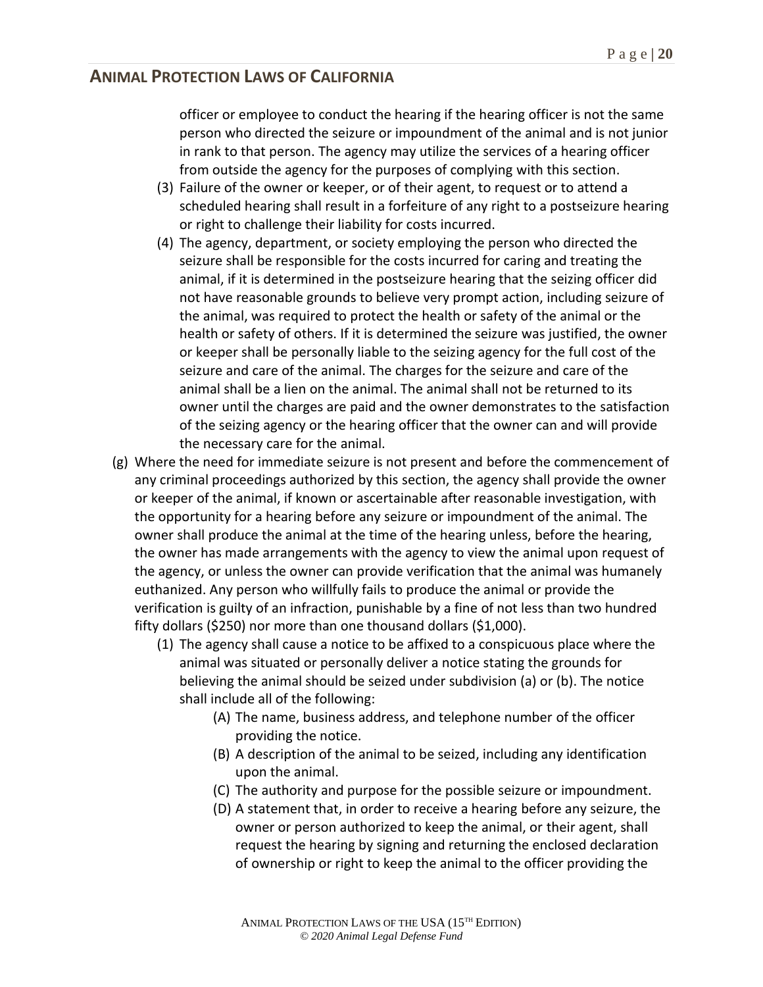officer or employee to conduct the hearing if the hearing officer is not the same person who directed the seizure or impoundment of the animal and is not junior in rank to that person. The agency may utilize the services of a hearing officer from outside the agency for the purposes of complying with this section.

- (3) Failure of the owner or keeper, or of their agent, to request or to attend a scheduled hearing shall result in a forfeiture of any right to a postseizure hearing or right to challenge their liability for costs incurred.
- (4) The agency, department, or society employing the person who directed the seizure shall be responsible for the costs incurred for caring and treating the animal, if it is determined in the postseizure hearing that the seizing officer did not have reasonable grounds to believe very prompt action, including seizure of the animal, was required to protect the health or safety of the animal or the health or safety of others. If it is determined the seizure was justified, the owner or keeper shall be personally liable to the seizing agency for the full cost of the seizure and care of the animal. The charges for the seizure and care of the animal shall be a lien on the animal. The animal shall not be returned to its owner until the charges are paid and the owner demonstrates to the satisfaction of the seizing agency or the hearing officer that the owner can and will provide the necessary care for the animal.
- (g) Where the need for immediate seizure is not present and before the commencement of any criminal proceedings authorized by this section, the agency shall provide the owner or keeper of the animal, if known or ascertainable after reasonable investigation, with the opportunity for a hearing before any seizure or impoundment of the animal. The owner shall produce the animal at the time of the hearing unless, before the hearing, the owner has made arrangements with the agency to view the animal upon request of the agency, or unless the owner can provide verification that the animal was humanely euthanized. Any person who willfully fails to produce the animal or provide the verification is guilty of an infraction, punishable by a fine of not less than two hundred fifty dollars (\$250) nor more than one thousand dollars (\$1,000).
	- (1) The agency shall cause a notice to be affixed to a conspicuous place where the animal was situated or personally deliver a notice stating the grounds for believing the animal should be seized under subdivision (a) or (b). The notice shall include all of the following:
		- (A) The name, business address, and telephone number of the officer providing the notice.
		- (B) A description of the animal to be seized, including any identification upon the animal.
		- (C) The authority and purpose for the possible seizure or impoundment.
		- (D) A statement that, in order to receive a hearing before any seizure, the owner or person authorized to keep the animal, or their agent, shall request the hearing by signing and returning the enclosed declaration of ownership or right to keep the animal to the officer providing the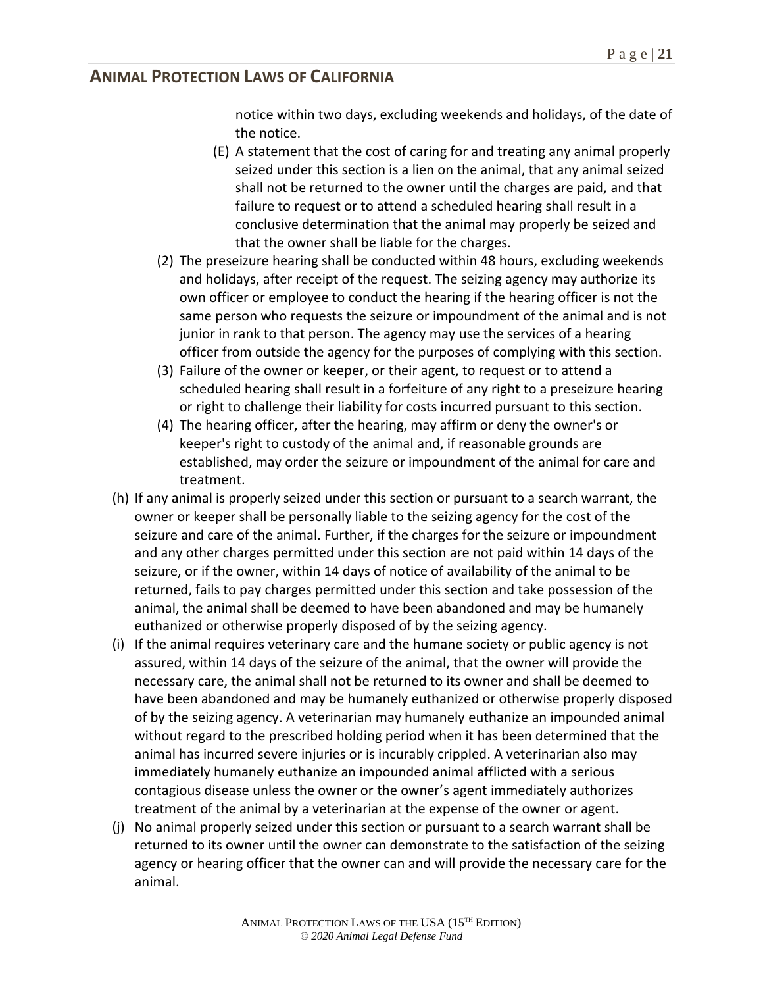notice within two days, excluding weekends and holidays, of the date of the notice.

- (E) A statement that the cost of caring for and treating any animal properly seized under this section is a lien on the animal, that any animal seized shall not be returned to the owner until the charges are paid, and that failure to request or to attend a scheduled hearing shall result in a conclusive determination that the animal may properly be seized and that the owner shall be liable for the charges.
- (2) The preseizure hearing shall be conducted within 48 hours, excluding weekends and holidays, after receipt of the request. The seizing agency may authorize its own officer or employee to conduct the hearing if the hearing officer is not the same person who requests the seizure or impoundment of the animal and is not junior in rank to that person. The agency may use the services of a hearing officer from outside the agency for the purposes of complying with this section.
- (3) Failure of the owner or keeper, or their agent, to request or to attend a scheduled hearing shall result in a forfeiture of any right to a preseizure hearing or right to challenge their liability for costs incurred pursuant to this section.
- (4) The hearing officer, after the hearing, may affirm or deny the owner's or keeper's right to custody of the animal and, if reasonable grounds are established, may order the seizure or impoundment of the animal for care and treatment.
- (h) If any animal is properly seized under this section or pursuant to a search warrant, the owner or keeper shall be personally liable to the seizing agency for the cost of the seizure and care of the animal. Further, if the charges for the seizure or impoundment and any other charges permitted under this section are not paid within 14 days of the seizure, or if the owner, within 14 days of notice of availability of the animal to be returned, fails to pay charges permitted under this section and take possession of the animal, the animal shall be deemed to have been abandoned and may be humanely euthanized or otherwise properly disposed of by the seizing agency.
- (i) If the animal requires veterinary care and the humane society or public agency is not assured, within 14 days of the seizure of the animal, that the owner will provide the necessary care, the animal shall not be returned to its owner and shall be deemed to have been abandoned and may be humanely euthanized or otherwise properly disposed of by the seizing agency. A veterinarian may humanely euthanize an impounded animal without regard to the prescribed holding period when it has been determined that the animal has incurred severe injuries or is incurably crippled. A veterinarian also may immediately humanely euthanize an impounded animal afflicted with a serious contagious disease unless the owner or the owner's agent immediately authorizes treatment of the animal by a veterinarian at the expense of the owner or agent.
- (j) No animal properly seized under this section or pursuant to a search warrant shall be returned to its owner until the owner can demonstrate to the satisfaction of the seizing agency or hearing officer that the owner can and will provide the necessary care for the animal.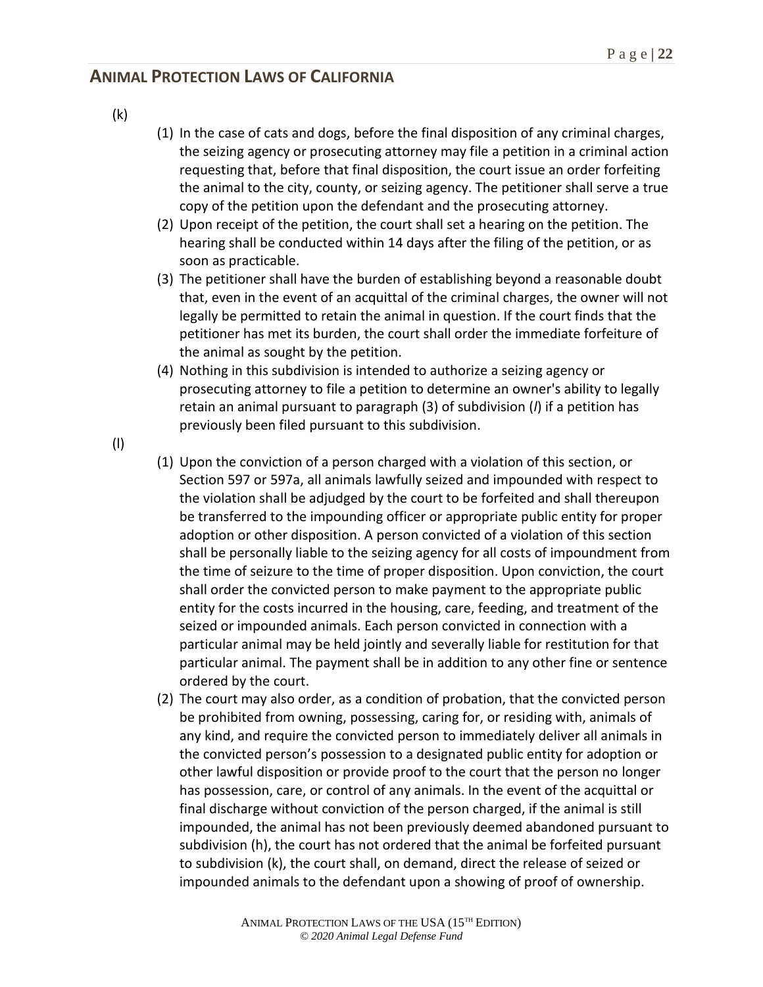- (k)
- (1) In the case of cats and dogs, before the final disposition of any criminal charges, the seizing agency or prosecuting attorney may file a petition in a criminal action requesting that, before that final disposition, the court issue an order forfeiting the animal to the city, county, or seizing agency. The petitioner shall serve a true copy of the petition upon the defendant and the prosecuting attorney.
- (2) Upon receipt of the petition, the court shall set a hearing on the petition. The hearing shall be conducted within 14 days after the filing of the petition, or as soon as practicable.
- (3) The petitioner shall have the burden of establishing beyond a reasonable doubt that, even in the event of an acquittal of the criminal charges, the owner will not legally be permitted to retain the animal in question. If the court finds that the petitioner has met its burden, the court shall order the immediate forfeiture of the animal as sought by the petition.
- (4) Nothing in this subdivision is intended to authorize a seizing agency or prosecuting attorney to file a petition to determine an owner's ability to legally retain an animal pursuant to paragraph (3) of subdivision (*l*) if a petition has previously been filed pursuant to this subdivision.
- (l)
- (1) Upon the conviction of a person charged with a violation of this section, or Section 597 or 597a, all animals lawfully seized and impounded with respect to the violation shall be adjudged by the court to be forfeited and shall thereupon be transferred to the impounding officer or appropriate public entity for proper adoption or other disposition. A person convicted of a violation of this section shall be personally liable to the seizing agency for all costs of impoundment from the time of seizure to the time of proper disposition. Upon conviction, the court shall order the convicted person to make payment to the appropriate public entity for the costs incurred in the housing, care, feeding, and treatment of the seized or impounded animals. Each person convicted in connection with a particular animal may be held jointly and severally liable for restitution for that particular animal. The payment shall be in addition to any other fine or sentence ordered by the court.
- (2) The court may also order, as a condition of probation, that the convicted person be prohibited from owning, possessing, caring for, or residing with, animals of any kind, and require the convicted person to immediately deliver all animals in the convicted person's possession to a designated public entity for adoption or other lawful disposition or provide proof to the court that the person no longer has possession, care, or control of any animals. In the event of the acquittal or final discharge without conviction of the person charged, if the animal is still impounded, the animal has not been previously deemed abandoned pursuant to subdivision (h), the court has not ordered that the animal be forfeited pursuant to subdivision (k), the court shall, on demand, direct the release of seized or impounded animals to the defendant upon a showing of proof of ownership.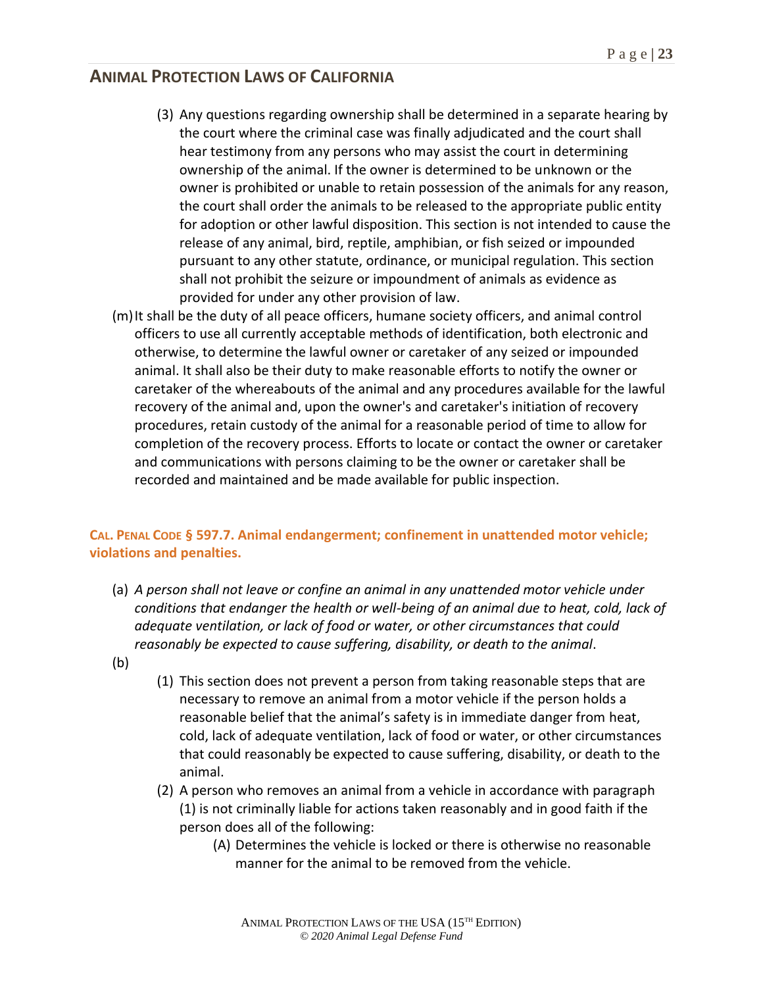- (3) Any questions regarding ownership shall be determined in a separate hearing by the court where the criminal case was finally adjudicated and the court shall hear testimony from any persons who may assist the court in determining ownership of the animal. If the owner is determined to be unknown or the owner is prohibited or unable to retain possession of the animals for any reason, the court shall order the animals to be released to the appropriate public entity for adoption or other lawful disposition. This section is not intended to cause the release of any animal, bird, reptile, amphibian, or fish seized or impounded pursuant to any other statute, ordinance, or municipal regulation. This section shall not prohibit the seizure or impoundment of animals as evidence as provided for under any other provision of law.
- (m)It shall be the duty of all peace officers, humane society officers, and animal control officers to use all currently acceptable methods of identification, both electronic and otherwise, to determine the lawful owner or caretaker of any seized or impounded animal. It shall also be their duty to make reasonable efforts to notify the owner or caretaker of the whereabouts of the animal and any procedures available for the lawful recovery of the animal and, upon the owner's and caretaker's initiation of recovery procedures, retain custody of the animal for a reasonable period of time to allow for completion of the recovery process. Efforts to locate or contact the owner or caretaker and communications with persons claiming to be the owner or caretaker shall be recorded and maintained and be made available for public inspection.

#### **CAL. PENAL CODE § 597.7. Animal endangerment; confinement in unattended motor vehicle; violations and penalties.**

- (a) *A person shall not leave or confine an animal in any unattended motor vehicle under conditions that endanger the health or well-being of an animal due to heat, cold, lack of adequate ventilation, or lack of food or water, or other circumstances that could reasonably be expected to cause suffering, disability, or death to the animal*.
- (b)
- (1) This section does not prevent a person from taking reasonable steps that are necessary to remove an animal from a motor vehicle if the person holds a reasonable belief that the animal's safety is in immediate danger from heat, cold, lack of adequate ventilation, lack of food or water, or other circumstances that could reasonably be expected to cause suffering, disability, or death to the animal.
- (2) A person who removes an animal from a vehicle in accordance with paragraph (1) is not criminally liable for actions taken reasonably and in good faith if the person does all of the following:
	- (A) Determines the vehicle is locked or there is otherwise no reasonable manner for the animal to be removed from the vehicle.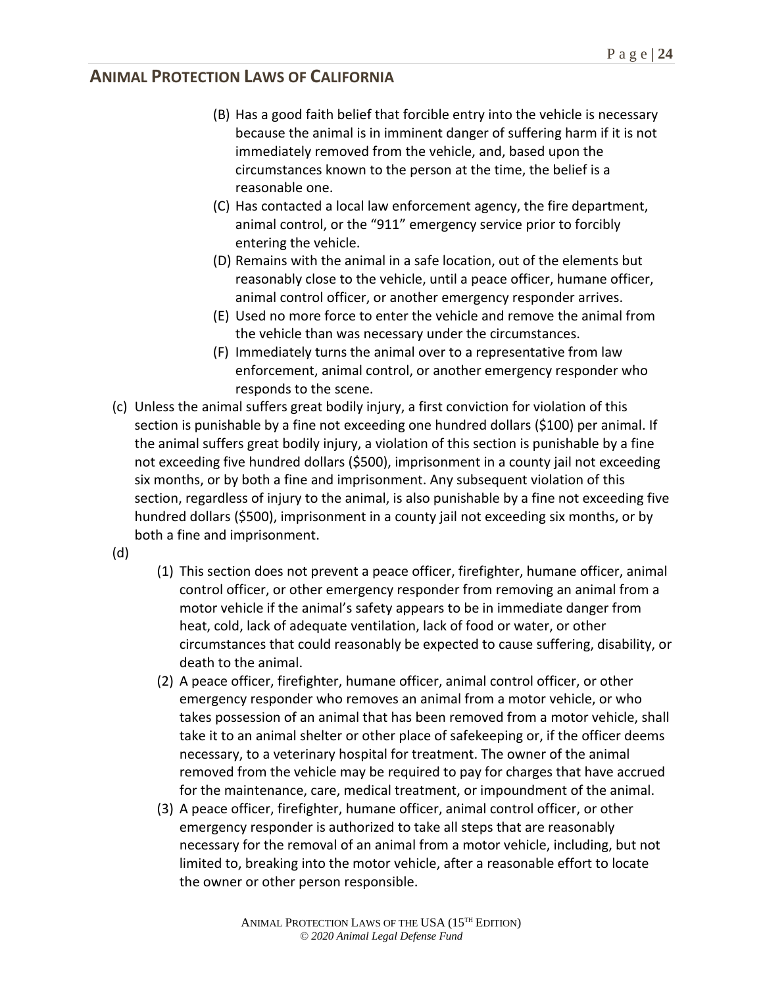- (B) Has a good faith belief that forcible entry into the vehicle is necessary because the animal is in imminent danger of suffering harm if it is not immediately removed from the vehicle, and, based upon the circumstances known to the person at the time, the belief is a reasonable one.
- (C) Has contacted a local law enforcement agency, the fire department, animal control, or the "911" emergency service prior to forcibly entering the vehicle.
- (D) Remains with the animal in a safe location, out of the elements but reasonably close to the vehicle, until a peace officer, humane officer, animal control officer, or another emergency responder arrives.
- (E) Used no more force to enter the vehicle and remove the animal from the vehicle than was necessary under the circumstances.
- (F) Immediately turns the animal over to a representative from law enforcement, animal control, or another emergency responder who responds to the scene.
- (c) Unless the animal suffers great bodily injury, a first conviction for violation of this section is punishable by a fine not exceeding one hundred dollars (\$100) per animal. If the animal suffers great bodily injury, a violation of this section is punishable by a fine not exceeding five hundred dollars (\$500), imprisonment in a county jail not exceeding six months, or by both a fine and imprisonment. Any subsequent violation of this section, regardless of injury to the animal, is also punishable by a fine not exceeding five hundred dollars (\$500), imprisonment in a county jail not exceeding six months, or by both a fine and imprisonment.
- (d)
- (1) This section does not prevent a peace officer, firefighter, humane officer, animal control officer, or other emergency responder from removing an animal from a motor vehicle if the animal's safety appears to be in immediate danger from heat, cold, lack of adequate ventilation, lack of food or water, or other circumstances that could reasonably be expected to cause suffering, disability, or death to the animal.
- (2) A peace officer, firefighter, humane officer, animal control officer, or other emergency responder who removes an animal from a motor vehicle, or who takes possession of an animal that has been removed from a motor vehicle, shall take it to an animal shelter or other place of safekeeping or, if the officer deems necessary, to a veterinary hospital for treatment. The owner of the animal removed from the vehicle may be required to pay for charges that have accrued for the maintenance, care, medical treatment, or impoundment of the animal.
- (3) A peace officer, firefighter, humane officer, animal control officer, or other emergency responder is authorized to take all steps that are reasonably necessary for the removal of an animal from a motor vehicle, including, but not limited to, breaking into the motor vehicle, after a reasonable effort to locate the owner or other person responsible.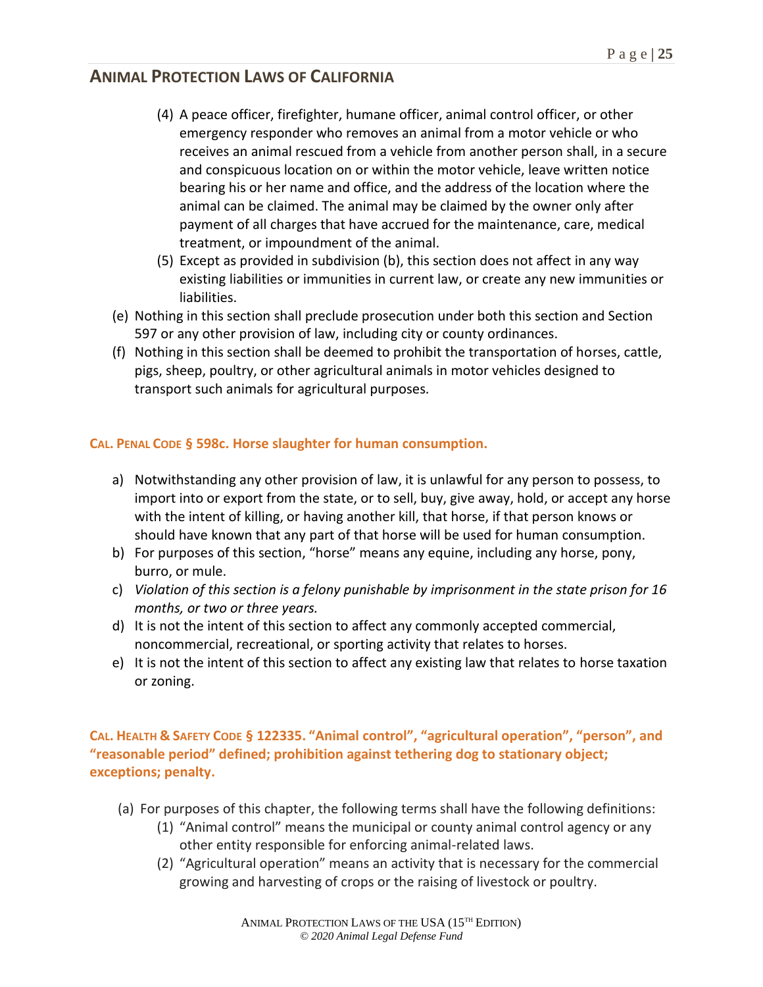- (4) A peace officer, firefighter, humane officer, animal control officer, or other emergency responder who removes an animal from a motor vehicle or who receives an animal rescued from a vehicle from another person shall, in a secure and conspicuous location on or within the motor vehicle, leave written notice bearing his or her name and office, and the address of the location where the animal can be claimed. The animal may be claimed by the owner only after payment of all charges that have accrued for the maintenance, care, medical treatment, or impoundment of the animal.
- (5) Except as provided in subdivision (b), this section does not affect in any way existing liabilities or immunities in current law, or create any new immunities or liabilities.
- (e) Nothing in this section shall preclude prosecution under both this section and Section 597 or any other provision of law, including city or county ordinances.
- (f) Nothing in this section shall be deemed to prohibit the transportation of horses, cattle, pigs, sheep, poultry, or other agricultural animals in motor vehicles designed to transport such animals for agricultural purposes*.*

#### **CAL. PENAL CODE § 598c. Horse slaughter for human consumption.**

- a) Notwithstanding any other provision of law, it is unlawful for any person to possess, to import into or export from the state, or to sell, buy, give away, hold, or accept any horse with the intent of killing, or having another kill, that horse, if that person knows or should have known that any part of that horse will be used for human consumption.
- b) For purposes of this section, "horse" means any equine, including any horse, pony, burro, or mule.
- c) *Violation of this section is a felony punishable by imprisonment in the state prison for 16 months, or two or three years.*
- d) It is not the intent of this section to affect any commonly accepted commercial, noncommercial, recreational, or sporting activity that relates to horses.
- e) It is not the intent of this section to affect any existing law that relates to horse taxation or zoning.

**CAL. HEALTH & SAFETY CODE § 122335. "Animal control", "agricultural operation", "person", and "reasonable period" defined; prohibition against tethering dog to stationary object; exceptions; penalty.**

- (a) For purposes of this chapter, the following terms shall have the following definitions:
	- (1) "Animal control" means the municipal or county animal control agency or any other entity responsible for enforcing animal-related laws.
	- (2) "Agricultural operation" means an activity that is necessary for the commercial growing and harvesting of crops or the raising of livestock or poultry.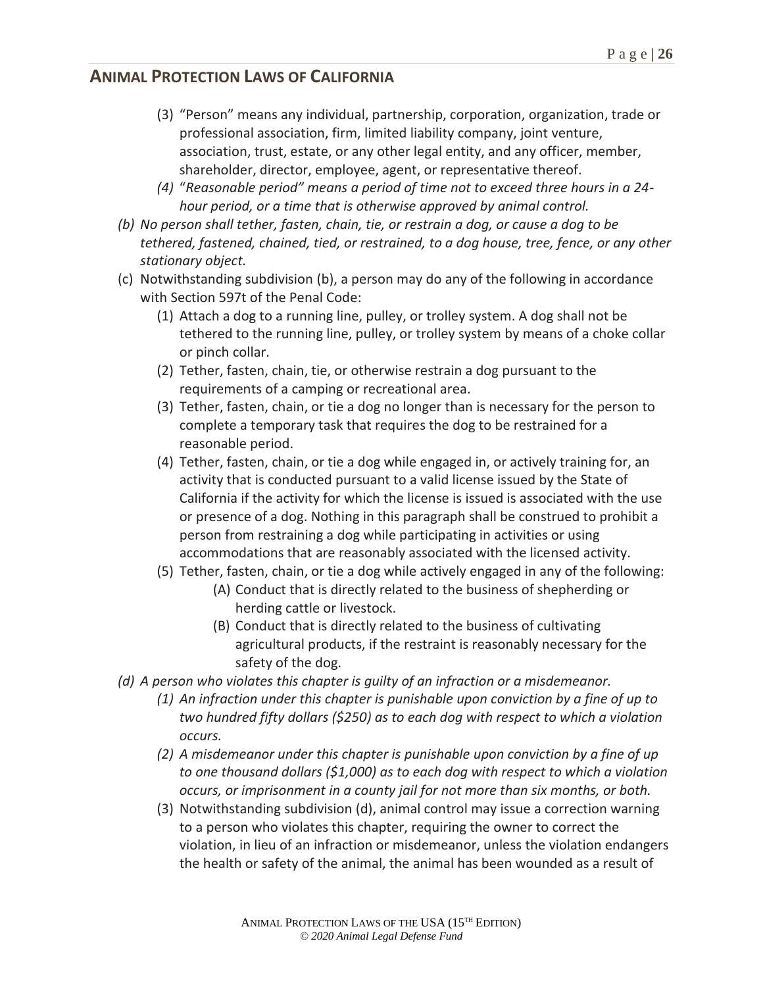- (3) "Person" means any individual, partnership, corporation, organization, trade or professional association, firm, limited liability company, joint venture, association, trust, estate, or any other legal entity, and any officer, member, shareholder, director, employee, agent, or representative thereof.
- *(4)* "*Reasonable period" means a period of time not to exceed three hours in a 24 hour period, or a time that is otherwise approved by animal control.*
- *(b) No person shall tether, fasten, chain, tie, or restrain a dog, or cause a dog to be tethered, fastened, chained, tied, or restrained, to a dog house, tree, fence, or any other stationary object.*
- (c) Notwithstanding subdivision (b), a person may do any of the following in accordance with Section 597t of the Penal Code:
	- (1) Attach a dog to a running line, pulley, or trolley system. A dog shall not be tethered to the running line, pulley, or trolley system by means of a choke collar or pinch collar.
	- (2) Tether, fasten, chain, tie, or otherwise restrain a dog pursuant to the requirements of a camping or recreational area.
	- (3) Tether, fasten, chain, or tie a dog no longer than is necessary for the person to complete a temporary task that requires the dog to be restrained for a reasonable period.
	- (4) Tether, fasten, chain, or tie a dog while engaged in, or actively training for, an activity that is conducted pursuant to a valid license issued by the State of California if the activity for which the license is issued is associated with the use or presence of a dog. Nothing in this paragraph shall be construed to prohibit a person from restraining a dog while participating in activities or using accommodations that are reasonably associated with the licensed activity.
	- (5) Tether, fasten, chain, or tie a dog while actively engaged in any of the following:
		- (A) Conduct that is directly related to the business of shepherding or herding cattle or livestock.
		- (B) Conduct that is directly related to the business of cultivating agricultural products, if the restraint is reasonably necessary for the safety of the dog.
- *(d) A person who violates this chapter is guilty of an infraction or a misdemeanor.*
	- *(1) An infraction under this chapter is punishable upon conviction by a fine of up to two hundred fifty dollars (\$250) as to each dog with respect to which a violation occurs.*
	- *(2) A misdemeanor under this chapter is punishable upon conviction by a fine of up to one thousand dollars (\$1,000) as to each dog with respect to which a violation occurs, or imprisonment in a county jail for not more than six months, or both.*
	- (3) Notwithstanding subdivision (d), animal control may issue a correction warning to a person who violates this chapter, requiring the owner to correct the violation, in lieu of an infraction or misdemeanor, unless the violation endangers the health or safety of the animal, the animal has been wounded as a result of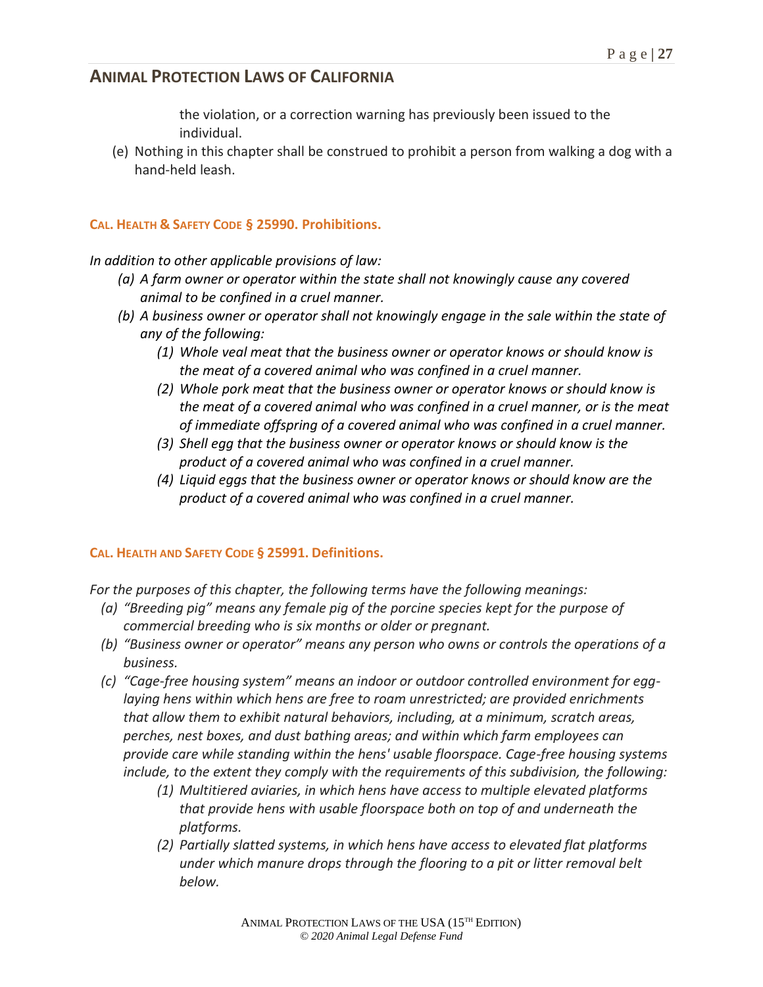the violation, or a correction warning has previously been issued to the individual.

(e) Nothing in this chapter shall be construed to prohibit a person from walking a dog with a hand-held leash.

#### **CAL. HEALTH & SAFETY CODE § 25990. Prohibitions.**

*In addition to other applicable provisions of law:*

- *(a) A farm owner or operator within the state shall not knowingly cause any covered animal to be confined in a cruel manner.*
- *(b) A business owner or operator shall not knowingly engage in the sale within the state of any of the following:*
	- *(1) Whole veal meat that the business owner or operator knows or should know is the meat of a covered animal who was confined in a cruel manner.*
	- *(2) Whole pork meat that the business owner or operator knows or should know is the meat of a covered animal who was confined in a cruel manner, or is the meat of immediate offspring of a covered animal who was confined in a cruel manner.*
	- *(3) Shell egg that the business owner or operator knows or should know is the product of a covered animal who was confined in a cruel manner.*
	- *(4) Liquid eggs that the business owner or operator knows or should know are the product of a covered animal who was confined in a cruel manner.*

#### **CAL. HEALTH AND SAFETY CODE § 25991. Definitions.**

*For the purposes of this chapter, the following terms have the following meanings:*

- *(a)* "Breeding pig" means any female pig of the porcine species kept for the purpose of *commercial breeding who is six months or older or pregnant.*
- *(b) "Business owner or operator" means any person who owns or controls the operations of a business.*
- *(c) "Cage-free housing system" means an indoor or outdoor controlled environment for egglaying hens within which hens are free to roam unrestricted; are provided enrichments that allow them to exhibit natural behaviors, including, at a minimum, scratch areas, perches, nest boxes, and dust bathing areas; and within which farm employees can provide care while standing within the hens' usable floorspace. Cage-free housing systems include, to the extent they comply with the requirements of this subdivision, the following:*
	- *(1) Multitiered aviaries, in which hens have access to multiple elevated platforms that provide hens with usable floorspace both on top of and underneath the platforms.*
	- *(2) Partially slatted systems, in which hens have access to elevated flat platforms under which manure drops through the flooring to a pit or litter removal belt below.*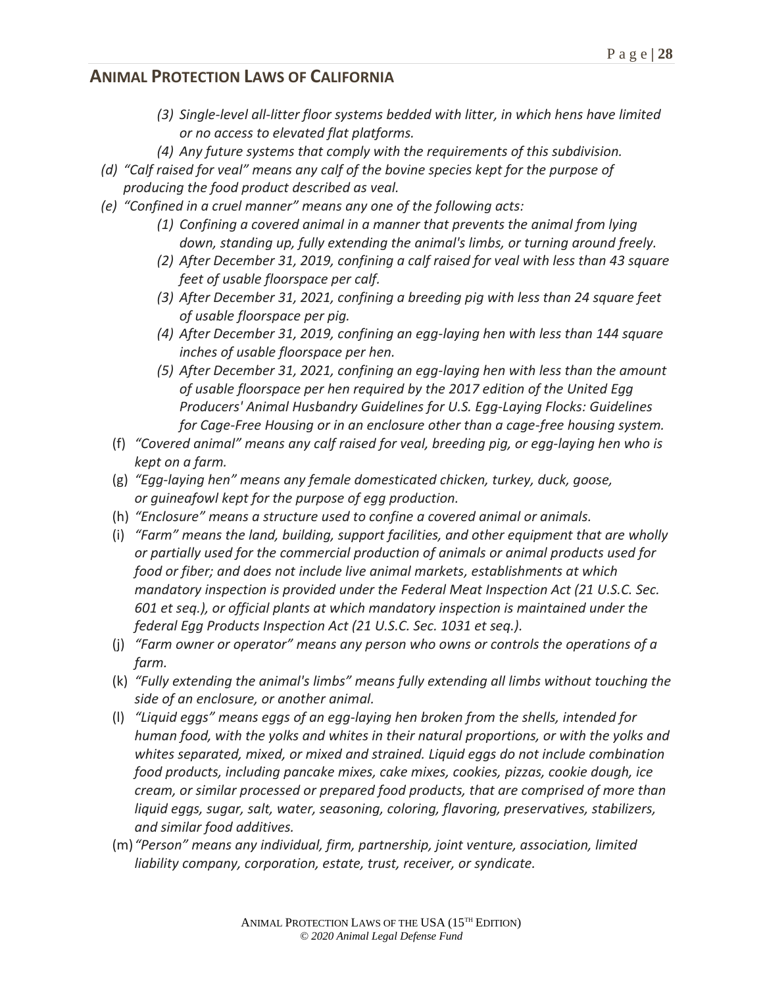- *(3) Single-level all-litter floor systems bedded with litter, in which hens have limited or no access to elevated flat platforms.*
- *(4) Any future systems that comply with the requirements of this subdivision.*
- *(d) "Calf raised for veal" means any calf of the bovine species kept for the purpose of producing the food product described as veal.*
- *(e) "Confined in a cruel manner" means any one of the following acts:*
	- *(1) Confining a covered animal in a manner that prevents the animal from lying down, standing up, fully extending the animal's limbs, or turning around freely.*
	- *(2) After December 31, 2019, confining a calf raised for veal with less than 43 square feet of usable floorspace per calf.*
	- *(3) After December 31, 2021, confining a breeding pig with less than 24 square feet of usable floorspace per pig.*
	- *(4) After December 31, 2019, confining an egg-laying hen with less than 144 square inches of usable floorspace per hen.*
	- *(5) After December 31, 2021, confining an egg-laying hen with less than the amount of usable floorspace per hen required by the 2017 edition of the United Egg Producers' Animal Husbandry Guidelines for U.S. Egg-Laying Flocks: Guidelines for Cage-Free Housing or in an enclosure other than a cage-free housing system.*
	- (f) *"Covered animal" means any calf raised for veal, breeding pig, or egg-laying hen who is kept on a farm.*
	- (g) *"Egg-laying hen" means any female domesticated chicken, turkey, duck, goose, or guineafowl kept for the purpose of egg production.*
	- (h) *"Enclosure" means a structure used to confine a covered animal or animals.*
	- (i) *"Farm" means the land, building, support facilities, and other equipment that are wholly or partially used for the commercial production of animals or animal products used for food or fiber; and does not include live animal markets, establishments at which mandatory inspection is provided under the Federal Meat Inspection Act (21 U.S.C. Sec. 601 et seq.), or official plants at which mandatory inspection is maintained under the federal Egg Products Inspection Act (21 U.S.C. Sec. 1031 et seq.).*
	- (j) *"Farm owner or operator" means any person who owns or controls the operations of a farm.*
	- (k) *"Fully extending the animal's limbs" means fully extending all limbs without touching the side of an enclosure, or another animal.*
	- (l) *"Liquid eggs" means eggs of an egg-laying hen broken from the shells, intended for human food, with the yolks and whites in their natural proportions, or with the yolks and whites separated, mixed, or mixed and strained. Liquid eggs do not include combination food products, including pancake mixes, cake mixes, cookies, pizzas, cookie dough, ice cream, or similar processed or prepared food products, that are comprised of more than liquid eggs, sugar, salt, water, seasoning, coloring, flavoring, preservatives, stabilizers, and similar food additives.*
	- (m)*"Person" means any individual, firm, partnership, joint venture, association, limited liability company, corporation, estate, trust, receiver, or syndicate.*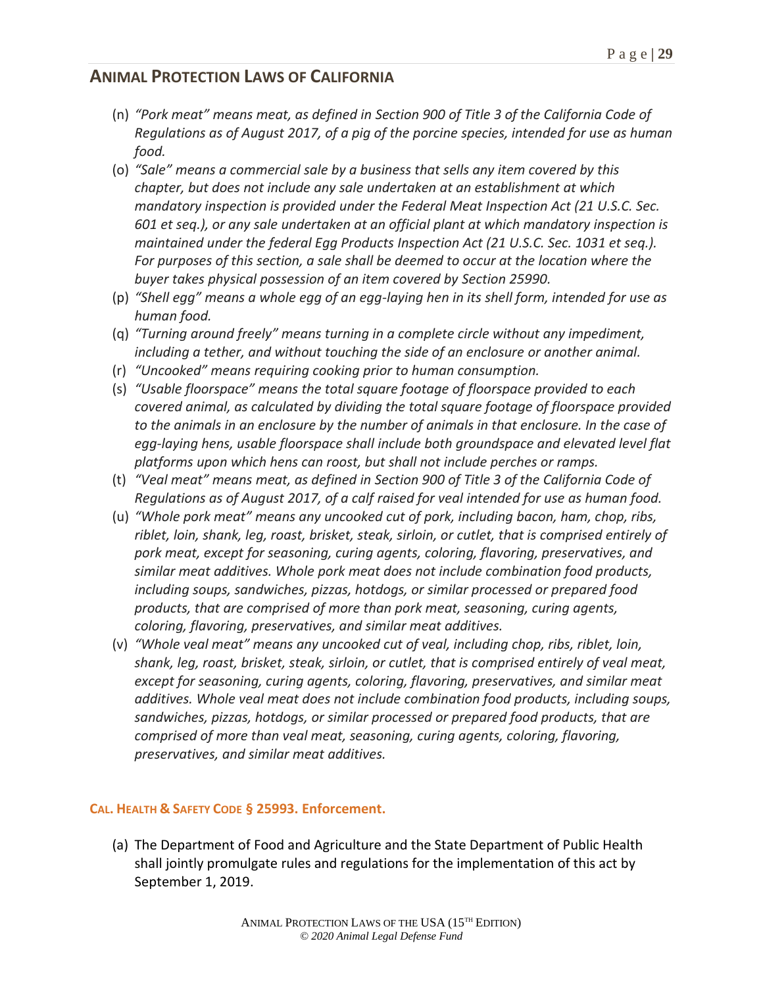- (n) *"Pork meat" means meat, as defined in Section 900 of Title 3 of the California Code of Regulations as of August 2017, of a pig of the porcine species, intended for use as human food.*
- (o) *"Sale" means a commercial sale by a business that sells any item covered by this chapter, but does not include any sale undertaken at an establishment at which mandatory inspection is provided under the Federal Meat Inspection Act (21 U.S.C. Sec. 601 et seq.), or any sale undertaken at an official plant at which mandatory inspection is maintained under the federal Egg Products Inspection Act (21 U.S.C. Sec. 1031 et seq.). For purposes of this section, a sale shall be deemed to occur at the location where the buyer takes physical possession of an item covered by Section 25990.*
- (p) *"Shell egg" means a whole egg of an egg-laying hen in its shell form, intended for use as human food.*
- (q) *"Turning around freely" means turning in a complete circle without any impediment, including a tether, and without touching the side of an enclosure or another animal.*
- (r) *"Uncooked" means requiring cooking prior to human consumption.*
- (s) *"Usable floorspace" means the total square footage of floorspace provided to each covered animal, as calculated by dividing the total square footage of floorspace provided to the animals in an enclosure by the number of animals in that enclosure. In the case of egg-laying hens, usable floorspace shall include both groundspace and elevated level flat platforms upon which hens can roost, but shall not include perches or ramps.*
- (t) *"Veal meat" means meat, as defined in Section 900 of Title 3 of the California Code of Regulations as of August 2017, of a calf raised for veal intended for use as human food.*
- (u) *"Whole pork meat" means any uncooked cut of pork, including bacon, ham, chop, ribs, riblet, loin, shank, leg, roast, brisket, steak, sirloin, or cutlet, that is comprised entirely of pork meat, except for seasoning, curing agents, coloring, flavoring, preservatives, and similar meat additives. Whole pork meat does not include combination food products, including soups, sandwiches, pizzas, hotdogs, or similar processed or prepared food products, that are comprised of more than pork meat, seasoning, curing agents, coloring, flavoring, preservatives, and similar meat additives.*
- (v) *"Whole veal meat" means any uncooked cut of veal, including chop, ribs, riblet, loin, shank, leg, roast, brisket, steak, sirloin, or cutlet, that is comprised entirely of veal meat, except for seasoning, curing agents, coloring, flavoring, preservatives, and similar meat additives. Whole veal meat does not include combination food products, including soups, sandwiches, pizzas, hotdogs, or similar processed or prepared food products, that are comprised of more than veal meat, seasoning, curing agents, coloring, flavoring, preservatives, and similar meat additives.*

#### **CAL. HEALTH & SAFETY CODE § 25993. Enforcement.**

(a) The Department of Food and Agriculture and the State Department of Public Health shall jointly promulgate rules and regulations for the implementation of this act by September 1, 2019.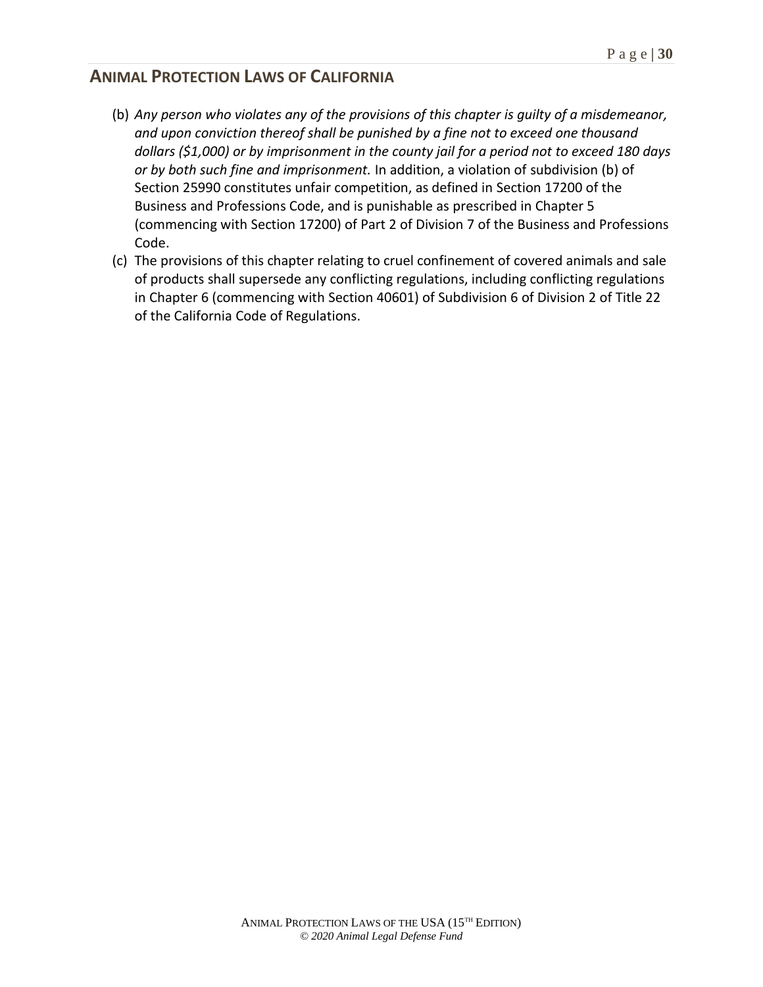- (b) *Any person who violates any of the provisions of this chapter is guilty of a misdemeanor, and upon conviction thereof shall be punished by a fine not to exceed one thousand dollars (\$1,000) or by imprisonment in the county jail for a period not to exceed 180 days or by both such fine and imprisonment.* In addition, a violation of subdivision (b) of Section 25990 constitutes unfair competition, as defined in Section 17200 of the Business and Professions Code, and is punishable as prescribed in Chapter 5 (commencing with Section 17200) of Part 2 of Division 7 of the Business and Professions Code.
- (c) The provisions of this chapter relating to cruel confinement of covered animals and sale of products shall supersede any conflicting regulations, including conflicting regulations in Chapter 6 (commencing with Section 40601) of Subdivision 6 of Division 2 of Title 22 of the California Code of Regulations.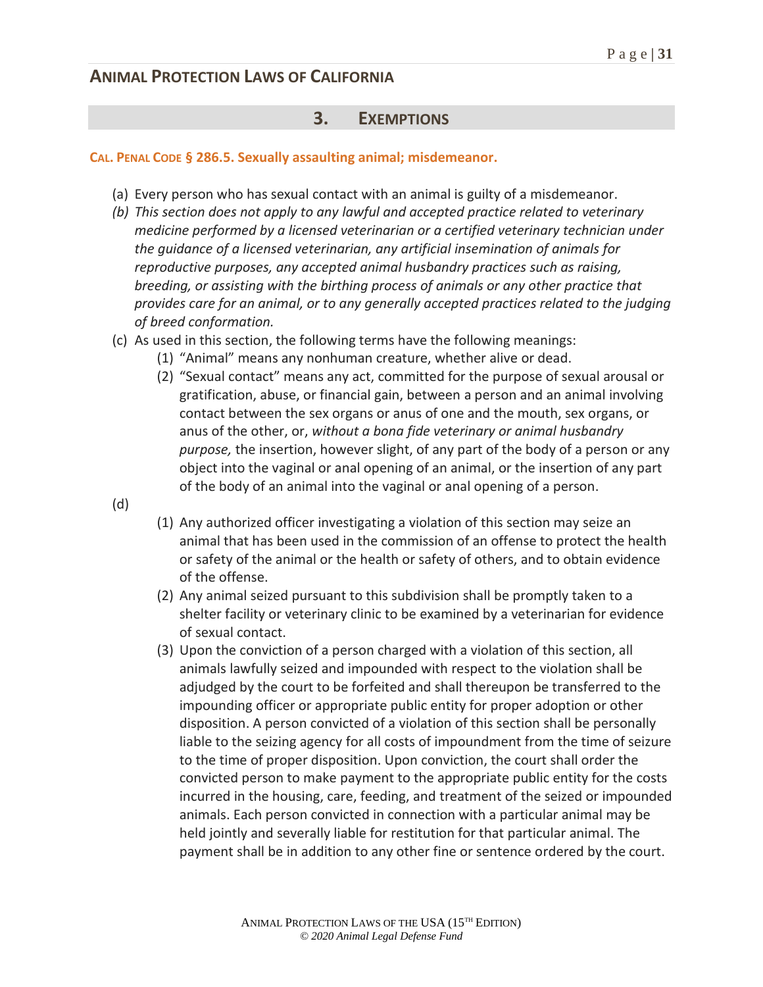## **3. EXEMPTIONS**

#### **CAL. PENAL CODE § 286.5. Sexually assaulting animal; misdemeanor.**

- (a) Every person who has sexual contact with an animal is guilty of a misdemeanor.
- *(b) This section does not apply to any lawful and accepted practice related to veterinary medicine performed by a licensed veterinarian or a certified veterinary technician under the guidance of a licensed veterinarian, any artificial insemination of animals for reproductive purposes, any accepted animal husbandry practices such as raising, breeding, or assisting with the birthing process of animals or any other practice that provides care for an animal, or to any generally accepted practices related to the judging of breed conformation.*
- (c) As used in this section, the following terms have the following meanings:
	- (1) "Animal" means any nonhuman creature, whether alive or dead.
	- (2) "Sexual contact" means any act, committed for the purpose of sexual arousal or gratification, abuse, or financial gain, between a person and an animal involving contact between the sex organs or anus of one and the mouth, sex organs, or anus of the other, or, *without a bona fide veterinary or animal husbandry purpose,* the insertion, however slight, of any part of the body of a person or any object into the vaginal or anal opening of an animal, or the insertion of any part of the body of an animal into the vaginal or anal opening of a person.
- (d)
- (1) Any authorized officer investigating a violation of this section may seize an animal that has been used in the commission of an offense to protect the health or safety of the animal or the health or safety of others, and to obtain evidence of the offense.
- (2) Any animal seized pursuant to this subdivision shall be promptly taken to a shelter facility or veterinary clinic to be examined by a veterinarian for evidence of sexual contact.
- (3) Upon the conviction of a person charged with a violation of this section, all animals lawfully seized and impounded with respect to the violation shall be adjudged by the court to be forfeited and shall thereupon be transferred to the impounding officer or appropriate public entity for proper adoption or other disposition. A person convicted of a violation of this section shall be personally liable to the seizing agency for all costs of impoundment from the time of seizure to the time of proper disposition. Upon conviction, the court shall order the convicted person to make payment to the appropriate public entity for the costs incurred in the housing, care, feeding, and treatment of the seized or impounded animals. Each person convicted in connection with a particular animal may be held jointly and severally liable for restitution for that particular animal. The payment shall be in addition to any other fine or sentence ordered by the court.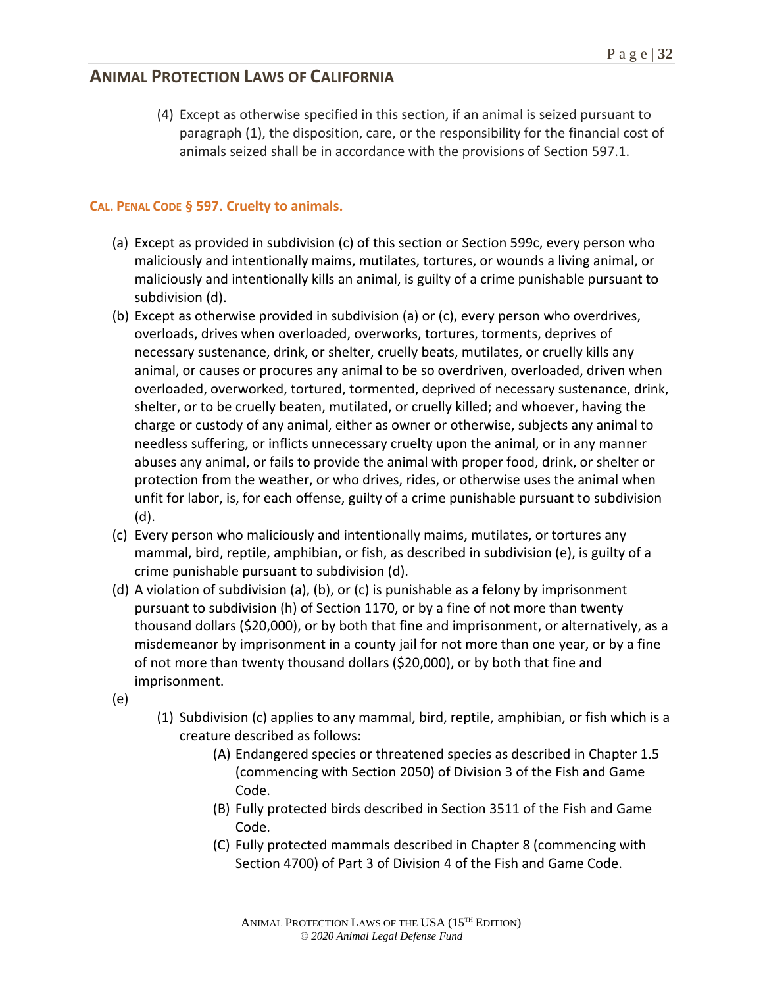(4) Except as otherwise specified in this section, if an animal is seized pursuant to paragraph (1), the disposition, care, or the responsibility for the financial cost of animals seized shall be in accordance with the provisions of Section 597.1.

#### **CAL. PENAL CODE § 597. Cruelty to animals.**

- (a) Except as provided in subdivision (c) of this section or Section 599c, every person who maliciously and intentionally maims, mutilates, tortures, or wounds a living animal, or maliciously and intentionally kills an animal, is guilty of a crime punishable pursuant to subdivision (d).
- (b) Except as otherwise provided in subdivision (a) or (c), every person who overdrives, overloads, drives when overloaded, overworks, tortures, torments, deprives of necessary sustenance, drink, or shelter, cruelly beats, mutilates, or cruelly kills any animal, or causes or procures any animal to be so overdriven, overloaded, driven when overloaded, overworked, tortured, tormented, deprived of necessary sustenance, drink, shelter, or to be cruelly beaten, mutilated, or cruelly killed; and whoever, having the charge or custody of any animal, either as owner or otherwise, subjects any animal to needless suffering, or inflicts unnecessary cruelty upon the animal, or in any manner abuses any animal, or fails to provide the animal with proper food, drink, or shelter or protection from the weather, or who drives, rides, or otherwise uses the animal when unfit for labor, is, for each offense, guilty of a crime punishable pursuant to subdivision (d).
- (c) Every person who maliciously and intentionally maims, mutilates, or tortures any mammal, bird, reptile, amphibian, or fish, as described in subdivision (e), is guilty of a crime punishable pursuant to subdivision (d).
- (d) A violation of subdivision (a), (b), or (c) is punishable as a felony by imprisonment pursuant to subdivision (h) of Section 1170, or by a fine of not more than twenty thousand dollars (\$20,000), or by both that fine and imprisonment, or alternatively, as a misdemeanor by imprisonment in a county jail for not more than one year, or by a fine of not more than twenty thousand dollars (\$20,000), or by both that fine and imprisonment.
- (e)
- (1) Subdivision (c) applies to any mammal, bird, reptile, amphibian, or fish which is a creature described as follows:
	- (A) Endangered species or threatened species as described in Chapter 1.5 (commencing with Section 2050) of Division 3 of the Fish and Game Code.
	- (B) Fully protected birds described in Section 3511 of the Fish and Game Code.
	- (C) Fully protected mammals described in Chapter 8 (commencing with Section 4700) of Part 3 of Division 4 of the Fish and Game Code.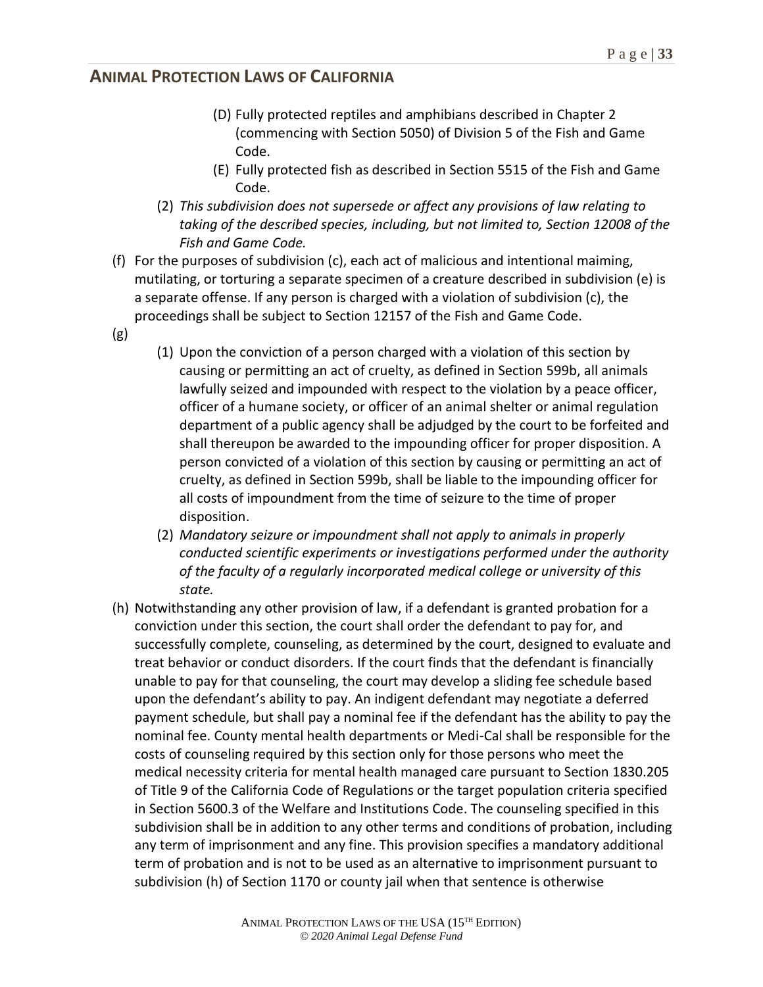- (D) Fully protected reptiles and amphibians described in Chapter 2 (commencing with Section 5050) of Division 5 of the Fish and Game Code.
- (E) Fully protected fish as described in Section 5515 of the Fish and Game Code.
- (2) *This subdivision does not supersede or affect any provisions of law relating to taking of the described species, including, but not limited to, Section 12008 of the Fish and Game Code.*
- (f) For the purposes of subdivision (c), each act of malicious and intentional maiming, mutilating, or torturing a separate specimen of a creature described in subdivision (e) is a separate offense. If any person is charged with a violation of subdivision (c), the proceedings shall be subject to Section 12157 of the Fish and Game Code.
- (g)
- (1) Upon the conviction of a person charged with a violation of this section by causing or permitting an act of cruelty, as defined in Section 599b, all animals lawfully seized and impounded with respect to the violation by a peace officer, officer of a humane society, or officer of an animal shelter or animal regulation department of a public agency shall be adjudged by the court to be forfeited and shall thereupon be awarded to the impounding officer for proper disposition. A person convicted of a violation of this section by causing or permitting an act of cruelty, as defined in Section 599b, shall be liable to the impounding officer for all costs of impoundment from the time of seizure to the time of proper disposition.
- (2) *Mandatory seizure or impoundment shall not apply to animals in properly conducted scientific experiments or investigations performed under the authority of the faculty of a regularly incorporated medical college or university of this state.*
- (h) Notwithstanding any other provision of law, if a defendant is granted probation for a conviction under this section, the court shall order the defendant to pay for, and successfully complete, counseling, as determined by the court, designed to evaluate and treat behavior or conduct disorders. If the court finds that the defendant is financially unable to pay for that counseling, the court may develop a sliding fee schedule based upon the defendant's ability to pay. An indigent defendant may negotiate a deferred payment schedule, but shall pay a nominal fee if the defendant has the ability to pay the nominal fee. County mental health departments or Medi-Cal shall be responsible for the costs of counseling required by this section only for those persons who meet the medical necessity criteria for mental health managed care pursuant to Section 1830.205 of Title 9 of the California Code of Regulations or the target population criteria specified in Section 5600.3 of the Welfare and Institutions Code. The counseling specified in this subdivision shall be in addition to any other terms and conditions of probation, including any term of imprisonment and any fine. This provision specifies a mandatory additional term of probation and is not to be used as an alternative to imprisonment pursuant to subdivision (h) of Section 1170 or county jail when that sentence is otherwise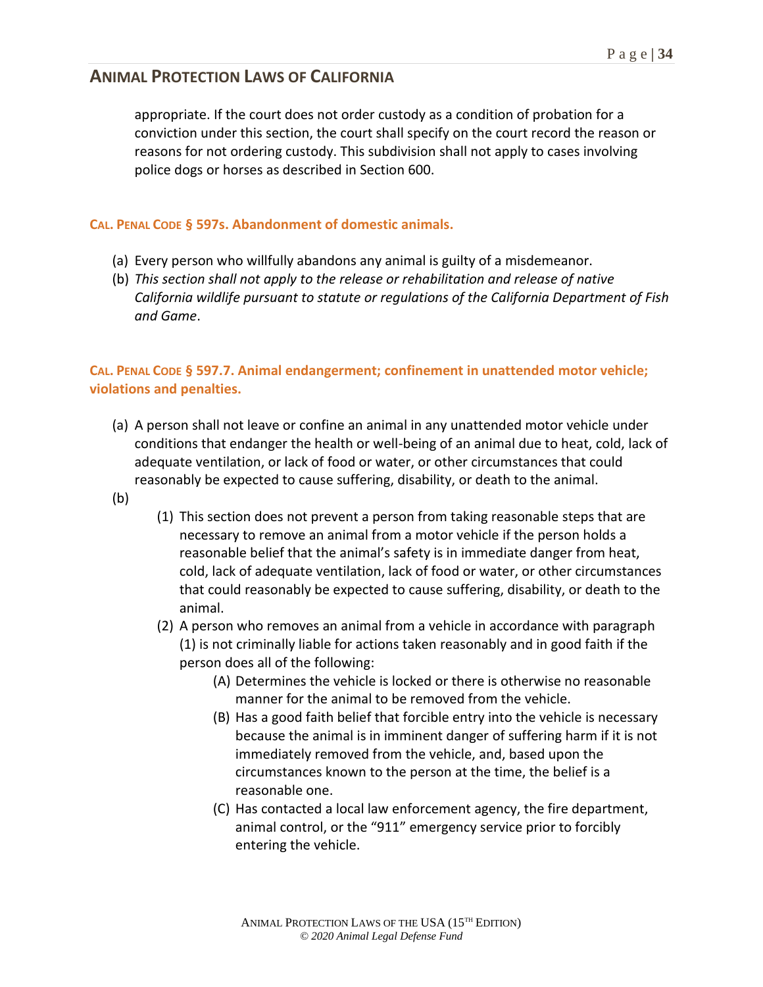appropriate. If the court does not order custody as a condition of probation for a conviction under this section, the court shall specify on the court record the reason or reasons for not ordering custody. This subdivision shall not apply to cases involving police dogs or horses as described in Section 600.

#### **CAL. PENAL CODE § 597s. Abandonment of domestic animals.**

- (a) Every person who willfully abandons any animal is guilty of a misdemeanor.
- (b) *This section shall not apply to the release or rehabilitation and release of native California wildlife pursuant to statute or regulations of the California Department of Fish and Game*.

#### **CAL. PENAL CODE § 597.7. Animal endangerment; confinement in unattended motor vehicle; violations and penalties.**

- (a) A person shall not leave or confine an animal in any unattended motor vehicle under conditions that endanger the health or well-being of an animal due to heat, cold, lack of adequate ventilation, or lack of food or water, or other circumstances that could reasonably be expected to cause suffering, disability, or death to the animal.
- (b)
- (1) This section does not prevent a person from taking reasonable steps that are necessary to remove an animal from a motor vehicle if the person holds a reasonable belief that the animal's safety is in immediate danger from heat, cold, lack of adequate ventilation, lack of food or water, or other circumstances that could reasonably be expected to cause suffering, disability, or death to the animal.
- (2) A person who removes an animal from a vehicle in accordance with paragraph (1) is not criminally liable for actions taken reasonably and in good faith if the person does all of the following:
	- (A) Determines the vehicle is locked or there is otherwise no reasonable manner for the animal to be removed from the vehicle.
	- (B) Has a good faith belief that forcible entry into the vehicle is necessary because the animal is in imminent danger of suffering harm if it is not immediately removed from the vehicle, and, based upon the circumstances known to the person at the time, the belief is a reasonable one.
	- (C) Has contacted a local law enforcement agency, the fire department, animal control, or the "911" emergency service prior to forcibly entering the vehicle.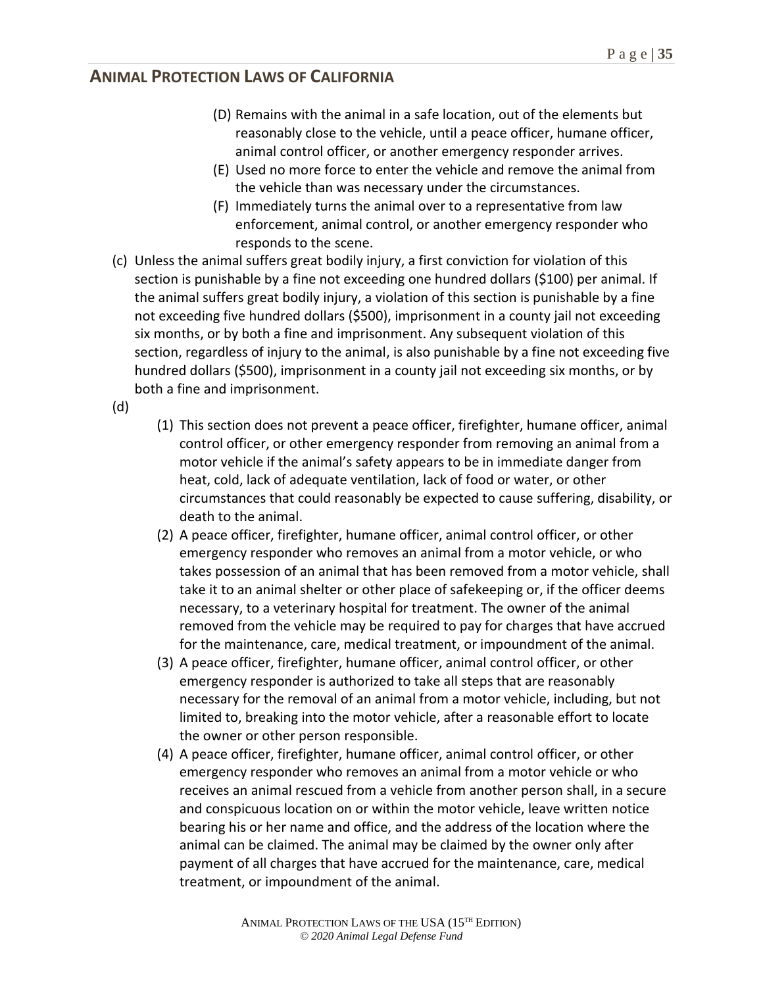- (D) Remains with the animal in a safe location, out of the elements but reasonably close to the vehicle, until a peace officer, humane officer, animal control officer, or another emergency responder arrives.
- (E) Used no more force to enter the vehicle and remove the animal from the vehicle than was necessary under the circumstances.
- (F) Immediately turns the animal over to a representative from law enforcement, animal control, or another emergency responder who responds to the scene.
- (c) Unless the animal suffers great bodily injury, a first conviction for violation of this section is punishable by a fine not exceeding one hundred dollars (\$100) per animal. If the animal suffers great bodily injury, a violation of this section is punishable by a fine not exceeding five hundred dollars (\$500), imprisonment in a county jail not exceeding six months, or by both a fine and imprisonment. Any subsequent violation of this section, regardless of injury to the animal, is also punishable by a fine not exceeding five hundred dollars (\$500), imprisonment in a county jail not exceeding six months, or by both a fine and imprisonment.
- (d)
- (1) This section does not prevent a peace officer, firefighter, humane officer, animal control officer, or other emergency responder from removing an animal from a motor vehicle if the animal's safety appears to be in immediate danger from heat, cold, lack of adequate ventilation, lack of food or water, or other circumstances that could reasonably be expected to cause suffering, disability, or death to the animal.
- (2) A peace officer, firefighter, humane officer, animal control officer, or other emergency responder who removes an animal from a motor vehicle, or who takes possession of an animal that has been removed from a motor vehicle, shall take it to an animal shelter or other place of safekeeping or, if the officer deems necessary, to a veterinary hospital for treatment. The owner of the animal removed from the vehicle may be required to pay for charges that have accrued for the maintenance, care, medical treatment, or impoundment of the animal.
- (3) A peace officer, firefighter, humane officer, animal control officer, or other emergency responder is authorized to take all steps that are reasonably necessary for the removal of an animal from a motor vehicle, including, but not limited to, breaking into the motor vehicle, after a reasonable effort to locate the owner or other person responsible.
- (4) A peace officer, firefighter, humane officer, animal control officer, or other emergency responder who removes an animal from a motor vehicle or who receives an animal rescued from a vehicle from another person shall, in a secure and conspicuous location on or within the motor vehicle, leave written notice bearing his or her name and office, and the address of the location where the animal can be claimed. The animal may be claimed by the owner only after payment of all charges that have accrued for the maintenance, care, medical treatment, or impoundment of the animal.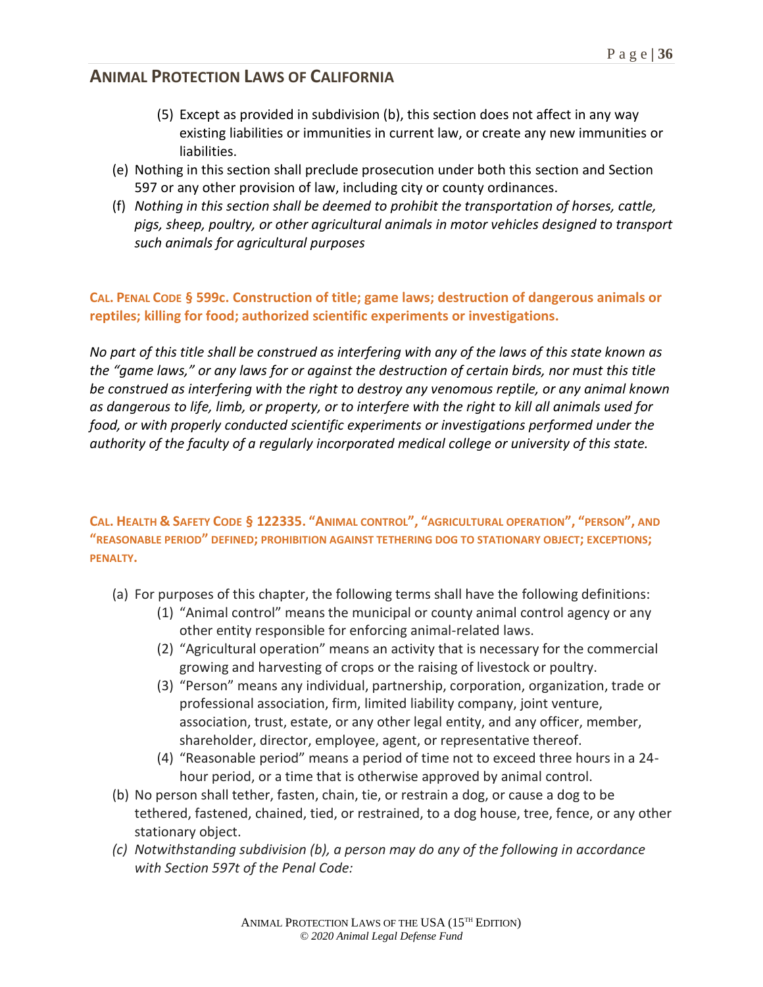- (5) Except as provided in subdivision (b), this section does not affect in any way existing liabilities or immunities in current law, or create any new immunities or liabilities.
- (e) Nothing in this section shall preclude prosecution under both this section and Section 597 or any other provision of law, including city or county ordinances.
- (f) *Nothing in this section shall be deemed to prohibit the transportation of horses, cattle, pigs, sheep, poultry, or other agricultural animals in motor vehicles designed to transport such animals for agricultural purposes*

#### **CAL. PENAL CODE § 599c. Construction of title; game laws; destruction of dangerous animals or reptiles; killing for food; authorized scientific experiments or investigations.**

*No part of this title shall be construed as interfering with any of the laws of this state known as the "game laws," or any laws for or against the destruction of certain birds, nor must this title be construed as interfering with the right to destroy any venomous reptile, or any animal known as dangerous to life, limb, or property, or to interfere with the right to kill all animals used for food, or with properly conducted scientific experiments or investigations performed under the authority of the faculty of a regularly incorporated medical college or university of this state.*

#### CAL. HEALTH & SAFETY CODE § 122335. "ANIMAL CONTROL", "AGRICULTURAL OPERATION", "PERSON", AND **"REASONABLE PERIOD" DEFINED; PROHIBITION AGAINST TETHERING DOG TO STATIONARY OBJECT; EXCEPTIONS; PENALTY.**

- (a) For purposes of this chapter, the following terms shall have the following definitions:
	- (1) "Animal control" means the municipal or county animal control agency or any other entity responsible for enforcing animal-related laws.
	- (2) "Agricultural operation" means an activity that is necessary for the commercial growing and harvesting of crops or the raising of livestock or poultry.
	- (3) "Person" means any individual, partnership, corporation, organization, trade or professional association, firm, limited liability company, joint venture, association, trust, estate, or any other legal entity, and any officer, member, shareholder, director, employee, agent, or representative thereof.
	- (4) "Reasonable period" means a period of time not to exceed three hours in a 24 hour period, or a time that is otherwise approved by animal control.
- (b) No person shall tether, fasten, chain, tie, or restrain a dog, or cause a dog to be tethered, fastened, chained, tied, or restrained, to a dog house, tree, fence, or any other stationary object.
- *(c) Notwithstanding subdivision (b), a person may do any of the following in accordance with Section 597t of the Penal Code:*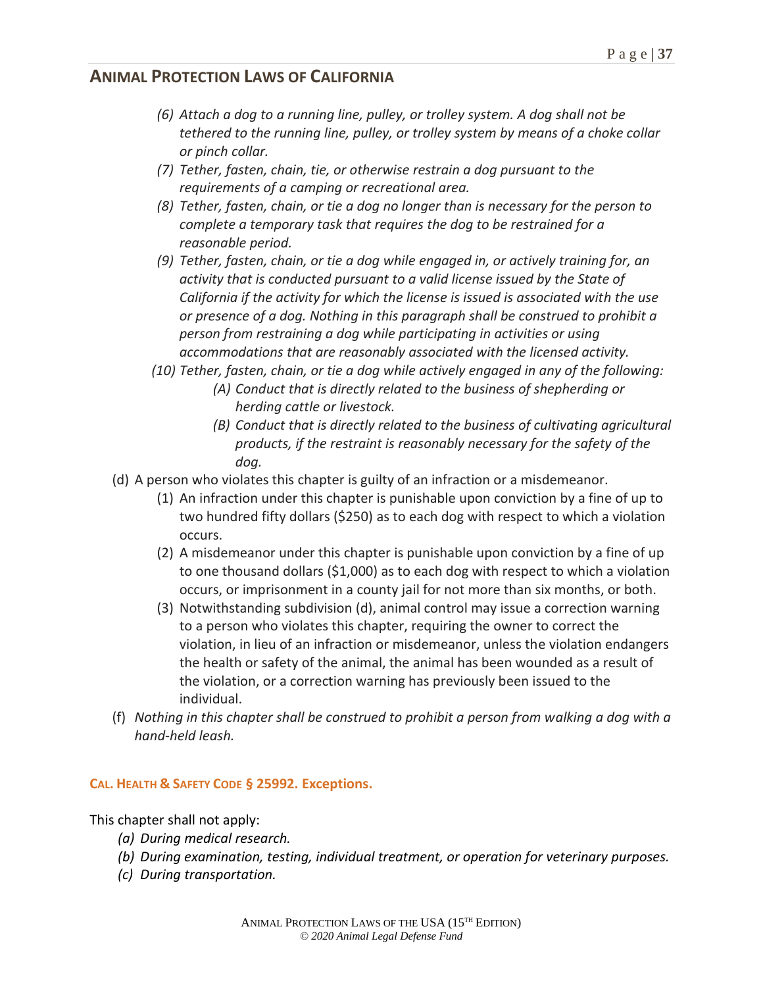- *(6) Attach a dog to a running line, pulley, or trolley system. A dog shall not be tethered to the running line, pulley, or trolley system by means of a choke collar or pinch collar.*
- *(7) Tether, fasten, chain, tie, or otherwise restrain a dog pursuant to the requirements of a camping or recreational area.*
- *(8) Tether, fasten, chain, or tie a dog no longer than is necessary for the person to complete a temporary task that requires the dog to be restrained for a reasonable period.*
- *(9) Tether, fasten, chain, or tie a dog while engaged in, or actively training for, an activity that is conducted pursuant to a valid license issued by the State of California if the activity for which the license is issued is associated with the use or presence of a dog. Nothing in this paragraph shall be construed to prohibit a person from restraining a dog while participating in activities or using accommodations that are reasonably associated with the licensed activity.*
- *(10) Tether, fasten, chain, or tie a dog while actively engaged in any of the following:*
	- *(A) Conduct that is directly related to the business of shepherding or herding cattle or livestock.*
	- *(B) Conduct that is directly related to the business of cultivating agricultural products, if the restraint is reasonably necessary for the safety of the dog.*
- (d) A person who violates this chapter is guilty of an infraction or a misdemeanor.
	- (1) An infraction under this chapter is punishable upon conviction by a fine of up to two hundred fifty dollars (\$250) as to each dog with respect to which a violation occurs.
	- (2) A misdemeanor under this chapter is punishable upon conviction by a fine of up to one thousand dollars (\$1,000) as to each dog with respect to which a violation occurs, or imprisonment in a county jail for not more than six months, or both.
	- (3) Notwithstanding subdivision (d), animal control may issue a correction warning to a person who violates this chapter, requiring the owner to correct the violation, in lieu of an infraction or misdemeanor, unless the violation endangers the health or safety of the animal, the animal has been wounded as a result of the violation, or a correction warning has previously been issued to the individual.
- (f) *Nothing in this chapter shall be construed to prohibit a person from walking a dog with a hand-held leash.*

#### **CAL. HEALTH & SAFETY CODE § 25992. Exceptions.**

This chapter shall not apply:

- *(a) During medical research.*
- *(b) During examination, testing, individual treatment, or operation for veterinary purposes.*
- *(c) During transportation.*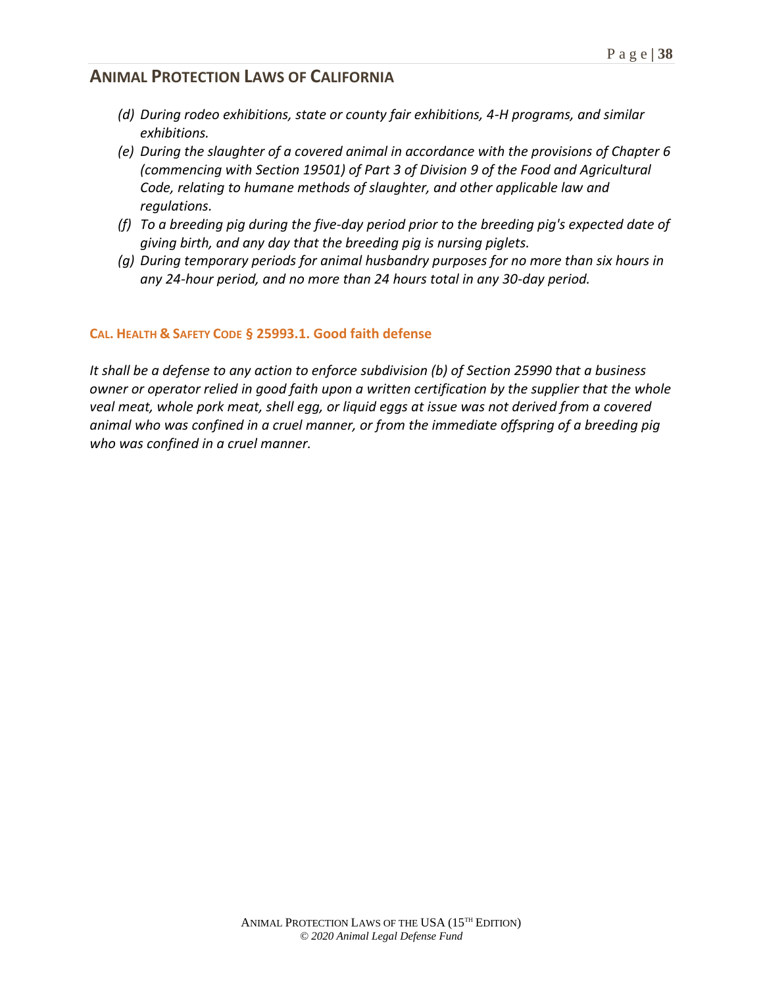- *(d) During rodeo exhibitions, state or county fair exhibitions, 4-H programs, and similar exhibitions.*
- *(e) During the slaughter of a covered animal in accordance with the provisions of Chapter 6 (commencing with Section 19501) of Part 3 of Division 9 of the Food and Agricultural Code, relating to humane methods of slaughter, and other applicable law and regulations.*
- *(f) To a breeding pig during the five-day period prior to the breeding pig's expected date of giving birth, and any day that the breeding pig is nursing piglets.*
- *(g) During temporary periods for animal husbandry purposes for no more than six hours in any 24-hour period, and no more than 24 hours total in any 30-day period.*

### **CAL. HEALTH & SAFETY CODE § 25993.1. Good faith defense**

*It shall be a defense to any action to enforce subdivision (b) of Section 25990 that a business owner or operator relied in good faith upon a written certification by the supplier that the whole veal meat, whole pork meat, shell egg, or liquid eggs at issue was not derived from a covered animal who was confined in a cruel manner, or from the immediate offspring of a breeding pig who was confined in a cruel manner.*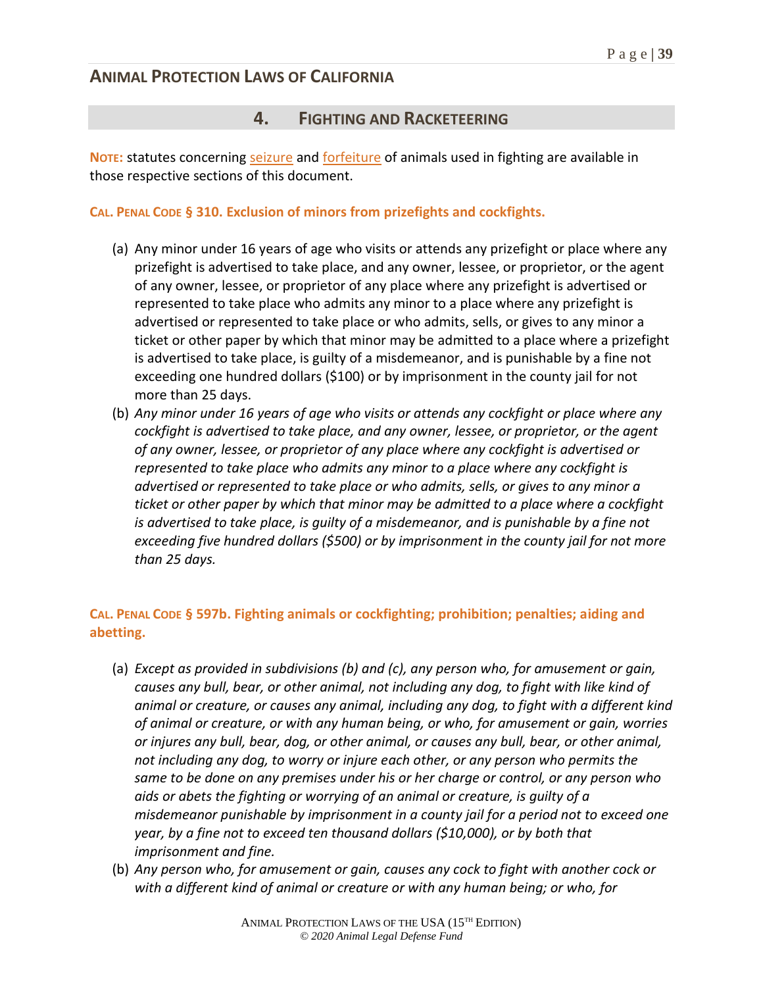# **4. FIGHTING AND RACKETEERING**

**NOTE:** statutes concerning seizure and forfeiture of animals used in fighting are available in those respective sections of this document.

#### **CAL. PENAL CODE § 310. Exclusion of minors from prizefights and cockfights.**

- (a) Any minor under 16 years of age who visits or attends any prizefight or place where any prizefight is advertised to take place, and any owner, lessee, or proprietor, or the agent of any owner, lessee, or proprietor of any place where any prizefight is advertised or represented to take place who admits any minor to a place where any prizefight is advertised or represented to take place or who admits, sells, or gives to any minor a ticket or other paper by which that minor may be admitted to a place where a prizefight is advertised to take place, is guilty of a misdemeanor, and is punishable by a fine not exceeding one hundred dollars (\$100) or by imprisonment in the county jail for not more than 25 days.
- (b) *Any minor under 16 years of age who visits or attends any cockfight or place where any cockfight is advertised to take place, and any owner, lessee, or proprietor, or the agent of any owner, lessee, or proprietor of any place where any cockfight is advertised or represented to take place who admits any minor to a place where any cockfight is advertised or represented to take place or who admits, sells, or gives to any minor a ticket or other paper by which that minor may be admitted to a place where a cockfight is advertised to take place, is guilty of a misdemeanor, and is punishable by a fine not exceeding five hundred dollars (\$500) or by imprisonment in the county jail for not more than 25 days.*

## **CAL. PENAL CODE § 597b. Fighting animals or cockfighting; prohibition; penalties; aiding and abetting.**

- (a) *Except as provided in subdivisions (b) and (c), any person who, for amusement or gain, causes any bull, bear, or other animal, not including any dog, to fight with like kind of animal or creature, or causes any animal, including any dog, to fight with a different kind of animal or creature, or with any human being, or who, for amusement or gain, worries or injures any bull, bear, dog, or other animal, or causes any bull, bear, or other animal, not including any dog, to worry or injure each other, or any person who permits the same to be done on any premises under his or her charge or control, or any person who aids or abets the fighting or worrying of an animal or creature, is guilty of a misdemeanor punishable by imprisonment in a county jail for a period not to exceed one year, by a fine not to exceed ten thousand dollars (\$10,000), or by both that imprisonment and fine.*
- (b) *Any person who, for amusement or gain, causes any cock to fight with another cock or with a different kind of animal or creature or with any human being; or who, for*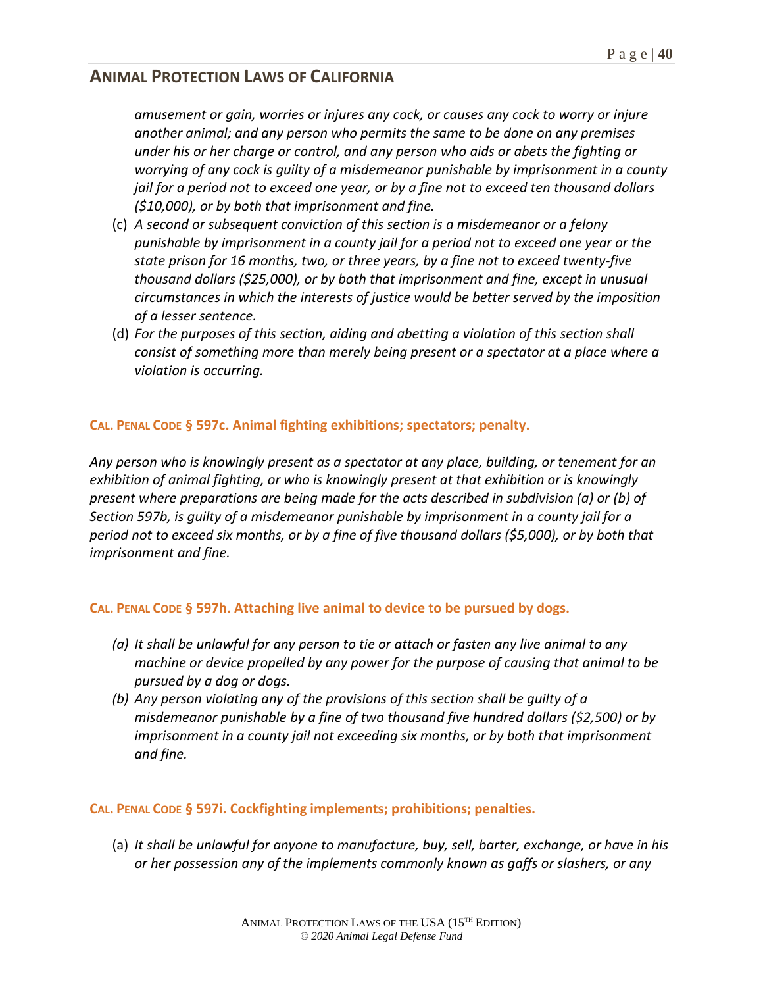*amusement or gain, worries or injures any cock, or causes any cock to worry or injure another animal; and any person who permits the same to be done on any premises under his or her charge or control, and any person who aids or abets the fighting or worrying of any cock is guilty of a misdemeanor punishable by imprisonment in a county jail for a period not to exceed one year, or by a fine not to exceed ten thousand dollars (\$10,000), or by both that imprisonment and fine.*

- (c) *A second or subsequent conviction of this section is a misdemeanor or a felony punishable by imprisonment in a county jail for a period not to exceed one year or the state prison for 16 months, two, or three years, by a fine not to exceed twenty-five thousand dollars (\$25,000), or by both that imprisonment and fine, except in unusual circumstances in which the interests of justice would be better served by the imposition of a lesser sentence.*
- (d) *For the purposes of this section, aiding and abetting a violation of this section shall consist of something more than merely being present or a spectator at a place where a violation is occurring.*

### **CAL. PENAL CODE § 597c. Animal fighting exhibitions; spectators; penalty.**

*Any person who is knowingly present as a spectator at any place, building, or tenement for an exhibition of animal fighting, or who is knowingly present at that exhibition or is knowingly present where preparations are being made for the acts described in subdivision (a) or (b) of Section 597b, is guilty of a misdemeanor punishable by imprisonment in a county jail for a period not to exceed six months, or by a fine of five thousand dollars (\$5,000), or by both that imprisonment and fine.*

### **CAL. PENAL CODE § 597h. Attaching live animal to device to be pursued by dogs.**

- *(a) It shall be unlawful for any person to tie or attach or fasten any live animal to any machine or device propelled by any power for the purpose of causing that animal to be pursued by a dog or dogs.*
- *(b) Any person violating any of the provisions of this section shall be guilty of a misdemeanor punishable by a fine of two thousand five hundred dollars (\$2,500) or by imprisonment in a county jail not exceeding six months, or by both that imprisonment and fine.*

### **CAL. PENAL CODE § 597i. Cockfighting implements; prohibitions; penalties.**

(a) *It shall be unlawful for anyone to manufacture, buy, sell, barter, exchange, or have in his or her possession any of the implements commonly known as gaffs or slashers, or any*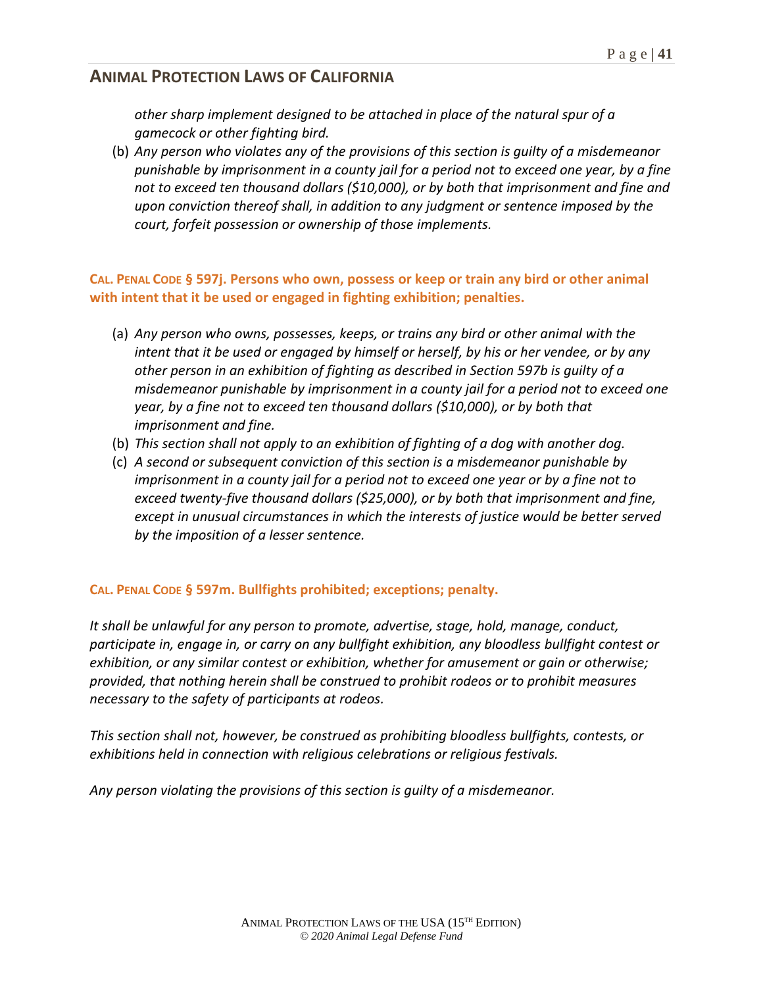*other sharp implement designed to be attached in place of the natural spur of a gamecock or other fighting bird.*

(b) *Any person who violates any of the provisions of this section is guilty of a misdemeanor punishable by imprisonment in a county jail for a period not to exceed one year, by a fine not to exceed ten thousand dollars (\$10,000), or by both that imprisonment and fine and upon conviction thereof shall, in addition to any judgment or sentence imposed by the court, forfeit possession or ownership of those implements.*

**CAL. PENAL CODE § 597j. Persons who own, possess or keep or train any bird or other animal with intent that it be used or engaged in fighting exhibition; penalties.**

- (a) *Any person who owns, possesses, keeps, or trains any bird or other animal with the intent that it be used or engaged by himself or herself, by his or her vendee, or by any other person in an exhibition of fighting as described in Section 597b is guilty of a misdemeanor punishable by imprisonment in a county jail for a period not to exceed one year, by a fine not to exceed ten thousand dollars (\$10,000), or by both that imprisonment and fine.*
- (b) *This section shall not apply to an exhibition of fighting of a dog with another dog.*
- (c) *A second or subsequent conviction of this section is a misdemeanor punishable by imprisonment in a county jail for a period not to exceed one year or by a fine not to exceed twenty-five thousand dollars (\$25,000), or by both that imprisonment and fine, except in unusual circumstances in which the interests of justice would be better served by the imposition of a lesser sentence.*

#### **CAL. PENAL CODE § 597m. Bullfights prohibited; exceptions; penalty.**

*It shall be unlawful for any person to promote, advertise, stage, hold, manage, conduct, participate in, engage in, or carry on any bullfight exhibition, any bloodless bullfight contest or exhibition, or any similar contest or exhibition, whether for amusement or gain or otherwise; provided, that nothing herein shall be construed to prohibit rodeos or to prohibit measures necessary to the safety of participants at rodeos.*

*This section shall not, however, be construed as prohibiting bloodless bullfights, contests, or exhibitions held in connection with religious celebrations or religious festivals.*

*Any person violating the provisions of this section is guilty of a misdemeanor.*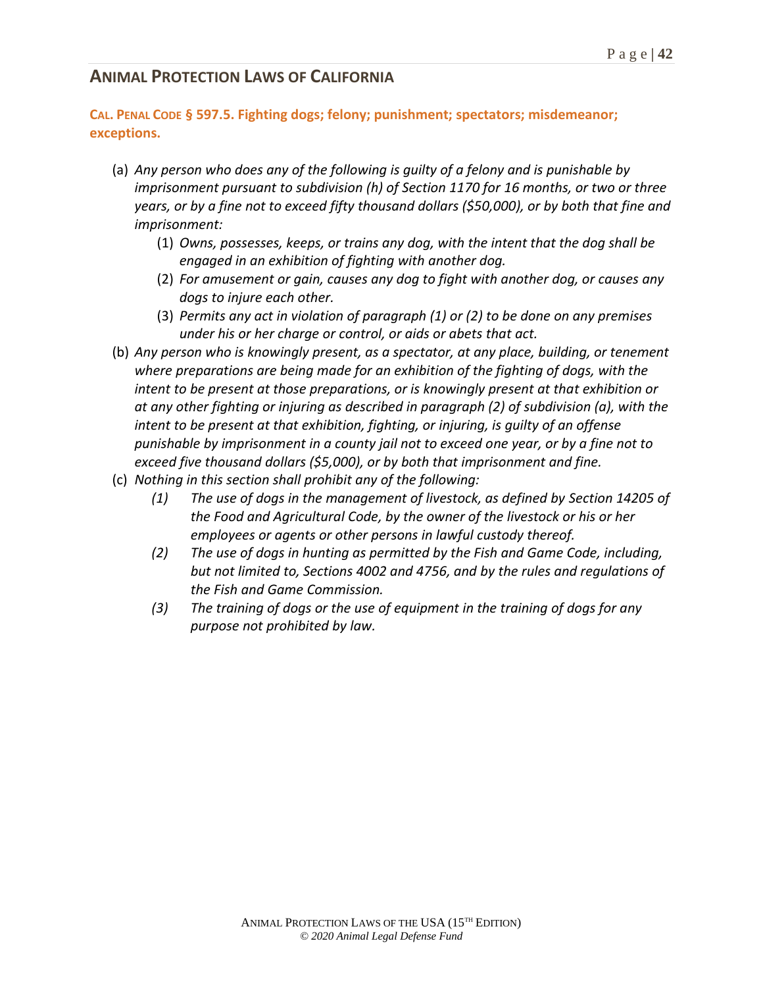### **CAL. PENAL CODE § 597.5. Fighting dogs; felony; punishment; spectators; misdemeanor; exceptions.**

- (a) *Any person who does any of the following is guilty of a felony and is punishable by imprisonment pursuant to subdivision (h) of Section 1170 for 16 months, or two or three years, or by a fine not to exceed fifty thousand dollars (\$50,000), or by both that fine and imprisonment:*
	- (1) *Owns, possesses, keeps, or trains any dog, with the intent that the dog shall be engaged in an exhibition of fighting with another dog.*
	- (2) *For amusement or gain, causes any dog to fight with another dog, or causes any dogs to injure each other.*
	- (3) *Permits any act in violation of paragraph (1) or (2) to be done on any premises under his or her charge or control, or aids or abets that act.*
- (b) *Any person who is knowingly present, as a spectator, at any place, building, or tenement where preparations are being made for an exhibition of the fighting of dogs, with the intent to be present at those preparations, or is knowingly present at that exhibition or at any other fighting or injuring as described in paragraph (2) of subdivision (a), with the intent to be present at that exhibition, fighting, or injuring, is guilty of an offense punishable by imprisonment in a county jail not to exceed one year, or by a fine not to exceed five thousand dollars (\$5,000), or by both that imprisonment and fine.*
- (c) *Nothing in this section shall prohibit any of the following:*
	- *(1) The use of dogs in the management of livestock, as defined by Section 14205 of the Food and Agricultural Code, by the owner of the livestock or his or her employees or agents or other persons in lawful custody thereof.*
	- *(2) The use of dogs in hunting as permitted by the Fish and Game Code, including, but not limited to, Sections 4002 and 4756, and by the rules and regulations of the Fish and Game Commission.*
	- *(3) The training of dogs or the use of equipment in the training of dogs for any purpose not prohibited by law.*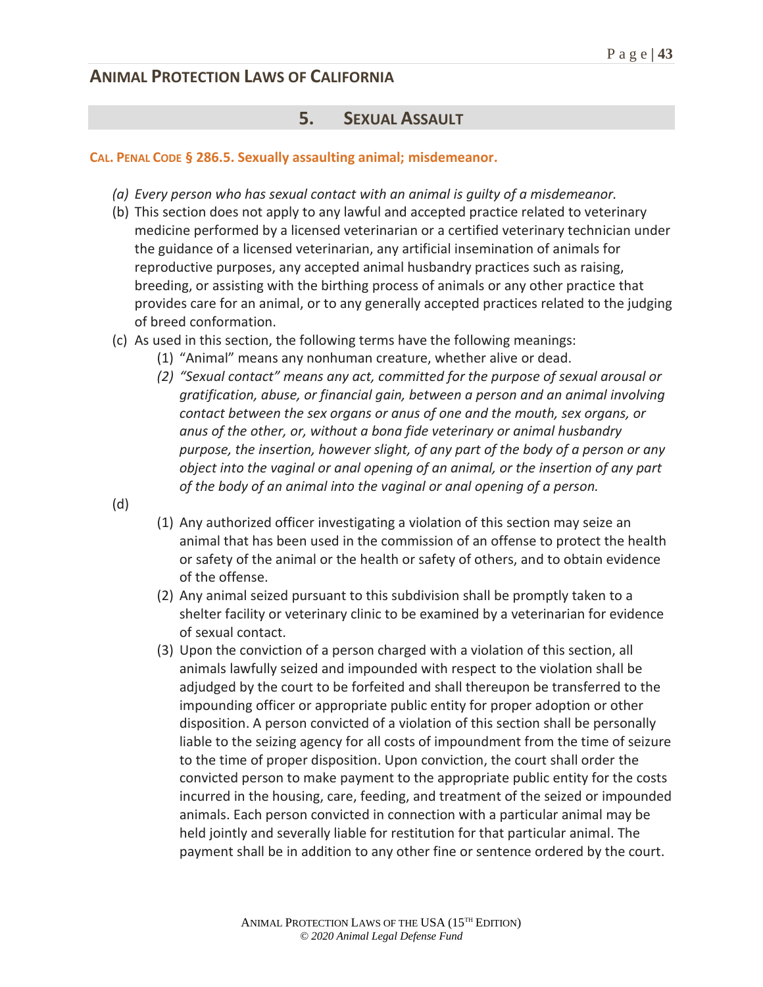# **5. SEXUAL ASSAULT**

#### **CAL. PENAL CODE § 286.5. Sexually assaulting animal; misdemeanor.**

- *(a) Every person who has sexual contact with an animal is guilty of a misdemeanor.*
- (b) This section does not apply to any lawful and accepted practice related to veterinary medicine performed by a licensed veterinarian or a certified veterinary technician under the guidance of a licensed veterinarian, any artificial insemination of animals for reproductive purposes, any accepted animal husbandry practices such as raising, breeding, or assisting with the birthing process of animals or any other practice that provides care for an animal, or to any generally accepted practices related to the judging of breed conformation.
- (c) As used in this section, the following terms have the following meanings:
	- (1) "Animal" means any nonhuman creature, whether alive or dead.
	- *(2) "Sexual contact" means any act, committed for the purpose of sexual arousal or gratification, abuse, or financial gain, between a person and an animal involving contact between the sex organs or anus of one and the mouth, sex organs, or anus of the other, or, without a bona fide veterinary or animal husbandry purpose, the insertion, however slight, of any part of the body of a person or any object into the vaginal or anal opening of an animal, or the insertion of any part of the body of an animal into the vaginal or anal opening of a person.*
- (d)
- (1) Any authorized officer investigating a violation of this section may seize an animal that has been used in the commission of an offense to protect the health or safety of the animal or the health or safety of others, and to obtain evidence of the offense.
- (2) Any animal seized pursuant to this subdivision shall be promptly taken to a shelter facility or veterinary clinic to be examined by a veterinarian for evidence of sexual contact.
- (3) Upon the conviction of a person charged with a violation of this section, all animals lawfully seized and impounded with respect to the violation shall be adjudged by the court to be forfeited and shall thereupon be transferred to the impounding officer or appropriate public entity for proper adoption or other disposition. A person convicted of a violation of this section shall be personally liable to the seizing agency for all costs of impoundment from the time of seizure to the time of proper disposition. Upon conviction, the court shall order the convicted person to make payment to the appropriate public entity for the costs incurred in the housing, care, feeding, and treatment of the seized or impounded animals. Each person convicted in connection with a particular animal may be held jointly and severally liable for restitution for that particular animal. The payment shall be in addition to any other fine or sentence ordered by the court.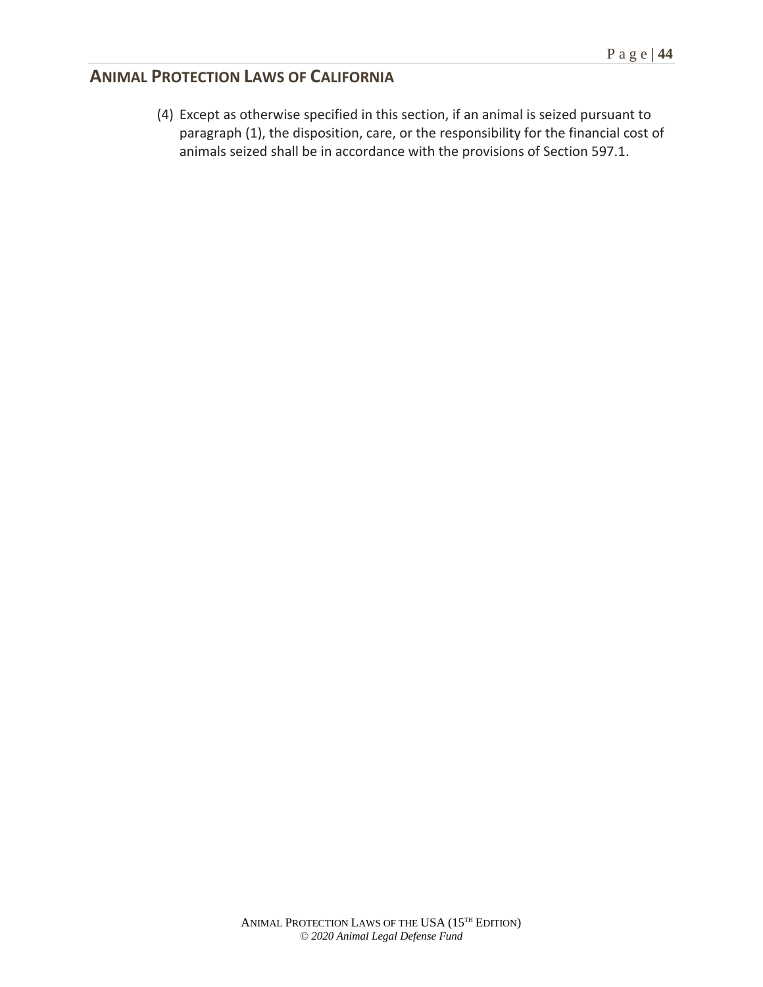(4) Except as otherwise specified in this section, if an animal is seized pursuant to paragraph (1), the disposition, care, or the responsibility for the financial cost of animals seized shall be in accordance with the provisions of Section 597.1.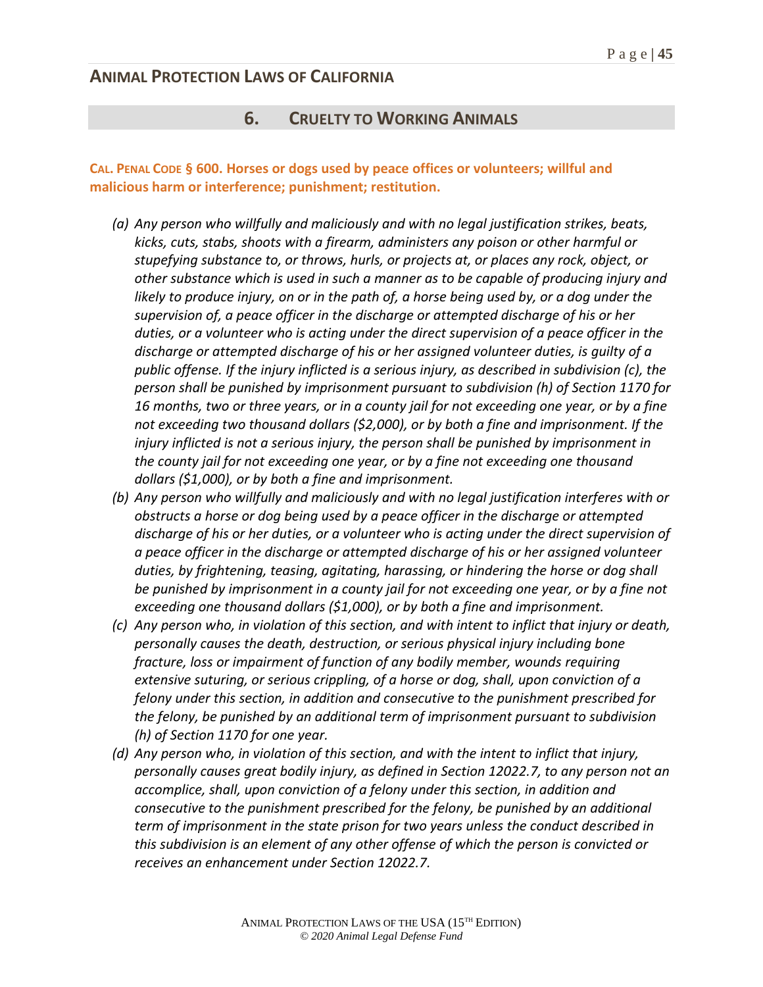## **6. CRUELTY TO WORKING ANIMALS**

**CAL. PENAL CODE § 600. Horses or dogs used by peace offices or volunteers; willful and malicious harm or interference; punishment; restitution.**

- *(a) Any person who willfully and maliciously and with no legal justification strikes, beats, kicks, cuts, stabs, shoots with a firearm, administers any poison or other harmful or stupefying substance to, or throws, hurls, or projects at, or places any rock, object, or other substance which is used in such a manner as to be capable of producing injury and likely to produce injury, on or in the path of, a horse being used by, or a dog under the supervision of, a peace officer in the discharge or attempted discharge of his or her duties, or a volunteer who is acting under the direct supervision of a peace officer in the discharge or attempted discharge of his or her assigned volunteer duties, is guilty of a public offense. If the injury inflicted is a serious injury, as described in subdivision (c), the person shall be punished by imprisonment pursuant to subdivision (h) of Section 1170 for 16 months, two or three years, or in a county jail for not exceeding one year, or by a fine not exceeding two thousand dollars (\$2,000), or by both a fine and imprisonment. If the injury inflicted is not a serious injury, the person shall be punished by imprisonment in the county jail for not exceeding one year, or by a fine not exceeding one thousand dollars (\$1,000), or by both a fine and imprisonment.*
- *(b) Any person who willfully and maliciously and with no legal justification interferes with or obstructs a horse or dog being used by a peace officer in the discharge or attempted discharge of his or her duties, or a volunteer who is acting under the direct supervision of a peace officer in the discharge or attempted discharge of his or her assigned volunteer duties, by frightening, teasing, agitating, harassing, or hindering the horse or dog shall be punished by imprisonment in a county jail for not exceeding one year, or by a fine not exceeding one thousand dollars (\$1,000), or by both a fine and imprisonment.*
- *(c) Any person who, in violation of this section, and with intent to inflict that injury or death, personally causes the death, destruction, or serious physical injury including bone fracture, loss or impairment of function of any bodily member, wounds requiring extensive suturing, or serious crippling, of a horse or dog, shall, upon conviction of a felony under this section, in addition and consecutive to the punishment prescribed for the felony, be punished by an additional term of imprisonment pursuant to subdivision (h) of Section 1170 for one year.*
- *(d) Any person who, in violation of this section, and with the intent to inflict that injury, personally causes great bodily injury, as defined in Section 12022.7, to any person not an accomplice, shall, upon conviction of a felony under this section, in addition and consecutive to the punishment prescribed for the felony, be punished by an additional term of imprisonment in the state prison for two years unless the conduct described in this subdivision is an element of any other offense of which the person is convicted or receives an enhancement under Section 12022.7.*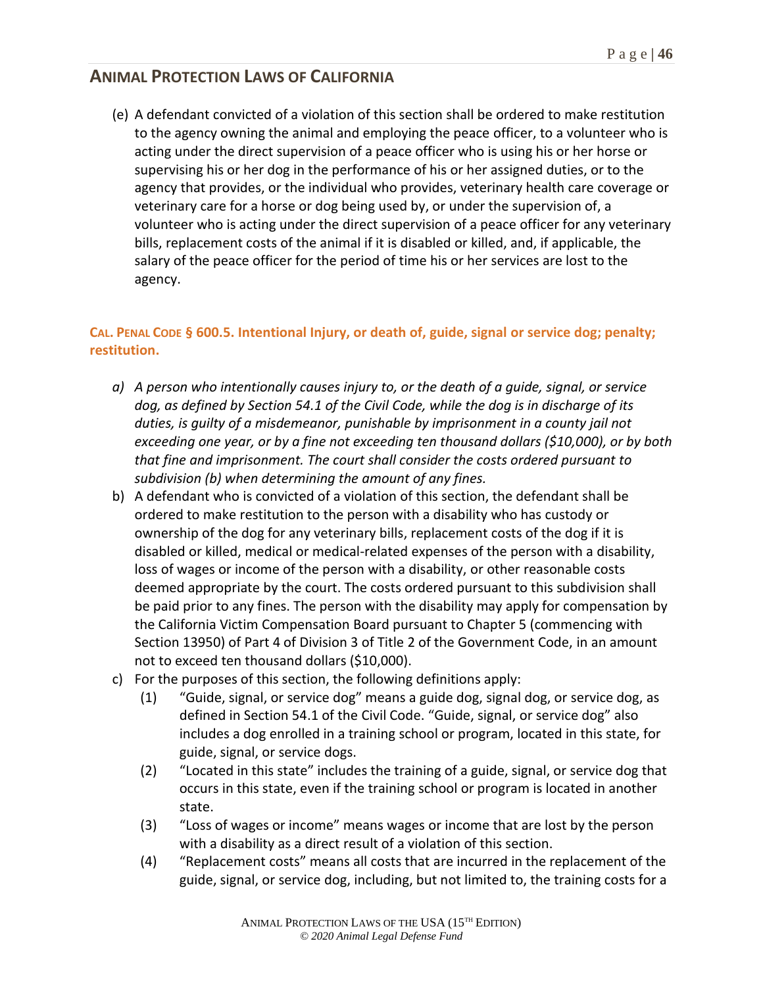(e) A defendant convicted of a violation of this section shall be ordered to make restitution to the agency owning the animal and employing the peace officer, to a volunteer who is acting under the direct supervision of a peace officer who is using his or her horse or supervising his or her dog in the performance of his or her assigned duties, or to the agency that provides, or the individual who provides, veterinary health care coverage or veterinary care for a horse or dog being used by, or under the supervision of, a volunteer who is acting under the direct supervision of a peace officer for any veterinary bills, replacement costs of the animal if it is disabled or killed, and, if applicable, the salary of the peace officer for the period of time his or her services are lost to the agency.

### **CAL. PENAL CODE § 600.5. Intentional Injury, or death of, guide, signal or service dog; penalty; restitution.**

- *a) A person who intentionally causes injury to, or the death of a guide, signal, or service dog, as defined by Section 54.1 of the Civil Code, while the dog is in discharge of its duties, is guilty of a misdemeanor, punishable by imprisonment in a county jail not exceeding one year, or by a fine not exceeding ten thousand dollars (\$10,000), or by both that fine and imprisonment. The court shall consider the costs ordered pursuant to subdivision (b) when determining the amount of any fines.*
- b) A defendant who is convicted of a violation of this section, the defendant shall be ordered to make restitution to the person with a disability who has custody or ownership of the dog for any veterinary bills, replacement costs of the dog if it is disabled or killed, medical or medical-related expenses of the person with a disability, loss of wages or income of the person with a disability, or other reasonable costs deemed appropriate by the court. The costs ordered pursuant to this subdivision shall be paid prior to any fines. The person with the disability may apply for compensation by the California Victim Compensation Board pursuant to Chapter 5 (commencing with Section 13950) of Part 4 of Division 3 of Title 2 of the Government Code, in an amount not to exceed ten thousand dollars (\$10,000).
- c) For the purposes of this section, the following definitions apply:
	- (1) "Guide, signal, or service dog" means a guide dog, signal dog, or service dog, as defined in Section 54.1 of the Civil Code. "Guide, signal, or service dog" also includes a dog enrolled in a training school or program, located in this state, for guide, signal, or service dogs.
	- (2) "Located in this state" includes the training of a guide, signal, or service dog that occurs in this state, even if the training school or program is located in another state.
	- (3) "Loss of wages or income" means wages or income that are lost by the person with a disability as a direct result of a violation of this section.
	- (4) "Replacement costs" means all costs that are incurred in the replacement of the guide, signal, or service dog, including, but not limited to, the training costs for a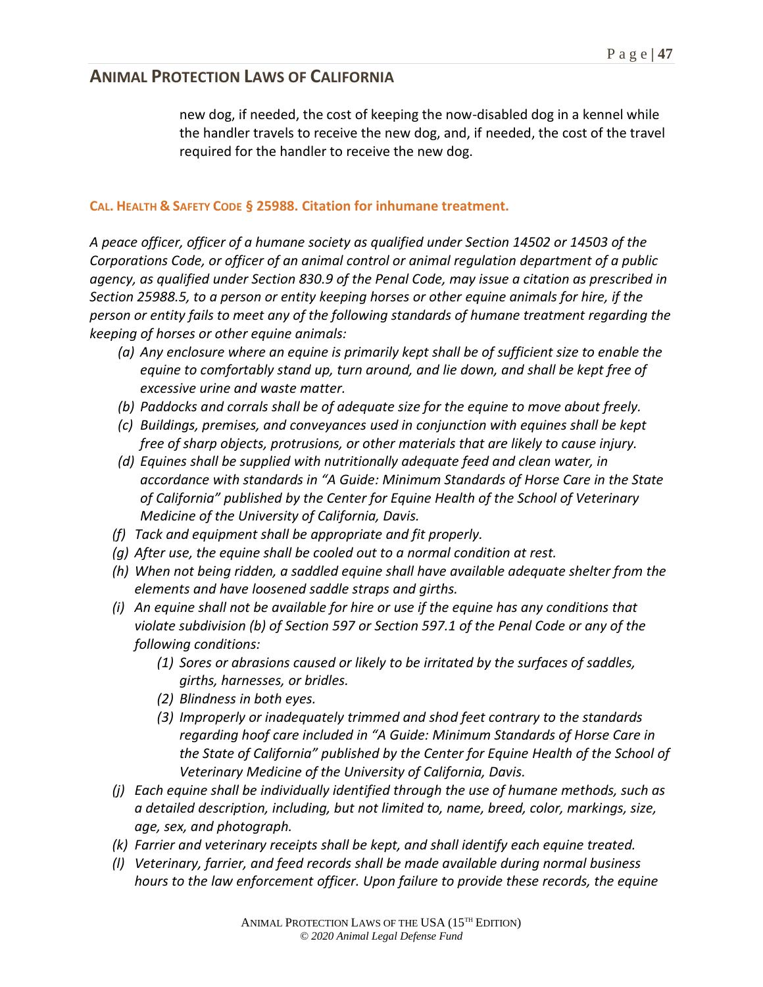new dog, if needed, the cost of keeping the now-disabled dog in a kennel while the handler travels to receive the new dog, and, if needed, the cost of the travel required for the handler to receive the new dog.

#### **CAL. HEALTH & SAFETY CODE § 25988. Citation for inhumane treatment.**

*A peace officer, officer of a humane society as qualified under Section 14502 or 14503 of the Corporations Code, or officer of an animal control or animal regulation department of a public agency, as qualified under Section 830.9 of the Penal Code, may issue a citation as prescribed in Section 25988.5, to a person or entity keeping horses or other equine animals for hire, if the person or entity fails to meet any of the following standards of humane treatment regarding the keeping of horses or other equine animals:*

- *(a) Any enclosure where an equine is primarily kept shall be of sufficient size to enable the equine to comfortably stand up, turn around, and lie down, and shall be kept free of excessive urine and waste matter.*
- *(b) Paddocks and corrals shall be of adequate size for the equine to move about freely.*
- *(c) Buildings, premises, and conveyances used in conjunction with equines shall be kept free of sharp objects, protrusions, or other materials that are likely to cause injury.*
- *(d) Equines shall be supplied with nutritionally adequate feed and clean water, in accordance with standards in "A Guide: Minimum Standards of Horse Care in the State of California" published by the Center for Equine Health of the School of Veterinary Medicine of the University of California, Davis.*
- *(f) Tack and equipment shall be appropriate and fit properly.*
- *(g) After use, the equine shall be cooled out to a normal condition at rest.*
- *(h) When not being ridden, a saddled equine shall have available adequate shelter from the elements and have loosened saddle straps and girths.*
- *(i) An equine shall not be available for hire or use if the equine has any conditions that violate subdivision (b) of Section 597 or Section 597.1 of the Penal Code or any of the following conditions:*
	- *(1) Sores or abrasions caused or likely to be irritated by the surfaces of saddles, girths, harnesses, or bridles.*
	- *(2) Blindness in both eyes.*
	- *(3) Improperly or inadequately trimmed and shod feet contrary to the standards regarding hoof care included in "A Guide: Minimum Standards of Horse Care in the State of California" published by the Center for Equine Health of the School of Veterinary Medicine of the University of California, Davis.*
- *(j) Each equine shall be individually identified through the use of humane methods, such as a detailed description, including, but not limited to, name, breed, color, markings, size, age, sex, and photograph.*
- *(k) Farrier and veterinary receipts shall be kept, and shall identify each equine treated.*
- *(l) Veterinary, farrier, and feed records shall be made available during normal business hours to the law enforcement officer. Upon failure to provide these records, the equine*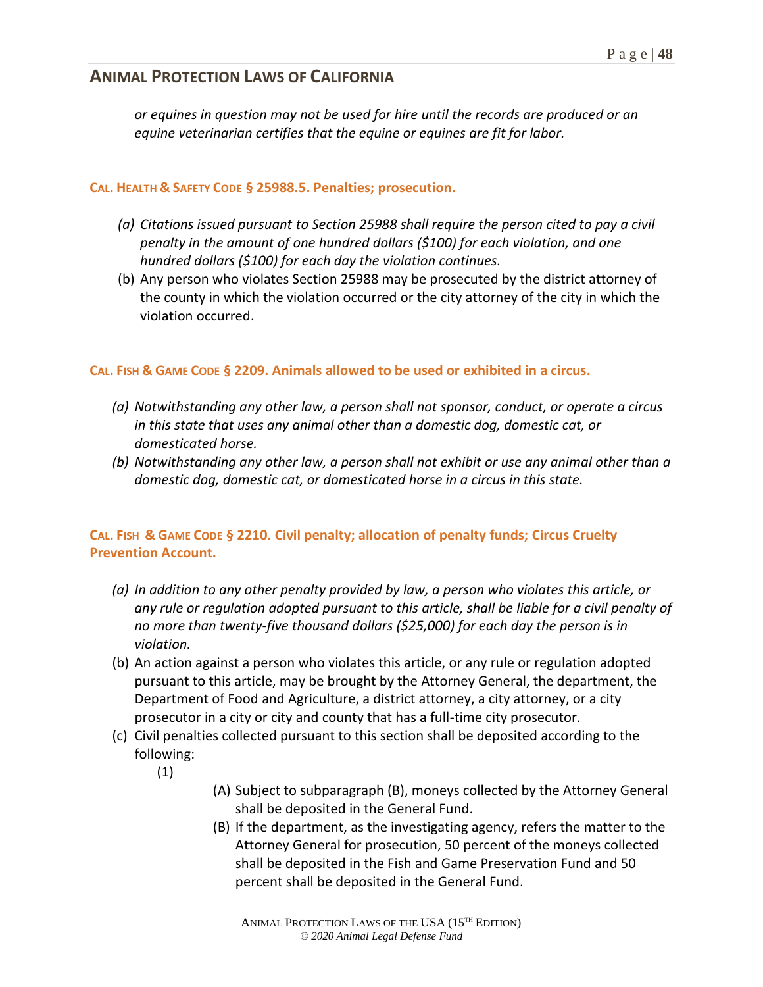*or equines in question may not be used for hire until the records are produced or an equine veterinarian certifies that the equine or equines are fit for labor.*

#### **CAL. HEALTH & SAFETY CODE § 25988.5. Penalties; prosecution.**

- *(a) Citations issued pursuant to Section 25988 shall require the person cited to pay a civil penalty in the amount of one hundred dollars (\$100) for each violation, and one hundred dollars (\$100) for each day the violation continues.*
- (b) Any person who violates Section 25988 may be prosecuted by the district attorney of the county in which the violation occurred or the city attorney of the city in which the violation occurred.

#### **CAL. FISH & GAME CODE § 2209. Animals allowed to be used or exhibited in a circus.**

- *(a) Notwithstanding any other law, a person shall not sponsor, conduct, or operate a circus in this state that uses any animal other than a domestic dog, domestic cat, or domesticated horse.*
- *(b) Notwithstanding any other law, a person shall not exhibit or use any animal other than a domestic dog, domestic cat, or domesticated horse in a circus in this state.*

### **CAL. FISH & GAME CODE § 2210. Civil penalty; allocation of penalty funds; Circus Cruelty Prevention Account.**

- *(a) In addition to any other penalty provided by law, a person who violates this article, or any rule or regulation adopted pursuant to this article, shall be liable for a civil penalty of no more than twenty-five thousand dollars (\$25,000) for each day the person is in violation.*
- (b) An action against a person who violates this article, or any rule or regulation adopted pursuant to this article, may be brought by the Attorney General, the department, the Department of Food and Agriculture, a district attorney, a city attorney, or a city prosecutor in a city or city and county that has a full-time city prosecutor.
- (c) Civil penalties collected pursuant to this section shall be deposited according to the following:
	- (1)
- (A) Subject to subparagraph (B), moneys collected by the Attorney General shall be deposited in the General Fund.
- (B) If the department, as the investigating agency, refers the matter to the Attorney General for prosecution, 50 percent of the moneys collected shall be deposited in the Fish and Game Preservation Fund and 50 percent shall be deposited in the General Fund.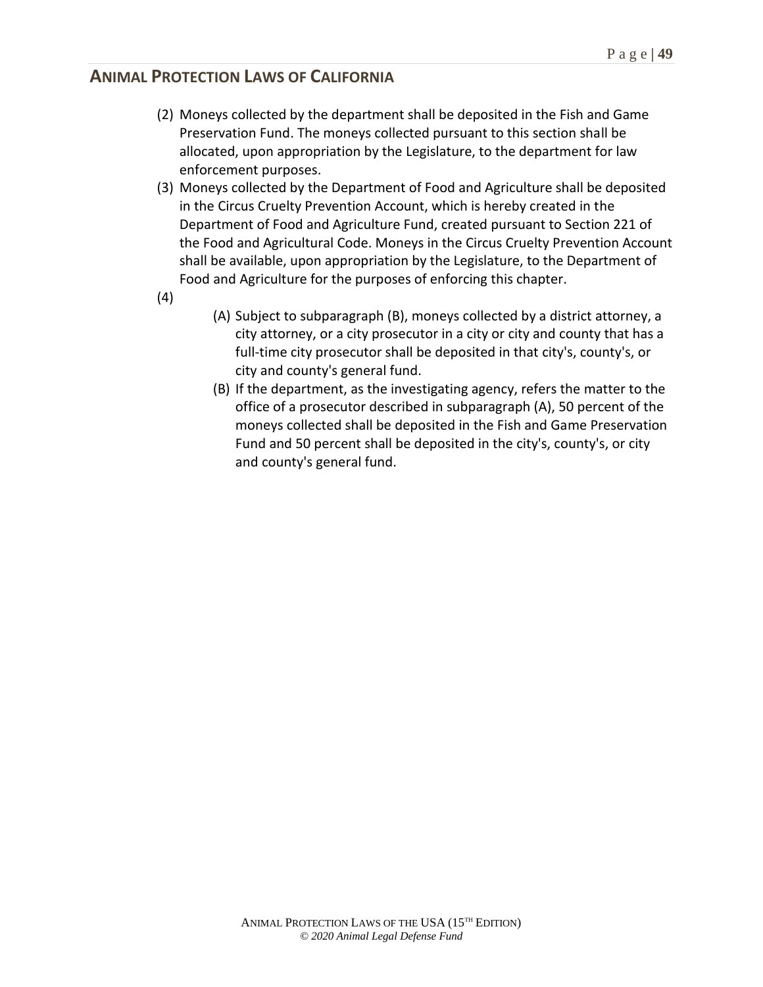- (2) Moneys collected by the department shall be deposited in the Fish and Game Preservation Fund. The moneys collected pursuant to this section shall be allocated, upon appropriation by the Legislature, to the department for law enforcement purposes.
- (3) Moneys collected by the Department of Food and Agriculture shall be deposited in the Circus Cruelty Prevention Account, which is hereby created in the Department of Food and Agriculture Fund, created pursuant to Section 221 of the Food and Agricultural Code. Moneys in the Circus Cruelty Prevention Account shall be available, upon appropriation by the Legislature, to the Department of Food and Agriculture for the purposes of enforcing this chapter.
- (4)
- (A) Subject to subparagraph (B), moneys collected by a district attorney, a city attorney, or a city prosecutor in a city or city and county that has a full-time city prosecutor shall be deposited in that city's, county's, or city and county's general fund.
- (B) If the department, as the investigating agency, refers the matter to the office of a prosecutor described in subparagraph (A), 50 percent of the moneys collected shall be deposited in the Fish and Game Preservation Fund and 50 percent shall be deposited in the city's, county's, or city and county's general fund.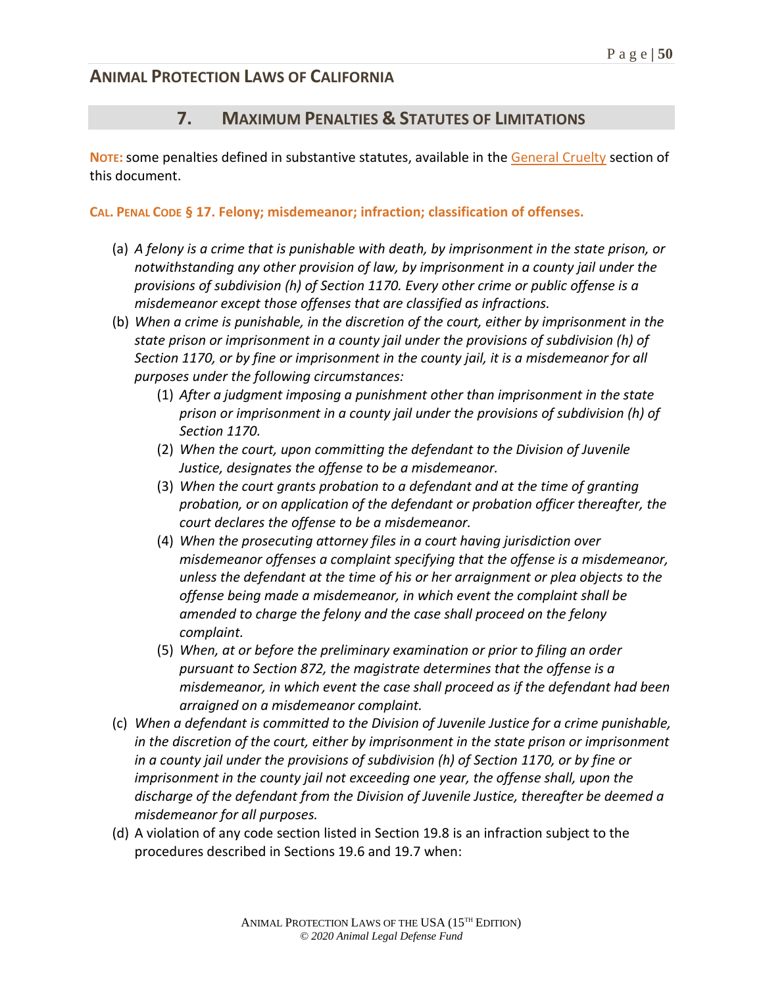# **7. MAXIMUM PENALTIES & STATUTES OF LIMITATIONS**

**NOTE**: some penalties defined in substantive statutes, available in the General Cruelty section of this document.

#### **CAL. PENAL CODE § 17. Felony; misdemeanor; infraction; classification of offenses.**

- (a) *A felony is a crime that is punishable with death, by imprisonment in the state prison, or notwithstanding any other provision of law, by imprisonment in a county jail under the provisions of subdivision (h) of Section 1170. Every other crime or public offense is a misdemeanor except those offenses that are classified as infractions.*
- (b) *When a crime is punishable, in the discretion of the court, either by imprisonment in the state prison or imprisonment in a county jail under the provisions of subdivision (h) of Section 1170, or by fine or imprisonment in the county jail, it is a misdemeanor for all purposes under the following circumstances:*
	- (1) *After a judgment imposing a punishment other than imprisonment in the state prison or imprisonment in a county jail under the provisions of subdivision (h) of Section 1170.*
	- (2) *When the court, upon committing the defendant to the Division of Juvenile Justice, designates the offense to be a misdemeanor.*
	- (3) *When the court grants probation to a defendant and at the time of granting probation, or on application of the defendant or probation officer thereafter, the court declares the offense to be a misdemeanor.*
	- (4) *When the prosecuting attorney files in a court having jurisdiction over misdemeanor offenses a complaint specifying that the offense is a misdemeanor, unless the defendant at the time of his or her arraignment or plea objects to the offense being made a misdemeanor, in which event the complaint shall be amended to charge the felony and the case shall proceed on the felony complaint.*
	- (5) *When, at or before the preliminary examination or prior to filing an order pursuant to Section 872, the magistrate determines that the offense is a misdemeanor, in which event the case shall proceed as if the defendant had been arraigned on a misdemeanor complaint.*
- (c) *When a defendant is committed to the Division of Juvenile Justice for a crime punishable, in the discretion of the court, either by imprisonment in the state prison or imprisonment in a county jail under the provisions of subdivision (h) of Section 1170, or by fine or imprisonment in the county jail not exceeding one year, the offense shall, upon the discharge of the defendant from the Division of Juvenile Justice, thereafter be deemed a misdemeanor for all purposes.*
- (d) A violation of any code section listed in Section 19.8 is an infraction subject to the procedures described in Sections 19.6 and 19.7 when: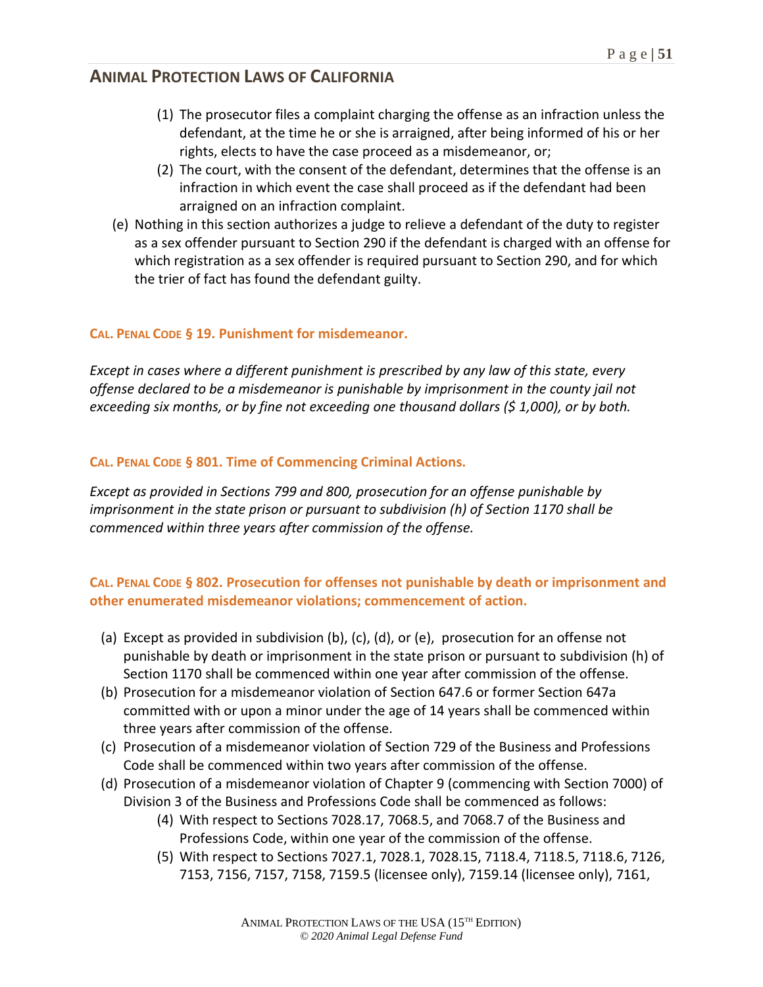- (1) The prosecutor files a complaint charging the offense as an infraction unless the defendant, at the time he or she is arraigned, after being informed of his or her rights, elects to have the case proceed as a misdemeanor, or;
- (2) The court, with the consent of the defendant, determines that the offense is an infraction in which event the case shall proceed as if the defendant had been arraigned on an infraction complaint.
- (e) Nothing in this section authorizes a judge to relieve a defendant of the duty to register as a sex offender pursuant to Section 290 if the defendant is charged with an offense for which registration as a sex offender is required pursuant to Section 290, and for which the trier of fact has found the defendant guilty.

### **CAL. PENAL CODE § 19. Punishment for misdemeanor.**

*Except in cases where a different punishment is prescribed by any law of this state, every offense declared to be a misdemeanor is punishable by imprisonment in the county jail not exceeding six months, or by fine not exceeding one thousand dollars (\$ 1,000), or by both.* 

### **CAL. PENAL CODE § 801. Time of Commencing Criminal Actions.**

*Except as provided in Sections 799 and 800, prosecution for an offense punishable by imprisonment in the state prison or pursuant to subdivision (h) of Section 1170 shall be commenced within three years after commission of the offense.*

### **CAL. PENAL CODE § 802. Prosecution for offenses not punishable by death or imprisonment and other enumerated misdemeanor violations; commencement of action.**

- (a) Except as provided in subdivision (b),  $(c)$ ,  $(d)$ , or  $(e)$ , prosecution for an offense not punishable by death or imprisonment in the state prison or pursuant to subdivision (h) of Section 1170 shall be commenced within one year after commission of the offense.
- (b) Prosecution for a misdemeanor violation of Section 647.6 or former Section 647a committed with or upon a minor under the age of 14 years shall be commenced within three years after commission of the offense.
- (c) Prosecution of a misdemeanor violation of Section 729 of the Business and Professions Code shall be commenced within two years after commission of the offense.
- (d) Prosecution of a misdemeanor violation of Chapter 9 (commencing with Section 7000) of Division 3 of the Business and Professions Code shall be commenced as follows:
	- (4) With respect to Sections 7028.17, 7068.5, and 7068.7 of the Business and Professions Code, within one year of the commission of the offense.
	- (5) With respect to Sections 7027.1, 7028.1, 7028.15, 7118.4, 7118.5, 7118.6, 7126, 7153, 7156, 7157, 7158, 7159.5 (licensee only), 7159.14 (licensee only), 7161,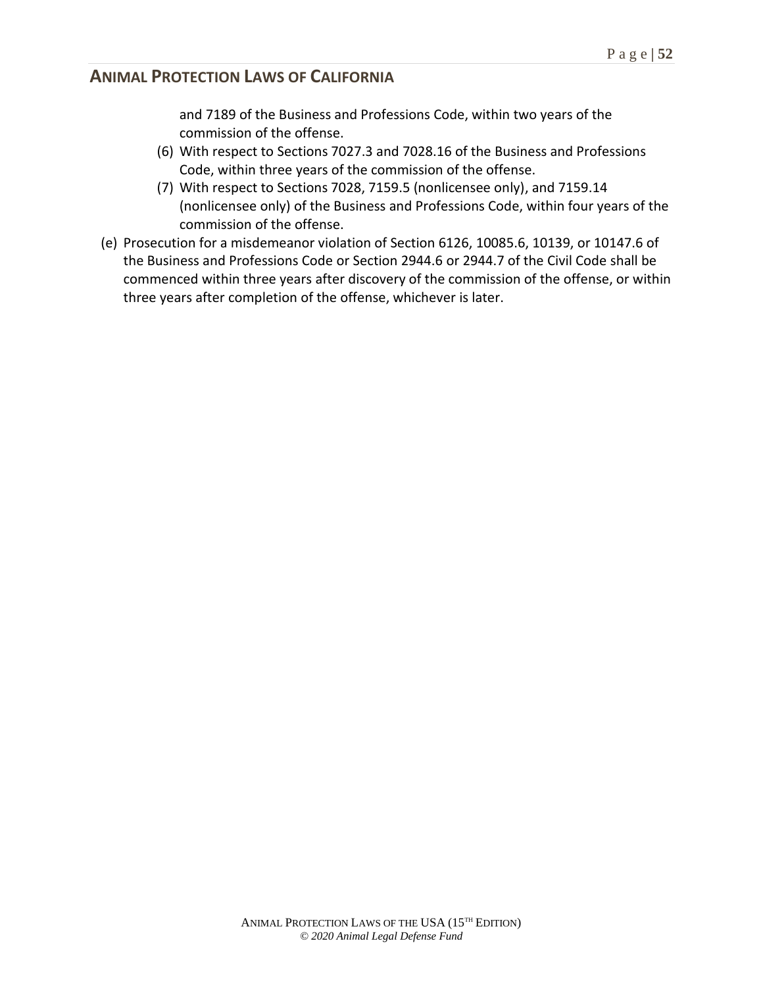and 7189 of the Business and Professions Code, within two years of the commission of the offense.

- (6) With respect to Sections 7027.3 and 7028.16 of the Business and Professions Code, within three years of the commission of the offense.
- (7) With respect to Sections 7028, 7159.5 (nonlicensee only), and 7159.14 (nonlicensee only) of the Business and Professions Code, within four years of the commission of the offense.
- (e) Prosecution for a misdemeanor violation of Section 6126, 10085.6, 10139, or 10147.6 of the Business and Professions Code or Section 2944.6 or 2944.7 of the Civil Code shall be commenced within three years after discovery of the commission of the offense, or within three years after completion of the offense, whichever is later.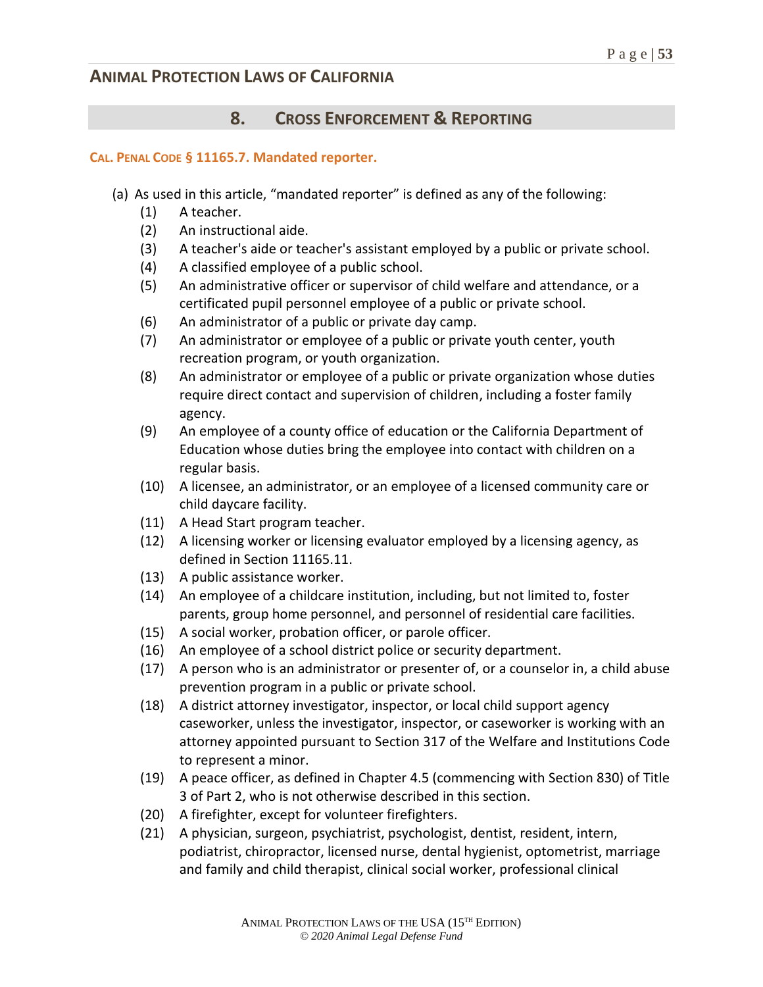## **8. CROSS ENFORCEMENT & REPORTING**

#### **CAL. PENAL CODE § 11165.7. Mandated reporter.**

- (a) As used in this article, "mandated reporter" is defined as any of the following:
	- (1) A teacher.
	- (2) An instructional aide.
	- (3) A teacher's aide or teacher's assistant employed by a public or private school.
	- (4) A classified employee of a public school.
	- (5) An administrative officer or supervisor of child welfare and attendance, or a certificated pupil personnel employee of a public or private school.
	- (6) An administrator of a public or private day camp.
	- (7) An administrator or employee of a public or private youth center, youth recreation program, or youth organization.
	- (8) An administrator or employee of a public or private organization whose duties require direct contact and supervision of children, including a foster family agency.
	- (9) An employee of a county office of education or the California Department of Education whose duties bring the employee into contact with children on a regular basis.
	- (10) A licensee, an administrator, or an employee of a licensed community care or child daycare facility.
	- (11) A Head Start program teacher.
	- (12) A licensing worker or licensing evaluator employed by a licensing agency, as defined in Section 11165.11.
	- (13) A public assistance worker.
	- (14) An employee of a childcare institution, including, but not limited to, foster parents, group home personnel, and personnel of residential care facilities.
	- (15) A social worker, probation officer, or parole officer.
	- (16) An employee of a school district police or security department.
	- (17) A person who is an administrator or presenter of, or a counselor in, a child abuse prevention program in a public or private school.
	- (18) A district attorney investigator, inspector, or local child support agency caseworker, unless the investigator, inspector, or caseworker is working with an attorney appointed pursuant to Section 317 of the Welfare and Institutions Code to represent a minor.
	- (19) A peace officer, as defined in Chapter 4.5 (commencing with Section 830) of Title 3 of Part 2, who is not otherwise described in this section.
	- (20) A firefighter, except for volunteer firefighters.
	- (21) A physician, surgeon, psychiatrist, psychologist, dentist, resident, intern, podiatrist, chiropractor, licensed nurse, dental hygienist, optometrist, marriage and family and child therapist, clinical social worker, professional clinical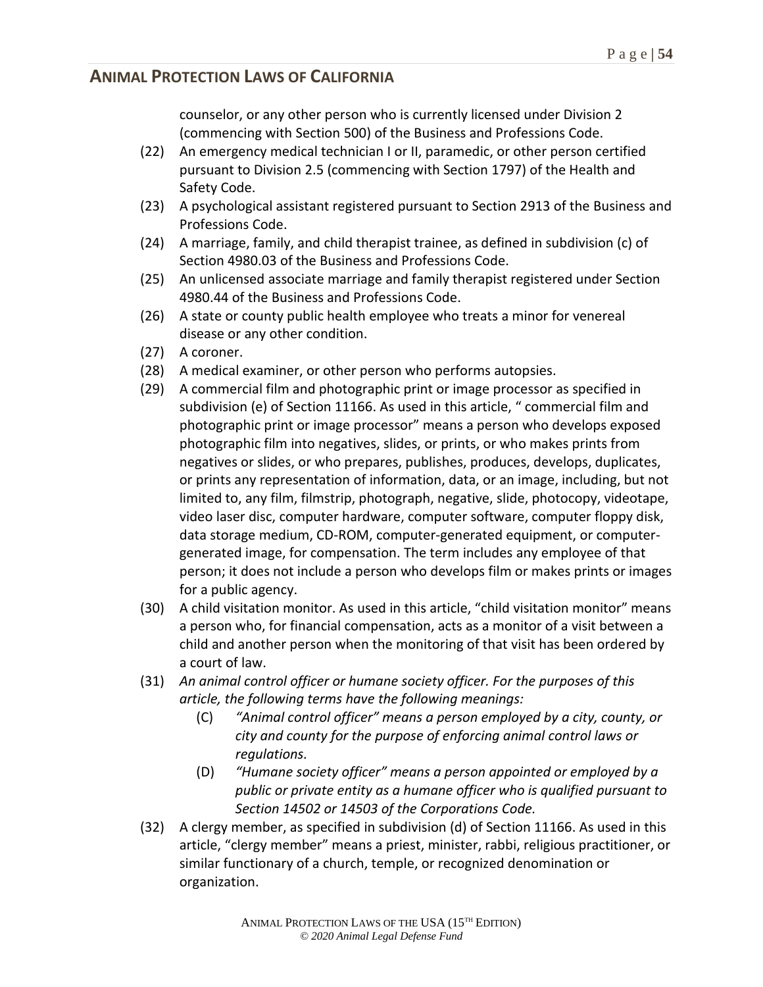counselor, or any other person who is currently licensed under Division 2 (commencing with Section 500) of the Business and Professions Code.

- (22) An emergency medical technician I or II, paramedic, or other person certified pursuant to Division 2.5 (commencing with Section 1797) of the Health and Safety Code.
- (23) A psychological assistant registered pursuant to Section 2913 of the Business and Professions Code.
- (24) A marriage, family, and child therapist trainee, as defined in subdivision (c) of Section 4980.03 of the Business and Professions Code.
- (25) An unlicensed associate marriage and family therapist registered under Section 4980.44 of the Business and Professions Code.
- (26) A state or county public health employee who treats a minor for venereal disease or any other condition.
- (27) A coroner.
- (28) A medical examiner, or other person who performs autopsies.
- (29) A commercial film and photographic print or image processor as specified in subdivision (e) of Section 11166. As used in this article, " commercial film and photographic print or image processor" means a person who develops exposed photographic film into negatives, slides, or prints, or who makes prints from negatives or slides, or who prepares, publishes, produces, develops, duplicates, or prints any representation of information, data, or an image, including, but not limited to, any film, filmstrip, photograph, negative, slide, photocopy, videotape, video laser disc, computer hardware, computer software, computer floppy disk, data storage medium, CD-ROM, computer-generated equipment, or computergenerated image, for compensation. The term includes any employee of that person; it does not include a person who develops film or makes prints or images for a public agency.
- (30) A child visitation monitor. As used in this article, "child visitation monitor" means a person who, for financial compensation, acts as a monitor of a visit between a child and another person when the monitoring of that visit has been ordered by a court of law.
- (31) *An animal control officer or humane society officer. For the purposes of this article, the following terms have the following meanings:*
	- (C) *"Animal control officer" means a person employed by a city, county, or city and county for the purpose of enforcing animal control laws or regulations.*
	- (D) *"Humane society officer" means a person appointed or employed by a public or private entity as a humane officer who is qualified pursuant to Section 14502 or 14503 of the Corporations Code.*
- (32) A clergy member, as specified in subdivision (d) of Section 11166. As used in this article, "clergy member" means a priest, minister, rabbi, religious practitioner, or similar functionary of a church, temple, or recognized denomination or organization.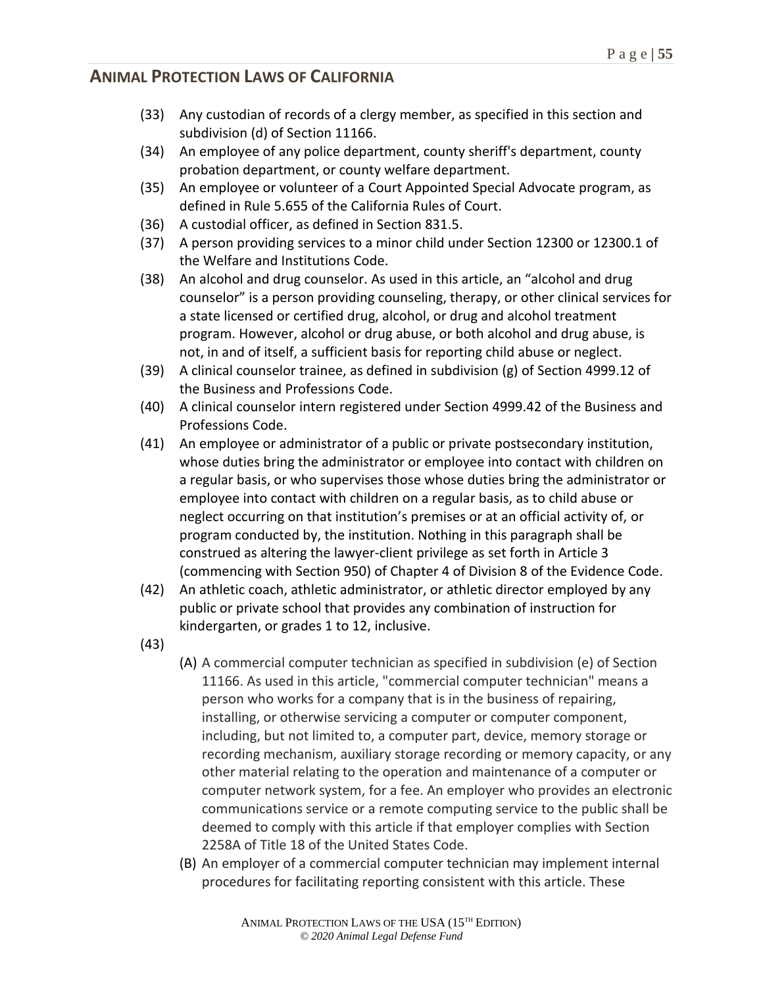- (33) Any custodian of records of a clergy member, as specified in this section and subdivision (d) of Section 11166.
- (34) An employee of any police department, county sheriff's department, county probation department, or county welfare department.
- (35) An employee or volunteer of a Court Appointed Special Advocate program, as defined in Rule 5.655 of the California Rules of Court.
- (36) A custodial officer, as defined in Section 831.5.
- (37) A person providing services to a minor child under Section 12300 or 12300.1 of the Welfare and Institutions Code.
- (38) An alcohol and drug counselor. As used in this article, an "alcohol and drug counselor" is a person providing counseling, therapy, or other clinical services for a state licensed or certified drug, alcohol, or drug and alcohol treatment program. However, alcohol or drug abuse, or both alcohol and drug abuse, is not, in and of itself, a sufficient basis for reporting child abuse or neglect.
- (39) A clinical counselor trainee, as defined in subdivision (g) of Section 4999.12 of the Business and Professions Code.
- (40) A clinical counselor intern registered under Section 4999.42 of the Business and Professions Code.
- (41) An employee or administrator of a public or private postsecondary institution, whose duties bring the administrator or employee into contact with children on a regular basis, or who supervises those whose duties bring the administrator or employee into contact with children on a regular basis, as to child abuse or neglect occurring on that institution's premises or at an official activity of, or program conducted by, the institution. Nothing in this paragraph shall be construed as altering the lawyer-client privilege as set forth in Article 3 (commencing with Section 950) of Chapter 4 of Division 8 of the Evidence Code.
- (42) An athletic coach, athletic administrator, or athletic director employed by any public or private school that provides any combination of instruction for kindergarten, or grades 1 to 12, inclusive.
- (43)
- (A) A commercial computer technician as specified in subdivision (e) of Section 11166. As used in this article, "commercial computer technician" means a person who works for a company that is in the business of repairing, installing, or otherwise servicing a computer or computer component, including, but not limited to, a computer part, device, memory storage or recording mechanism, auxiliary storage recording or memory capacity, or any other material relating to the operation and maintenance of a computer or computer network system, for a fee. An employer who provides an electronic communications service or a remote computing service to the public shall be deemed to comply with this article if that employer complies with Section 2258A of Title 18 of the United States Code.
- (B) An employer of a commercial computer technician may implement internal procedures for facilitating reporting consistent with this article. These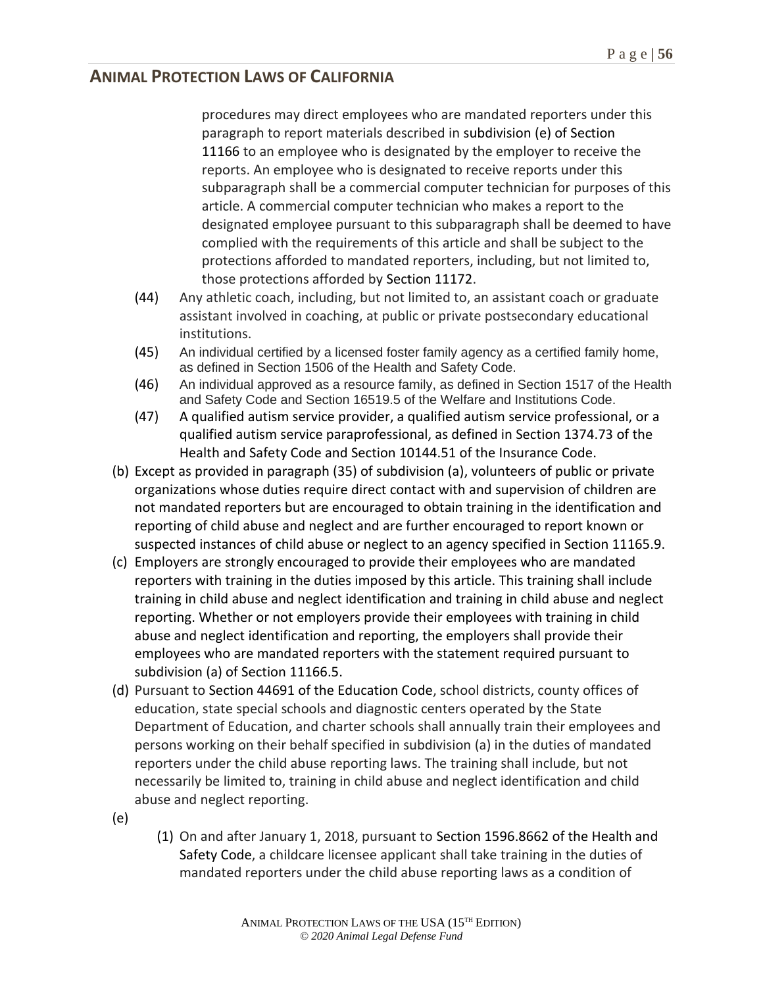procedures may direct employees who are mandated reporters under this paragraph to report materials described in subdivision (e) of Section 11166 to an employee who is designated by the employer to receive the reports. An employee who is designated to receive reports under this subparagraph shall be a commercial computer technician for purposes of this article. A commercial computer technician who makes a report to the designated employee pursuant to this subparagraph shall be deemed to have complied with the requirements of this article and shall be subject to the protections afforded to mandated reporters, including, but not limited to, those protections afforded by Section 11172.

- (44) Any athletic coach, including, but not limited to, an assistant coach or graduate assistant involved in coaching, at public or private postsecondary educational institutions.
- (45) An individual certified by a licensed foster family agency as a certified family home, as defined in Section 1506 of the Health and Safety Code.
- (46) An individual approved as a resource family, as defined in Section 1517 of the Health and Safety Code and Section 16519.5 of the Welfare and Institutions Code.
- (47) A qualified autism service provider, a qualified autism service professional, or a qualified autism service paraprofessional, as defined in Section 1374.73 of the Health and Safety Code and Section 10144.51 of the Insurance Code.
- (b) Except as provided in paragraph (35) of subdivision (a), volunteers of public or private organizations whose duties require direct contact with and supervision of children are not mandated reporters but are encouraged to obtain training in the identification and reporting of child abuse and neglect and are further encouraged to report known or suspected instances of child abuse or neglect to an agency specified in Section 11165.9.
- (c) Employers are strongly encouraged to provide their employees who are mandated reporters with training in the duties imposed by this article. This training shall include training in child abuse and neglect identification and training in child abuse and neglect reporting. Whether or not employers provide their employees with training in child abuse and neglect identification and reporting, the employers shall provide their employees who are mandated reporters with the statement required pursuant to subdivision (a) of Section 11166.5.
- (d) Pursuant to Section 44691 of the Education Code, school districts, county offices of education, state special schools and diagnostic centers operated by the State Department of Education, and charter schools shall annually train their employees and persons working on their behalf specified in subdivision (a) in the duties of mandated reporters under the child abuse reporting laws. The training shall include, but not necessarily be limited to, training in child abuse and neglect identification and child abuse and neglect reporting.
- (e)
- (1) On and after January 1, 2018, pursuant to Section 1596.8662 of the Health and Safety Code, a childcare licensee applicant shall take training in the duties of mandated reporters under the child abuse reporting laws as a condition of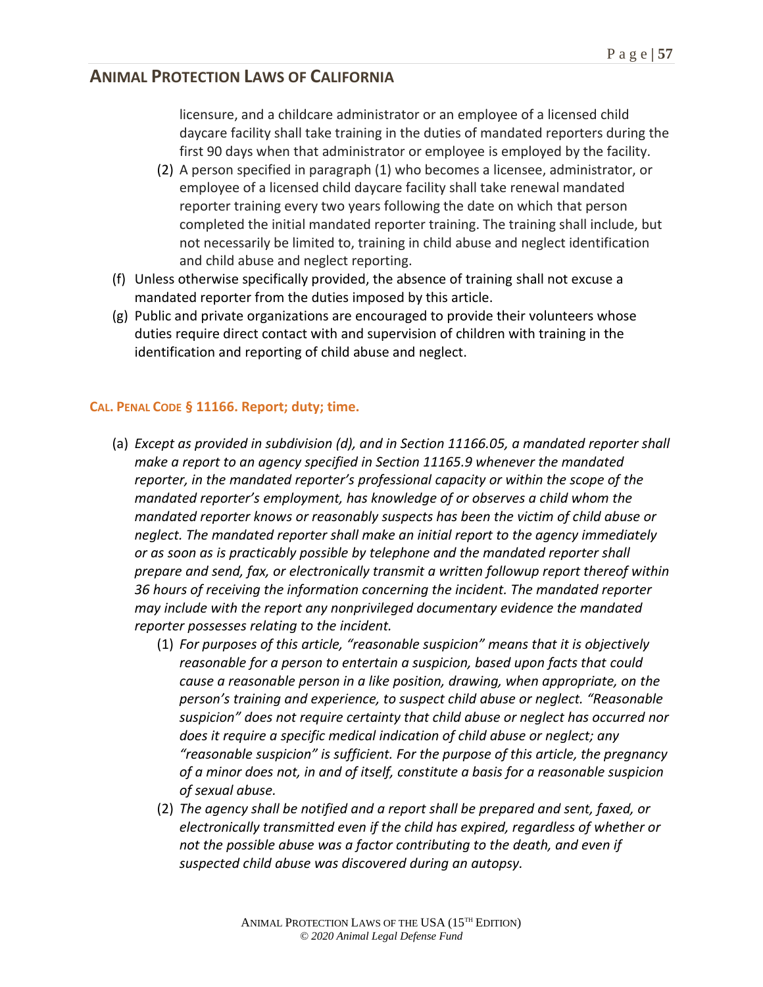licensure, and a childcare administrator or an employee of a licensed child daycare facility shall take training in the duties of mandated reporters during the first 90 days when that administrator or employee is employed by the facility.

- (2) A person specified in paragraph (1) who becomes a licensee, administrator, or employee of a licensed child daycare facility shall take renewal mandated reporter training every two years following the date on which that person completed the initial mandated reporter training. The training shall include, but not necessarily be limited to, training in child abuse and neglect identification and child abuse and neglect reporting.
- (f) Unless otherwise specifically provided, the absence of training shall not excuse a mandated reporter from the duties imposed by this article.
- (g) Public and private organizations are encouraged to provide their volunteers whose duties require direct contact with and supervision of children with training in the identification and reporting of child abuse and neglect.

### **CAL. PENAL CODE § 11166. Report; duty; time.**

- (a) *Except as provided in subdivision (d), and in Section 11166.05, a mandated reporter shall make a report to an agency specified in Section 11165.9 whenever the mandated reporter, in the mandated reporter's professional capacity or within the scope of the mandated reporter's employment, has knowledge of or observes a child whom the mandated reporter knows or reasonably suspects has been the victim of child abuse or neglect. The mandated reporter shall make an initial report to the agency immediately or as soon as is practicably possible by telephone and the mandated reporter shall prepare and send, fax, or electronically transmit a written followup report thereof within 36 hours of receiving the information concerning the incident. The mandated reporter may include with the report any nonprivileged documentary evidence the mandated reporter possesses relating to the incident.*
	- (1) *For purposes of this article, "reasonable suspicion" means that it is objectively reasonable for a person to entertain a suspicion, based upon facts that could cause a reasonable person in a like position, drawing, when appropriate, on the person's training and experience, to suspect child abuse or neglect. "Reasonable suspicion" does not require certainty that child abuse or neglect has occurred nor does it require a specific medical indication of child abuse or neglect; any "reasonable suspicion" is sufficient. For the purpose of this article, the pregnancy of a minor does not, in and of itself, constitute a basis for a reasonable suspicion of sexual abuse.*
	- (2) *The agency shall be notified and a report shall be prepared and sent, faxed, or electronically transmitted even if the child has expired, regardless of whether or not the possible abuse was a factor contributing to the death, and even if suspected child abuse was discovered during an autopsy.*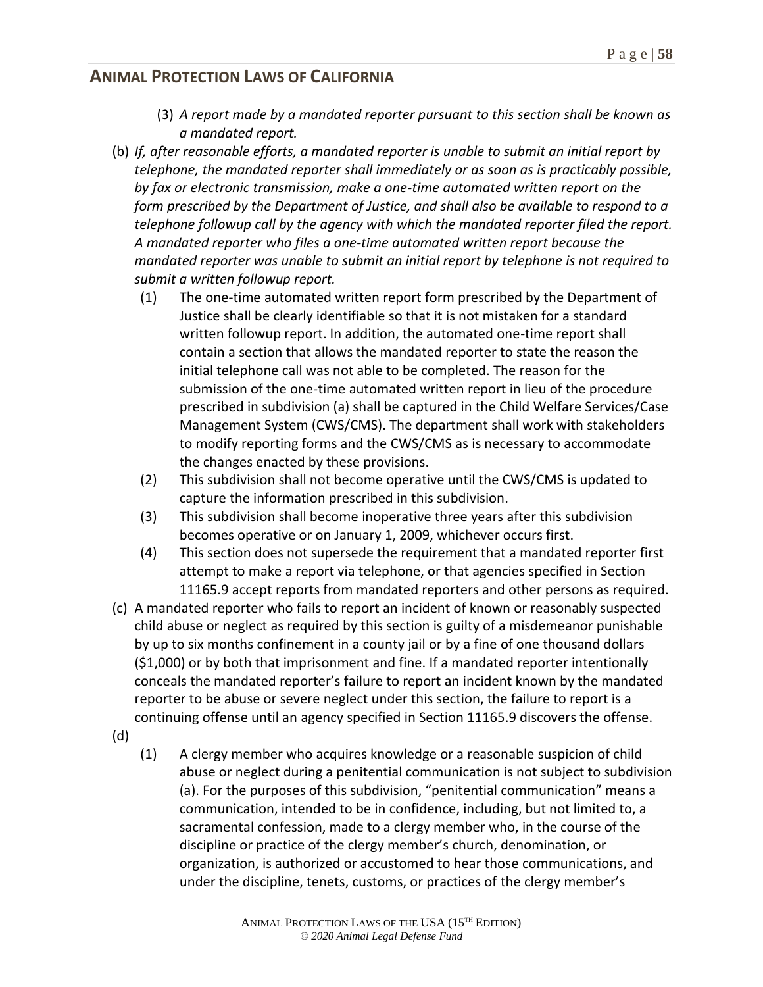- (3) *A report made by a mandated reporter pursuant to this section shall be known as a mandated report.*
- (b) *If, after reasonable efforts, a mandated reporter is unable to submit an initial report by telephone, the mandated reporter shall immediately or as soon as is practicably possible, by fax or electronic transmission, make a one-time automated written report on the form prescribed by the Department of Justice, and shall also be available to respond to a telephone followup call by the agency with which the mandated reporter filed the report. A mandated reporter who files a one-time automated written report because the mandated reporter was unable to submit an initial report by telephone is not required to submit a written followup report.*
	- (1) The one-time automated written report form prescribed by the Department of Justice shall be clearly identifiable so that it is not mistaken for a standard written followup report. In addition, the automated one-time report shall contain a section that allows the mandated reporter to state the reason the initial telephone call was not able to be completed. The reason for the submission of the one-time automated written report in lieu of the procedure prescribed in subdivision (a) shall be captured in the Child Welfare Services/Case Management System (CWS/CMS). The department shall work with stakeholders to modify reporting forms and the CWS/CMS as is necessary to accommodate the changes enacted by these provisions.
	- (2) This subdivision shall not become operative until the CWS/CMS is updated to capture the information prescribed in this subdivision.
	- (3) This subdivision shall become inoperative three years after this subdivision becomes operative or on January 1, 2009, whichever occurs first.
	- (4) This section does not supersede the requirement that a mandated reporter first attempt to make a report via telephone, or that agencies specified in Section 11165.9 accept reports from mandated reporters and other persons as required.
- (c) A mandated reporter who fails to report an incident of known or reasonably suspected child abuse or neglect as required by this section is guilty of a misdemeanor punishable by up to six months confinement in a county jail or by a fine of one thousand dollars (\$1,000) or by both that imprisonment and fine. If a mandated reporter intentionally conceals the mandated reporter's failure to report an incident known by the mandated reporter to be abuse or severe neglect under this section, the failure to report is a continuing offense until an agency specified in Section 11165.9 discovers the offense.
- (d)
- (1) A clergy member who acquires knowledge or a reasonable suspicion of child abuse or neglect during a penitential communication is not subject to subdivision (a). For the purposes of this subdivision, "penitential communication" means a communication, intended to be in confidence, including, but not limited to, a sacramental confession, made to a clergy member who, in the course of the discipline or practice of the clergy member's church, denomination, or organization, is authorized or accustomed to hear those communications, and under the discipline, tenets, customs, or practices of the clergy member's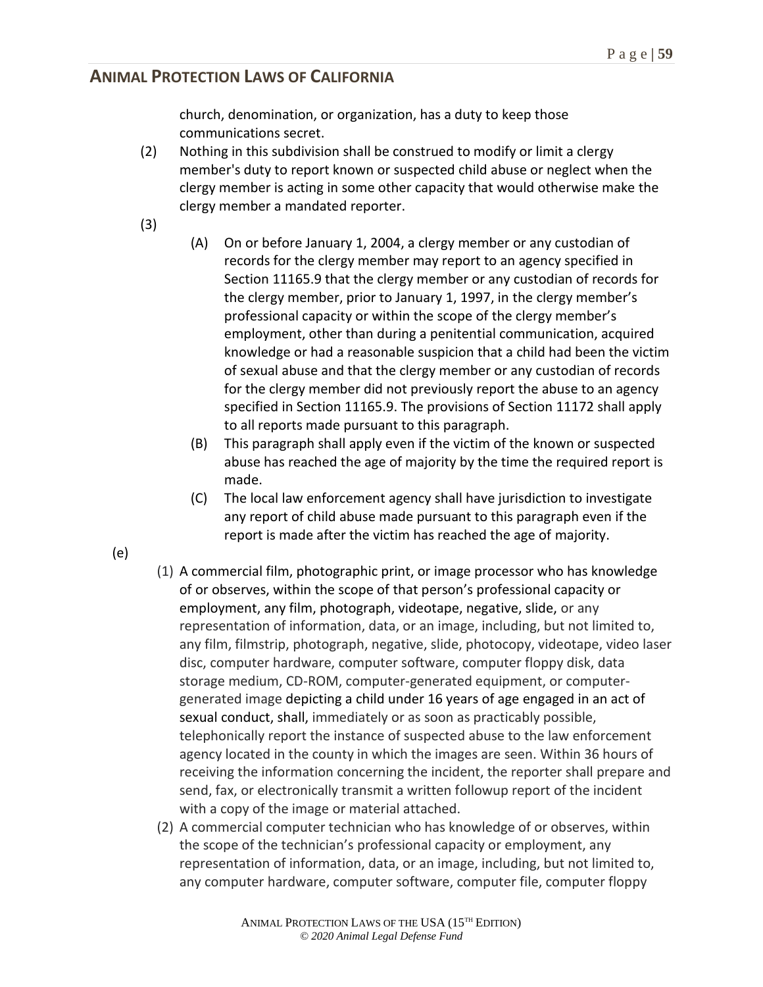church, denomination, or organization, has a duty to keep those communications secret.

- (2) Nothing in this subdivision shall be construed to modify or limit a clergy member's duty to report known or suspected child abuse or neglect when the clergy member is acting in some other capacity that would otherwise make the clergy member a mandated reporter.
- (3)

(e)

- (A) On or before January 1, 2004, a clergy member or any custodian of records for the clergy member may report to an agency specified in Section 11165.9 that the clergy member or any custodian of records for the clergy member, prior to January 1, 1997, in the clergy member's professional capacity or within the scope of the clergy member's employment, other than during a penitential communication, acquired knowledge or had a reasonable suspicion that a child had been the victim of sexual abuse and that the clergy member or any custodian of records for the clergy member did not previously report the abuse to an agency specified in Section 11165.9. The provisions of Section 11172 shall apply to all reports made pursuant to this paragraph.
- (B) This paragraph shall apply even if the victim of the known or suspected abuse has reached the age of majority by the time the required report is made.
- (C) The local law enforcement agency shall have jurisdiction to investigate any report of child abuse made pursuant to this paragraph even if the report is made after the victim has reached the age of majority.
- (1) A commercial film, photographic print, or image processor who has knowledge of or observes, within the scope of that person's professional capacity or employment, any film, photograph, videotape, negative, slide, or any representation of information, data, or an image, including, but not limited to, any film, filmstrip, photograph, negative, slide, photocopy, videotape, video laser disc, computer hardware, computer software, computer floppy disk, data storage medium, CD-ROM, computer-generated equipment, or computergenerated image depicting a child under 16 years of age engaged in an act of sexual conduct, shall, immediately or as soon as practicably possible, telephonically report the instance of suspected abuse to the law enforcement agency located in the county in which the images are seen. Within 36 hours of receiving the information concerning the incident, the reporter shall prepare and send, fax, or electronically transmit a written followup report of the incident with a copy of the image or material attached.
- (2) A commercial computer technician who has knowledge of or observes, within the scope of the technician's professional capacity or employment, any representation of information, data, or an image, including, but not limited to, any computer hardware, computer software, computer file, computer floppy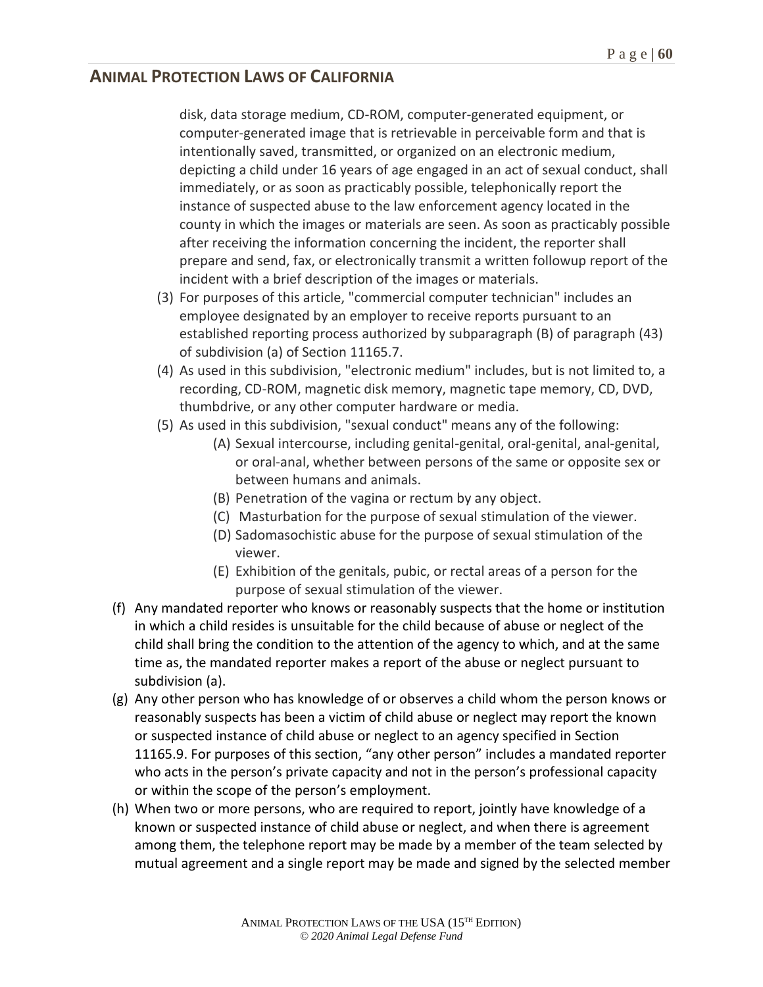disk, data storage medium, CD-ROM, computer-generated equipment, or computer-generated image that is retrievable in perceivable form and that is intentionally saved, transmitted, or organized on an electronic medium, depicting a child under 16 years of age engaged in an act of sexual conduct, shall immediately, or as soon as practicably possible, telephonically report the instance of suspected abuse to the law enforcement agency located in the county in which the images or materials are seen. As soon as practicably possible after receiving the information concerning the incident, the reporter shall prepare and send, fax, or electronically transmit a written followup report of the incident with a brief description of the images or materials.

- (3) For purposes of this article, "commercial computer technician" includes an employee designated by an employer to receive reports pursuant to an established reporting process authorized by subparagraph (B) of paragraph (43) of subdivision (a) of Section 11165.7.
- (4) As used in this subdivision, "electronic medium" includes, but is not limited to, a recording, CD-ROM, magnetic disk memory, magnetic tape memory, CD, DVD, thumbdrive, or any other computer hardware or media.
- (5) As used in this subdivision, "sexual conduct" means any of the following:
	- (A) Sexual intercourse, including genital-genital, oral-genital, anal-genital, or oral-anal, whether between persons of the same or opposite sex or between humans and animals.
	- (B) Penetration of the vagina or rectum by any object.
	- (C) Masturbation for the purpose of sexual stimulation of the viewer.
	- (D) Sadomasochistic abuse for the purpose of sexual stimulation of the viewer.
	- (E) Exhibition of the genitals, pubic, or rectal areas of a person for the purpose of sexual stimulation of the viewer.
- (f) Any mandated reporter who knows or reasonably suspects that the home or institution in which a child resides is unsuitable for the child because of abuse or neglect of the child shall bring the condition to the attention of the agency to which, and at the same time as, the mandated reporter makes a report of the abuse or neglect pursuant to subdivision (a).
- (g) Any other person who has knowledge of or observes a child whom the person knows or reasonably suspects has been a victim of child abuse or neglect may report the known or suspected instance of child abuse or neglect to an agency specified in Section 11165.9. For purposes of this section, "any other person" includes a mandated reporter who acts in the person's private capacity and not in the person's professional capacity or within the scope of the person's employment.
- (h) When two or more persons, who are required to report, jointly have knowledge of a known or suspected instance of child abuse or neglect, and when there is agreement among them, the telephone report may be made by a member of the team selected by mutual agreement and a single report may be made and signed by the selected member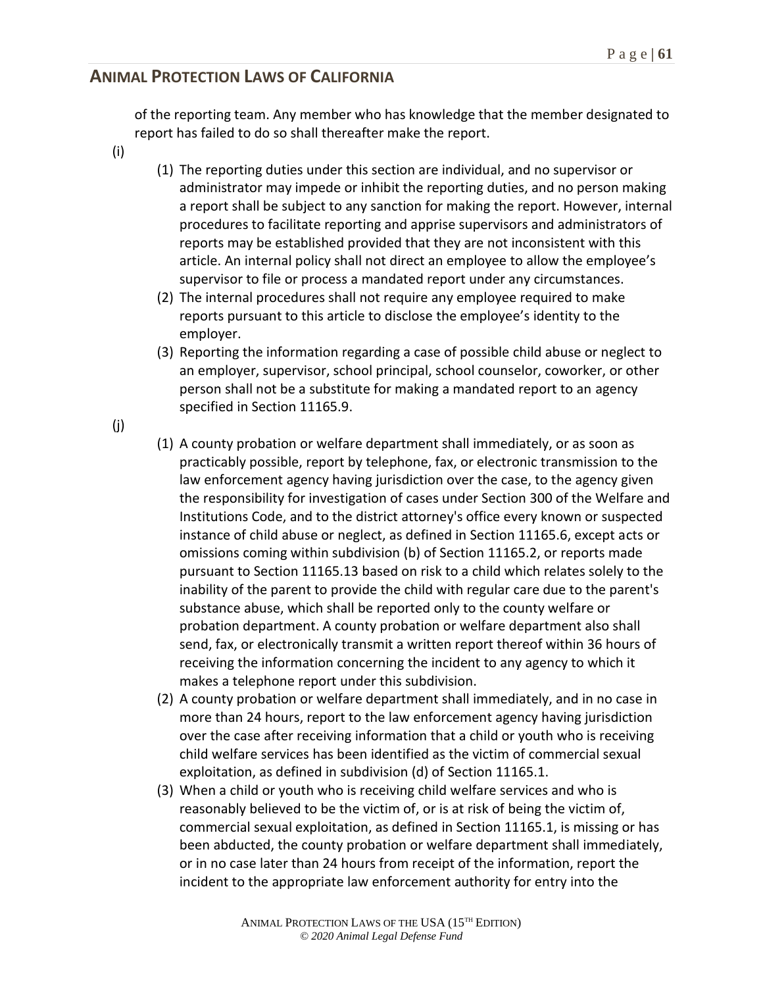of the reporting team. Any member who has knowledge that the member designated to report has failed to do so shall thereafter make the report.

- (i)
- (1) The reporting duties under this section are individual, and no supervisor or administrator may impede or inhibit the reporting duties, and no person making a report shall be subject to any sanction for making the report. However, internal procedures to facilitate reporting and apprise supervisors and administrators of reports may be established provided that they are not inconsistent with this article. An internal policy shall not direct an employee to allow the employee's supervisor to file or process a mandated report under any circumstances.
- (2) The internal procedures shall not require any employee required to make reports pursuant to this article to disclose the employee's identity to the employer.
- (3) Reporting the information regarding a case of possible child abuse or neglect to an employer, supervisor, school principal, school counselor, coworker, or other person shall not be a substitute for making a mandated report to an agency specified in Section 11165.9.
- (j)
- (1) A county probation or welfare department shall immediately, or as soon as practicably possible, report by telephone, fax, or electronic transmission to the law enforcement agency having jurisdiction over the case, to the agency given the responsibility for investigation of cases under Section 300 of the Welfare and Institutions Code, and to the district attorney's office every known or suspected instance of child abuse or neglect, as defined in Section 11165.6, except acts or omissions coming within subdivision (b) of Section 11165.2, or reports made pursuant to Section 11165.13 based on risk to a child which relates solely to the inability of the parent to provide the child with regular care due to the parent's substance abuse, which shall be reported only to the county welfare or probation department. A county probation or welfare department also shall send, fax, or electronically transmit a written report thereof within 36 hours of receiving the information concerning the incident to any agency to which it makes a telephone report under this subdivision.
- (2) A county probation or welfare department shall immediately, and in no case in more than 24 hours, report to the law enforcement agency having jurisdiction over the case after receiving information that a child or youth who is receiving child welfare services has been identified as the victim of commercial sexual exploitation, as defined in subdivision (d) of Section 11165.1.
- (3) When a child or youth who is receiving child welfare services and who is reasonably believed to be the victim of, or is at risk of being the victim of, commercial sexual exploitation, as defined in Section 11165.1, is missing or has been abducted, the county probation or welfare department shall immediately, or in no case later than 24 hours from receipt of the information, report the incident to the appropriate law enforcement authority for entry into the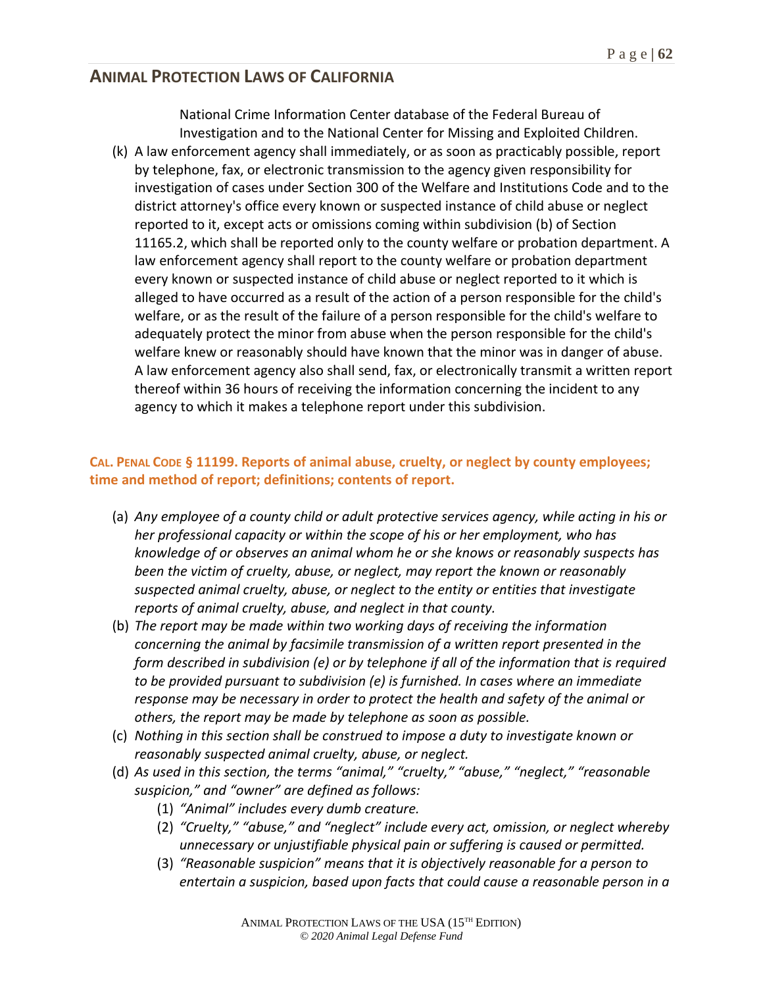National Crime Information Center database of the Federal Bureau of Investigation and to the National Center for Missing and Exploited Children.

(k) A law enforcement agency shall immediately, or as soon as practicably possible, report by telephone, fax, or electronic transmission to the agency given responsibility for investigation of cases under Section 300 of the Welfare and Institutions Code and to the district attorney's office every known or suspected instance of child abuse or neglect reported to it, except acts or omissions coming within subdivision (b) of Section 11165.2, which shall be reported only to the county welfare or probation department. A law enforcement agency shall report to the county welfare or probation department every known or suspected instance of child abuse or neglect reported to it which is alleged to have occurred as a result of the action of a person responsible for the child's welfare, or as the result of the failure of a person responsible for the child's welfare to adequately protect the minor from abuse when the person responsible for the child's welfare knew or reasonably should have known that the minor was in danger of abuse. A law enforcement agency also shall send, fax, or electronically transmit a written report thereof within 36 hours of receiving the information concerning the incident to any agency to which it makes a telephone report under this subdivision.

### **CAL. PENAL CODE § 11199. Reports of animal abuse, cruelty, or neglect by county employees; time and method of report; definitions; contents of report.**

- (a) *Any employee of a county child or adult protective services agency, while acting in his or her professional capacity or within the scope of his or her employment, who has knowledge of or observes an animal whom he or she knows or reasonably suspects has been the victim of cruelty, abuse, or neglect, may report the known or reasonably suspected animal cruelty, abuse, or neglect to the entity or entities that investigate reports of animal cruelty, abuse, and neglect in that county.*
- (b) *The report may be made within two working days of receiving the information concerning the animal by facsimile transmission of a written report presented in the form described in subdivision (e) or by telephone if all of the information that is required to be provided pursuant to subdivision (e) is furnished. In cases where an immediate response may be necessary in order to protect the health and safety of the animal or others, the report may be made by telephone as soon as possible.*
- (c) *Nothing in this section shall be construed to impose a duty to investigate known or reasonably suspected animal cruelty, abuse, or neglect.*
- (d) *As used in this section, the terms "animal," "cruelty," "abuse," "neglect," "reasonable suspicion," and "owner" are defined as follows:*
	- (1) *"Animal" includes every dumb creature.*
	- (2) *"Cruelty," "abuse," and "neglect" include every act, omission, or neglect whereby unnecessary or unjustifiable physical pain or suffering is caused or permitted.*
	- (3) *"Reasonable suspicion" means that it is objectively reasonable for a person to entertain a suspicion, based upon facts that could cause a reasonable person in a*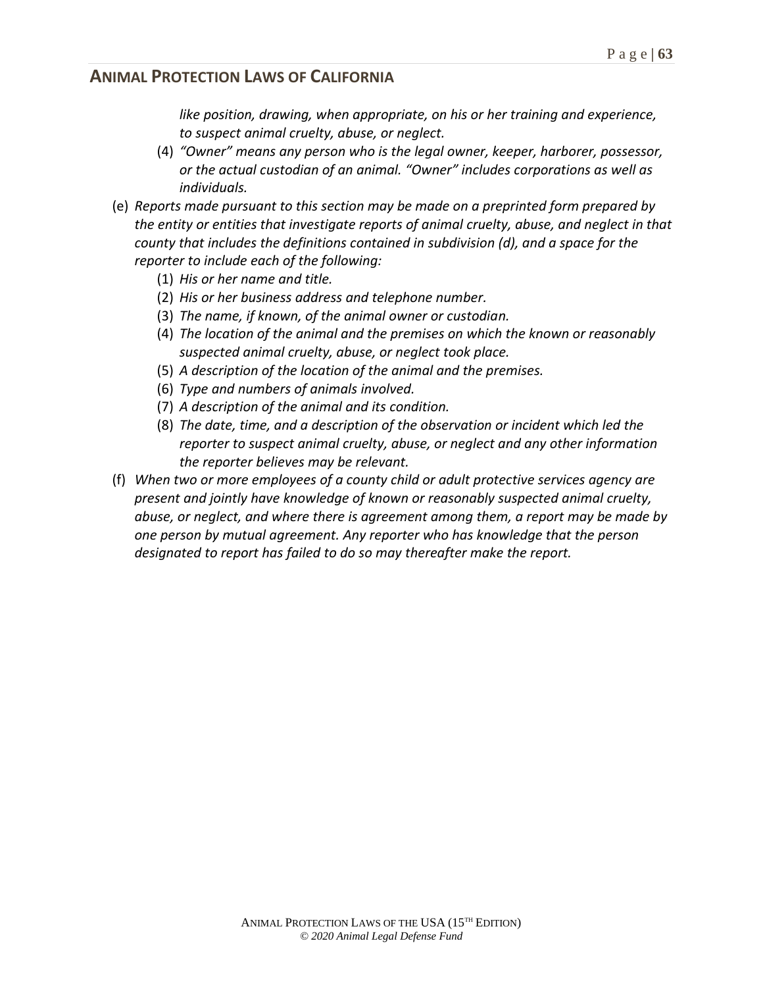*like position, drawing, when appropriate, on his or her training and experience, to suspect animal cruelty, abuse, or neglect.*

- (4) *"Owner" means any person who is the legal owner, keeper, harborer, possessor, or the actual custodian of an animal. "Owner" includes corporations as well as individuals.*
- (e) *Reports made pursuant to this section may be made on a preprinted form prepared by the entity or entities that investigate reports of animal cruelty, abuse, and neglect in that county that includes the definitions contained in subdivision (d), and a space for the reporter to include each of the following:*
	- (1) *His or her name and title.*
	- (2) *His or her business address and telephone number.*
	- (3) *The name, if known, of the animal owner or custodian.*
	- (4) *The location of the animal and the premises on which the known or reasonably suspected animal cruelty, abuse, or neglect took place.*
	- (5) *A description of the location of the animal and the premises.*
	- (6) *Type and numbers of animals involved.*
	- (7) *A description of the animal and its condition.*
	- (8) *The date, time, and a description of the observation or incident which led the reporter to suspect animal cruelty, abuse, or neglect and any other information the reporter believes may be relevant.*
- (f) *When two or more employees of a county child or adult protective services agency are present and jointly have knowledge of known or reasonably suspected animal cruelty, abuse, or neglect, and where there is agreement among them, a report may be made by one person by mutual agreement. Any reporter who has knowledge that the person designated to report has failed to do so may thereafter make the report.*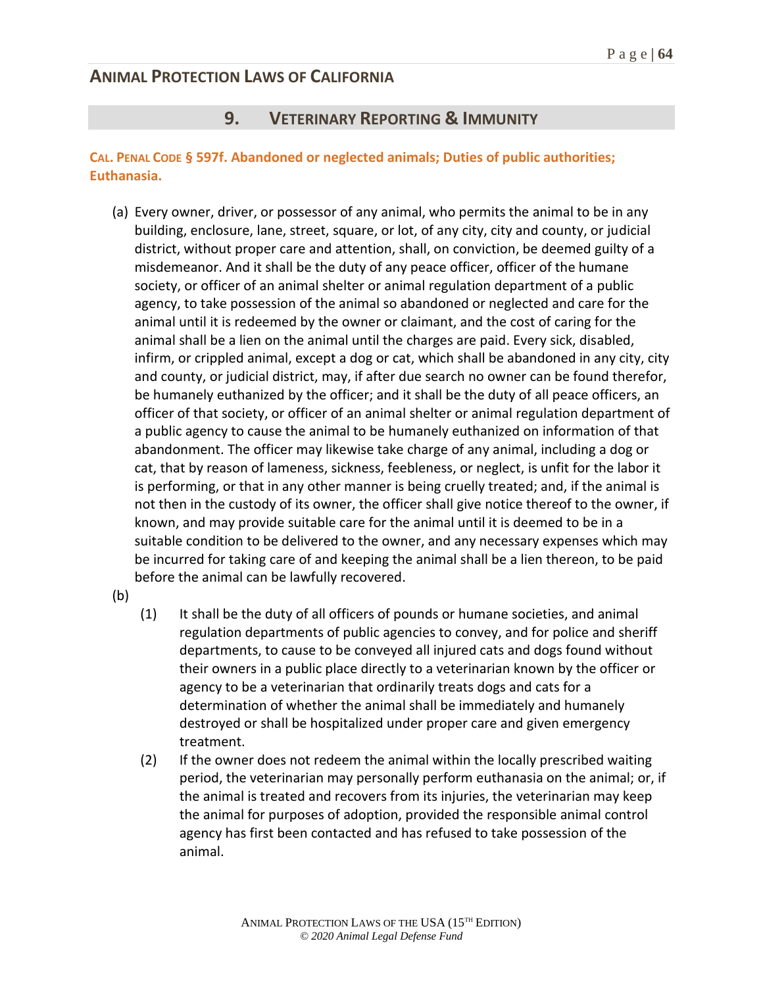## **9. VETERINARY REPORTING & IMMUNITY**

### **CAL. PENAL CODE § 597f. Abandoned or neglected animals; Duties of public authorities; Euthanasia.**

- (a) Every owner, driver, or possessor of any animal, who permits the animal to be in any building, enclosure, lane, street, square, or lot, of any city, city and county, or judicial district, without proper care and attention, shall, on conviction, be deemed guilty of a misdemeanor. And it shall be the duty of any peace officer, officer of the humane society, or officer of an animal shelter or animal regulation department of a public agency, to take possession of the animal so abandoned or neglected and care for the animal until it is redeemed by the owner or claimant, and the cost of caring for the animal shall be a lien on the animal until the charges are paid. Every sick, disabled, infirm, or crippled animal, except a dog or cat, which shall be abandoned in any city, city and county, or judicial district, may, if after due search no owner can be found therefor, be humanely euthanized by the officer; and it shall be the duty of all peace officers, an officer of that society, or officer of an animal shelter or animal regulation department of a public agency to cause the animal to be humanely euthanized on information of that abandonment. The officer may likewise take charge of any animal, including a dog or cat, that by reason of lameness, sickness, feebleness, or neglect, is unfit for the labor it is performing, or that in any other manner is being cruelly treated; and, if the animal is not then in the custody of its owner, the officer shall give notice thereof to the owner, if known, and may provide suitable care for the animal until it is deemed to be in a suitable condition to be delivered to the owner, and any necessary expenses which may be incurred for taking care of and keeping the animal shall be a lien thereon, to be paid before the animal can be lawfully recovered.
- (b)
- (1) It shall be the duty of all officers of pounds or humane societies, and animal regulation departments of public agencies to convey, and for police and sheriff departments, to cause to be conveyed all injured cats and dogs found without their owners in a public place directly to a veterinarian known by the officer or agency to be a veterinarian that ordinarily treats dogs and cats for a determination of whether the animal shall be immediately and humanely destroyed or shall be hospitalized under proper care and given emergency treatment.
- (2) If the owner does not redeem the animal within the locally prescribed waiting period, the veterinarian may personally perform euthanasia on the animal; or, if the animal is treated and recovers from its injuries, the veterinarian may keep the animal for purposes of adoption, provided the responsible animal control agency has first been contacted and has refused to take possession of the animal.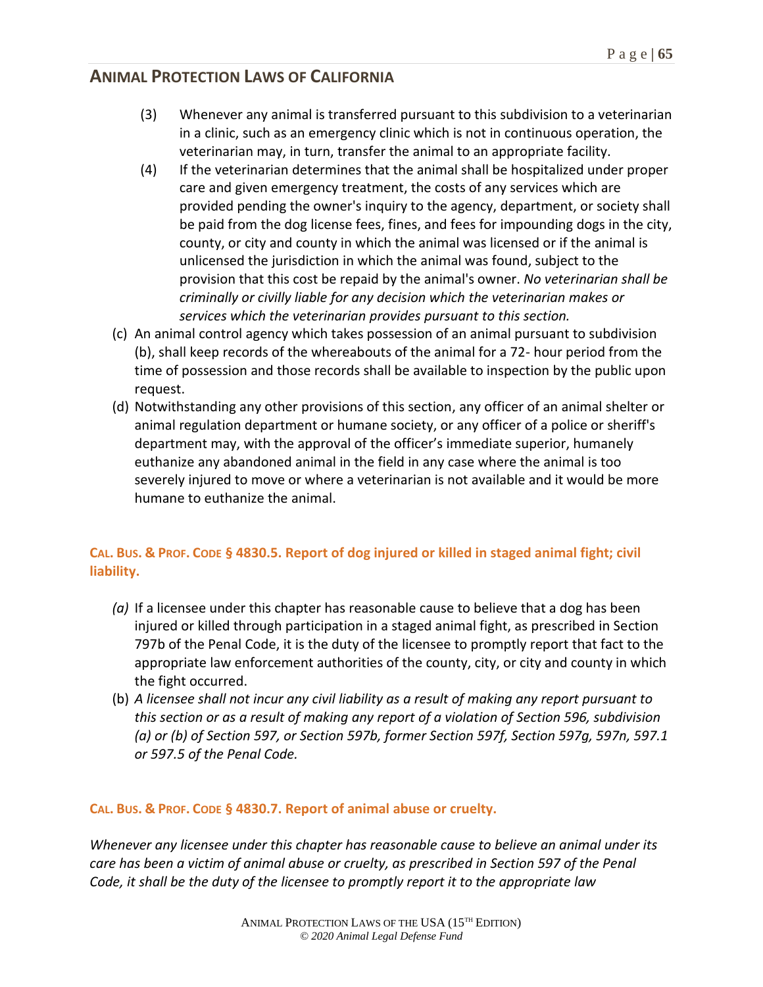- (3) Whenever any animal is transferred pursuant to this subdivision to a veterinarian in a clinic, such as an emergency clinic which is not in continuous operation, the veterinarian may, in turn, transfer the animal to an appropriate facility.
- (4) If the veterinarian determines that the animal shall be hospitalized under proper care and given emergency treatment, the costs of any services which are provided pending the owner's inquiry to the agency, department, or society shall be paid from the dog license fees, fines, and fees for impounding dogs in the city, county, or city and county in which the animal was licensed or if the animal is unlicensed the jurisdiction in which the animal was found, subject to the provision that this cost be repaid by the animal's owner. *No veterinarian shall be criminally or civilly liable for any decision which the veterinarian makes or services which the veterinarian provides pursuant to this section.*
- (c) An animal control agency which takes possession of an animal pursuant to subdivision (b), shall keep records of the whereabouts of the animal for a 72- hour period from the time of possession and those records shall be available to inspection by the public upon request.
- (d) Notwithstanding any other provisions of this section, any officer of an animal shelter or animal regulation department or humane society, or any officer of a police or sheriff's department may, with the approval of the officer's immediate superior, humanely euthanize any abandoned animal in the field in any case where the animal is too severely injured to move or where a veterinarian is not available and it would be more humane to euthanize the animal.

### **CAL. BUS. & PROF. CODE § 4830.5. Report of dog injured or killed in staged animal fight; civil liability.**

- *(a)* If a licensee under this chapter has reasonable cause to believe that a dog has been injured or killed through participation in a staged animal fight, as prescribed in Section 797b of the Penal Code, it is the duty of the licensee to promptly report that fact to the appropriate law enforcement authorities of the county, city, or city and county in which the fight occurred.
- (b) *A licensee shall not incur any civil liability as a result of making any report pursuant to this section or as a result of making any report of a violation of Section 596, subdivision (a) or (b) of Section 597, or Section 597b, former Section 597f, Section 597g, 597n, 597.1 or 597.5 of the Penal Code.*

### **CAL. BUS. & PROF. CODE § 4830.7. Report of animal abuse or cruelty.**

*Whenever any licensee under this chapter has reasonable cause to believe an animal under its care has been a victim of animal abuse or cruelty, as prescribed in Section 597 of the Penal Code, it shall be the duty of the licensee to promptly report it to the appropriate law*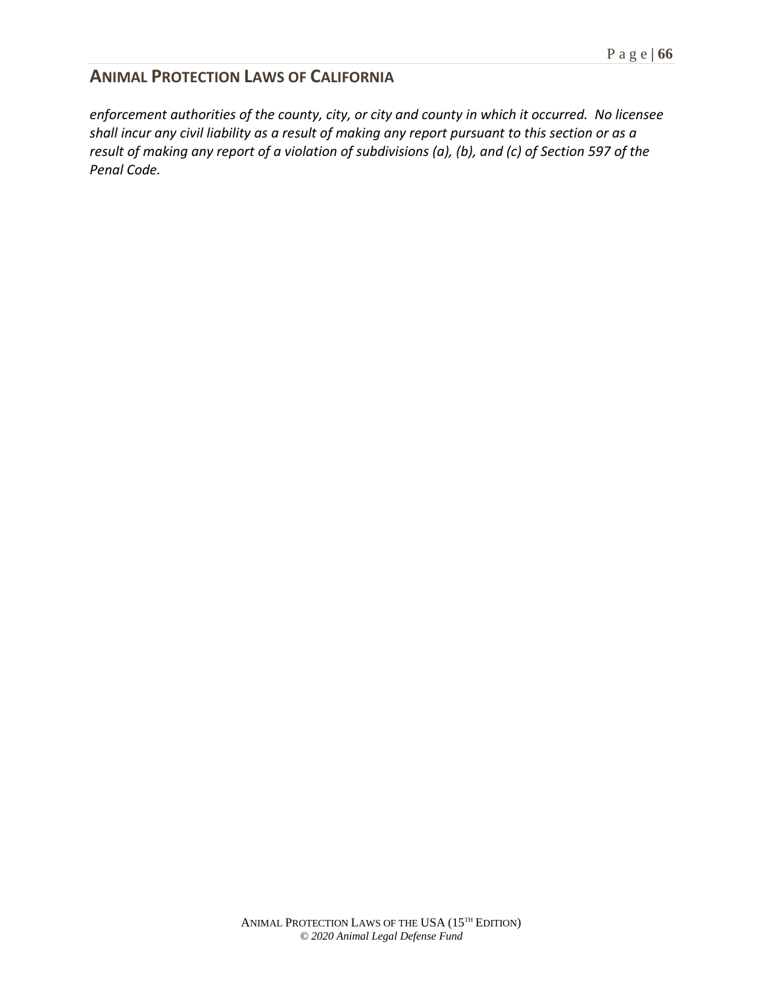*enforcement authorities of the county, city, or city and county in which it occurred. No licensee shall incur any civil liability as a result of making any report pursuant to this section or as a result of making any report of a violation of subdivisions (a), (b), and (c) of Section 597 of the Penal Code.*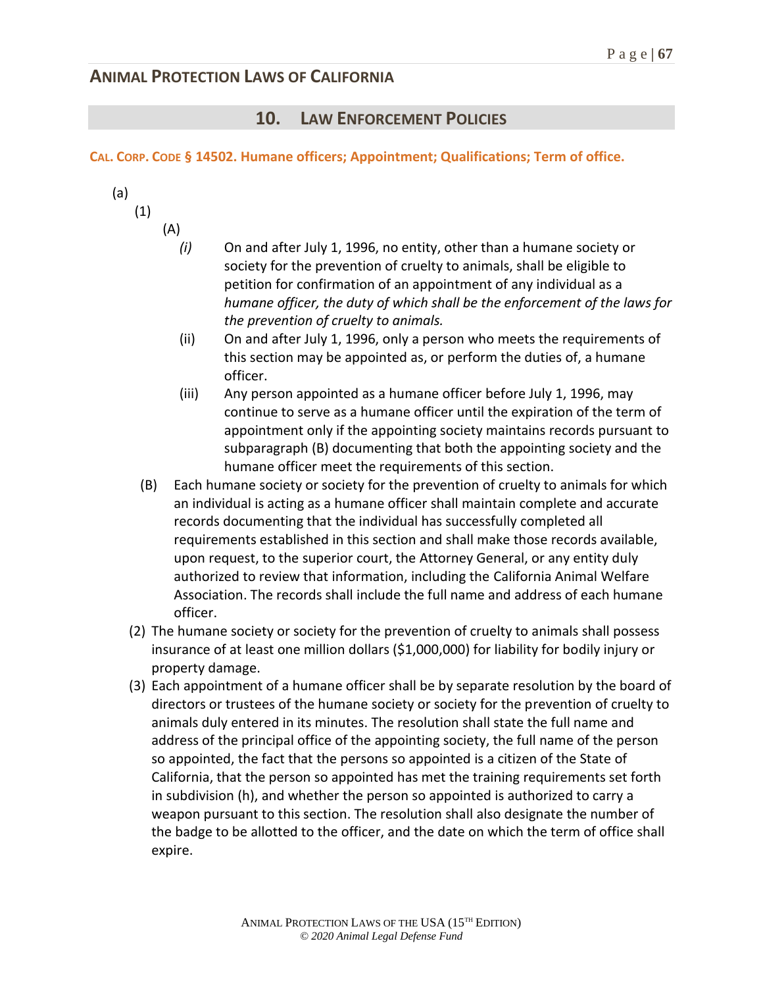# **10. LAW ENFORCEMENT POLICIES**

#### **CAL. CORP. CODE § 14502. Humane officers; Appointment; Qualifications; Term of office.**

- (a)
	- (1)
		- (A)
			- *(i)* On and after July 1, 1996, no entity, other than a humane society or society for the prevention of cruelty to animals, shall be eligible to petition for confirmation of an appointment of any individual as a *humane officer, the duty of which shall be the enforcement of the laws for the prevention of cruelty to animals.*
			- (ii) On and after July 1, 1996, only a person who meets the requirements of this section may be appointed as, or perform the duties of, a humane officer.
			- (iii) Any person appointed as a humane officer before July 1, 1996, may continue to serve as a humane officer until the expiration of the term of appointment only if the appointing society maintains records pursuant to subparagraph (B) documenting that both the appointing society and the humane officer meet the requirements of this section.
		- (B) Each humane society or society for the prevention of cruelty to animals for which an individual is acting as a humane officer shall maintain complete and accurate records documenting that the individual has successfully completed all requirements established in this section and shall make those records available, upon request, to the superior court, the Attorney General, or any entity duly authorized to review that information, including the California Animal Welfare Association. The records shall include the full name and address of each humane officer.
	- (2) The humane society or society for the prevention of cruelty to animals shall possess insurance of at least one million dollars (\$1,000,000) for liability for bodily injury or property damage.
	- (3) Each appointment of a humane officer shall be by separate resolution by the board of directors or trustees of the humane society or society for the prevention of cruelty to animals duly entered in its minutes. The resolution shall state the full name and address of the principal office of the appointing society, the full name of the person so appointed, the fact that the persons so appointed is a citizen of the State of California, that the person so appointed has met the training requirements set forth in subdivision (h), and whether the person so appointed is authorized to carry a weapon pursuant to this section. The resolution shall also designate the number of the badge to be allotted to the officer, and the date on which the term of office shall expire.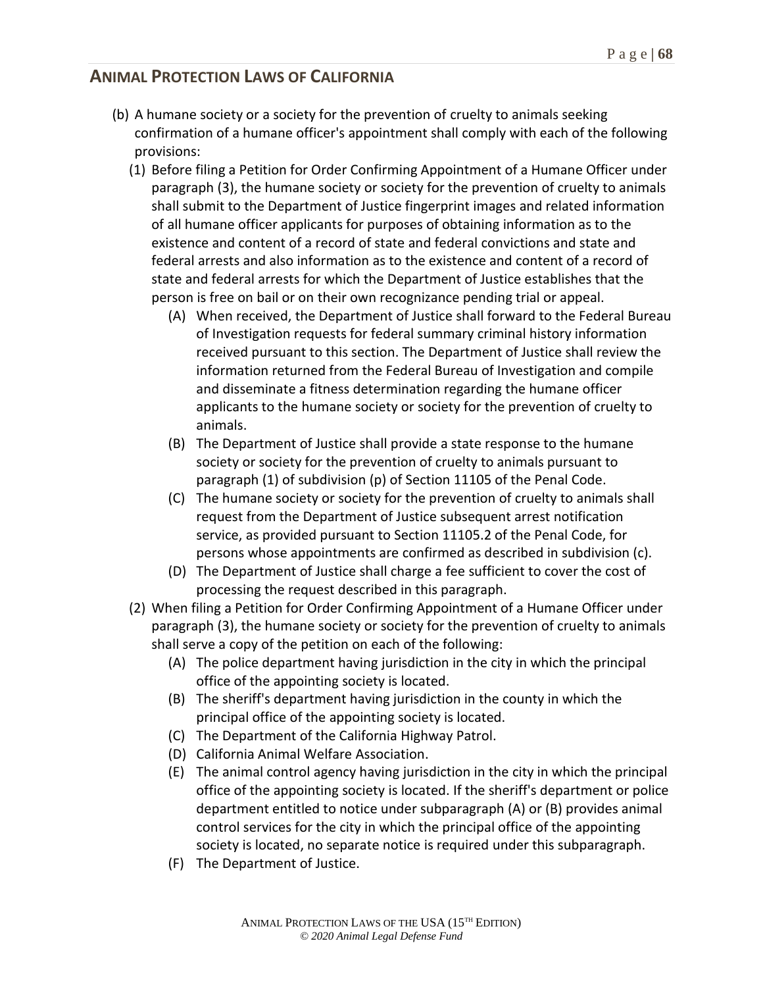- (b) A humane society or a society for the prevention of cruelty to animals seeking confirmation of a humane officer's appointment shall comply with each of the following provisions:
	- (1) Before filing a Petition for Order Confirming Appointment of a Humane Officer under paragraph (3), the humane society or society for the prevention of cruelty to animals shall submit to the Department of Justice fingerprint images and related information of all humane officer applicants for purposes of obtaining information as to the existence and content of a record of state and federal convictions and state and federal arrests and also information as to the existence and content of a record of state and federal arrests for which the Department of Justice establishes that the person is free on bail or on their own recognizance pending trial or appeal.
		- (A) When received, the Department of Justice shall forward to the Federal Bureau of Investigation requests for federal summary criminal history information received pursuant to this section. The Department of Justice shall review the information returned from the Federal Bureau of Investigation and compile and disseminate a fitness determination regarding the humane officer applicants to the humane society or society for the prevention of cruelty to animals.
		- (B) The Department of Justice shall provide a state response to the humane society or society for the prevention of cruelty to animals pursuant to paragraph (1) of subdivision (p) of Section 11105 of the Penal Code.
		- (C) The humane society or society for the prevention of cruelty to animals shall request from the Department of Justice subsequent arrest notification service, as provided pursuant to Section 11105.2 of the Penal Code, for persons whose appointments are confirmed as described in subdivision (c).
		- (D) The Department of Justice shall charge a fee sufficient to cover the cost of processing the request described in this paragraph.
	- (2) When filing a Petition for Order Confirming Appointment of a Humane Officer under paragraph (3), the humane society or society for the prevention of cruelty to animals shall serve a copy of the petition on each of the following:
		- (A) The police department having jurisdiction in the city in which the principal office of the appointing society is located.
		- (B) The sheriff's department having jurisdiction in the county in which the principal office of the appointing society is located.
		- (C) The Department of the California Highway Patrol.
		- (D) California Animal Welfare Association.
		- (E) The animal control agency having jurisdiction in the city in which the principal office of the appointing society is located. If the sheriff's department or police department entitled to notice under subparagraph (A) or (B) provides animal control services for the city in which the principal office of the appointing society is located, no separate notice is required under this subparagraph.
		- (F) The Department of Justice.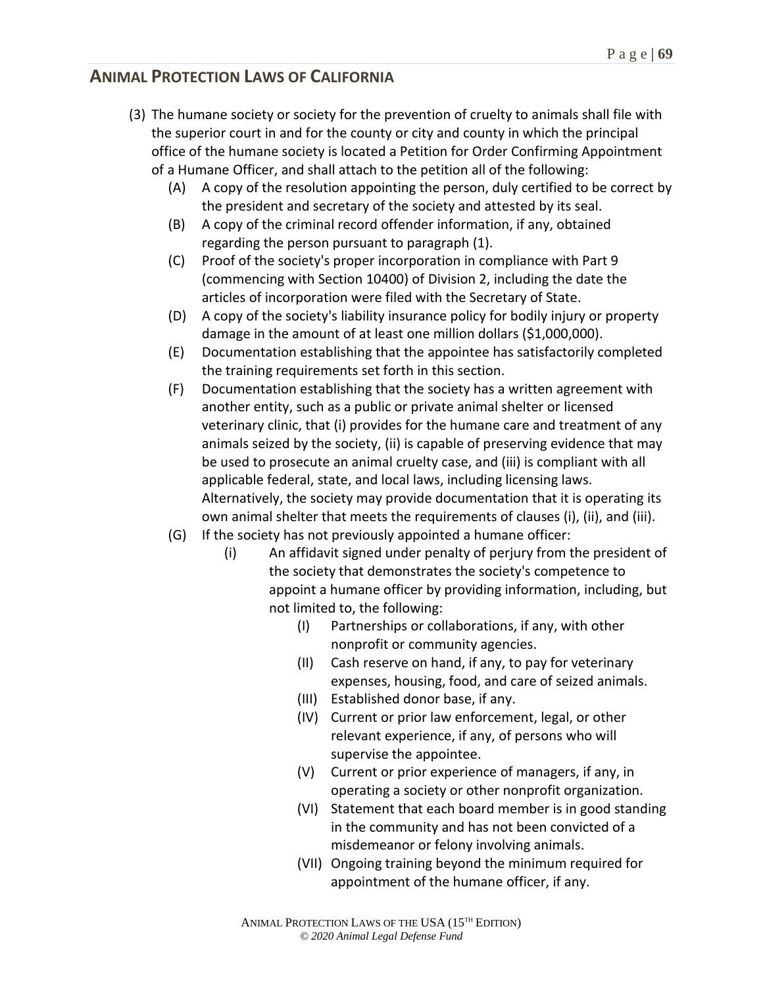- (3) The humane society or society for the prevention of cruelty to animals shall file with the superior court in and for the county or city and county in which the principal office of the humane society is located a Petition for Order Confirming Appointment of a Humane Officer, and shall attach to the petition all of the following:
	- (A) A copy of the resolution appointing the person, duly certified to be correct by the president and secretary of the society and attested by its seal.
	- (B) A copy of the criminal record offender information, if any, obtained regarding the person pursuant to paragraph (1).
	- (C) Proof of the society's proper incorporation in compliance with Part 9 (commencing with Section 10400) of Division 2, including the date the articles of incorporation were filed with the Secretary of State.
	- (D) A copy of the society's liability insurance policy for bodily injury or property damage in the amount of at least one million dollars (\$1,000,000).
	- (E) Documentation establishing that the appointee has satisfactorily completed the training requirements set forth in this section.
	- (F) Documentation establishing that the society has a written agreement with another entity, such as a public or private animal shelter or licensed veterinary clinic, that (i) provides for the humane care and treatment of any animals seized by the society, (ii) is capable of preserving evidence that may be used to prosecute an animal cruelty case, and (iii) is compliant with all applicable federal, state, and local laws, including licensing laws. Alternatively, the society may provide documentation that it is operating its own animal shelter that meets the requirements of clauses (i), (ii), and (iii).
	- (G) If the society has not previously appointed a humane officer:
		- (i) An affidavit signed under penalty of perjury from the president of the society that demonstrates the society's competence to appoint a humane officer by providing information, including, but not limited to, the following:
			- (I) Partnerships or collaborations, if any, with other nonprofit or community agencies.
			- (II) Cash reserve on hand, if any, to pay for veterinary expenses, housing, food, and care of seized animals.
			- (III) Established donor base, if any.
			- (IV) Current or prior law enforcement, legal, or other relevant experience, if any, of persons who will supervise the appointee.
			- (V) Current or prior experience of managers, if any, in operating a society or other nonprofit organization.
			- (VI) Statement that each board member is in good standing in the community and has not been convicted of a misdemeanor or felony involving animals.
			- (VII) Ongoing training beyond the minimum required for appointment of the humane officer, if any.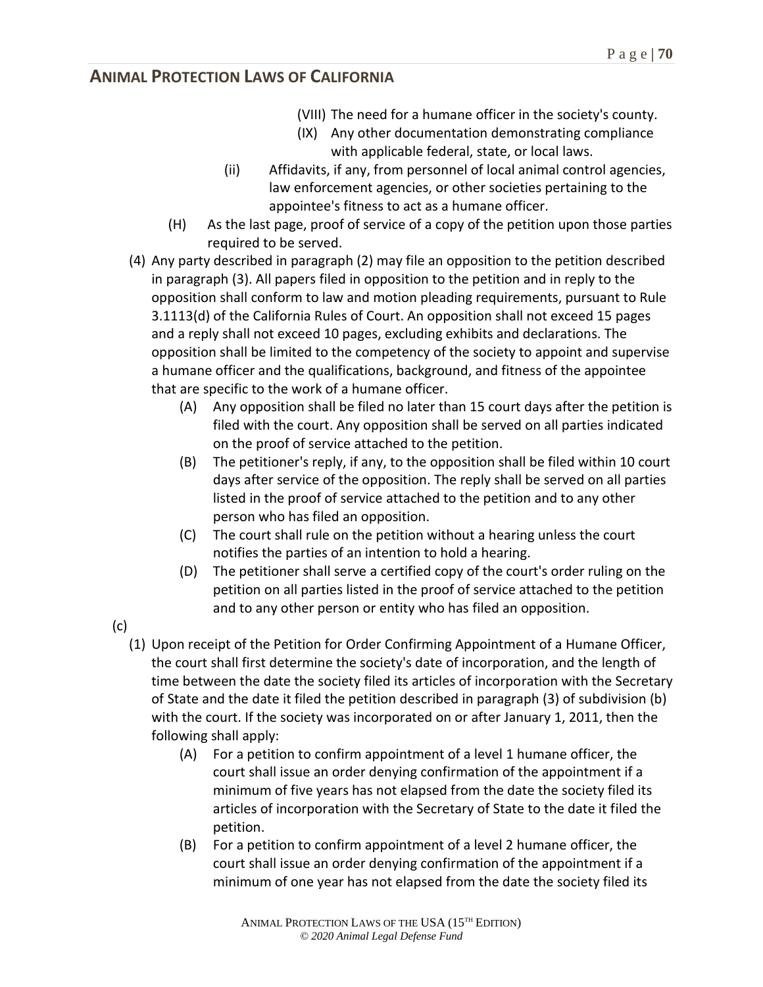- (VIII) The need for a humane officer in the society's county.
- (IX) Any other documentation demonstrating compliance with applicable federal, state, or local laws.
- (ii) Affidavits, if any, from personnel of local animal control agencies, law enforcement agencies, or other societies pertaining to the appointee's fitness to act as a humane officer.
- (H) As the last page, proof of service of a copy of the petition upon those parties required to be served.
- (4) Any party described in paragraph (2) may file an opposition to the petition described in paragraph (3). All papers filed in opposition to the petition and in reply to the opposition shall conform to law and motion pleading requirements, pursuant to Rule 3.1113(d) of the California Rules of Court. An opposition shall not exceed 15 pages and a reply shall not exceed 10 pages, excluding exhibits and declarations. The opposition shall be limited to the competency of the society to appoint and supervise a humane officer and the qualifications, background, and fitness of the appointee that are specific to the work of a humane officer.
	- (A) Any opposition shall be filed no later than 15 court days after the petition is filed with the court. Any opposition shall be served on all parties indicated on the proof of service attached to the petition.
	- (B) The petitioner's reply, if any, to the opposition shall be filed within 10 court days after service of the opposition. The reply shall be served on all parties listed in the proof of service attached to the petition and to any other person who has filed an opposition.
	- (C) The court shall rule on the petition without a hearing unless the court notifies the parties of an intention to hold a hearing.
	- (D) The petitioner shall serve a certified copy of the court's order ruling on the petition on all parties listed in the proof of service attached to the petition and to any other person or entity who has filed an opposition.
- (c)
	- (1) Upon receipt of the Petition for Order Confirming Appointment of a Humane Officer, the court shall first determine the society's date of incorporation, and the length of time between the date the society filed its articles of incorporation with the Secretary of State and the date it filed the petition described in paragraph (3) of subdivision (b) with the court. If the society was incorporated on or after January 1, 2011, then the following shall apply:
		- (A) For a petition to confirm appointment of a level 1 humane officer, the court shall issue an order denying confirmation of the appointment if a minimum of five years has not elapsed from the date the society filed its articles of incorporation with the Secretary of State to the date it filed the petition.
		- (B) For a petition to confirm appointment of a level 2 humane officer, the court shall issue an order denying confirmation of the appointment if a minimum of one year has not elapsed from the date the society filed its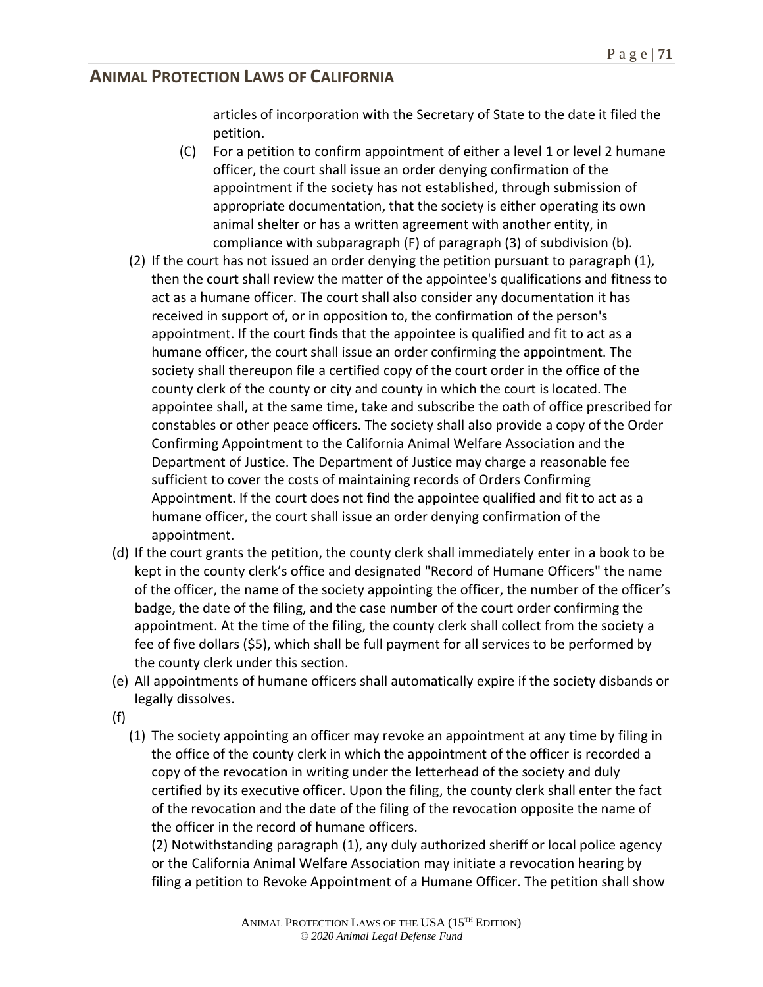articles of incorporation with the Secretary of State to the date it filed the petition.

- (C) For a petition to confirm appointment of either a level 1 or level 2 humane officer, the court shall issue an order denying confirmation of the appointment if the society has not established, through submission of appropriate documentation, that the society is either operating its own animal shelter or has a written agreement with another entity, in compliance with subparagraph (F) of paragraph (3) of subdivision (b).
- (2) If the court has not issued an order denying the petition pursuant to paragraph (1), then the court shall review the matter of the appointee's qualifications and fitness to act as a humane officer. The court shall also consider any documentation it has received in support of, or in opposition to, the confirmation of the person's appointment. If the court finds that the appointee is qualified and fit to act as a humane officer, the court shall issue an order confirming the appointment. The society shall thereupon file a certified copy of the court order in the office of the county clerk of the county or city and county in which the court is located. The appointee shall, at the same time, take and subscribe the oath of office prescribed for constables or other peace officers. The society shall also provide a copy of the Order Confirming Appointment to the California Animal Welfare Association and the Department of Justice. The Department of Justice may charge a reasonable fee sufficient to cover the costs of maintaining records of Orders Confirming Appointment. If the court does not find the appointee qualified and fit to act as a humane officer, the court shall issue an order denying confirmation of the appointment.
- (d) If the court grants the petition, the county clerk shall immediately enter in a book to be kept in the county clerk's office and designated "Record of Humane Officers" the name of the officer, the name of the society appointing the officer, the number of the officer's badge, the date of the filing, and the case number of the court order confirming the appointment. At the time of the filing, the county clerk shall collect from the society a fee of five dollars (\$5), which shall be full payment for all services to be performed by the county clerk under this section.
- (e) All appointments of humane officers shall automatically expire if the society disbands or legally dissolves.
- (f)
	- (1) The society appointing an officer may revoke an appointment at any time by filing in the office of the county clerk in which the appointment of the officer is recorded a copy of the revocation in writing under the letterhead of the society and duly certified by its executive officer. Upon the filing, the county clerk shall enter the fact of the revocation and the date of the filing of the revocation opposite the name of the officer in the record of humane officers.

(2) Notwithstanding paragraph (1), any duly authorized sheriff or local police agency or the California Animal Welfare Association may initiate a revocation hearing by filing a petition to Revoke Appointment of a Humane Officer. The petition shall show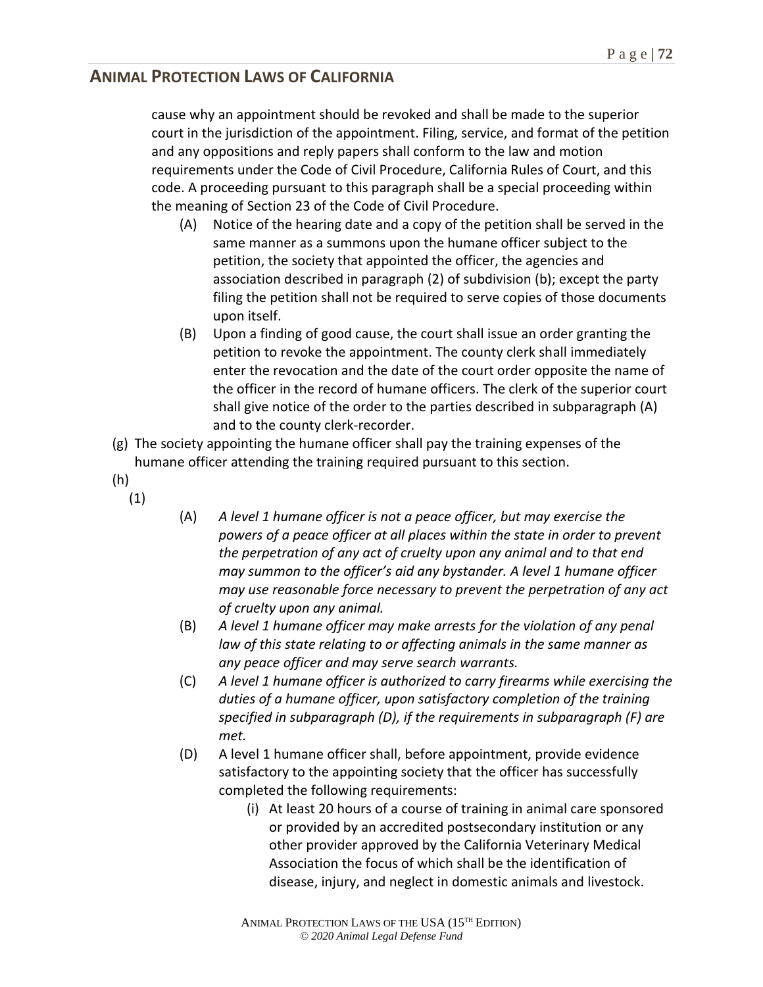cause why an appointment should be revoked and shall be made to the superior court in the jurisdiction of the appointment. Filing, service, and format of the petition and any oppositions and reply papers shall conform to the law and motion requirements under the Code of Civil Procedure, California Rules of Court, and this code. A proceeding pursuant to this paragraph shall be a special proceeding within the meaning of Section 23 of the Code of Civil Procedure.

- (A) Notice of the hearing date and a copy of the petition shall be served in the same manner as a summons upon the humane officer subject to the petition, the society that appointed the officer, the agencies and association described in paragraph (2) of subdivision (b); except the party filing the petition shall not be required to serve copies of those documents upon itself.
- (B) Upon a finding of good cause, the court shall issue an order granting the petition to revoke the appointment. The county clerk shall immediately enter the revocation and the date of the court order opposite the name of the officer in the record of humane officers. The clerk of the superior court shall give notice of the order to the parties described in subparagraph (A) and to the county clerk-recorder.
- (g) The society appointing the humane officer shall pay the training expenses of the humane officer attending the training required pursuant to this section.
- (h)
	- (1)
- (A) *A level 1 humane officer is not a peace officer, but may exercise the powers of a peace officer at all places within the state in order to prevent the perpetration of any act of cruelty upon any animal and to that end may summon to the officer's aid any bystander. A level 1 humane officer may use reasonable force necessary to prevent the perpetration of any act of cruelty upon any animal.*
- (B) *A level 1 humane officer may make arrests for the violation of any penal law of this state relating to or affecting animals in the same manner as any peace officer and may serve search warrants.*
- (C) *A level 1 humane officer is authorized to carry firearms while exercising the duties of a humane officer, upon satisfactory completion of the training specified in subparagraph (D), if the requirements in subparagraph (F) are met.*
- (D) A level 1 humane officer shall, before appointment, provide evidence satisfactory to the appointing society that the officer has successfully completed the following requirements:
	- (i) At least 20 hours of a course of training in animal care sponsored or provided by an accredited postsecondary institution or any other provider approved by the California Veterinary Medical Association the focus of which shall be the identification of disease, injury, and neglect in domestic animals and livestock.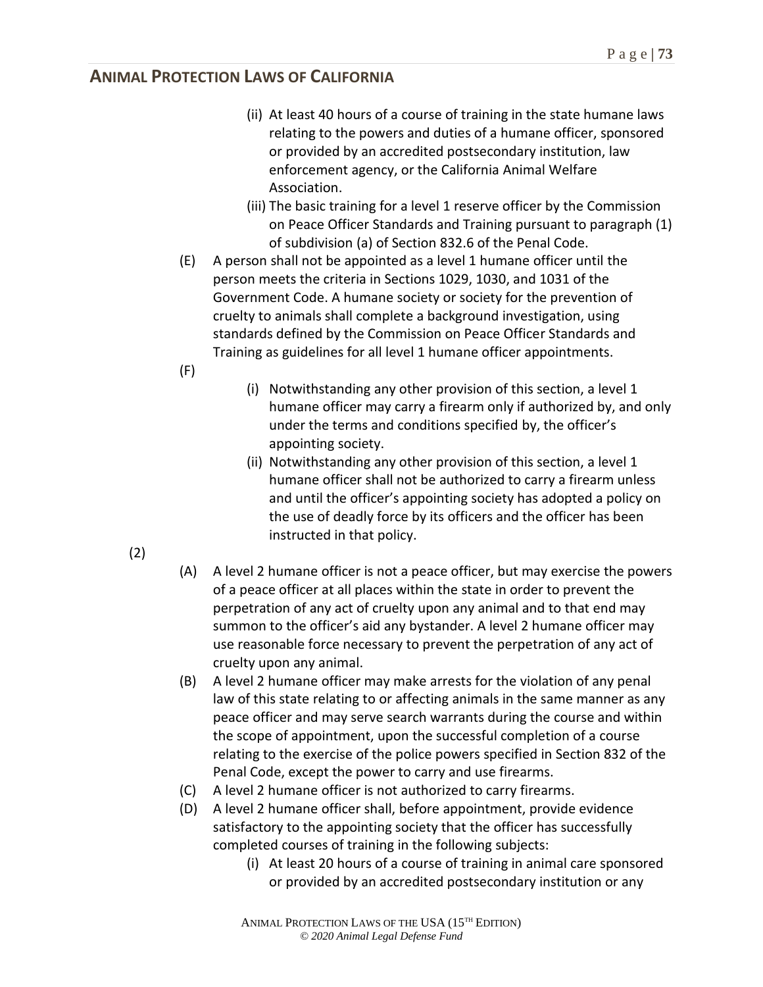- (ii) At least 40 hours of a course of training in the state humane laws relating to the powers and duties of a humane officer, sponsored or provided by an accredited postsecondary institution, law enforcement agency, or the California Animal Welfare Association.
- (iii) The basic training for a level 1 reserve officer by the Commission on Peace Officer Standards and Training pursuant to paragraph (1) of subdivision (a) of Section 832.6 of the Penal Code.
- (E) A person shall not be appointed as a level 1 humane officer until the person meets the criteria in Sections 1029, 1030, and 1031 of the Government Code. A humane society or society for the prevention of cruelty to animals shall complete a background investigation, using standards defined by the Commission on Peace Officer Standards and Training as guidelines for all level 1 humane officer appointments.
- (F)
- (i) Notwithstanding any other provision of this section, a level 1 humane officer may carry a firearm only if authorized by, and only under the terms and conditions specified by, the officer's appointing society.
- (ii) Notwithstanding any other provision of this section, a level 1 humane officer shall not be authorized to carry a firearm unless and until the officer's appointing society has adopted a policy on the use of deadly force by its officers and the officer has been instructed in that policy.
- (A) A level 2 humane officer is not a peace officer, but may exercise the powers of a peace officer at all places within the state in order to prevent the perpetration of any act of cruelty upon any animal and to that end may summon to the officer's aid any bystander. A level 2 humane officer may use reasonable force necessary to prevent the perpetration of any act of cruelty upon any animal.
- (B) A level 2 humane officer may make arrests for the violation of any penal law of this state relating to or affecting animals in the same manner as any peace officer and may serve search warrants during the course and within the scope of appointment, upon the successful completion of a course relating to the exercise of the police powers specified in Section 832 of the Penal Code, except the power to carry and use firearms.
- (C) A level 2 humane officer is not authorized to carry firearms.
- (D) A level 2 humane officer shall, before appointment, provide evidence satisfactory to the appointing society that the officer has successfully completed courses of training in the following subjects:
	- (i) At least 20 hours of a course of training in animal care sponsored or provided by an accredited postsecondary institution or any

(2)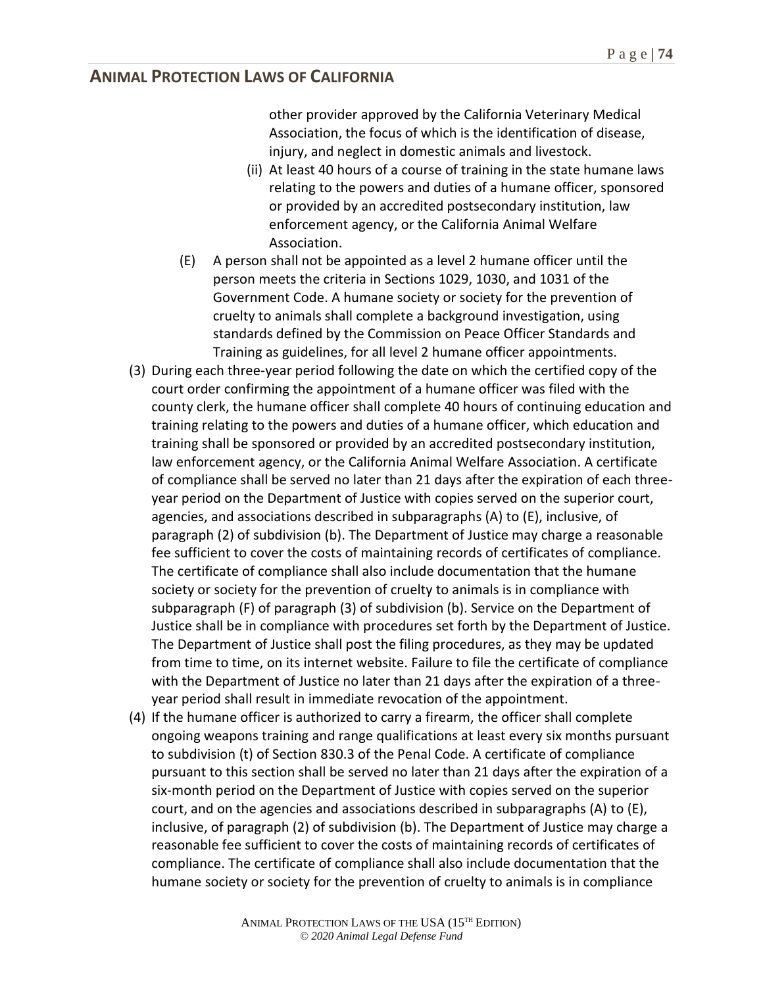other provider approved by the California Veterinary Medical Association, the focus of which is the identification of disease, injury, and neglect in domestic animals and livestock.

- (ii) At least 40 hours of a course of training in the state humane laws relating to the powers and duties of a humane officer, sponsored or provided by an accredited postsecondary institution, law enforcement agency, or the California Animal Welfare Association.
- (E) A person shall not be appointed as a level 2 humane officer until the person meets the criteria in Sections 1029, 1030, and 1031 of the Government Code. A humane society or society for the prevention of cruelty to animals shall complete a background investigation, using standards defined by the Commission on Peace Officer Standards and Training as guidelines, for all level 2 humane officer appointments.
- (3) During each three-year period following the date on which the certified copy of the court order confirming the appointment of a humane officer was filed with the county clerk, the humane officer shall complete 40 hours of continuing education and training relating to the powers and duties of a humane officer, which education and training shall be sponsored or provided by an accredited postsecondary institution, law enforcement agency, or the California Animal Welfare Association. A certificate of compliance shall be served no later than 21 days after the expiration of each threeyear period on the Department of Justice with copies served on the superior court, agencies, and associations described in subparagraphs (A) to (E), inclusive, of paragraph (2) of subdivision (b). The Department of Justice may charge a reasonable fee sufficient to cover the costs of maintaining records of certificates of compliance. The certificate of compliance shall also include documentation that the humane society or society for the prevention of cruelty to animals is in compliance with subparagraph (F) of paragraph (3) of subdivision (b). Service on the Department of Justice shall be in compliance with procedures set forth by the Department of Justice. The Department of Justice shall post the filing procedures, as they may be updated from time to time, on its internet website. Failure to file the certificate of compliance with the Department of Justice no later than 21 days after the expiration of a threeyear period shall result in immediate revocation of the appointment.
- (4) If the humane officer is authorized to carry a firearm, the officer shall complete ongoing weapons training and range qualifications at least every six months pursuant to subdivision (t) of Section 830.3 of the Penal Code. A certificate of compliance pursuant to this section shall be served no later than 21 days after the expiration of a six-month period on the Department of Justice with copies served on the superior court, and on the agencies and associations described in subparagraphs (A) to (E), inclusive, of paragraph (2) of subdivision (b). The Department of Justice may charge a reasonable fee sufficient to cover the costs of maintaining records of certificates of compliance. The certificate of compliance shall also include documentation that the humane society or society for the prevention of cruelty to animals is in compliance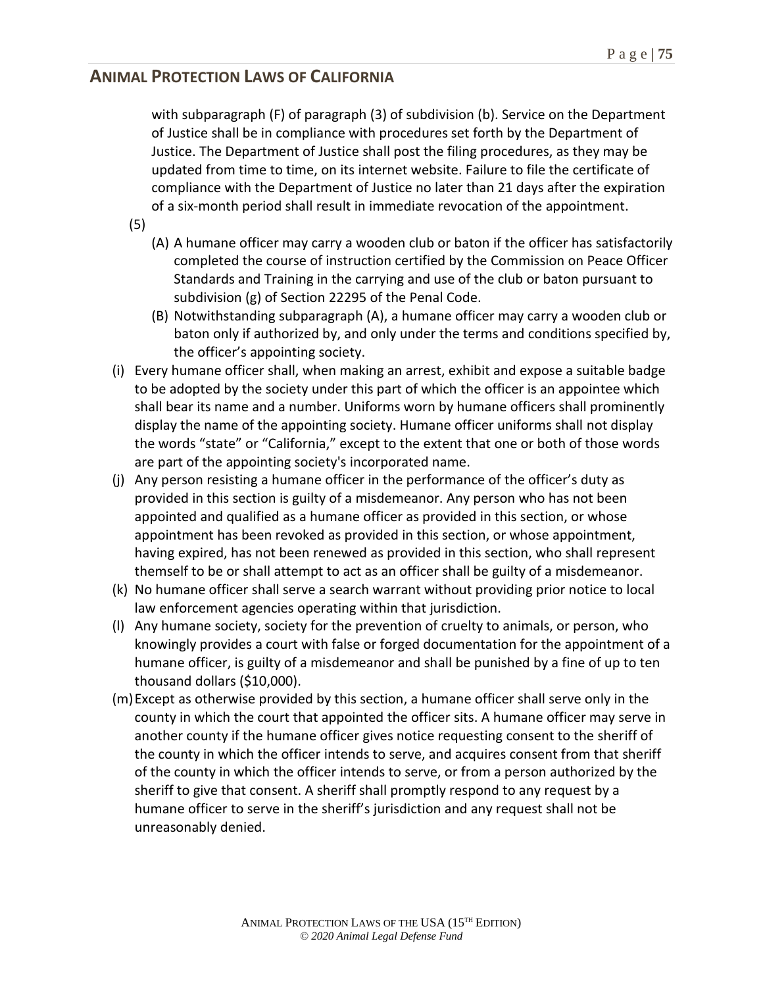with subparagraph (F) of paragraph (3) of subdivision (b). Service on the Department of Justice shall be in compliance with procedures set forth by the Department of Justice. The Department of Justice shall post the filing procedures, as they may be updated from time to time, on its internet website. Failure to file the certificate of compliance with the Department of Justice no later than 21 days after the expiration of a six-month period shall result in immediate revocation of the appointment.

- (5)
- (A) A humane officer may carry a wooden club or baton if the officer has satisfactorily completed the course of instruction certified by the Commission on Peace Officer Standards and Training in the carrying and use of the club or baton pursuant to subdivision (g) of Section 22295 of the Penal Code.
- (B) Notwithstanding subparagraph (A), a humane officer may carry a wooden club or baton only if authorized by, and only under the terms and conditions specified by, the officer's appointing society.
- (i) Every humane officer shall, when making an arrest, exhibit and expose a suitable badge to be adopted by the society under this part of which the officer is an appointee which shall bear its name and a number. Uniforms worn by humane officers shall prominently display the name of the appointing society. Humane officer uniforms shall not display the words "state" or "California," except to the extent that one or both of those words are part of the appointing society's incorporated name.
- (j) Any person resisting a humane officer in the performance of the officer's duty as provided in this section is guilty of a misdemeanor. Any person who has not been appointed and qualified as a humane officer as provided in this section, or whose appointment has been revoked as provided in this section, or whose appointment, having expired, has not been renewed as provided in this section, who shall represent themself to be or shall attempt to act as an officer shall be guilty of a misdemeanor.
- (k) No humane officer shall serve a search warrant without providing prior notice to local law enforcement agencies operating within that jurisdiction.
- (l) Any humane society, society for the prevention of cruelty to animals, or person, who knowingly provides a court with false or forged documentation for the appointment of a humane officer, is guilty of a misdemeanor and shall be punished by a fine of up to ten thousand dollars (\$10,000).
- (m)Except as otherwise provided by this section, a humane officer shall serve only in the county in which the court that appointed the officer sits. A humane officer may serve in another county if the humane officer gives notice requesting consent to the sheriff of the county in which the officer intends to serve, and acquires consent from that sheriff of the county in which the officer intends to serve, or from a person authorized by the sheriff to give that consent. A sheriff shall promptly respond to any request by a humane officer to serve in the sheriff's jurisdiction and any request shall not be unreasonably denied.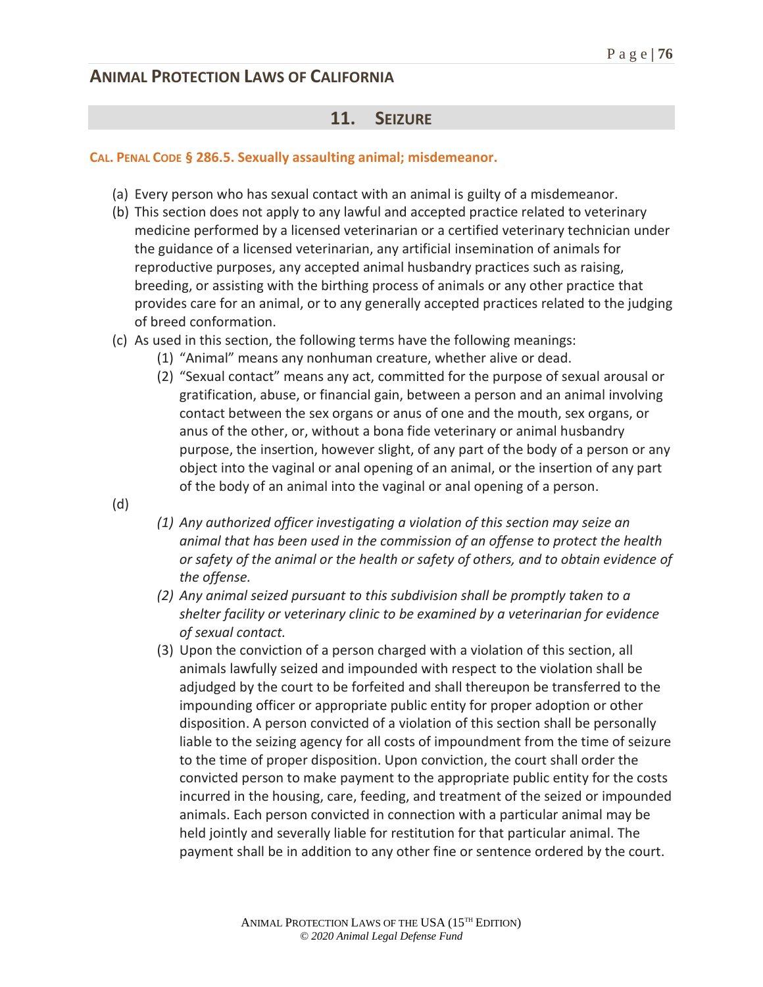# **11. SEIZURE**

#### **CAL. PENAL CODE § 286.5. Sexually assaulting animal; misdemeanor.**

- (a) Every person who has sexual contact with an animal is guilty of a misdemeanor.
- (b) This section does not apply to any lawful and accepted practice related to veterinary medicine performed by a licensed veterinarian or a certified veterinary technician under the guidance of a licensed veterinarian, any artificial insemination of animals for reproductive purposes, any accepted animal husbandry practices such as raising, breeding, or assisting with the birthing process of animals or any other practice that provides care for an animal, or to any generally accepted practices related to the judging of breed conformation.
- (c) As used in this section, the following terms have the following meanings:
	- (1) "Animal" means any nonhuman creature, whether alive or dead.
	- (2) "Sexual contact" means any act, committed for the purpose of sexual arousal or gratification, abuse, or financial gain, between a person and an animal involving contact between the sex organs or anus of one and the mouth, sex organs, or anus of the other, or, without a bona fide veterinary or animal husbandry purpose, the insertion, however slight, of any part of the body of a person or any object into the vaginal or anal opening of an animal, or the insertion of any part of the body of an animal into the vaginal or anal opening of a person.
- (d)
- *(1) Any authorized officer investigating a violation of this section may seize an animal that has been used in the commission of an offense to protect the health or safety of the animal or the health or safety of others, and to obtain evidence of the offense.*
- *(2) Any animal seized pursuant to this subdivision shall be promptly taken to a shelter facility or veterinary clinic to be examined by a veterinarian for evidence of sexual contact.*
- (3) Upon the conviction of a person charged with a violation of this section, all animals lawfully seized and impounded with respect to the violation shall be adjudged by the court to be forfeited and shall thereupon be transferred to the impounding officer or appropriate public entity for proper adoption or other disposition. A person convicted of a violation of this section shall be personally liable to the seizing agency for all costs of impoundment from the time of seizure to the time of proper disposition. Upon conviction, the court shall order the convicted person to make payment to the appropriate public entity for the costs incurred in the housing, care, feeding, and treatment of the seized or impounded animals. Each person convicted in connection with a particular animal may be held jointly and severally liable for restitution for that particular animal. The payment shall be in addition to any other fine or sentence ordered by the court.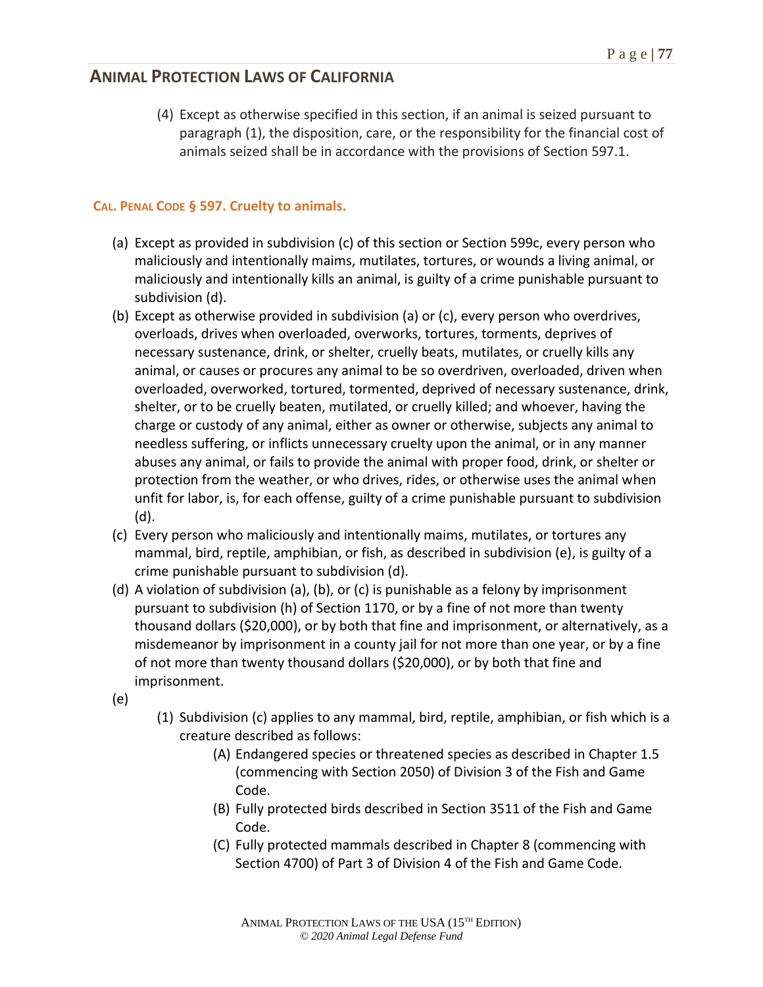(4) Except as otherwise specified in this section, if an animal is seized pursuant to paragraph (1), the disposition, care, or the responsibility for the financial cost of animals seized shall be in accordance with the provisions of Section 597.1.

### **CAL. PENAL CODE § 597. Cruelty to animals.**

- (a) Except as provided in subdivision (c) of this section or Section 599c, every person who maliciously and intentionally maims, mutilates, tortures, or wounds a living animal, or maliciously and intentionally kills an animal, is guilty of a crime punishable pursuant to subdivision (d).
- (b) Except as otherwise provided in subdivision (a) or (c), every person who overdrives, overloads, drives when overloaded, overworks, tortures, torments, deprives of necessary sustenance, drink, or shelter, cruelly beats, mutilates, or cruelly kills any animal, or causes or procures any animal to be so overdriven, overloaded, driven when overloaded, overworked, tortured, tormented, deprived of necessary sustenance, drink, shelter, or to be cruelly beaten, mutilated, or cruelly killed; and whoever, having the charge or custody of any animal, either as owner or otherwise, subjects any animal to needless suffering, or inflicts unnecessary cruelty upon the animal, or in any manner abuses any animal, or fails to provide the animal with proper food, drink, or shelter or protection from the weather, or who drives, rides, or otherwise uses the animal when unfit for labor, is, for each offense, guilty of a crime punishable pursuant to subdivision (d).
- (c) Every person who maliciously and intentionally maims, mutilates, or tortures any mammal, bird, reptile, amphibian, or fish, as described in subdivision (e), is guilty of a crime punishable pursuant to subdivision (d).
- (d) A violation of subdivision (a), (b), or (c) is punishable as a felony by imprisonment pursuant to subdivision (h) of Section 1170, or by a fine of not more than twenty thousand dollars (\$20,000), or by both that fine and imprisonment, or alternatively, as a misdemeanor by imprisonment in a county jail for not more than one year, or by a fine of not more than twenty thousand dollars (\$20,000), or by both that fine and imprisonment.
- (e)
- (1) Subdivision (c) applies to any mammal, bird, reptile, amphibian, or fish which is a creature described as follows:
	- (A) Endangered species or threatened species as described in Chapter 1.5 (commencing with Section 2050) of Division 3 of the Fish and Game Code.
	- (B) Fully protected birds described in Section 3511 of the Fish and Game Code.
	- (C) Fully protected mammals described in Chapter 8 (commencing with Section 4700) of Part 3 of Division 4 of the Fish and Game Code.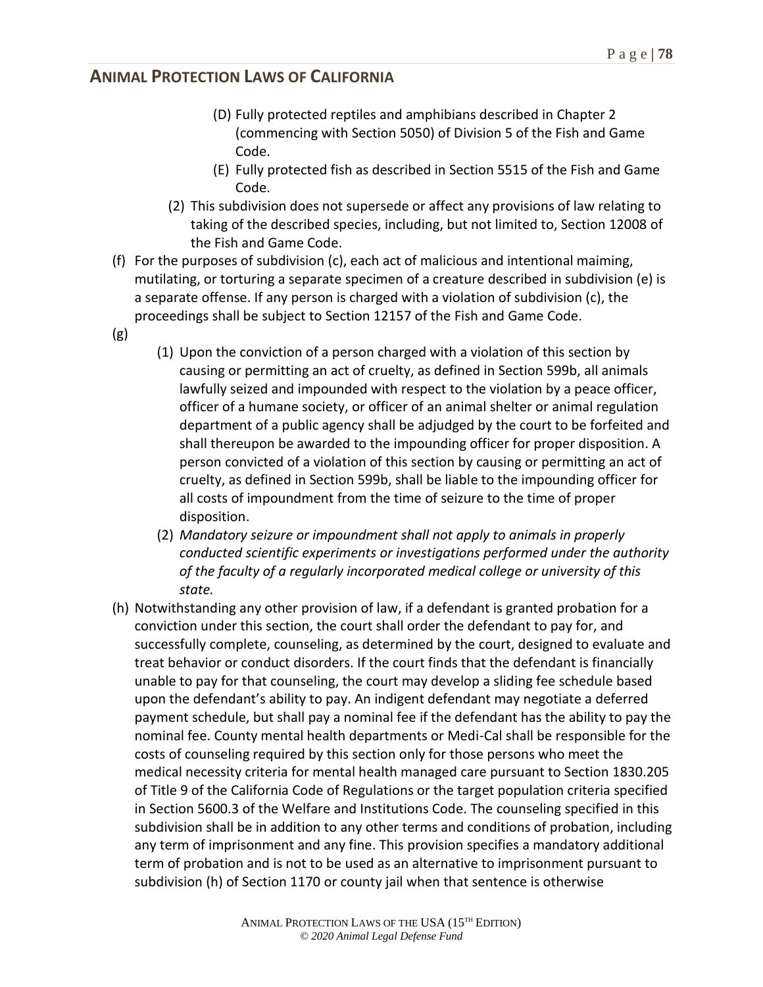- (D) Fully protected reptiles and amphibians described in Chapter 2 (commencing with Section 5050) of Division 5 of the Fish and Game Code.
- (E) Fully protected fish as described in Section 5515 of the Fish and Game Code.
- (2) This subdivision does not supersede or affect any provisions of law relating to taking of the described species, including, but not limited to, Section 12008 of the Fish and Game Code.
- (f) For the purposes of subdivision (c), each act of malicious and intentional maiming, mutilating, or torturing a separate specimen of a creature described in subdivision (e) is a separate offense. If any person is charged with a violation of subdivision (c), the proceedings shall be subject to Section 12157 of the Fish and Game Code.
- (g)
- (1) Upon the conviction of a person charged with a violation of this section by causing or permitting an act of cruelty, as defined in Section 599b, all animals lawfully seized and impounded with respect to the violation by a peace officer, officer of a humane society, or officer of an animal shelter or animal regulation department of a public agency shall be adjudged by the court to be forfeited and shall thereupon be awarded to the impounding officer for proper disposition. A person convicted of a violation of this section by causing or permitting an act of cruelty, as defined in Section 599b, shall be liable to the impounding officer for all costs of impoundment from the time of seizure to the time of proper disposition.
- (2) *Mandatory seizure or impoundment shall not apply to animals in properly conducted scientific experiments or investigations performed under the authority of the faculty of a regularly incorporated medical college or university of this state.*
- (h) Notwithstanding any other provision of law, if a defendant is granted probation for a conviction under this section, the court shall order the defendant to pay for, and successfully complete, counseling, as determined by the court, designed to evaluate and treat behavior or conduct disorders. If the court finds that the defendant is financially unable to pay for that counseling, the court may develop a sliding fee schedule based upon the defendant's ability to pay. An indigent defendant may negotiate a deferred payment schedule, but shall pay a nominal fee if the defendant has the ability to pay the nominal fee. County mental health departments or Medi-Cal shall be responsible for the costs of counseling required by this section only for those persons who meet the medical necessity criteria for mental health managed care pursuant to Section 1830.205 of Title 9 of the California Code of Regulations or the target population criteria specified in Section 5600.3 of the Welfare and Institutions Code. The counseling specified in this subdivision shall be in addition to any other terms and conditions of probation, including any term of imprisonment and any fine. This provision specifies a mandatory additional term of probation and is not to be used as an alternative to imprisonment pursuant to subdivision (h) of Section 1170 or county jail when that sentence is otherwise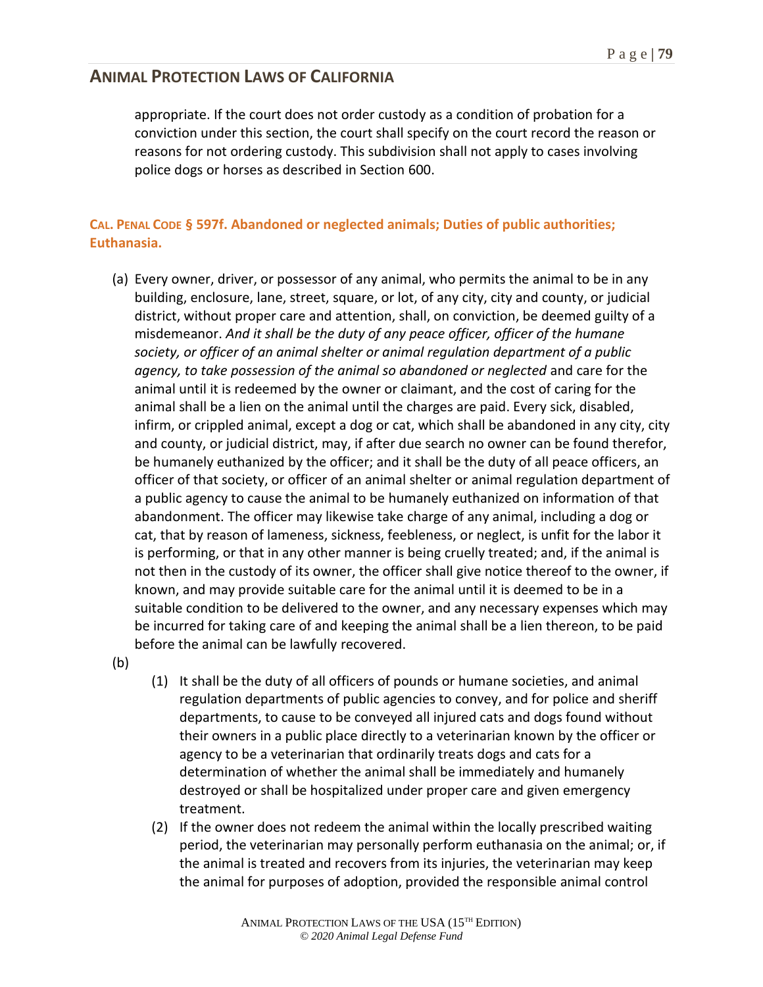appropriate. If the court does not order custody as a condition of probation for a conviction under this section, the court shall specify on the court record the reason or reasons for not ordering custody. This subdivision shall not apply to cases involving police dogs or horses as described in Section 600.

### **CAL. PENAL CODE § 597f. Abandoned or neglected animals; Duties of public authorities; Euthanasia.**

(a) Every owner, driver, or possessor of any animal, who permits the animal to be in any building, enclosure, lane, street, square, or lot, of any city, city and county, or judicial district, without proper care and attention, shall, on conviction, be deemed guilty of a misdemeanor. *And it shall be the duty of any peace officer, officer of the humane society, or officer of an animal shelter or animal regulation department of a public agency, to take possession of the animal so abandoned or neglected* and care for the animal until it is redeemed by the owner or claimant, and the cost of caring for the animal shall be a lien on the animal until the charges are paid. Every sick, disabled, infirm, or crippled animal, except a dog or cat, which shall be abandoned in any city, city and county, or judicial district, may, if after due search no owner can be found therefor, be humanely euthanized by the officer; and it shall be the duty of all peace officers, an officer of that society, or officer of an animal shelter or animal regulation department of a public agency to cause the animal to be humanely euthanized on information of that abandonment. The officer may likewise take charge of any animal, including a dog or cat, that by reason of lameness, sickness, feebleness, or neglect, is unfit for the labor it is performing, or that in any other manner is being cruelly treated; and, if the animal is not then in the custody of its owner, the officer shall give notice thereof to the owner, if known, and may provide suitable care for the animal until it is deemed to be in a suitable condition to be delivered to the owner, and any necessary expenses which may be incurred for taking care of and keeping the animal shall be a lien thereon, to be paid before the animal can be lawfully recovered.

(b)

- (1) It shall be the duty of all officers of pounds or humane societies, and animal regulation departments of public agencies to convey, and for police and sheriff departments, to cause to be conveyed all injured cats and dogs found without their owners in a public place directly to a veterinarian known by the officer or agency to be a veterinarian that ordinarily treats dogs and cats for a determination of whether the animal shall be immediately and humanely destroyed or shall be hospitalized under proper care and given emergency treatment.
- (2) If the owner does not redeem the animal within the locally prescribed waiting period, the veterinarian may personally perform euthanasia on the animal; or, if the animal is treated and recovers from its injuries, the veterinarian may keep the animal for purposes of adoption, provided the responsible animal control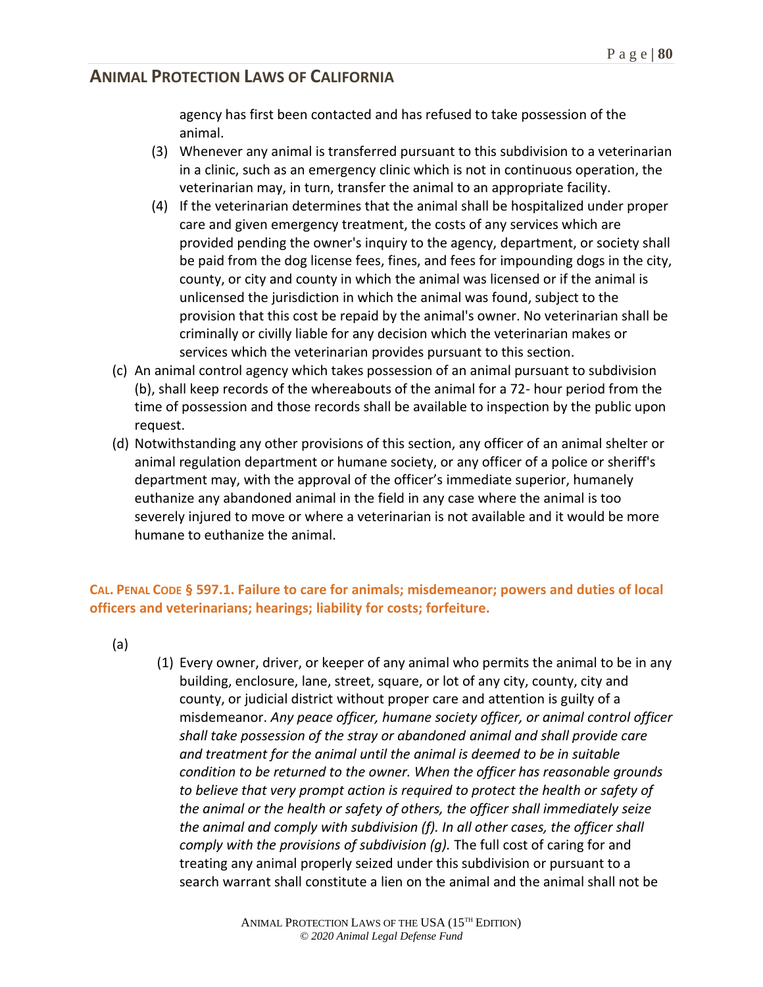agency has first been contacted and has refused to take possession of the animal.

- (3) Whenever any animal is transferred pursuant to this subdivision to a veterinarian in a clinic, such as an emergency clinic which is not in continuous operation, the veterinarian may, in turn, transfer the animal to an appropriate facility.
- (4) If the veterinarian determines that the animal shall be hospitalized under proper care and given emergency treatment, the costs of any services which are provided pending the owner's inquiry to the agency, department, or society shall be paid from the dog license fees, fines, and fees for impounding dogs in the city, county, or city and county in which the animal was licensed or if the animal is unlicensed the jurisdiction in which the animal was found, subject to the provision that this cost be repaid by the animal's owner. No veterinarian shall be criminally or civilly liable for any decision which the veterinarian makes or services which the veterinarian provides pursuant to this section.
- (c) An animal control agency which takes possession of an animal pursuant to subdivision (b), shall keep records of the whereabouts of the animal for a 72- hour period from the time of possession and those records shall be available to inspection by the public upon request.
- (d) Notwithstanding any other provisions of this section, any officer of an animal shelter or animal regulation department or humane society, or any officer of a police or sheriff's department may, with the approval of the officer's immediate superior, humanely euthanize any abandoned animal in the field in any case where the animal is too severely injured to move or where a veterinarian is not available and it would be more humane to euthanize the animal.

### **CAL. PENAL CODE § 597.1. Failure to care for animals; misdemeanor; powers and duties of local officers and veterinarians; hearings; liability for costs; forfeiture.**

- (a)
- (1) Every owner, driver, or keeper of any animal who permits the animal to be in any building, enclosure, lane, street, square, or lot of any city, county, city and county, or judicial district without proper care and attention is guilty of a misdemeanor. *Any peace officer, humane society officer, or animal control officer shall take possession of the stray or abandoned animal and shall provide care and treatment for the animal until the animal is deemed to be in suitable condition to be returned to the owner. When the officer has reasonable grounds to believe that very prompt action is required to protect the health or safety of the animal or the health or safety of others, the officer shall immediately seize the animal and comply with subdivision (f). In all other cases, the officer shall comply with the provisions of subdivision (g).* The full cost of caring for and treating any animal properly seized under this subdivision or pursuant to a search warrant shall constitute a lien on the animal and the animal shall not be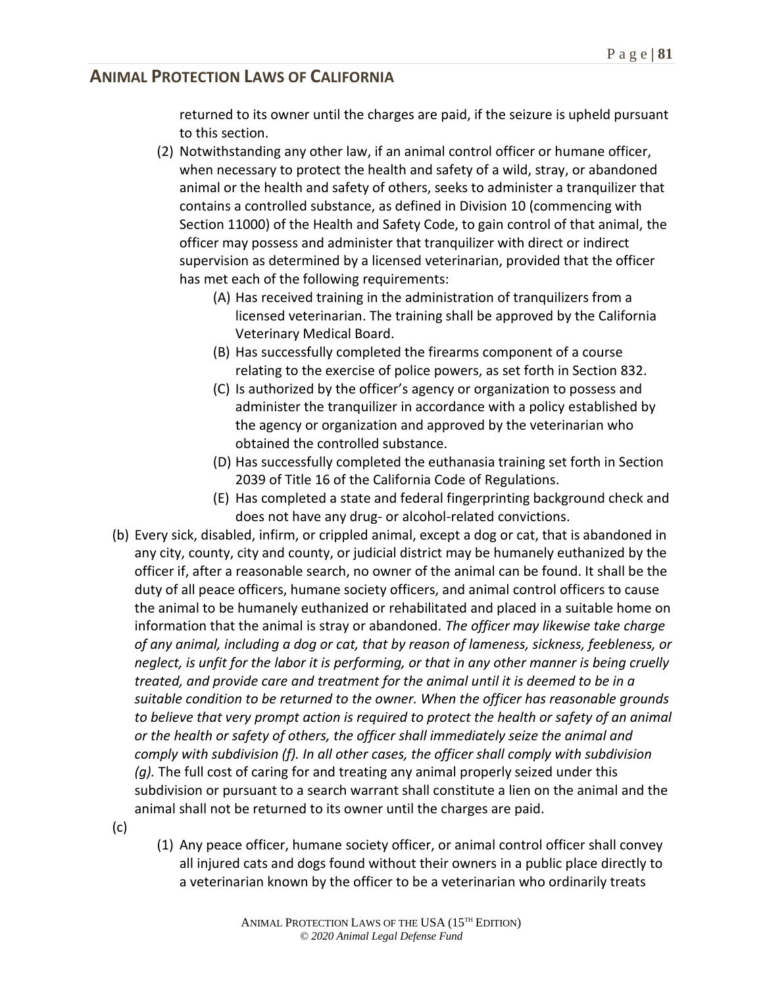returned to its owner until the charges are paid, if the seizure is upheld pursuant to this section.

- (2) Notwithstanding any other law, if an animal control officer or humane officer, when necessary to protect the health and safety of a wild, stray, or abandoned animal or the health and safety of others, seeks to administer a tranquilizer that contains a controlled substance, as defined in Division 10 (commencing with Section 11000) of the Health and Safety Code, to gain control of that animal, the officer may possess and administer that tranquilizer with direct or indirect supervision as determined by a licensed veterinarian, provided that the officer has met each of the following requirements:
	- (A) Has received training in the administration of tranquilizers from a licensed veterinarian. The training shall be approved by the California Veterinary Medical Board.
	- (B) Has successfully completed the firearms component of a course relating to the exercise of police powers, as set forth in Section 832.
	- (C) Is authorized by the officer's agency or organization to possess and administer the tranquilizer in accordance with a policy established by the agency or organization and approved by the veterinarian who obtained the controlled substance.
	- (D) Has successfully completed the euthanasia training set forth in Section 2039 of Title 16 of the California Code of Regulations.
	- (E) Has completed a state and federal fingerprinting background check and does not have any drug- or alcohol-related convictions.
- (b) Every sick, disabled, infirm, or crippled animal, except a dog or cat, that is abandoned in any city, county, city and county, or judicial district may be humanely euthanized by the officer if, after a reasonable search, no owner of the animal can be found. It shall be the duty of all peace officers, humane society officers, and animal control officers to cause the animal to be humanely euthanized or rehabilitated and placed in a suitable home on information that the animal is stray or abandoned. *The officer may likewise take charge of any animal, including a dog or cat, that by reason of lameness, sickness, feebleness, or neglect, is unfit for the labor it is performing, or that in any other manner is being cruelly treated, and provide care and treatment for the animal until it is deemed to be in a suitable condition to be returned to the owner. When the officer has reasonable grounds to believe that very prompt action is required to protect the health or safety of an animal or the health or safety of others, the officer shall immediately seize the animal and comply with subdivision (f). In all other cases, the officer shall comply with subdivision (g).* The full cost of caring for and treating any animal properly seized under this subdivision or pursuant to a search warrant shall constitute a lien on the animal and the animal shall not be returned to its owner until the charges are paid.
- (c)
- (1) Any peace officer, humane society officer, or animal control officer shall convey all injured cats and dogs found without their owners in a public place directly to a veterinarian known by the officer to be a veterinarian who ordinarily treats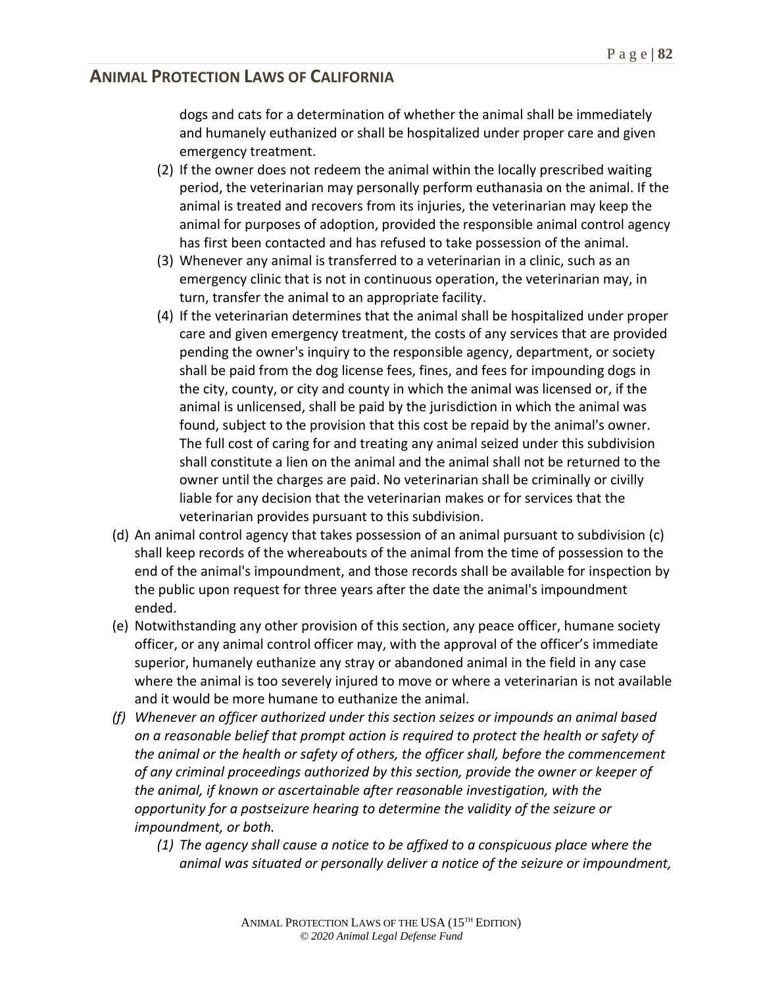dogs and cats for a determination of whether the animal shall be immediately and humanely euthanized or shall be hospitalized under proper care and given emergency treatment.

- (2) If the owner does not redeem the animal within the locally prescribed waiting period, the veterinarian may personally perform euthanasia on the animal. If the animal is treated and recovers from its injuries, the veterinarian may keep the animal for purposes of adoption, provided the responsible animal control agency has first been contacted and has refused to take possession of the animal.
- (3) Whenever any animal is transferred to a veterinarian in a clinic, such as an emergency clinic that is not in continuous operation, the veterinarian may, in turn, transfer the animal to an appropriate facility.
- (4) If the veterinarian determines that the animal shall be hospitalized under proper care and given emergency treatment, the costs of any services that are provided pending the owner's inquiry to the responsible agency, department, or society shall be paid from the dog license fees, fines, and fees for impounding dogs in the city, county, or city and county in which the animal was licensed or, if the animal is unlicensed, shall be paid by the jurisdiction in which the animal was found, subject to the provision that this cost be repaid by the animal's owner. The full cost of caring for and treating any animal seized under this subdivision shall constitute a lien on the animal and the animal shall not be returned to the owner until the charges are paid. No veterinarian shall be criminally or civilly liable for any decision that the veterinarian makes or for services that the veterinarian provides pursuant to this subdivision.
- (d) An animal control agency that takes possession of an animal pursuant to subdivision (c) shall keep records of the whereabouts of the animal from the time of possession to the end of the animal's impoundment, and those records shall be available for inspection by the public upon request for three years after the date the animal's impoundment ended.
- (e) Notwithstanding any other provision of this section, any peace officer, humane society officer, or any animal control officer may, with the approval of the officer's immediate superior, humanely euthanize any stray or abandoned animal in the field in any case where the animal is too severely injured to move or where a veterinarian is not available and it would be more humane to euthanize the animal.
- *(f) Whenever an officer authorized under this section seizes or impounds an animal based on a reasonable belief that prompt action is required to protect the health or safety of the animal or the health or safety of others, the officer shall, before the commencement of any criminal proceedings authorized by this section, provide the owner or keeper of the animal, if known or ascertainable after reasonable investigation, with the opportunity for a postseizure hearing to determine the validity of the seizure or impoundment, or both.*
	- *(1) The agency shall cause a notice to be affixed to a conspicuous place where the animal was situated or personally deliver a notice of the seizure or impoundment,*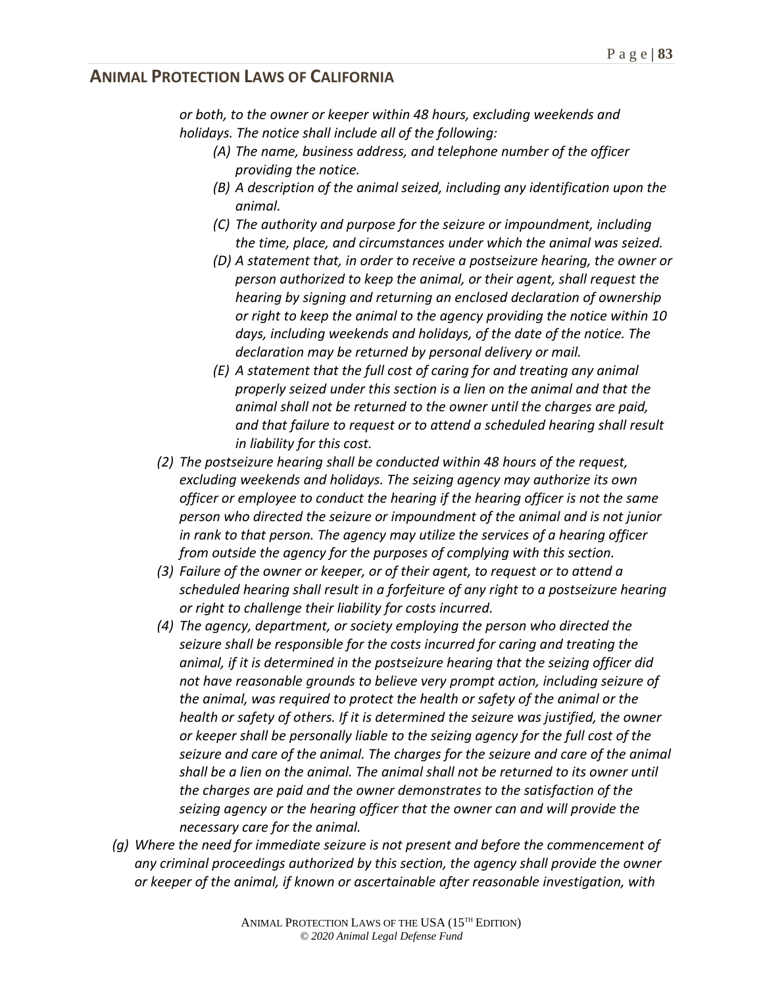*or both, to the owner or keeper within 48 hours, excluding weekends and holidays. The notice shall include all of the following:*

- *(A) The name, business address, and telephone number of the officer providing the notice.*
- *(B) A description of the animal seized, including any identification upon the animal.*
- *(C) The authority and purpose for the seizure or impoundment, including the time, place, and circumstances under which the animal was seized.*
- *(D) A statement that, in order to receive a postseizure hearing, the owner or person authorized to keep the animal, or their agent, shall request the hearing by signing and returning an enclosed declaration of ownership or right to keep the animal to the agency providing the notice within 10 days, including weekends and holidays, of the date of the notice. The declaration may be returned by personal delivery or mail.*
- *(E) A statement that the full cost of caring for and treating any animal properly seized under this section is a lien on the animal and that the animal shall not be returned to the owner until the charges are paid, and that failure to request or to attend a scheduled hearing shall result in liability for this cost.*
- *(2) The postseizure hearing shall be conducted within 48 hours of the request, excluding weekends and holidays. The seizing agency may authorize its own officer or employee to conduct the hearing if the hearing officer is not the same person who directed the seizure or impoundment of the animal and is not junior in rank to that person. The agency may utilize the services of a hearing officer from outside the agency for the purposes of complying with this section.*
- *(3) Failure of the owner or keeper, or of their agent, to request or to attend a scheduled hearing shall result in a forfeiture of any right to a postseizure hearing or right to challenge their liability for costs incurred.*
- *(4) The agency, department, or society employing the person who directed the seizure shall be responsible for the costs incurred for caring and treating the animal, if it is determined in the postseizure hearing that the seizing officer did not have reasonable grounds to believe very prompt action, including seizure of the animal, was required to protect the health or safety of the animal or the health or safety of others. If it is determined the seizure was justified, the owner or keeper shall be personally liable to the seizing agency for the full cost of the seizure and care of the animal. The charges for the seizure and care of the animal shall be a lien on the animal. The animal shall not be returned to its owner until the charges are paid and the owner demonstrates to the satisfaction of the seizing agency or the hearing officer that the owner can and will provide the necessary care for the animal.*
- *(g) Where the need for immediate seizure is not present and before the commencement of any criminal proceedings authorized by this section, the agency shall provide the owner or keeper of the animal, if known or ascertainable after reasonable investigation, with*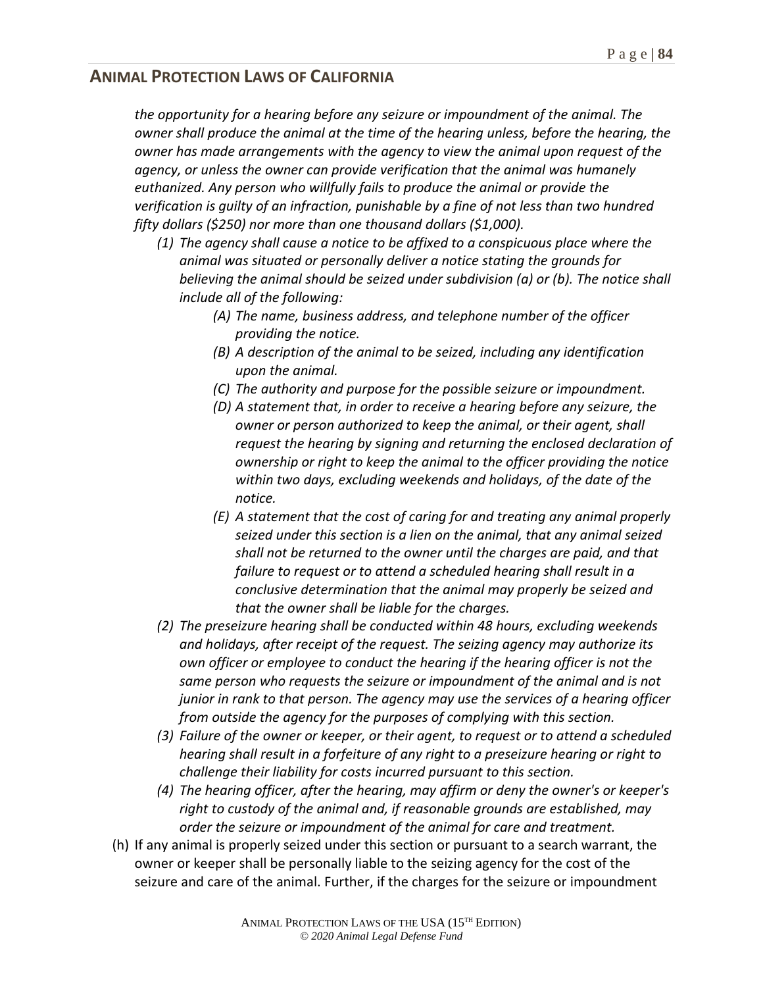*the opportunity for a hearing before any seizure or impoundment of the animal. The owner shall produce the animal at the time of the hearing unless, before the hearing, the owner has made arrangements with the agency to view the animal upon request of the agency, or unless the owner can provide verification that the animal was humanely euthanized. Any person who willfully fails to produce the animal or provide the verification is guilty of an infraction, punishable by a fine of not less than two hundred fifty dollars (\$250) nor more than one thousand dollars (\$1,000).*

- *(1) The agency shall cause a notice to be affixed to a conspicuous place where the animal was situated or personally deliver a notice stating the grounds for believing the animal should be seized under subdivision (a) or (b). The notice shall include all of the following:*
	- *(A) The name, business address, and telephone number of the officer providing the notice.*
	- *(B) A description of the animal to be seized, including any identification upon the animal.*
	- *(C) The authority and purpose for the possible seizure or impoundment.*
	- *(D) A statement that, in order to receive a hearing before any seizure, the owner or person authorized to keep the animal, or their agent, shall request the hearing by signing and returning the enclosed declaration of ownership or right to keep the animal to the officer providing the notice within two days, excluding weekends and holidays, of the date of the notice.*
	- *(E) A statement that the cost of caring for and treating any animal properly seized under this section is a lien on the animal, that any animal seized shall not be returned to the owner until the charges are paid, and that failure to request or to attend a scheduled hearing shall result in a conclusive determination that the animal may properly be seized and that the owner shall be liable for the charges.*
- *(2) The preseizure hearing shall be conducted within 48 hours, excluding weekends and holidays, after receipt of the request. The seizing agency may authorize its own officer or employee to conduct the hearing if the hearing officer is not the same person who requests the seizure or impoundment of the animal and is not junior in rank to that person. The agency may use the services of a hearing officer from outside the agency for the purposes of complying with this section.*
- *(3) Failure of the owner or keeper, or their agent, to request or to attend a scheduled hearing shall result in a forfeiture of any right to a preseizure hearing or right to challenge their liability for costs incurred pursuant to this section.*
- *(4) The hearing officer, after the hearing, may affirm or deny the owner's or keeper's right to custody of the animal and, if reasonable grounds are established, may order the seizure or impoundment of the animal for care and treatment.*
- (h) If any animal is properly seized under this section or pursuant to a search warrant, the owner or keeper shall be personally liable to the seizing agency for the cost of the seizure and care of the animal. Further, if the charges for the seizure or impoundment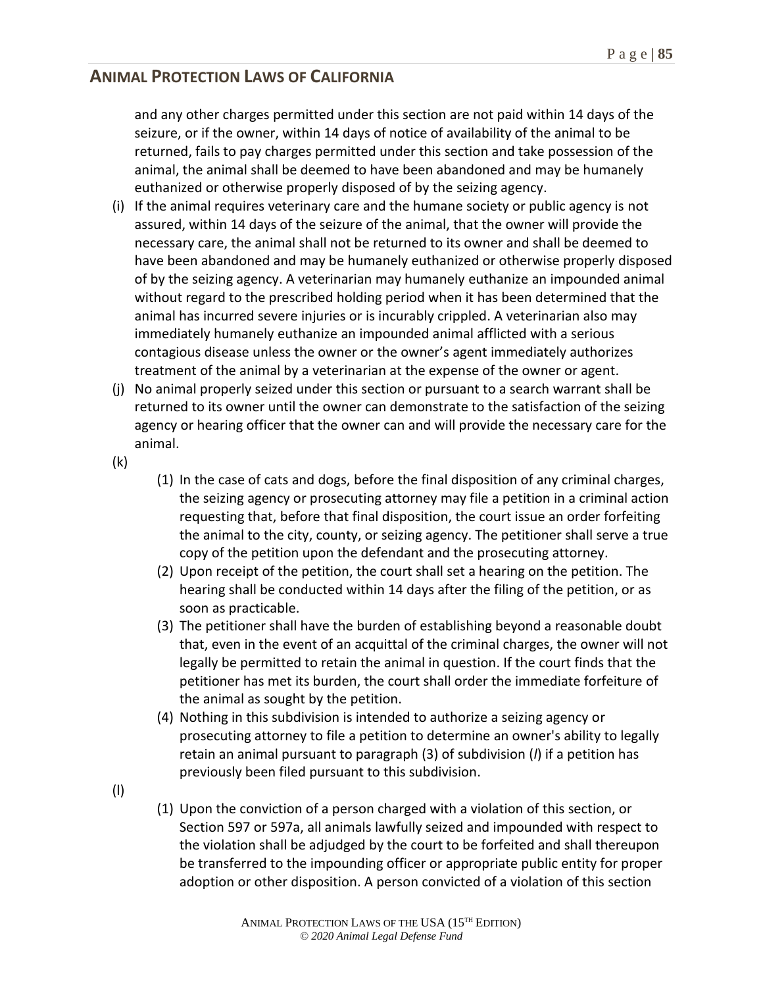and any other charges permitted under this section are not paid within 14 days of the seizure, or if the owner, within 14 days of notice of availability of the animal to be returned, fails to pay charges permitted under this section and take possession of the animal, the animal shall be deemed to have been abandoned and may be humanely euthanized or otherwise properly disposed of by the seizing agency.

- (i) If the animal requires veterinary care and the humane society or public agency is not assured, within 14 days of the seizure of the animal, that the owner will provide the necessary care, the animal shall not be returned to its owner and shall be deemed to have been abandoned and may be humanely euthanized or otherwise properly disposed of by the seizing agency. A veterinarian may humanely euthanize an impounded animal without regard to the prescribed holding period when it has been determined that the animal has incurred severe injuries or is incurably crippled. A veterinarian also may immediately humanely euthanize an impounded animal afflicted with a serious contagious disease unless the owner or the owner's agent immediately authorizes treatment of the animal by a veterinarian at the expense of the owner or agent.
- (j) No animal properly seized under this section or pursuant to a search warrant shall be returned to its owner until the owner can demonstrate to the satisfaction of the seizing agency or hearing officer that the owner can and will provide the necessary care for the animal.
- (k)
- (1) In the case of cats and dogs, before the final disposition of any criminal charges, the seizing agency or prosecuting attorney may file a petition in a criminal action requesting that, before that final disposition, the court issue an order forfeiting the animal to the city, county, or seizing agency. The petitioner shall serve a true copy of the petition upon the defendant and the prosecuting attorney.
- (2) Upon receipt of the petition, the court shall set a hearing on the petition. The hearing shall be conducted within 14 days after the filing of the petition, or as soon as practicable.
- (3) The petitioner shall have the burden of establishing beyond a reasonable doubt that, even in the event of an acquittal of the criminal charges, the owner will not legally be permitted to retain the animal in question. If the court finds that the petitioner has met its burden, the court shall order the immediate forfeiture of the animal as sought by the petition.
- (4) Nothing in this subdivision is intended to authorize a seizing agency or prosecuting attorney to file a petition to determine an owner's ability to legally retain an animal pursuant to paragraph (3) of subdivision (*l*) if a petition has previously been filed pursuant to this subdivision.
- (l)
- (1) Upon the conviction of a person charged with a violation of this section, or Section 597 or 597a, all animals lawfully seized and impounded with respect to the violation shall be adjudged by the court to be forfeited and shall thereupon be transferred to the impounding officer or appropriate public entity for proper adoption or other disposition. A person convicted of a violation of this section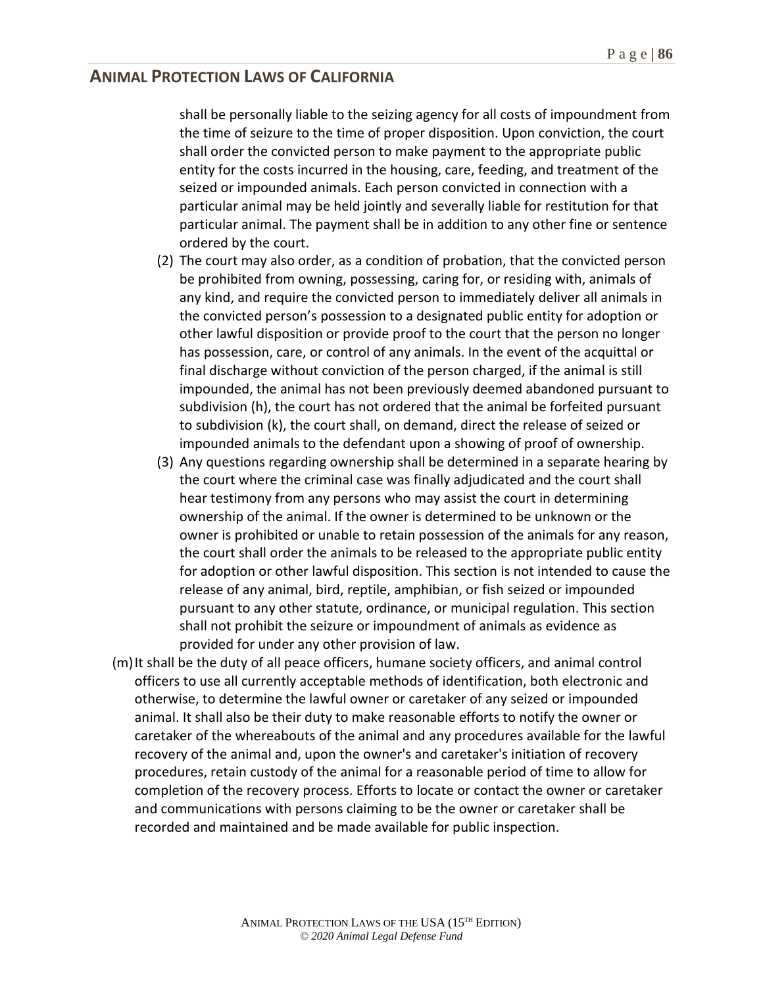shall be personally liable to the seizing agency for all costs of impoundment from the time of seizure to the time of proper disposition. Upon conviction, the court shall order the convicted person to make payment to the appropriate public entity for the costs incurred in the housing, care, feeding, and treatment of the seized or impounded animals. Each person convicted in connection with a particular animal may be held jointly and severally liable for restitution for that particular animal. The payment shall be in addition to any other fine or sentence ordered by the court.

- (2) The court may also order, as a condition of probation, that the convicted person be prohibited from owning, possessing, caring for, or residing with, animals of any kind, and require the convicted person to immediately deliver all animals in the convicted person's possession to a designated public entity for adoption or other lawful disposition or provide proof to the court that the person no longer has possession, care, or control of any animals. In the event of the acquittal or final discharge without conviction of the person charged, if the animal is still impounded, the animal has not been previously deemed abandoned pursuant to subdivision (h), the court has not ordered that the animal be forfeited pursuant to subdivision (k), the court shall, on demand, direct the release of seized or impounded animals to the defendant upon a showing of proof of ownership.
- (3) Any questions regarding ownership shall be determined in a separate hearing by the court where the criminal case was finally adjudicated and the court shall hear testimony from any persons who may assist the court in determining ownership of the animal. If the owner is determined to be unknown or the owner is prohibited or unable to retain possession of the animals for any reason, the court shall order the animals to be released to the appropriate public entity for adoption or other lawful disposition. This section is not intended to cause the release of any animal, bird, reptile, amphibian, or fish seized or impounded pursuant to any other statute, ordinance, or municipal regulation. This section shall not prohibit the seizure or impoundment of animals as evidence as provided for under any other provision of law.
- (m)It shall be the duty of all peace officers, humane society officers, and animal control officers to use all currently acceptable methods of identification, both electronic and otherwise, to determine the lawful owner or caretaker of any seized or impounded animal. It shall also be their duty to make reasonable efforts to notify the owner or caretaker of the whereabouts of the animal and any procedures available for the lawful recovery of the animal and, upon the owner's and caretaker's initiation of recovery procedures, retain custody of the animal for a reasonable period of time to allow for completion of the recovery process. Efforts to locate or contact the owner or caretaker and communications with persons claiming to be the owner or caretaker shall be recorded and maintained and be made available for public inspection.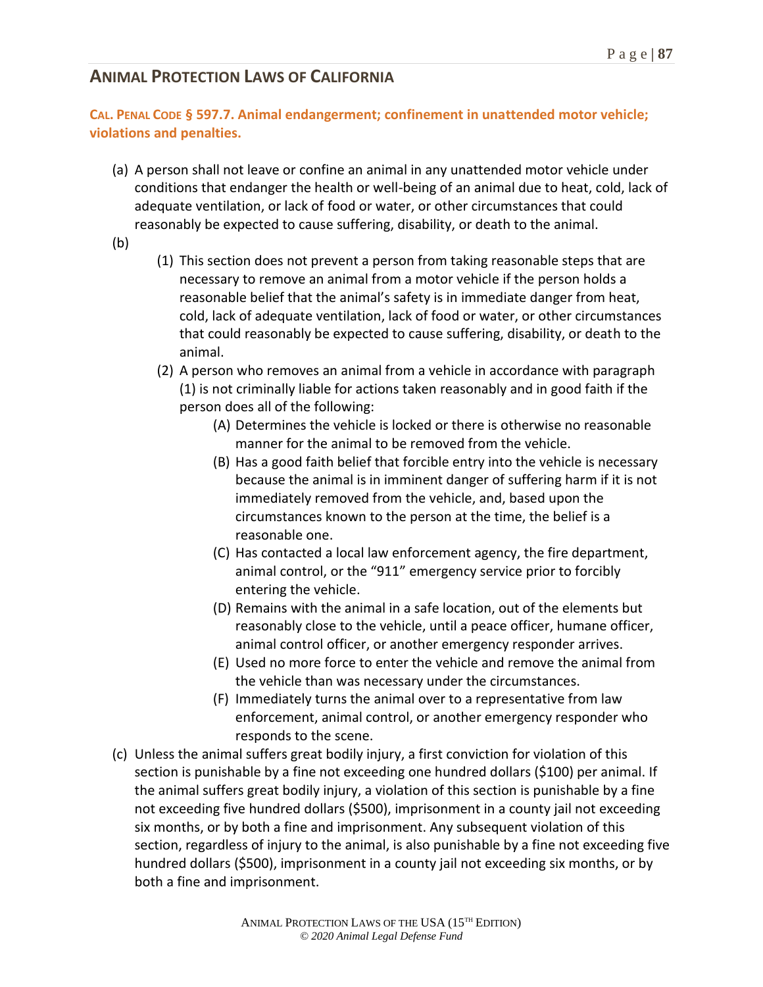**CAL. PENAL CODE § 597.7. Animal endangerment; confinement in unattended motor vehicle; violations and penalties.**

- (a) A person shall not leave or confine an animal in any unattended motor vehicle under conditions that endanger the health or well-being of an animal due to heat, cold, lack of adequate ventilation, or lack of food or water, or other circumstances that could reasonably be expected to cause suffering, disability, or death to the animal.
- (b)
- (1) This section does not prevent a person from taking reasonable steps that are necessary to remove an animal from a motor vehicle if the person holds a reasonable belief that the animal's safety is in immediate danger from heat, cold, lack of adequate ventilation, lack of food or water, or other circumstances that could reasonably be expected to cause suffering, disability, or death to the animal.
- (2) A person who removes an animal from a vehicle in accordance with paragraph (1) is not criminally liable for actions taken reasonably and in good faith if the person does all of the following:
	- (A) Determines the vehicle is locked or there is otherwise no reasonable manner for the animal to be removed from the vehicle.
	- (B) Has a good faith belief that forcible entry into the vehicle is necessary because the animal is in imminent danger of suffering harm if it is not immediately removed from the vehicle, and, based upon the circumstances known to the person at the time, the belief is a reasonable one.
	- (C) Has contacted a local law enforcement agency, the fire department, animal control, or the "911" emergency service prior to forcibly entering the vehicle.
	- (D) Remains with the animal in a safe location, out of the elements but reasonably close to the vehicle, until a peace officer, humane officer, animal control officer, or another emergency responder arrives.
	- (E) Used no more force to enter the vehicle and remove the animal from the vehicle than was necessary under the circumstances.
	- (F) Immediately turns the animal over to a representative from law enforcement, animal control, or another emergency responder who responds to the scene.
- (c) Unless the animal suffers great bodily injury, a first conviction for violation of this section is punishable by a fine not exceeding one hundred dollars (\$100) per animal. If the animal suffers great bodily injury, a violation of this section is punishable by a fine not exceeding five hundred dollars (\$500), imprisonment in a county jail not exceeding six months, or by both a fine and imprisonment. Any subsequent violation of this section, regardless of injury to the animal, is also punishable by a fine not exceeding five hundred dollars (\$500), imprisonment in a county jail not exceeding six months, or by both a fine and imprisonment.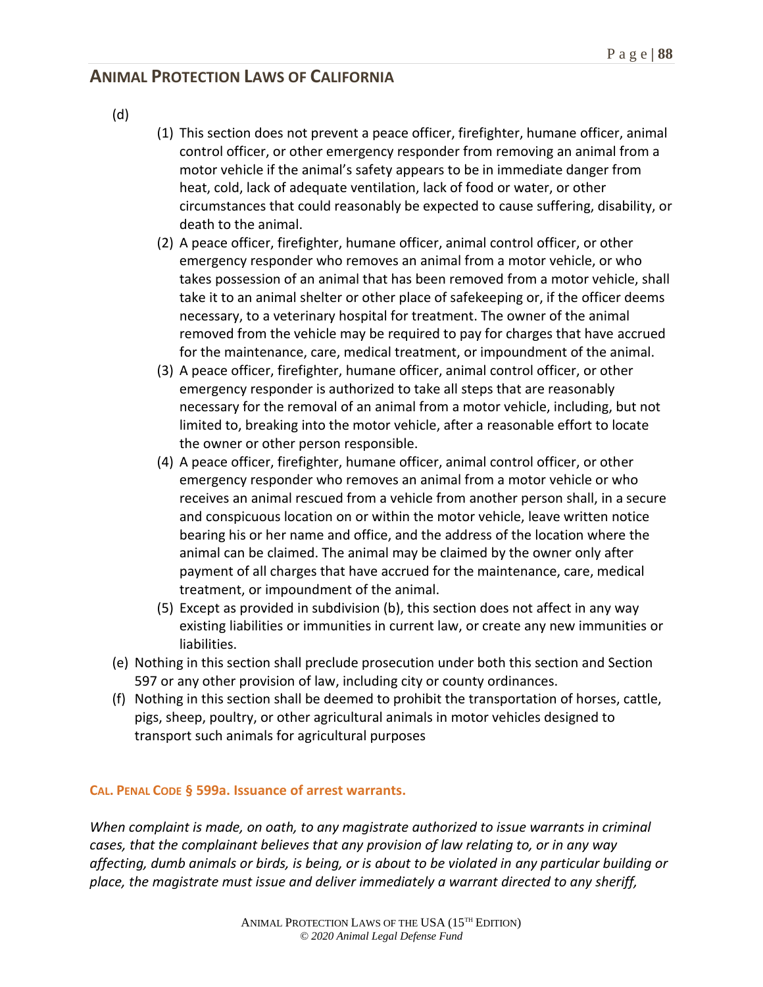- (d)
- (1) This section does not prevent a peace officer, firefighter, humane officer, animal control officer, or other emergency responder from removing an animal from a motor vehicle if the animal's safety appears to be in immediate danger from heat, cold, lack of adequate ventilation, lack of food or water, or other circumstances that could reasonably be expected to cause suffering, disability, or death to the animal.
- (2) A peace officer, firefighter, humane officer, animal control officer, or other emergency responder who removes an animal from a motor vehicle, or who takes possession of an animal that has been removed from a motor vehicle, shall take it to an animal shelter or other place of safekeeping or, if the officer deems necessary, to a veterinary hospital for treatment. The owner of the animal removed from the vehicle may be required to pay for charges that have accrued for the maintenance, care, medical treatment, or impoundment of the animal.
- (3) A peace officer, firefighter, humane officer, animal control officer, or other emergency responder is authorized to take all steps that are reasonably necessary for the removal of an animal from a motor vehicle, including, but not limited to, breaking into the motor vehicle, after a reasonable effort to locate the owner or other person responsible.
- (4) A peace officer, firefighter, humane officer, animal control officer, or other emergency responder who removes an animal from a motor vehicle or who receives an animal rescued from a vehicle from another person shall, in a secure and conspicuous location on or within the motor vehicle, leave written notice bearing his or her name and office, and the address of the location where the animal can be claimed. The animal may be claimed by the owner only after payment of all charges that have accrued for the maintenance, care, medical treatment, or impoundment of the animal.
- (5) Except as provided in subdivision (b), this section does not affect in any way existing liabilities or immunities in current law, or create any new immunities or liabilities.
- (e) Nothing in this section shall preclude prosecution under both this section and Section 597 or any other provision of law, including city or county ordinances.
- (f) Nothing in this section shall be deemed to prohibit the transportation of horses, cattle, pigs, sheep, poultry, or other agricultural animals in motor vehicles designed to transport such animals for agricultural purposes

### **CAL. PENAL CODE § 599a. Issuance of arrest warrants.**

*When complaint is made, on oath, to any magistrate authorized to issue warrants in criminal cases, that the complainant believes that any provision of law relating to, or in any way affecting, dumb animals or birds, is being, or is about to be violated in any particular building or place, the magistrate must issue and deliver immediately a warrant directed to any sheriff,*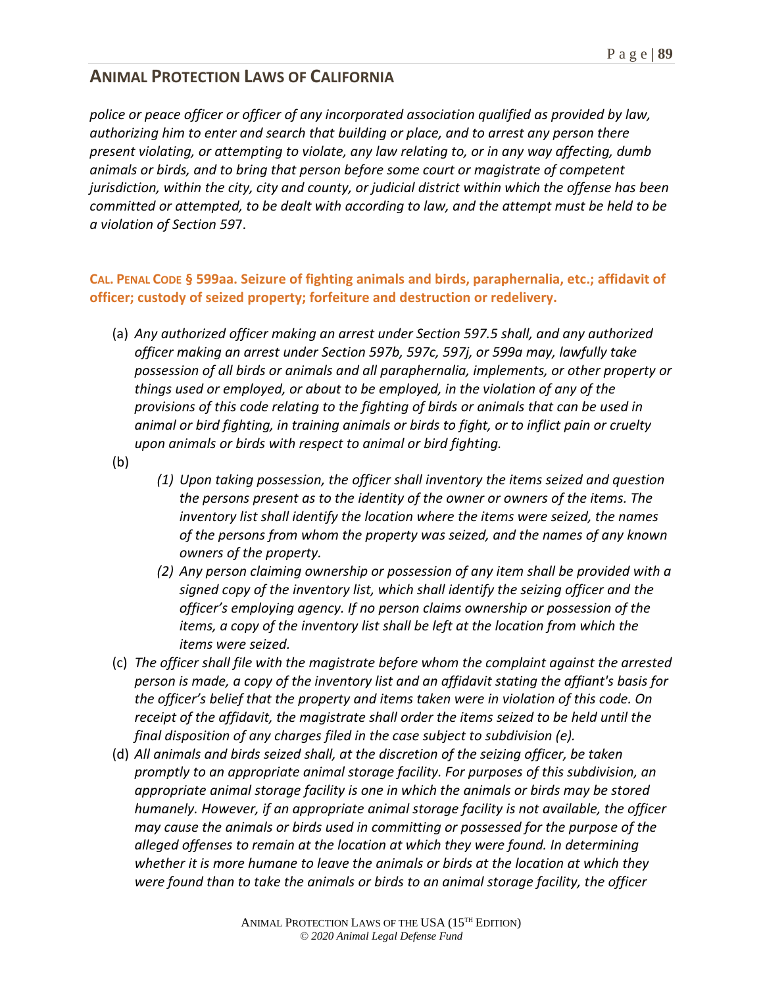*police or peace officer or officer of any incorporated association qualified as provided by law, authorizing him to enter and search that building or place, and to arrest any person there present violating, or attempting to violate, any law relating to, or in any way affecting, dumb animals or birds, and to bring that person before some court or magistrate of competent jurisdiction, within the city, city and county, or judicial district within which the offense has been committed or attempted, to be dealt with according to law, and the attempt must be held to be a violation of Section 59*7.

### **CAL. PENAL CODE § 599aa. Seizure of fighting animals and birds, paraphernalia, etc.; affidavit of officer; custody of seized property; forfeiture and destruction or redelivery.**

- (a) *Any authorized officer making an arrest under Section 597.5 shall, and any authorized officer making an arrest under Section 597b, 597c, 597j, or 599a may, lawfully take possession of all birds or animals and all paraphernalia, implements, or other property or things used or employed, or about to be employed, in the violation of any of the provisions of this code relating to the fighting of birds or animals that can be used in animal or bird fighting, in training animals or birds to fight, or to inflict pain or cruelty upon animals or birds with respect to animal or bird fighting.*
- (b)
- *(1) Upon taking possession, the officer shall inventory the items seized and question the persons present as to the identity of the owner or owners of the items. The inventory list shall identify the location where the items were seized, the names of the persons from whom the property was seized, and the names of any known owners of the property.*
- *(2) Any person claiming ownership or possession of any item shall be provided with a signed copy of the inventory list, which shall identify the seizing officer and the officer's employing agency. If no person claims ownership or possession of the items, a copy of the inventory list shall be left at the location from which the items were seized.*
- (c) *The officer shall file with the magistrate before whom the complaint against the arrested person is made, a copy of the inventory list and an affidavit stating the affiant's basis for the officer's belief that the property and items taken were in violation of this code. On receipt of the affidavit, the magistrate shall order the items seized to be held until the final disposition of any charges filed in the case subject to subdivision (e).*
- (d) *All animals and birds seized shall, at the discretion of the seizing officer, be taken promptly to an appropriate animal storage facility. For purposes of this subdivision, an appropriate animal storage facility is one in which the animals or birds may be stored humanely. However, if an appropriate animal storage facility is not available, the officer may cause the animals or birds used in committing or possessed for the purpose of the alleged offenses to remain at the location at which they were found. In determining whether it is more humane to leave the animals or birds at the location at which they were found than to take the animals or birds to an animal storage facility, the officer*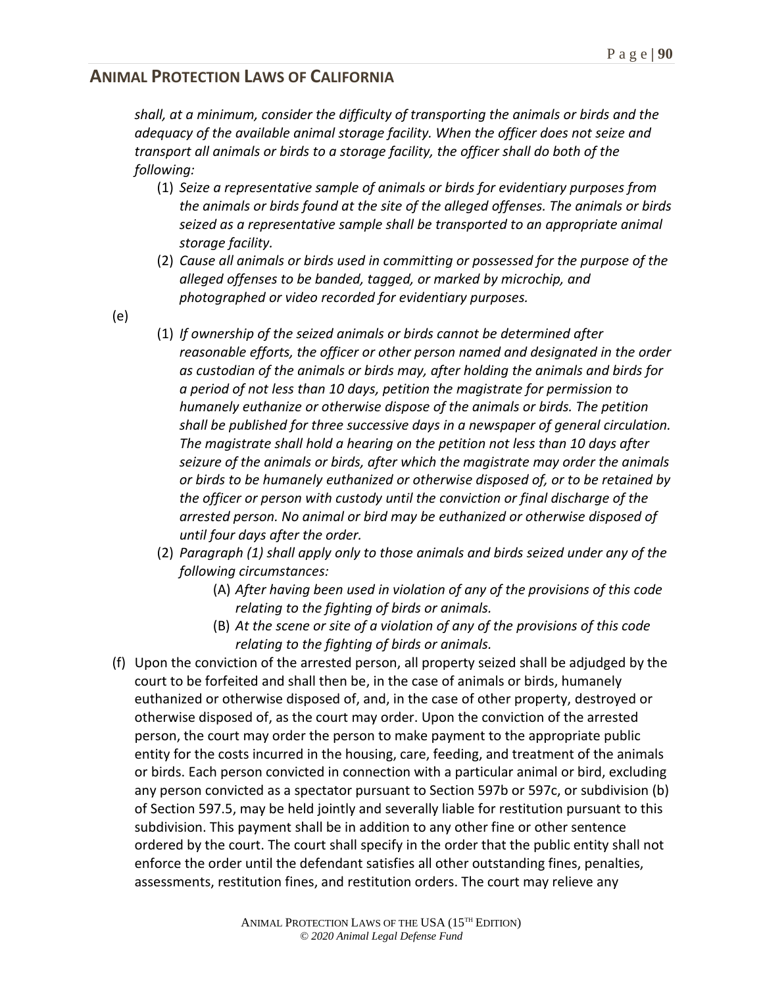*shall, at a minimum, consider the difficulty of transporting the animals or birds and the adequacy of the available animal storage facility. When the officer does not seize and transport all animals or birds to a storage facility, the officer shall do both of the following:*

- (1) *Seize a representative sample of animals or birds for evidentiary purposes from the animals or birds found at the site of the alleged offenses. The animals or birds seized as a representative sample shall be transported to an appropriate animal storage facility.*
- (2) *Cause all animals or birds used in committing or possessed for the purpose of the alleged offenses to be banded, tagged, or marked by microchip, and photographed or video recorded for evidentiary purposes.*
- (e)
- (1) *If ownership of the seized animals or birds cannot be determined after reasonable efforts, the officer or other person named and designated in the order as custodian of the animals or birds may, after holding the animals and birds for a period of not less than 10 days, petition the magistrate for permission to humanely euthanize or otherwise dispose of the animals or birds. The petition shall be published for three successive days in a newspaper of general circulation. The magistrate shall hold a hearing on the petition not less than 10 days after seizure of the animals or birds, after which the magistrate may order the animals or birds to be humanely euthanized or otherwise disposed of, or to be retained by the officer or person with custody until the conviction or final discharge of the arrested person. No animal or bird may be euthanized or otherwise disposed of until four days after the order.*
- (2) *Paragraph (1) shall apply only to those animals and birds seized under any of the following circumstances:*
	- (A) *After having been used in violation of any of the provisions of this code relating to the fighting of birds or animals.*
	- (B) *At the scene or site of a violation of any of the provisions of this code relating to the fighting of birds or animals.*
- (f) Upon the conviction of the arrested person, all property seized shall be adjudged by the court to be forfeited and shall then be, in the case of animals or birds, humanely euthanized or otherwise disposed of, and, in the case of other property, destroyed or otherwise disposed of, as the court may order. Upon the conviction of the arrested person, the court may order the person to make payment to the appropriate public entity for the costs incurred in the housing, care, feeding, and treatment of the animals or birds. Each person convicted in connection with a particular animal or bird, excluding any person convicted as a spectator pursuant to Section 597b or 597c, or subdivision (b) of Section 597.5, may be held jointly and severally liable for restitution pursuant to this subdivision. This payment shall be in addition to any other fine or other sentence ordered by the court. The court shall specify in the order that the public entity shall not enforce the order until the defendant satisfies all other outstanding fines, penalties, assessments, restitution fines, and restitution orders. The court may relieve any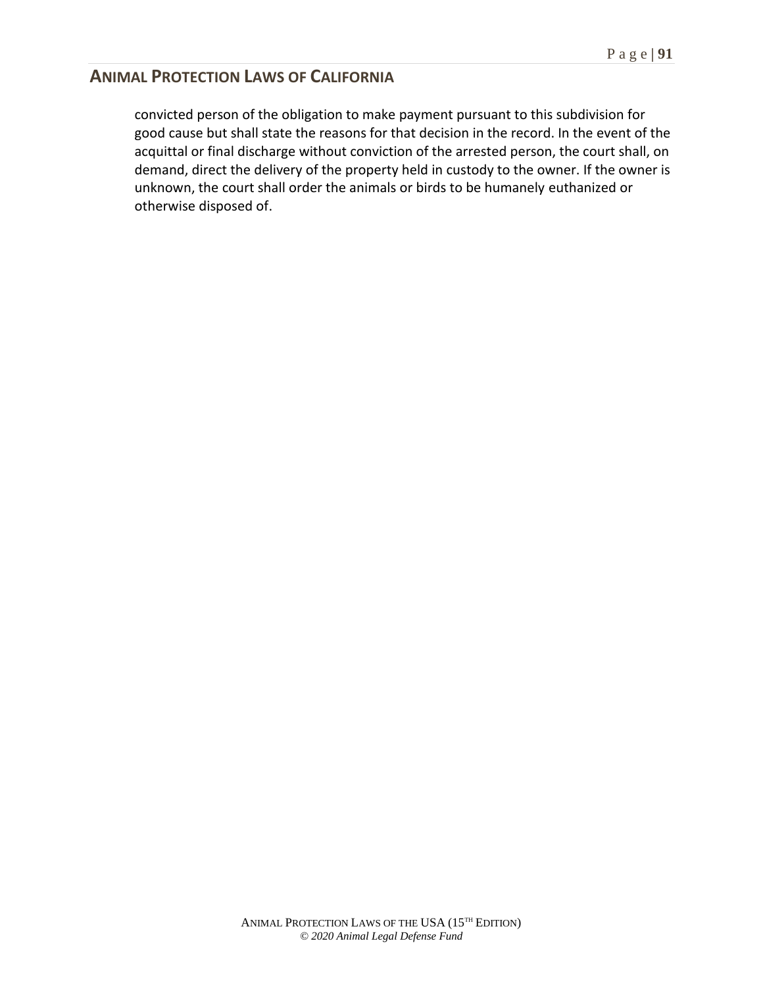convicted person of the obligation to make payment pursuant to this subdivision for good cause but shall state the reasons for that decision in the record. In the event of the acquittal or final discharge without conviction of the arrested person, the court shall, on demand, direct the delivery of the property held in custody to the owner. If the owner is unknown, the court shall order the animals or birds to be humanely euthanized or otherwise disposed of.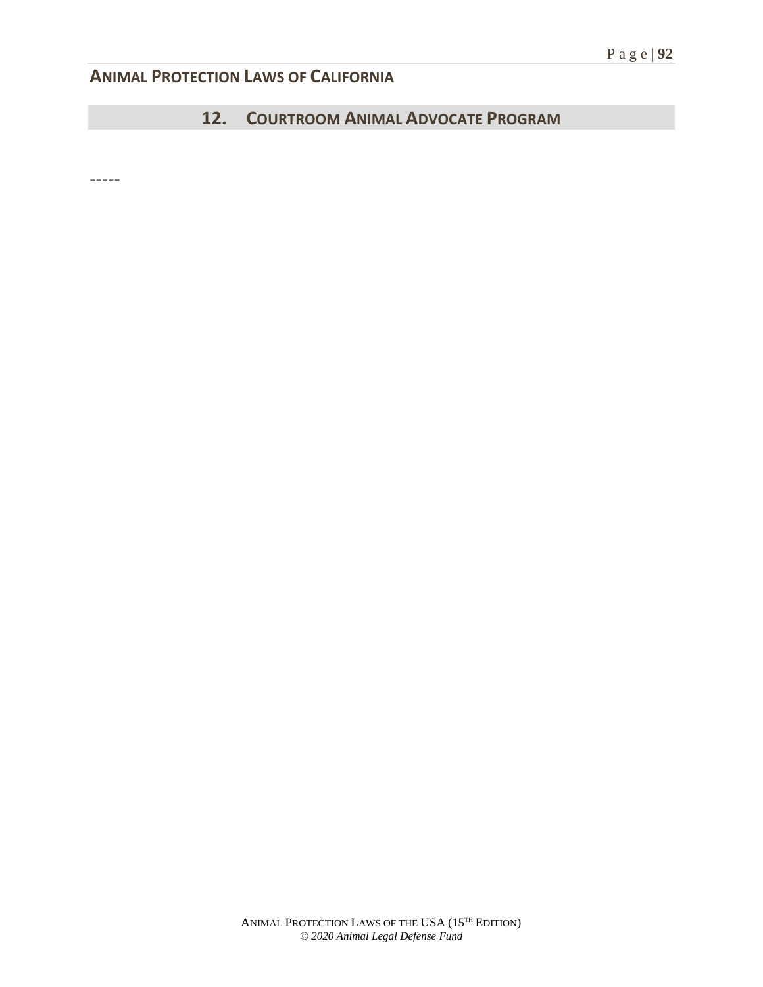# **12. COURTROOM ANIMAL ADVOCATE PROGRAM**

-----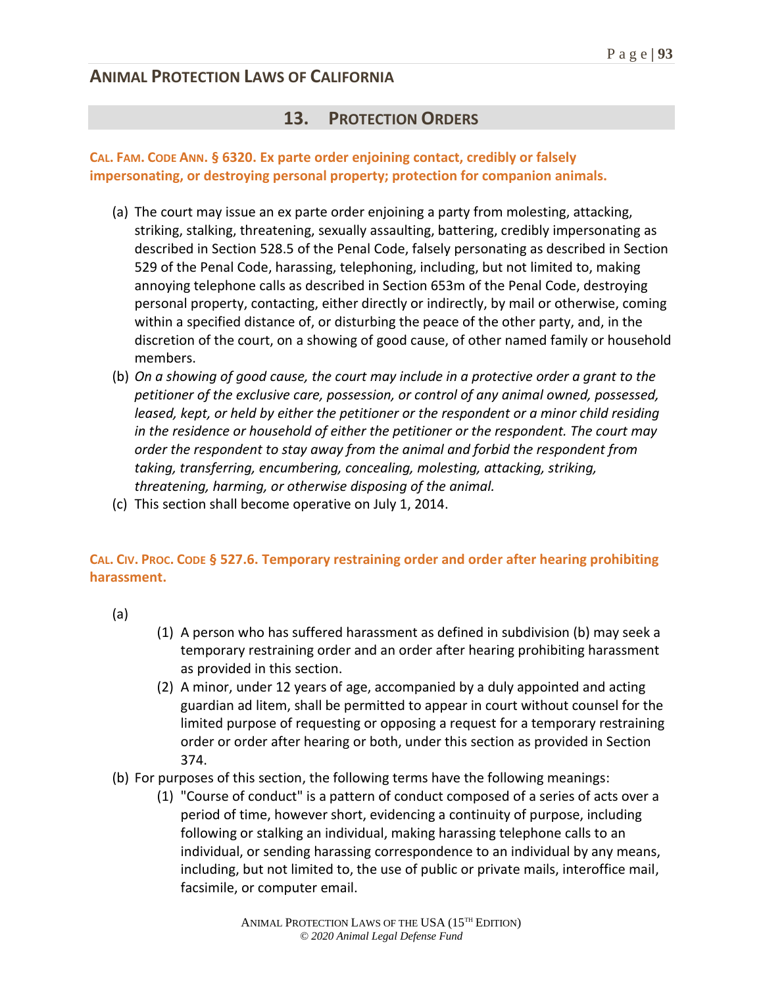# **13. PROTECTION ORDERS**

#### **CAL. FAM. CODE ANN. § 6320. Ex parte order enjoining contact, credibly or falsely impersonating, or destroying personal property; protection for companion animals.**

- (a) The court may issue an ex parte order enjoining a party from molesting, attacking, striking, stalking, threatening, sexually assaulting, battering, credibly impersonating as described in Section 528.5 of the Penal Code, falsely personating as described in Section 529 of the Penal Code, harassing, telephoning, including, but not limited to, making annoying telephone calls as described in Section 653m of the Penal Code, destroying personal property, contacting, either directly or indirectly, by mail or otherwise, coming within a specified distance of, or disturbing the peace of the other party, and, in the discretion of the court, on a showing of good cause, of other named family or household members.
- (b) *On a showing of good cause, the court may include in a protective order a grant to the petitioner of the exclusive care, possession, or control of any animal owned, possessed, leased, kept, or held by either the petitioner or the respondent or a minor child residing in the residence or household of either the petitioner or the respondent. The court may order the respondent to stay away from the animal and forbid the respondent from taking, transferring, encumbering, concealing, molesting, attacking, striking, threatening, harming, or otherwise disposing of the animal.*
- (c) This section shall become operative on July 1, 2014.

### **CAL. CIV. PROC. CODE § 527.6. Temporary restraining order and order after hearing prohibiting harassment.**

(a)

- (1) A person who has suffered harassment as defined in subdivision (b) may seek a temporary restraining order and an order after hearing prohibiting harassment as provided in this section.
- (2) A minor, under 12 years of age, accompanied by a duly appointed and acting guardian ad litem, shall be permitted to appear in court without counsel for the limited purpose of requesting or opposing a request for a temporary restraining order or order after hearing or both, under this section as provided in Section 374.
- (b) For purposes of this section, the following terms have the following meanings:
	- (1) "Course of conduct" is a pattern of conduct composed of a series of acts over a period of time, however short, evidencing a continuity of purpose, including following or stalking an individual, making harassing telephone calls to an individual, or sending harassing correspondence to an individual by any means, including, but not limited to, the use of public or private mails, interoffice mail, facsimile, or computer email.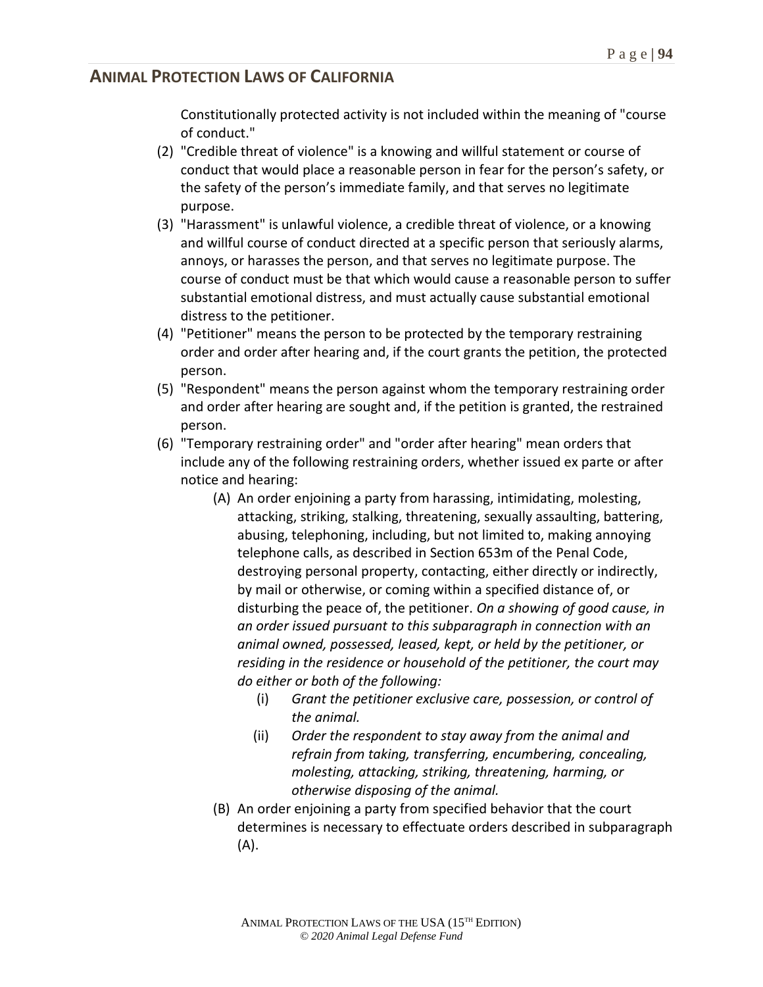Constitutionally protected activity is not included within the meaning of "course of conduct."

- (2) "Credible threat of violence" is a knowing and willful statement or course of conduct that would place a reasonable person in fear for the person's safety, or the safety of the person's immediate family, and that serves no legitimate purpose.
- (3) "Harassment" is unlawful violence, a credible threat of violence, or a knowing and willful course of conduct directed at a specific person that seriously alarms, annoys, or harasses the person, and that serves no legitimate purpose. The course of conduct must be that which would cause a reasonable person to suffer substantial emotional distress, and must actually cause substantial emotional distress to the petitioner.
- (4) "Petitioner" means the person to be protected by the temporary restraining order and order after hearing and, if the court grants the petition, the protected person.
- (5) "Respondent" means the person against whom the temporary restraining order and order after hearing are sought and, if the petition is granted, the restrained person.
- (6) "Temporary restraining order" and "order after hearing" mean orders that include any of the following restraining orders, whether issued ex parte or after notice and hearing:
	- (A) An order enjoining a party from harassing, intimidating, molesting, attacking, striking, stalking, threatening, sexually assaulting, battering, abusing, telephoning, including, but not limited to, making annoying telephone calls, as described in Section 653m of the Penal Code, destroying personal property, contacting, either directly or indirectly, by mail or otherwise, or coming within a specified distance of, or disturbing the peace of, the petitioner. *On a showing of good cause, in an order issued pursuant to this subparagraph in connection with an animal owned, possessed, leased, kept, or held by the petitioner, or residing in the residence or household of the petitioner, the court may do either or both of the following:*
		- (i) *Grant the petitioner exclusive care, possession, or control of the animal.*
		- (ii) *Order the respondent to stay away from the animal and refrain from taking, transferring, encumbering, concealing, molesting, attacking, striking, threatening, harming, or otherwise disposing of the animal.*
	- (B) An order enjoining a party from specified behavior that the court determines is necessary to effectuate orders described in subparagraph (A).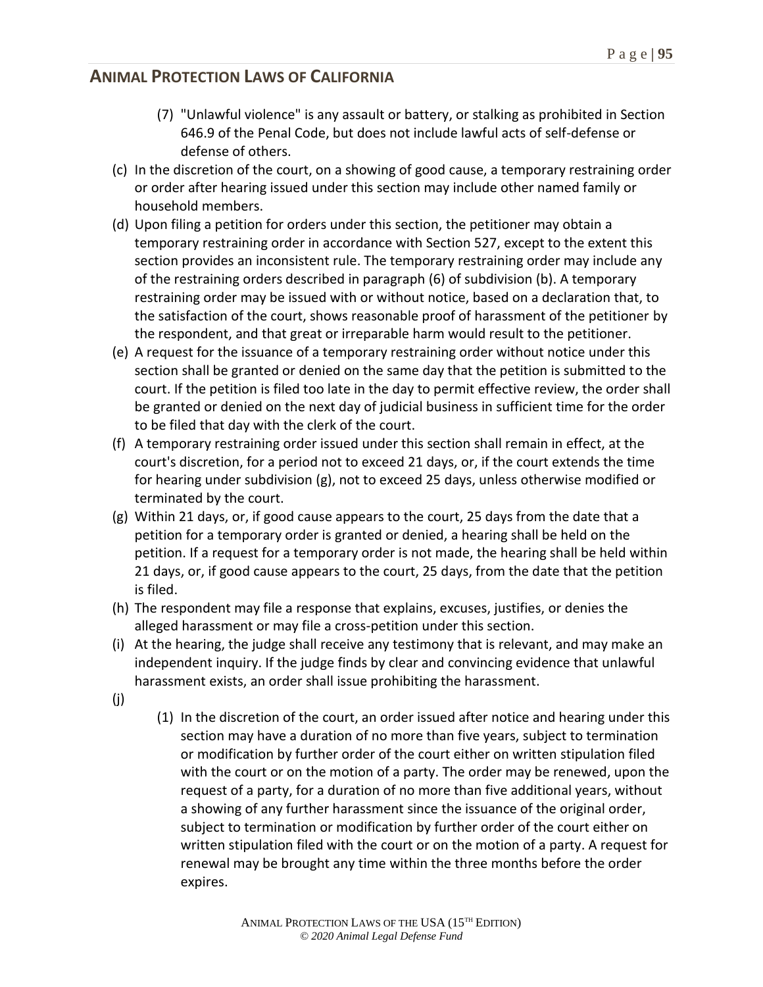- (7) "Unlawful violence" is any assault or battery, or stalking as prohibited in Section 646.9 of the Penal Code, but does not include lawful acts of self-defense or defense of others.
- (c) In the discretion of the court, on a showing of good cause, a temporary restraining order or order after hearing issued under this section may include other named family or household members.
- (d) Upon filing a petition for orders under this section, the petitioner may obtain a temporary restraining order in accordance with Section 527, except to the extent this section provides an inconsistent rule. The temporary restraining order may include any of the restraining orders described in paragraph (6) of subdivision (b). A temporary restraining order may be issued with or without notice, based on a declaration that, to the satisfaction of the court, shows reasonable proof of harassment of the petitioner by the respondent, and that great or irreparable harm would result to the petitioner.
- (e) A request for the issuance of a temporary restraining order without notice under this section shall be granted or denied on the same day that the petition is submitted to the court. If the petition is filed too late in the day to permit effective review, the order shall be granted or denied on the next day of judicial business in sufficient time for the order to be filed that day with the clerk of the court.
- (f) A temporary restraining order issued under this section shall remain in effect, at the court's discretion, for a period not to exceed 21 days, or, if the court extends the time for hearing under subdivision (g), not to exceed 25 days, unless otherwise modified or terminated by the court.
- (g) Within 21 days, or, if good cause appears to the court, 25 days from the date that a petition for a temporary order is granted or denied, a hearing shall be held on the petition. If a request for a temporary order is not made, the hearing shall be held within 21 days, or, if good cause appears to the court, 25 days, from the date that the petition is filed.
- (h) The respondent may file a response that explains, excuses, justifies, or denies the alleged harassment or may file a cross-petition under this section.
- (i) At the hearing, the judge shall receive any testimony that is relevant, and may make an independent inquiry. If the judge finds by clear and convincing evidence that unlawful harassment exists, an order shall issue prohibiting the harassment.
- (j)
- (1) In the discretion of the court, an order issued after notice and hearing under this section may have a duration of no more than five years, subject to termination or modification by further order of the court either on written stipulation filed with the court or on the motion of a party. The order may be renewed, upon the request of a party, for a duration of no more than five additional years, without a showing of any further harassment since the issuance of the original order, subject to termination or modification by further order of the court either on written stipulation filed with the court or on the motion of a party. A request for renewal may be brought any time within the three months before the order expires.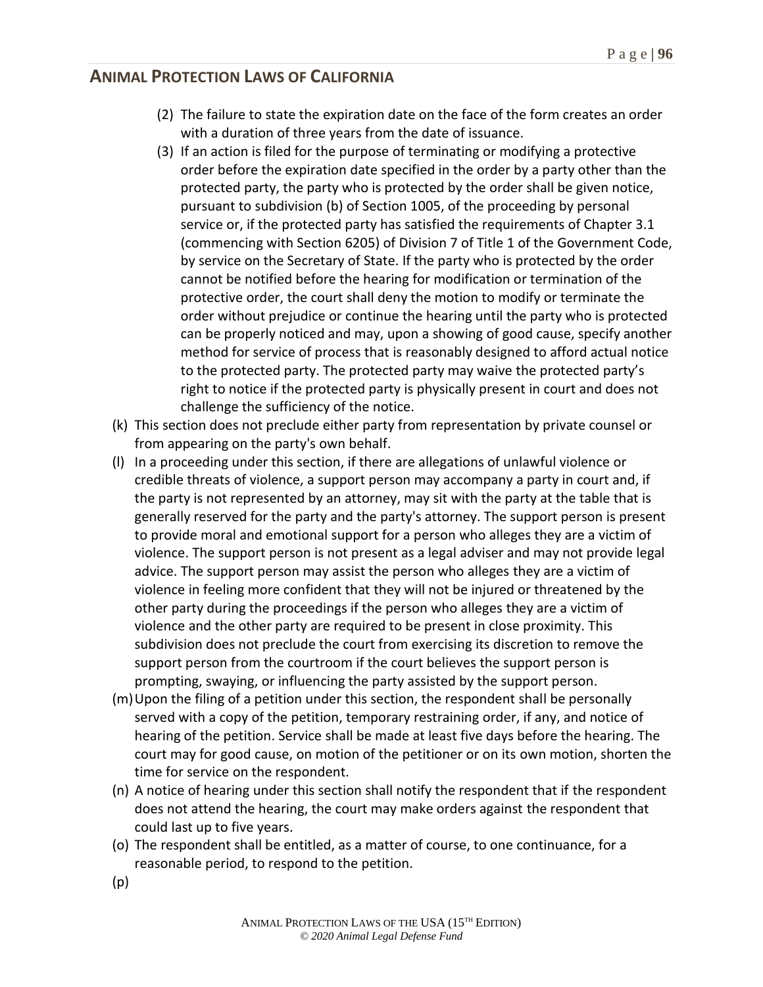- (2) The failure to state the expiration date on the face of the form creates an order with a duration of three years from the date of issuance.
- (3) If an action is filed for the purpose of terminating or modifying a protective order before the expiration date specified in the order by a party other than the protected party, the party who is protected by the order shall be given notice, pursuant to subdivision (b) of Section 1005, of the proceeding by personal service or, if the protected party has satisfied the requirements of Chapter 3.1 (commencing with Section 6205) of Division 7 of Title 1 of the Government Code, by service on the Secretary of State. If the party who is protected by the order cannot be notified before the hearing for modification or termination of the protective order, the court shall deny the motion to modify or terminate the order without prejudice or continue the hearing until the party who is protected can be properly noticed and may, upon a showing of good cause, specify another method for service of process that is reasonably designed to afford actual notice to the protected party. The protected party may waive the protected party's right to notice if the protected party is physically present in court and does not challenge the sufficiency of the notice.
- (k) This section does not preclude either party from representation by private counsel or from appearing on the party's own behalf.
- (l) In a proceeding under this section, if there are allegations of unlawful violence or credible threats of violence, a support person may accompany a party in court and, if the party is not represented by an attorney, may sit with the party at the table that is generally reserved for the party and the party's attorney. The support person is present to provide moral and emotional support for a person who alleges they are a victim of violence. The support person is not present as a legal adviser and may not provide legal advice. The support person may assist the person who alleges they are a victim of violence in feeling more confident that they will not be injured or threatened by the other party during the proceedings if the person who alleges they are a victim of violence and the other party are required to be present in close proximity. This subdivision does not preclude the court from exercising its discretion to remove the support person from the courtroom if the court believes the support person is prompting, swaying, or influencing the party assisted by the support person.
- (m)Upon the filing of a petition under this section, the respondent shall be personally served with a copy of the petition, temporary restraining order, if any, and notice of hearing of the petition. Service shall be made at least five days before the hearing. The court may for good cause, on motion of the petitioner or on its own motion, shorten the time for service on the respondent.
- (n) A notice of hearing under this section shall notify the respondent that if the respondent does not attend the hearing, the court may make orders against the respondent that could last up to five years.
- (o) The respondent shall be entitled, as a matter of course, to one continuance, for a reasonable period, to respond to the petition.
- (p)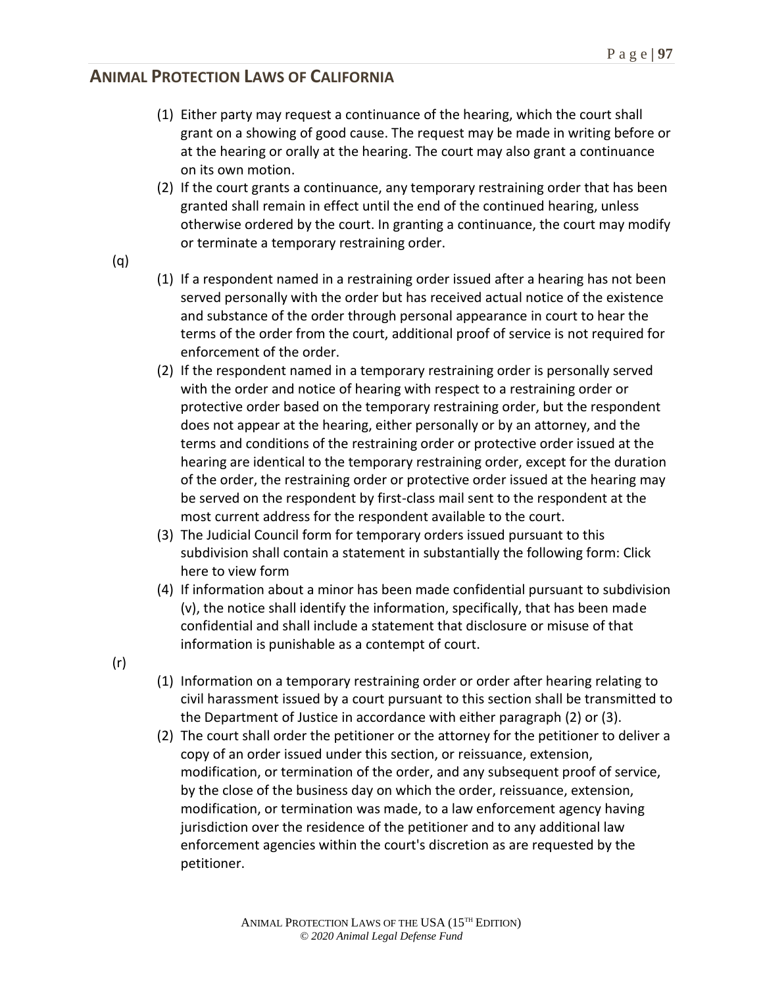- (1) Either party may request a continuance of the hearing, which the court shall grant on a showing of good cause. The request may be made in writing before or at the hearing or orally at the hearing. The court may also grant a continuance on its own motion.
- (2) If the court grants a continuance, any temporary restraining order that has been granted shall remain in effect until the end of the continued hearing, unless otherwise ordered by the court. In granting a continuance, the court may modify or terminate a temporary restraining order.
- (q)
- (1) If a respondent named in a restraining order issued after a hearing has not been served personally with the order but has received actual notice of the existence and substance of the order through personal appearance in court to hear the terms of the order from the court, additional proof of service is not required for enforcement of the order.
- (2) If the respondent named in a temporary restraining order is personally served with the order and notice of hearing with respect to a restraining order or protective order based on the temporary restraining order, but the respondent does not appear at the hearing, either personally or by an attorney, and the terms and conditions of the restraining order or protective order issued at the hearing are identical to the temporary restraining order, except for the duration of the order, the restraining order or protective order issued at the hearing may be served on the respondent by first-class mail sent to the respondent at the most current address for the respondent available to the court.
- (3) The Judicial Council form for temporary orders issued pursuant to this subdivision shall contain a statement in substantially the following form: Click here to view form
- (4) If information about a minor has been made confidential pursuant to subdivision (v), the notice shall identify the information, specifically, that has been made confidential and shall include a statement that disclosure or misuse of that information is punishable as a contempt of court.
- (r)
- (1) Information on a temporary restraining order or order after hearing relating to civil harassment issued by a court pursuant to this section shall be transmitted to the Department of Justice in accordance with either paragraph (2) or (3).
- (2) The court shall order the petitioner or the attorney for the petitioner to deliver a copy of an order issued under this section, or reissuance, extension, modification, or termination of the order, and any subsequent proof of service, by the close of the business day on which the order, reissuance, extension, modification, or termination was made, to a law enforcement agency having jurisdiction over the residence of the petitioner and to any additional law enforcement agencies within the court's discretion as are requested by the petitioner.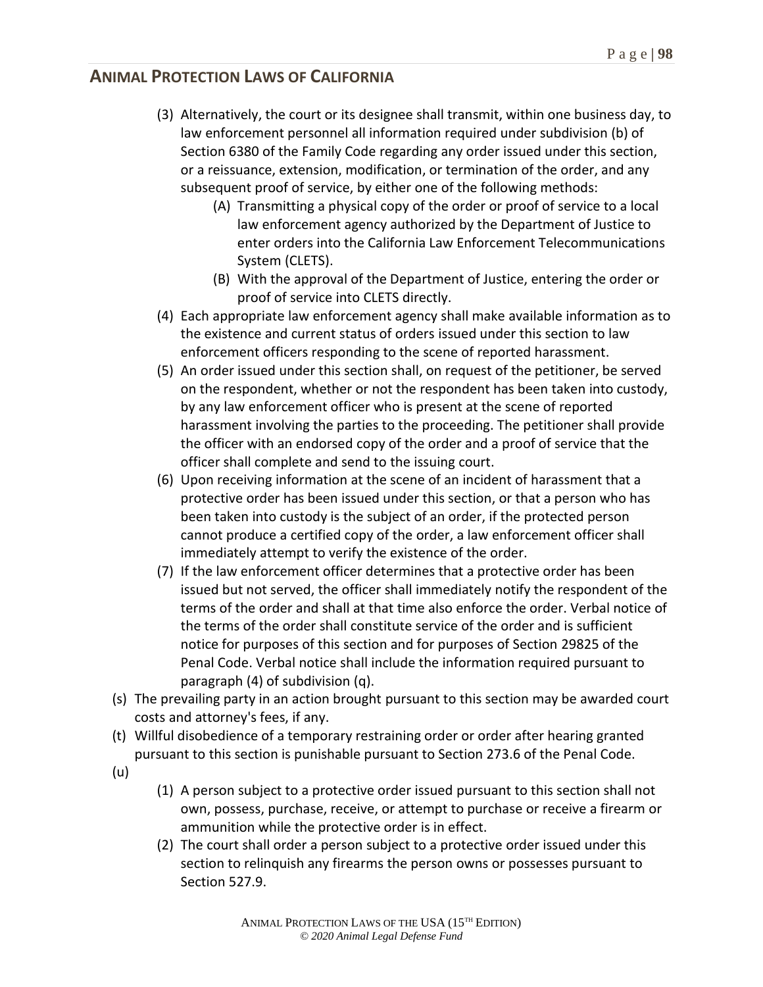- (3) Alternatively, the court or its designee shall transmit, within one business day, to law enforcement personnel all information required under subdivision (b) of Section 6380 of the Family Code regarding any order issued under this section, or a reissuance, extension, modification, or termination of the order, and any subsequent proof of service, by either one of the following methods:
	- (A) Transmitting a physical copy of the order or proof of service to a local law enforcement agency authorized by the Department of Justice to enter orders into the California Law Enforcement Telecommunications System (CLETS).
	- (B) With the approval of the Department of Justice, entering the order or proof of service into CLETS directly.
- (4) Each appropriate law enforcement agency shall make available information as to the existence and current status of orders issued under this section to law enforcement officers responding to the scene of reported harassment.
- (5) An order issued under this section shall, on request of the petitioner, be served on the respondent, whether or not the respondent has been taken into custody, by any law enforcement officer who is present at the scene of reported harassment involving the parties to the proceeding. The petitioner shall provide the officer with an endorsed copy of the order and a proof of service that the officer shall complete and send to the issuing court.
- (6) Upon receiving information at the scene of an incident of harassment that a protective order has been issued under this section, or that a person who has been taken into custody is the subject of an order, if the protected person cannot produce a certified copy of the order, a law enforcement officer shall immediately attempt to verify the existence of the order.
- (7) If the law enforcement officer determines that a protective order has been issued but not served, the officer shall immediately notify the respondent of the terms of the order and shall at that time also enforce the order. Verbal notice of the terms of the order shall constitute service of the order and is sufficient notice for purposes of this section and for purposes of Section 29825 of the Penal Code. Verbal notice shall include the information required pursuant to paragraph (4) of subdivision (q).
- (s) The prevailing party in an action brought pursuant to this section may be awarded court costs and attorney's fees, if any.
- (t) Willful disobedience of a temporary restraining order or order after hearing granted pursuant to this section is punishable pursuant to Section 273.6 of the Penal Code.
- (u)
- (1) A person subject to a protective order issued pursuant to this section shall not own, possess, purchase, receive, or attempt to purchase or receive a firearm or ammunition while the protective order is in effect.
- (2) The court shall order a person subject to a protective order issued under this section to relinquish any firearms the person owns or possesses pursuant to Section 527.9.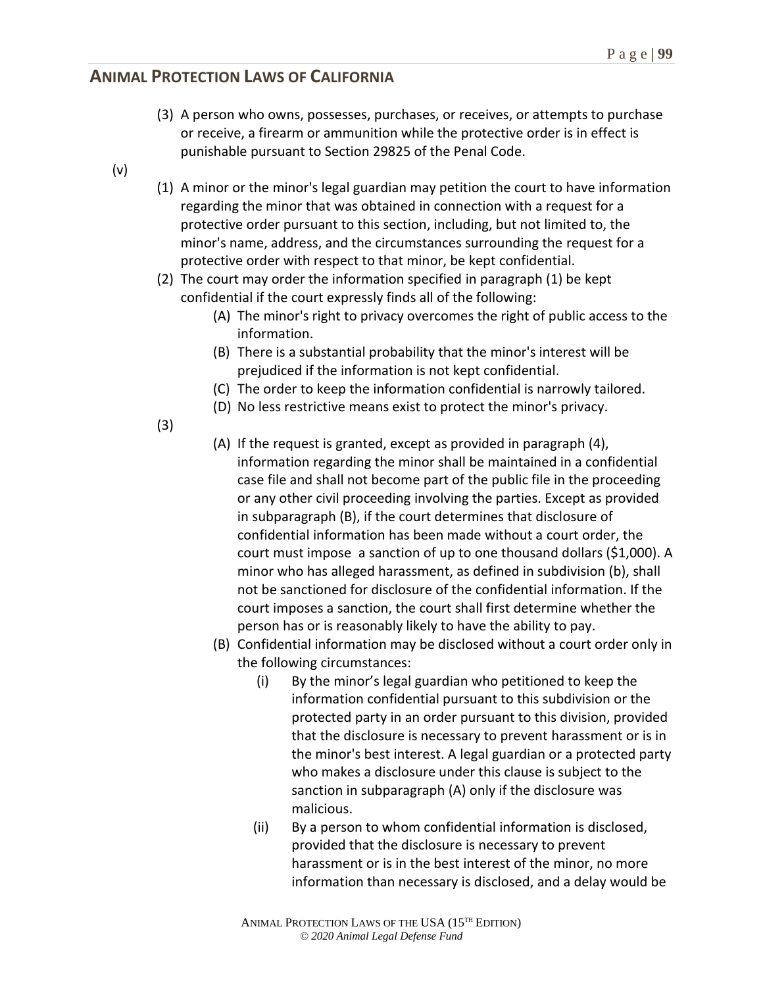- (3) A person who owns, possesses, purchases, or receives, or attempts to purchase or receive, a firearm or ammunition while the protective order is in effect is punishable pursuant to Section 29825 of the Penal Code.
- (v)
- (1) A minor or the minor's legal guardian may petition the court to have information regarding the minor that was obtained in connection with a request for a protective order pursuant to this section, including, but not limited to, the minor's name, address, and the circumstances surrounding the request for a protective order with respect to that minor, be kept confidential.
- (2) The court may order the information specified in paragraph (1) be kept confidential if the court expressly finds all of the following:
	- (A) The minor's right to privacy overcomes the right of public access to the information.
	- (B) There is a substantial probability that the minor's interest will be prejudiced if the information is not kept confidential.
	- (C) The order to keep the information confidential is narrowly tailored.
	- (D) No less restrictive means exist to protect the minor's privacy.
- (3)
- (A) If the request is granted, except as provided in paragraph (4), information regarding the minor shall be maintained in a confidential case file and shall not become part of the public file in the proceeding or any other civil proceeding involving the parties. Except as provided in subparagraph (B), if the court determines that disclosure of confidential information has been made without a court order, the court must impose a sanction of up to one thousand dollars (\$1,000). A minor who has alleged harassment, as defined in subdivision (b), shall not be sanctioned for disclosure of the confidential information. If the court imposes a sanction, the court shall first determine whether the person has or is reasonably likely to have the ability to pay.
- (B) Confidential information may be disclosed without a court order only in the following circumstances:
	- (i) By the minor's legal guardian who petitioned to keep the information confidential pursuant to this subdivision or the protected party in an order pursuant to this division, provided that the disclosure is necessary to prevent harassment or is in the minor's best interest. A legal guardian or a protected party who makes a disclosure under this clause is subject to the sanction in subparagraph (A) only if the disclosure was malicious.
	- (ii) By a person to whom confidential information is disclosed, provided that the disclosure is necessary to prevent harassment or is in the best interest of the minor, no more information than necessary is disclosed, and a delay would be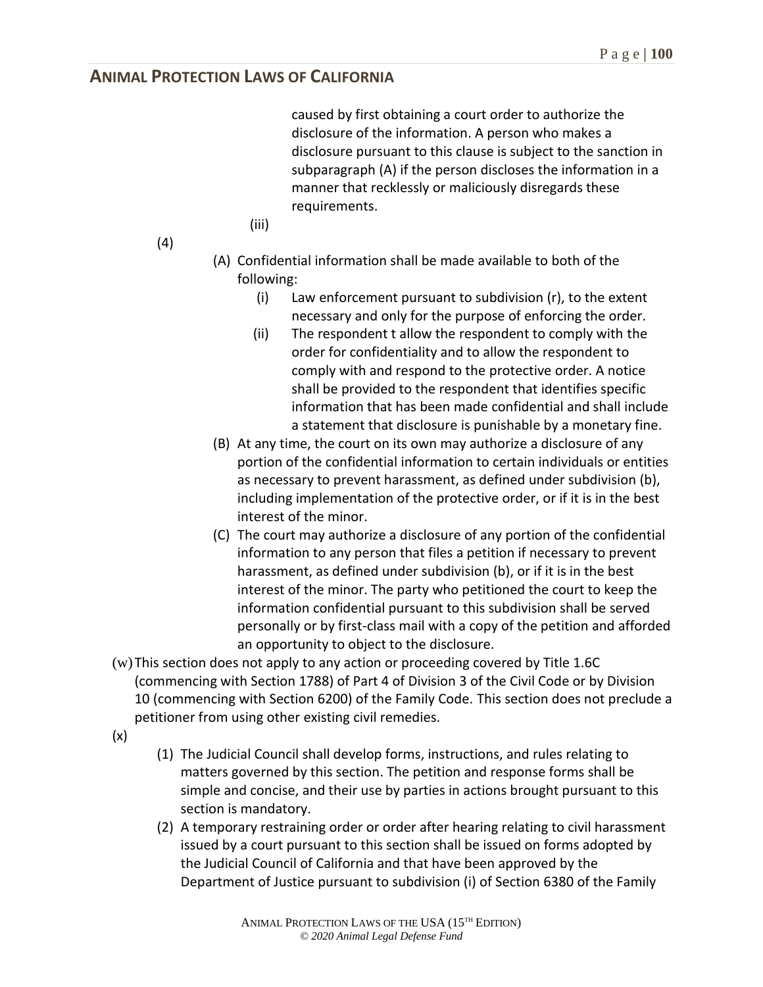caused by first obtaining a court order to authorize the disclosure of the information. A person who makes a disclosure pursuant to this clause is subject to the sanction in subparagraph (A) if the person discloses the information in a manner that recklessly or maliciously disregards these requirements.

- (iii)
- (4)
- (A) Confidential information shall be made available to both of the following:
	- (i) Law enforcement pursuant to subdivision (r), to the extent necessary and only for the purpose of enforcing the order.
	- (ii) The respondent t allow the respondent to comply with the order for confidentiality and to allow the respondent to comply with and respond to the protective order. A notice shall be provided to the respondent that identifies specific information that has been made confidential and shall include a statement that disclosure is punishable by a monetary fine.
- (B) At any time, the court on its own may authorize a disclosure of any portion of the confidential information to certain individuals or entities as necessary to prevent harassment, as defined under subdivision (b), including implementation of the protective order, or if it is in the best interest of the minor.
- (C) The court may authorize a disclosure of any portion of the confidential information to any person that files a petition if necessary to prevent harassment, as defined under subdivision (b), or if it is in the best interest of the minor. The party who petitioned the court to keep the information confidential pursuant to this subdivision shall be served personally or by first-class mail with a copy of the petition and afforded an opportunity to object to the disclosure.
- (w)This section does not apply to any action or proceeding covered by Title 1.6C (commencing with Section 1788) of Part 4 of Division 3 of the Civil Code or by Division 10 (commencing with Section 6200) of the Family Code. This section does not preclude a petitioner from using other existing civil remedies.
- (x)
- (1) The Judicial Council shall develop forms, instructions, and rules relating to matters governed by this section. The petition and response forms shall be simple and concise, and their use by parties in actions brought pursuant to this section is mandatory.
- (2) A temporary restraining order or order after hearing relating to civil harassment issued by a court pursuant to this section shall be issued on forms adopted by the Judicial Council of California and that have been approved by the Department of Justice pursuant to subdivision (i) of Section 6380 of the Family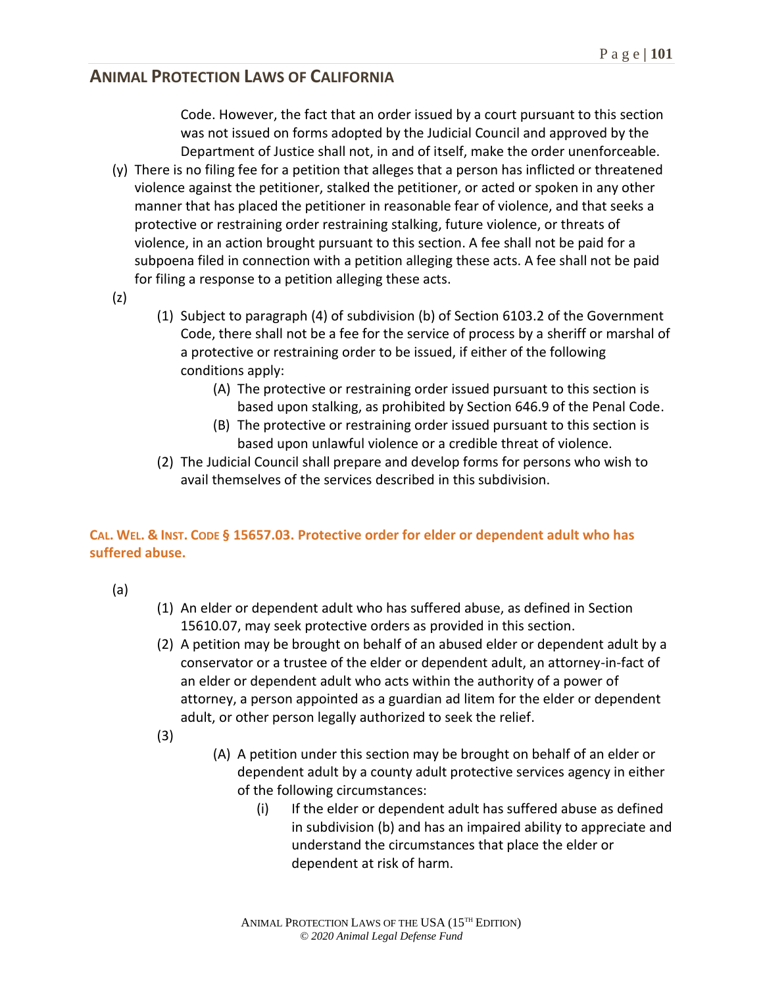Code. However, the fact that an order issued by a court pursuant to this section was not issued on forms adopted by the Judicial Council and approved by the Department of Justice shall not, in and of itself, make the order unenforceable.

- (y) There is no filing fee for a petition that alleges that a person has inflicted or threatened violence against the petitioner, stalked the petitioner, or acted or spoken in any other manner that has placed the petitioner in reasonable fear of violence, and that seeks a protective or restraining order restraining stalking, future violence, or threats of violence, in an action brought pursuant to this section. A fee shall not be paid for a subpoena filed in connection with a petition alleging these acts. A fee shall not be paid for filing a response to a petition alleging these acts.
- (z)
- (1) Subject to paragraph (4) of subdivision (b) of Section 6103.2 of the Government Code, there shall not be a fee for the service of process by a sheriff or marshal of a protective or restraining order to be issued, if either of the following conditions apply:
	- (A) The protective or restraining order issued pursuant to this section is based upon stalking, as prohibited by Section 646.9 of the Penal Code.
	- (B) The protective or restraining order issued pursuant to this section is based upon unlawful violence or a credible threat of violence.
- (2) The Judicial Council shall prepare and develop forms for persons who wish to avail themselves of the services described in this subdivision.

### **CAL. WEL. & INST. CODE § 15657.03. Protective order for elder or dependent adult who has suffered abuse.**

- (a)
- (1) An elder or dependent adult who has suffered abuse, as defined in Section 15610.07, may seek protective orders as provided in this section.
- (2) A petition may be brought on behalf of an abused elder or dependent adult by a conservator or a trustee of the elder or dependent adult, an attorney-in-fact of an elder or dependent adult who acts within the authority of a power of attorney, a person appointed as a guardian ad litem for the elder or dependent adult, or other person legally authorized to seek the relief.
- (3)
- (A) A petition under this section may be brought on behalf of an elder or dependent adult by a county adult protective services agency in either of the following circumstances:
	- (i) If the elder or dependent adult has suffered abuse as defined in subdivision (b) and has an impaired ability to appreciate and understand the circumstances that place the elder or dependent at risk of harm.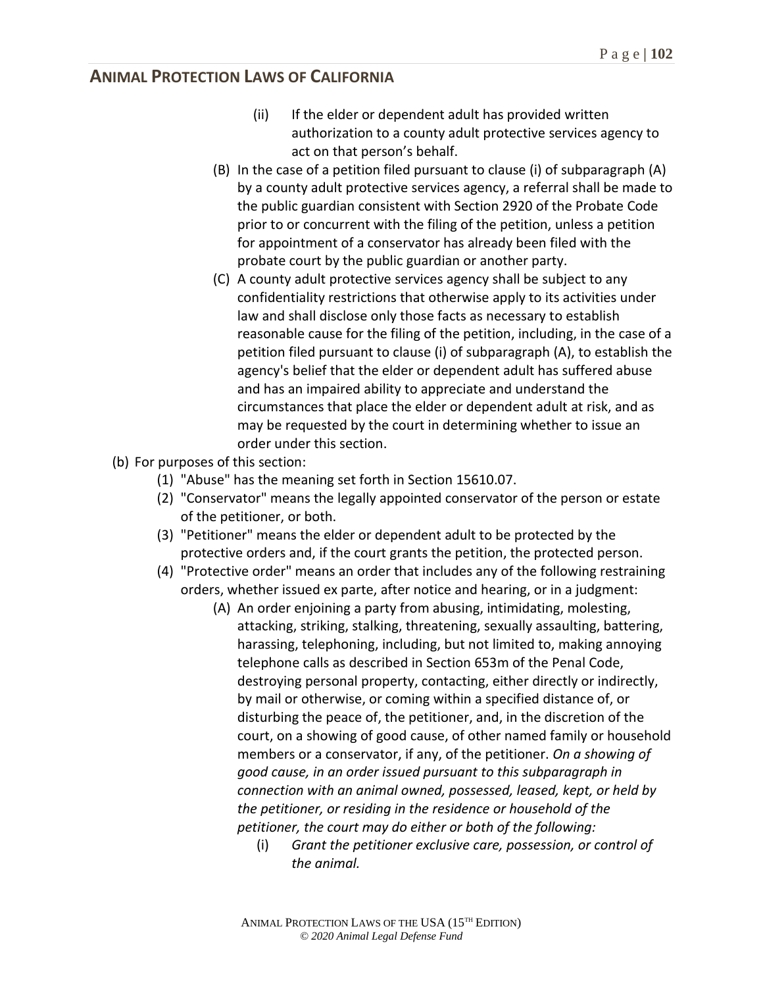- (ii) If the elder or dependent adult has provided written authorization to a county adult protective services agency to act on that person's behalf.
- (B) In the case of a petition filed pursuant to clause (i) of subparagraph (A) by a county adult protective services agency, a referral shall be made to the public guardian consistent with Section 2920 of the Probate Code prior to or concurrent with the filing of the petition, unless a petition for appointment of a conservator has already been filed with the probate court by the public guardian or another party.
- (C) A county adult protective services agency shall be subject to any confidentiality restrictions that otherwise apply to its activities under law and shall disclose only those facts as necessary to establish reasonable cause for the filing of the petition, including, in the case of a petition filed pursuant to clause (i) of subparagraph (A), to establish the agency's belief that the elder or dependent adult has suffered abuse and has an impaired ability to appreciate and understand the circumstances that place the elder or dependent adult at risk, and as may be requested by the court in determining whether to issue an order under this section.
- (b) For purposes of this section:
	- (1) "Abuse" has the meaning set forth in Section 15610.07.
	- (2) "Conservator" means the legally appointed conservator of the person or estate of the petitioner, or both.
	- (3) "Petitioner" means the elder or dependent adult to be protected by the protective orders and, if the court grants the petition, the protected person.
	- (4) "Protective order" means an order that includes any of the following restraining orders, whether issued ex parte, after notice and hearing, or in a judgment:
		- (A) An order enjoining a party from abusing, intimidating, molesting, attacking, striking, stalking, threatening, sexually assaulting, battering, harassing, telephoning, including, but not limited to, making annoying telephone calls as described in Section 653m of the Penal Code, destroying personal property, contacting, either directly or indirectly, by mail or otherwise, or coming within a specified distance of, or disturbing the peace of, the petitioner, and, in the discretion of the court, on a showing of good cause, of other named family or household members or a conservator, if any, of the petitioner. *On a showing of good cause, in an order issued pursuant to this subparagraph in connection with an animal owned, possessed, leased, kept, or held by the petitioner, or residing in the residence or household of the petitioner, the court may do either or both of the following:*
			- (i) *Grant the petitioner exclusive care, possession, or control of the animal.*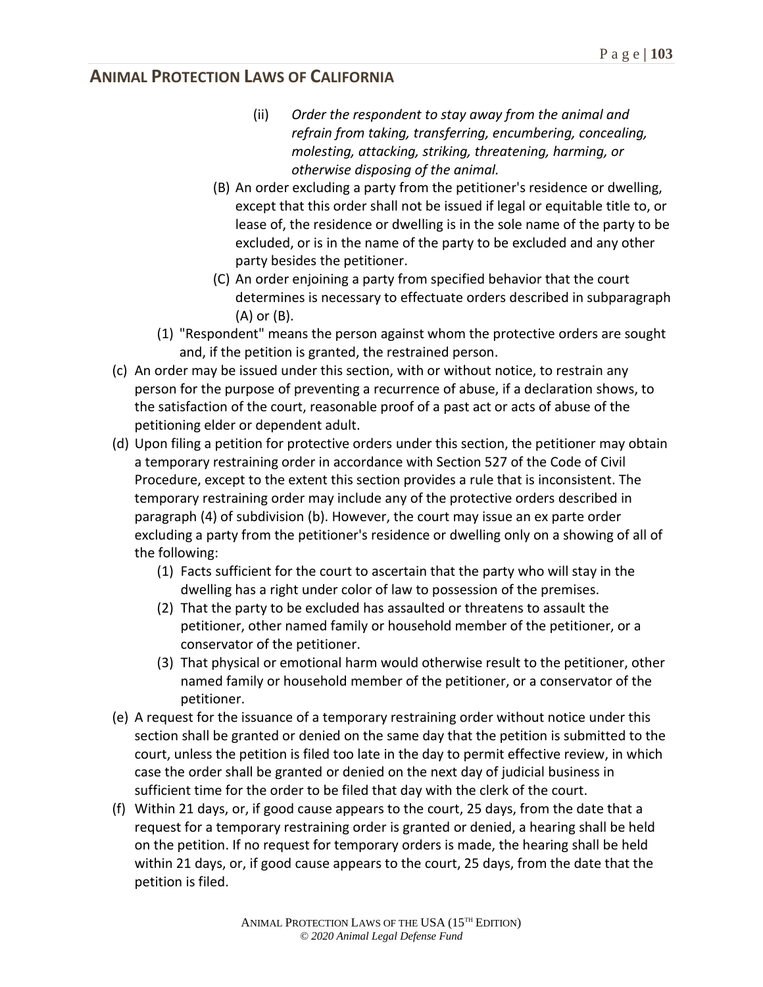- (ii) *Order the respondent to stay away from the animal and refrain from taking, transferring, encumbering, concealing, molesting, attacking, striking, threatening, harming, or otherwise disposing of the animal.*
- (B) An order excluding a party from the petitioner's residence or dwelling, except that this order shall not be issued if legal or equitable title to, or lease of, the residence or dwelling is in the sole name of the party to be excluded, or is in the name of the party to be excluded and any other party besides the petitioner.
- (C) An order enjoining a party from specified behavior that the court determines is necessary to effectuate orders described in subparagraph (A) or (B).
- (1) "Respondent" means the person against whom the protective orders are sought and, if the petition is granted, the restrained person.
- (c) An order may be issued under this section, with or without notice, to restrain any person for the purpose of preventing a recurrence of abuse, if a declaration shows, to the satisfaction of the court, reasonable proof of a past act or acts of abuse of the petitioning elder or dependent adult.
- (d) Upon filing a petition for protective orders under this section, the petitioner may obtain a temporary restraining order in accordance with Section 527 of the Code of Civil Procedure, except to the extent this section provides a rule that is inconsistent. The temporary restraining order may include any of the protective orders described in paragraph (4) of subdivision (b). However, the court may issue an ex parte order excluding a party from the petitioner's residence or dwelling only on a showing of all of the following:
	- (1) Facts sufficient for the court to ascertain that the party who will stay in the dwelling has a right under color of law to possession of the premises.
	- (2) That the party to be excluded has assaulted or threatens to assault the petitioner, other named family or household member of the petitioner, or a conservator of the petitioner.
	- (3) That physical or emotional harm would otherwise result to the petitioner, other named family or household member of the petitioner, or a conservator of the petitioner.
- (e) A request for the issuance of a temporary restraining order without notice under this section shall be granted or denied on the same day that the petition is submitted to the court, unless the petition is filed too late in the day to permit effective review, in which case the order shall be granted or denied on the next day of judicial business in sufficient time for the order to be filed that day with the clerk of the court.
- (f) Within 21 days, or, if good cause appears to the court, 25 days, from the date that a request for a temporary restraining order is granted or denied, a hearing shall be held on the petition. If no request for temporary orders is made, the hearing shall be held within 21 days, or, if good cause appears to the court, 25 days, from the date that the petition is filed.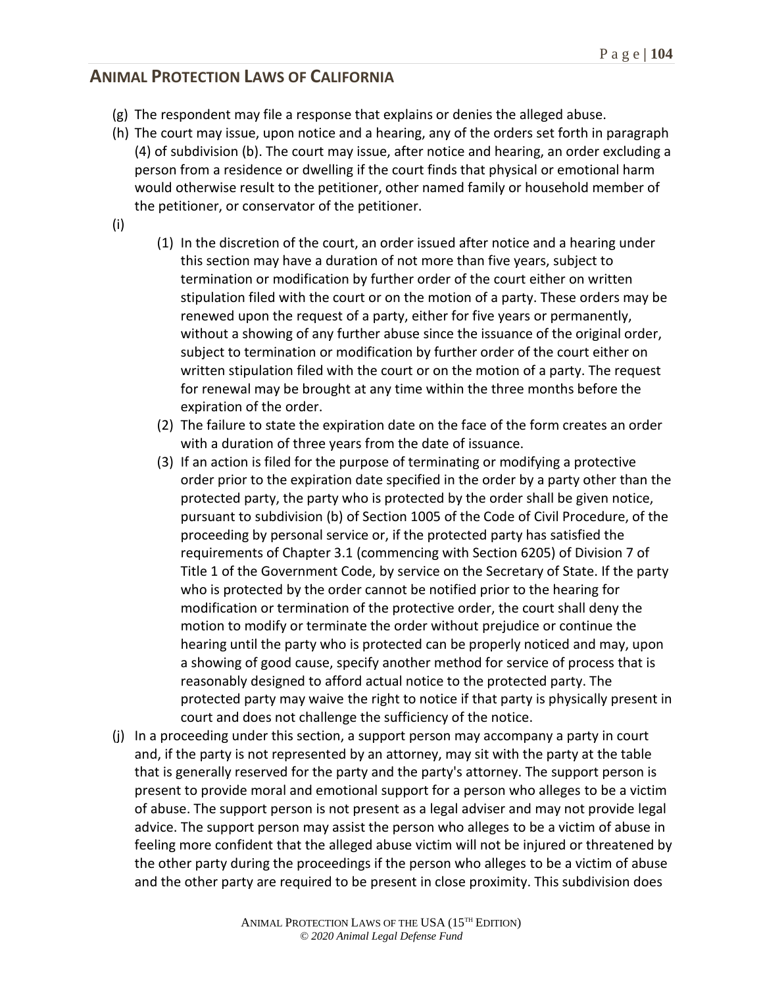- (g) The respondent may file a response that explains or denies the alleged abuse.
- (h) The court may issue, upon notice and a hearing, any of the orders set forth in paragraph (4) of subdivision (b). The court may issue, after notice and hearing, an order excluding a person from a residence or dwelling if the court finds that physical or emotional harm would otherwise result to the petitioner, other named family or household member of the petitioner, or conservator of the petitioner.
- (i)
- (1) In the discretion of the court, an order issued after notice and a hearing under this section may have a duration of not more than five years, subject to termination or modification by further order of the court either on written stipulation filed with the court or on the motion of a party. These orders may be renewed upon the request of a party, either for five years or permanently, without a showing of any further abuse since the issuance of the original order, subject to termination or modification by further order of the court either on written stipulation filed with the court or on the motion of a party. The request for renewal may be brought at any time within the three months before the expiration of the order.
- (2) The failure to state the expiration date on the face of the form creates an order with a duration of three years from the date of issuance.
- (3) If an action is filed for the purpose of terminating or modifying a protective order prior to the expiration date specified in the order by a party other than the protected party, the party who is protected by the order shall be given notice, pursuant to subdivision (b) of Section 1005 of the Code of Civil Procedure, of the proceeding by personal service or, if the protected party has satisfied the requirements of Chapter 3.1 (commencing with Section 6205) of Division 7 of Title 1 of the Government Code, by service on the Secretary of State. If the party who is protected by the order cannot be notified prior to the hearing for modification or termination of the protective order, the court shall deny the motion to modify or terminate the order without prejudice or continue the hearing until the party who is protected can be properly noticed and may, upon a showing of good cause, specify another method for service of process that is reasonably designed to afford actual notice to the protected party. The protected party may waive the right to notice if that party is physically present in court and does not challenge the sufficiency of the notice.
- (j) In a proceeding under this section, a support person may accompany a party in court and, if the party is not represented by an attorney, may sit with the party at the table that is generally reserved for the party and the party's attorney. The support person is present to provide moral and emotional support for a person who alleges to be a victim of abuse. The support person is not present as a legal adviser and may not provide legal advice. The support person may assist the person who alleges to be a victim of abuse in feeling more confident that the alleged abuse victim will not be injured or threatened by the other party during the proceedings if the person who alleges to be a victim of abuse and the other party are required to be present in close proximity. This subdivision does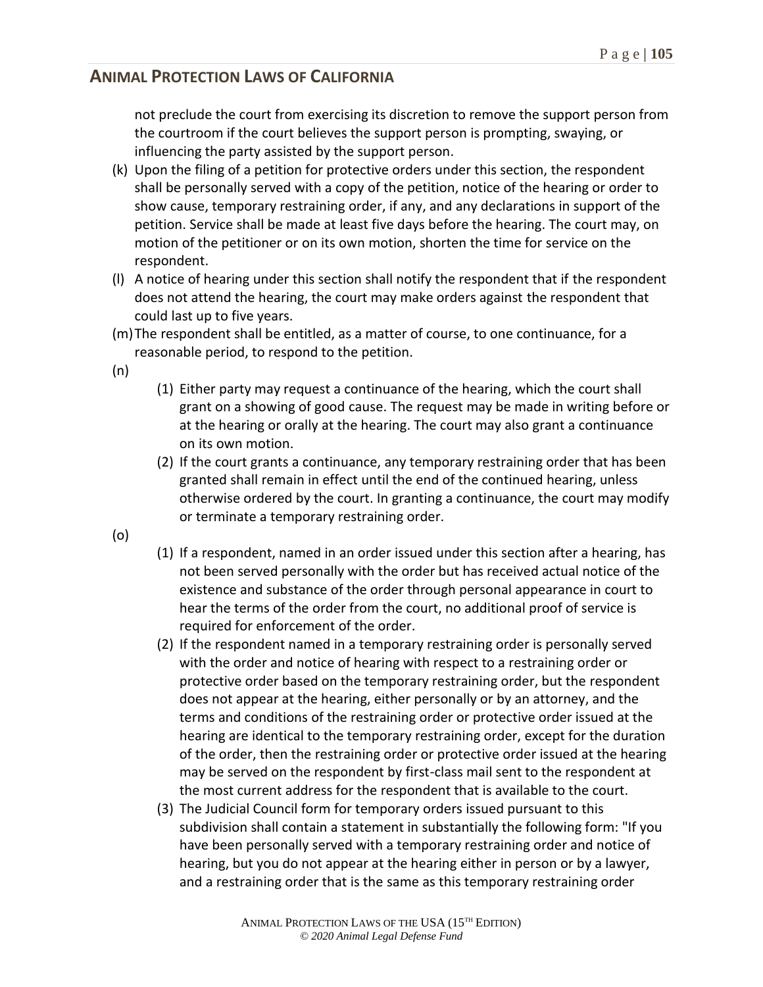not preclude the court from exercising its discretion to remove the support person from the courtroom if the court believes the support person is prompting, swaying, or influencing the party assisted by the support person.

- (k) Upon the filing of a petition for protective orders under this section, the respondent shall be personally served with a copy of the petition, notice of the hearing or order to show cause, temporary restraining order, if any, and any declarations in support of the petition. Service shall be made at least five days before the hearing. The court may, on motion of the petitioner or on its own motion, shorten the time for service on the respondent.
- (l) A notice of hearing under this section shall notify the respondent that if the respondent does not attend the hearing, the court may make orders against the respondent that could last up to five years.
- (m)The respondent shall be entitled, as a matter of course, to one continuance, for a reasonable period, to respond to the petition.
- (n)
- (1) Either party may request a continuance of the hearing, which the court shall grant on a showing of good cause. The request may be made in writing before or at the hearing or orally at the hearing. The court may also grant a continuance on its own motion.
- (2) If the court grants a continuance, any temporary restraining order that has been granted shall remain in effect until the end of the continued hearing, unless otherwise ordered by the court. In granting a continuance, the court may modify or terminate a temporary restraining order.
- (o)
- (1) If a respondent, named in an order issued under this section after a hearing, has not been served personally with the order but has received actual notice of the existence and substance of the order through personal appearance in court to hear the terms of the order from the court, no additional proof of service is required for enforcement of the order.
- (2) If the respondent named in a temporary restraining order is personally served with the order and notice of hearing with respect to a restraining order or protective order based on the temporary restraining order, but the respondent does not appear at the hearing, either personally or by an attorney, and the terms and conditions of the restraining order or protective order issued at the hearing are identical to the temporary restraining order, except for the duration of the order, then the restraining order or protective order issued at the hearing may be served on the respondent by first-class mail sent to the respondent at the most current address for the respondent that is available to the court.
- (3) The Judicial Council form for temporary orders issued pursuant to this subdivision shall contain a statement in substantially the following form: "If you have been personally served with a temporary restraining order and notice of hearing, but you do not appear at the hearing either in person or by a lawyer, and a restraining order that is the same as this temporary restraining order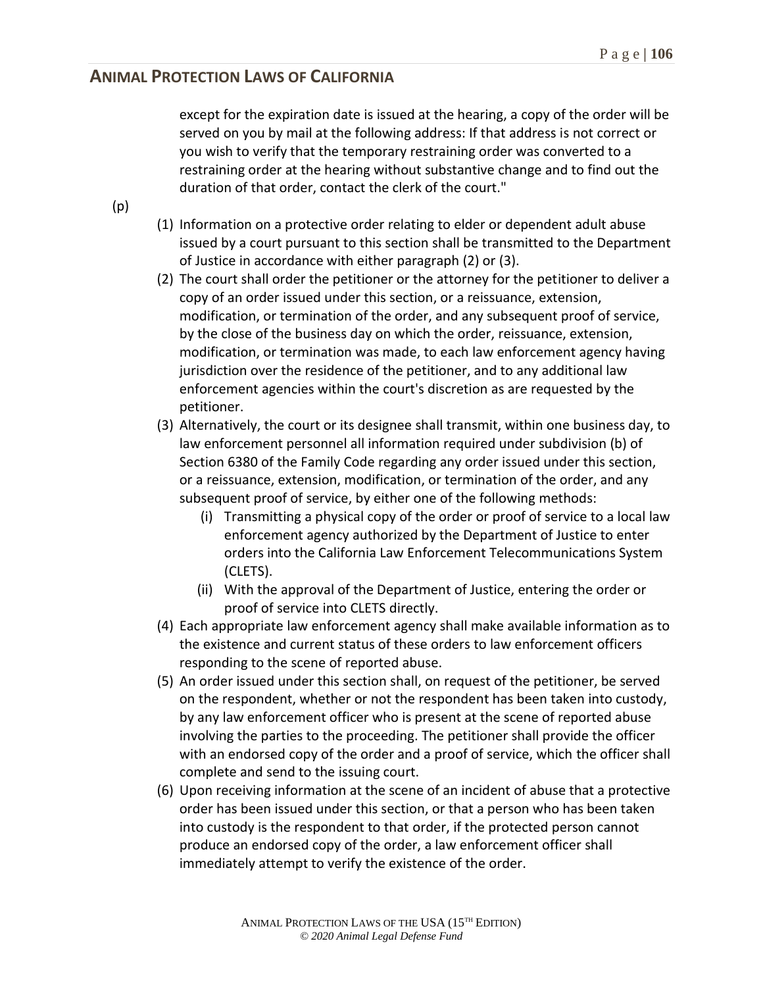except for the expiration date is issued at the hearing, a copy of the order will be served on you by mail at the following address: If that address is not correct or you wish to verify that the temporary restraining order was converted to a restraining order at the hearing without substantive change and to find out the duration of that order, contact the clerk of the court."

(p)

- (1) Information on a protective order relating to elder or dependent adult abuse issued by a court pursuant to this section shall be transmitted to the Department of Justice in accordance with either paragraph (2) or (3).
- (2) The court shall order the petitioner or the attorney for the petitioner to deliver a copy of an order issued under this section, or a reissuance, extension, modification, or termination of the order, and any subsequent proof of service, by the close of the business day on which the order, reissuance, extension, modification, or termination was made, to each law enforcement agency having jurisdiction over the residence of the petitioner, and to any additional law enforcement agencies within the court's discretion as are requested by the petitioner.
- (3) Alternatively, the court or its designee shall transmit, within one business day, to law enforcement personnel all information required under subdivision (b) of Section 6380 of the Family Code regarding any order issued under this section, or a reissuance, extension, modification, or termination of the order, and any subsequent proof of service, by either one of the following methods:
	- (i) Transmitting a physical copy of the order or proof of service to a local law enforcement agency authorized by the Department of Justice to enter orders into the California Law Enforcement Telecommunications System (CLETS).
	- (ii) With the approval of the Department of Justice, entering the order or proof of service into CLETS directly.
- (4) Each appropriate law enforcement agency shall make available information as to the existence and current status of these orders to law enforcement officers responding to the scene of reported abuse.
- (5) An order issued under this section shall, on request of the petitioner, be served on the respondent, whether or not the respondent has been taken into custody, by any law enforcement officer who is present at the scene of reported abuse involving the parties to the proceeding. The petitioner shall provide the officer with an endorsed copy of the order and a proof of service, which the officer shall complete and send to the issuing court.
- (6) Upon receiving information at the scene of an incident of abuse that a protective order has been issued under this section, or that a person who has been taken into custody is the respondent to that order, if the protected person cannot produce an endorsed copy of the order, a law enforcement officer shall immediately attempt to verify the existence of the order.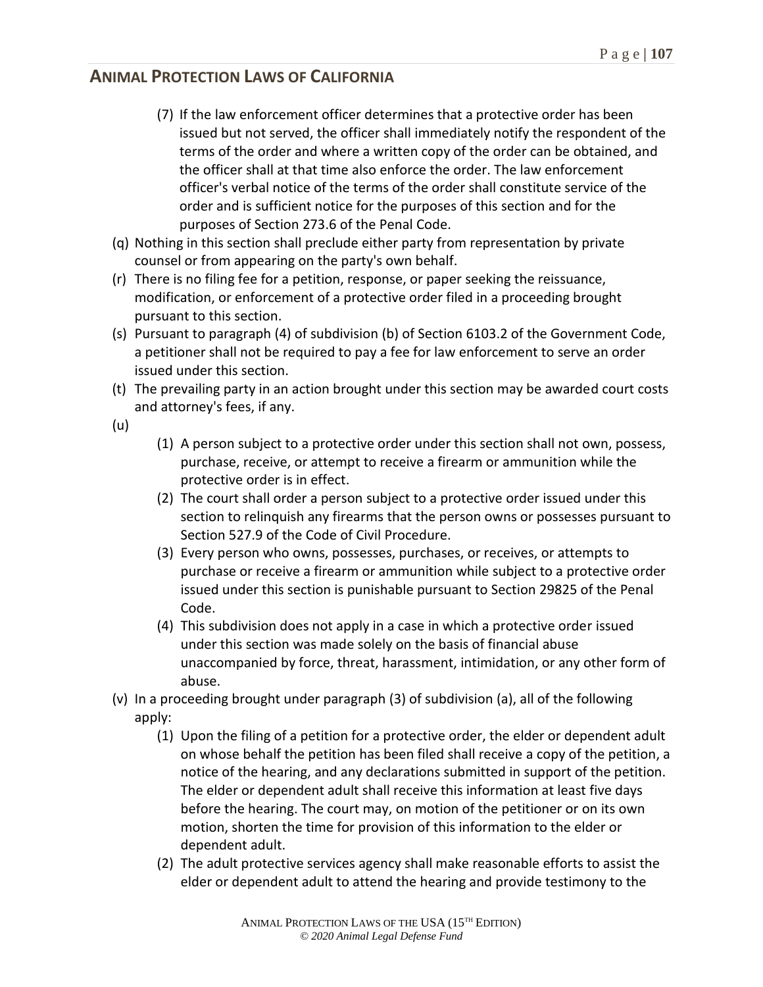- (7) If the law enforcement officer determines that a protective order has been issued but not served, the officer shall immediately notify the respondent of the terms of the order and where a written copy of the order can be obtained, and the officer shall at that time also enforce the order. The law enforcement officer's verbal notice of the terms of the order shall constitute service of the order and is sufficient notice for the purposes of this section and for the purposes of Section 273.6 of the Penal Code.
- (q) Nothing in this section shall preclude either party from representation by private counsel or from appearing on the party's own behalf.
- (r) There is no filing fee for a petition, response, or paper seeking the reissuance, modification, or enforcement of a protective order filed in a proceeding brought pursuant to this section.
- (s) Pursuant to paragraph (4) of subdivision (b) of Section 6103.2 of the Government Code, a petitioner shall not be required to pay a fee for law enforcement to serve an order issued under this section.
- (t) The prevailing party in an action brought under this section may be awarded court costs and attorney's fees, if any.
- (u)
- (1) A person subject to a protective order under this section shall not own, possess, purchase, receive, or attempt to receive a firearm or ammunition while the protective order is in effect.
- (2) The court shall order a person subject to a protective order issued under this section to relinquish any firearms that the person owns or possesses pursuant to Section 527.9 of the Code of Civil Procedure.
- (3) Every person who owns, possesses, purchases, or receives, or attempts to purchase or receive a firearm or ammunition while subject to a protective order issued under this section is punishable pursuant to Section 29825 of the Penal Code.
- (4) This subdivision does not apply in a case in which a protective order issued under this section was made solely on the basis of financial abuse unaccompanied by force, threat, harassment, intimidation, or any other form of abuse.
- (v) In a proceeding brought under paragraph (3) of subdivision (a), all of the following apply:
	- (1) Upon the filing of a petition for a protective order, the elder or dependent adult on whose behalf the petition has been filed shall receive a copy of the petition, a notice of the hearing, and any declarations submitted in support of the petition. The elder or dependent adult shall receive this information at least five days before the hearing. The court may, on motion of the petitioner or on its own motion, shorten the time for provision of this information to the elder or dependent adult.
	- (2) The adult protective services agency shall make reasonable efforts to assist the elder or dependent adult to attend the hearing and provide testimony to the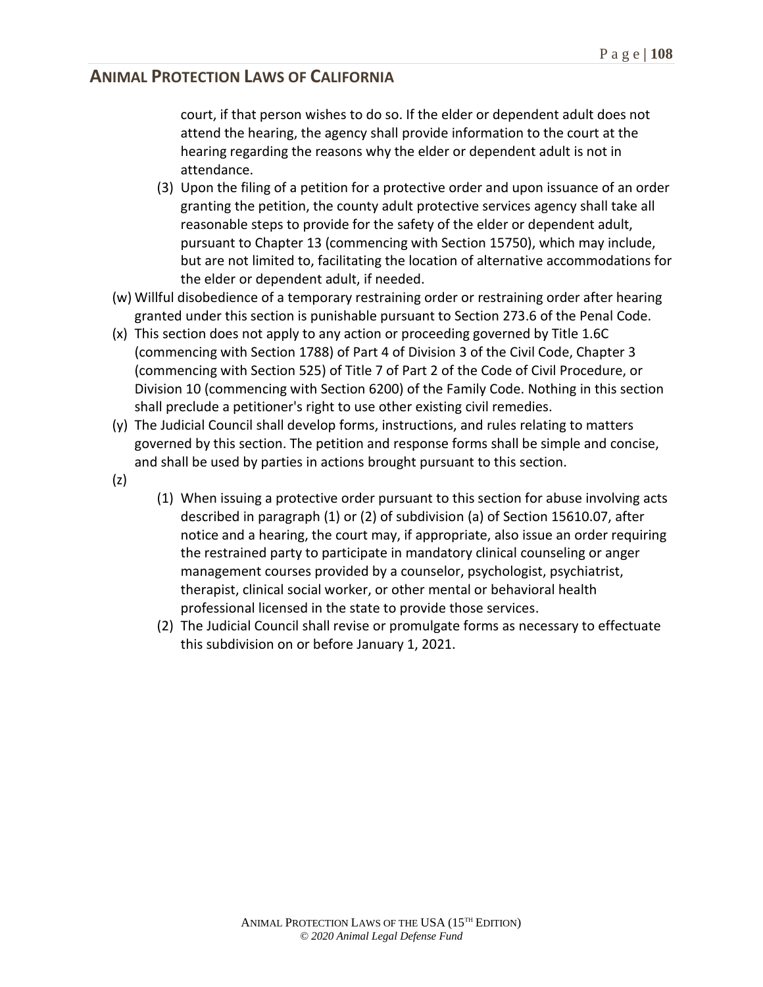court, if that person wishes to do so. If the elder or dependent adult does not attend the hearing, the agency shall provide information to the court at the hearing regarding the reasons why the elder or dependent adult is not in attendance.

- (3) Upon the filing of a petition for a protective order and upon issuance of an order granting the petition, the county adult protective services agency shall take all reasonable steps to provide for the safety of the elder or dependent adult, pursuant to Chapter 13 (commencing with Section 15750), which may include, but are not limited to, facilitating the location of alternative accommodations for the elder or dependent adult, if needed.
- (w) Willful disobedience of a temporary restraining order or restraining order after hearing granted under this section is punishable pursuant to Section 273.6 of the Penal Code.
- (x) This section does not apply to any action or proceeding governed by Title 1.6C (commencing with Section 1788) of Part 4 of Division 3 of the Civil Code, Chapter 3 (commencing with Section 525) of Title 7 of Part 2 of the Code of Civil Procedure, or Division 10 (commencing with Section 6200) of the Family Code. Nothing in this section shall preclude a petitioner's right to use other existing civil remedies.
- (y) The Judicial Council shall develop forms, instructions, and rules relating to matters governed by this section. The petition and response forms shall be simple and concise, and shall be used by parties in actions brought pursuant to this section.
- (z)
- (1) When issuing a protective order pursuant to this section for abuse involving acts described in paragraph (1) or (2) of subdivision (a) of Section 15610.07, after notice and a hearing, the court may, if appropriate, also issue an order requiring the restrained party to participate in mandatory clinical counseling or anger management courses provided by a counselor, psychologist, psychiatrist, therapist, clinical social worker, or other mental or behavioral health professional licensed in the state to provide those services.
- (2) The Judicial Council shall revise or promulgate forms as necessary to effectuate this subdivision on or before January 1, 2021.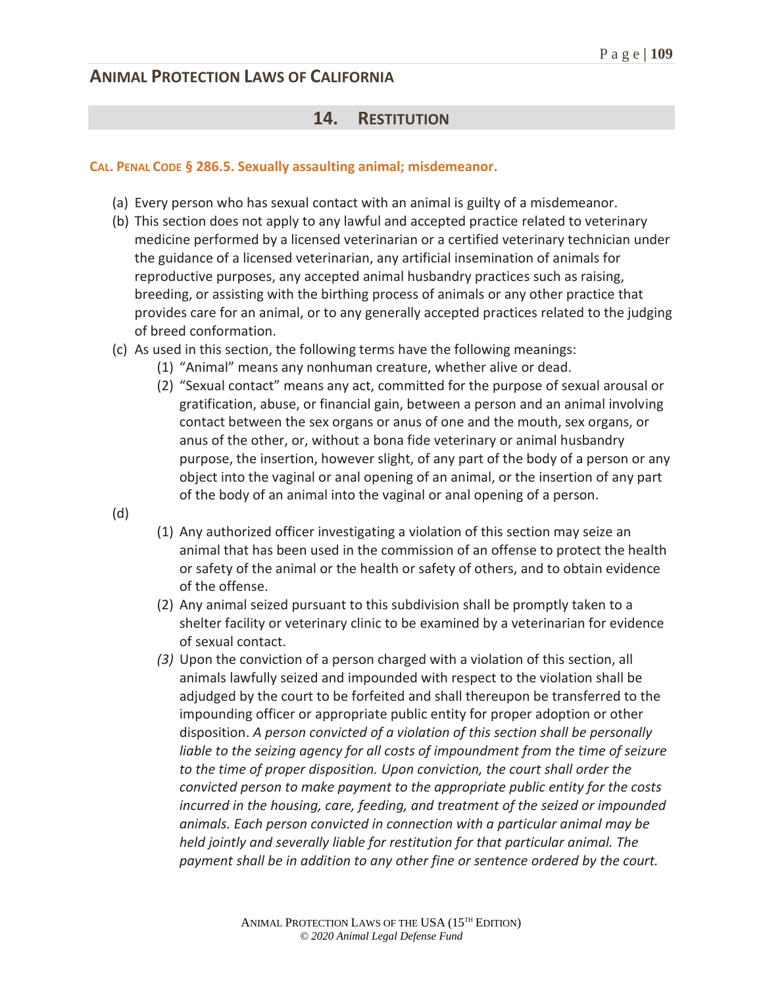# **14. RESTITUTION**

#### **CAL. PENAL CODE § 286.5. Sexually assaulting animal; misdemeanor.**

- (a) Every person who has sexual contact with an animal is guilty of a misdemeanor.
- (b) This section does not apply to any lawful and accepted practice related to veterinary medicine performed by a licensed veterinarian or a certified veterinary technician under the guidance of a licensed veterinarian, any artificial insemination of animals for reproductive purposes, any accepted animal husbandry practices such as raising, breeding, or assisting with the birthing process of animals or any other practice that provides care for an animal, or to any generally accepted practices related to the judging of breed conformation.
- (c) As used in this section, the following terms have the following meanings:
	- (1) "Animal" means any nonhuman creature, whether alive or dead.
	- (2) "Sexual contact" means any act, committed for the purpose of sexual arousal or gratification, abuse, or financial gain, between a person and an animal involving contact between the sex organs or anus of one and the mouth, sex organs, or anus of the other, or, without a bona fide veterinary or animal husbandry purpose, the insertion, however slight, of any part of the body of a person or any object into the vaginal or anal opening of an animal, or the insertion of any part of the body of an animal into the vaginal or anal opening of a person.
- (d)
- (1) Any authorized officer investigating a violation of this section may seize an animal that has been used in the commission of an offense to protect the health or safety of the animal or the health or safety of others, and to obtain evidence of the offense.
- (2) Any animal seized pursuant to this subdivision shall be promptly taken to a shelter facility or veterinary clinic to be examined by a veterinarian for evidence of sexual contact.
- *(3)* Upon the conviction of a person charged with a violation of this section, all animals lawfully seized and impounded with respect to the violation shall be adjudged by the court to be forfeited and shall thereupon be transferred to the impounding officer or appropriate public entity for proper adoption or other disposition. *A person convicted of a violation of this section shall be personally liable to the seizing agency for all costs of impoundment from the time of seizure to the time of proper disposition. Upon conviction, the court shall order the convicted person to make payment to the appropriate public entity for the costs incurred in the housing, care, feeding, and treatment of the seized or impounded animals. Each person convicted in connection with a particular animal may be held jointly and severally liable for restitution for that particular animal. The payment shall be in addition to any other fine or sentence ordered by the court.*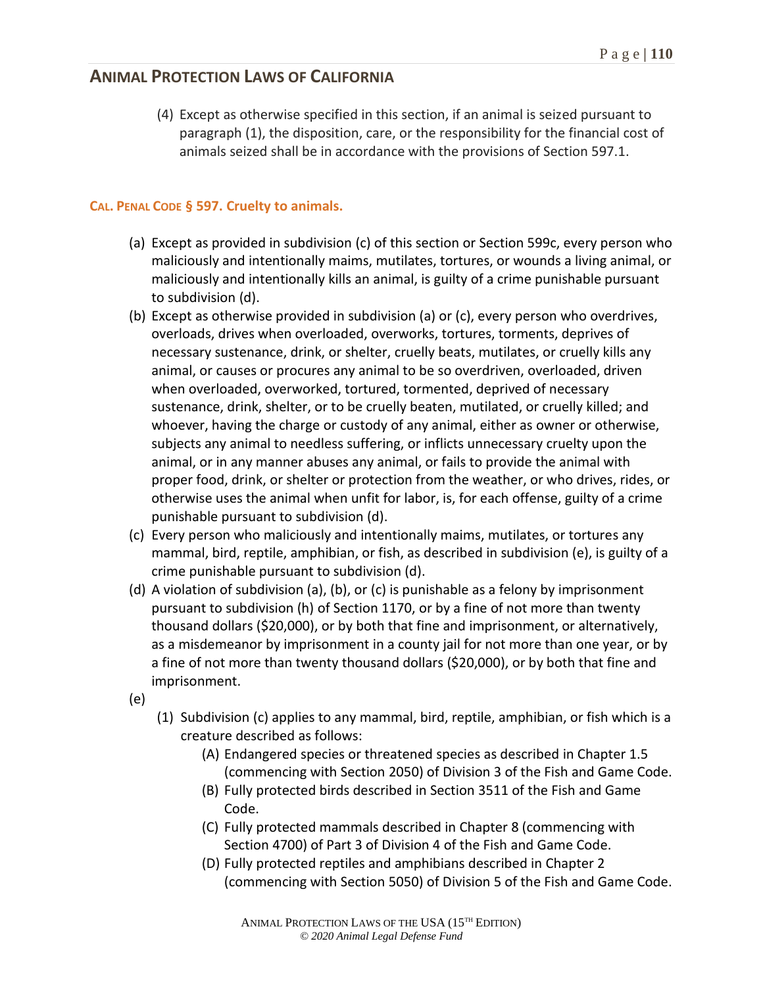(4) Except as otherwise specified in this section, if an animal is seized pursuant to paragraph (1), the disposition, care, or the responsibility for the financial cost of animals seized shall be in accordance with the provisions of Section 597.1.

#### **CAL. PENAL CODE § 597. Cruelty to animals.**

- (a) Except as provided in subdivision (c) of this section or Section 599c, every person who maliciously and intentionally maims, mutilates, tortures, or wounds a living animal, or maliciously and intentionally kills an animal, is guilty of a crime punishable pursuant to subdivision (d).
- (b) Except as otherwise provided in subdivision (a) or (c), every person who overdrives, overloads, drives when overloaded, overworks, tortures, torments, deprives of necessary sustenance, drink, or shelter, cruelly beats, mutilates, or cruelly kills any animal, or causes or procures any animal to be so overdriven, overloaded, driven when overloaded, overworked, tortured, tormented, deprived of necessary sustenance, drink, shelter, or to be cruelly beaten, mutilated, or cruelly killed; and whoever, having the charge or custody of any animal, either as owner or otherwise, subjects any animal to needless suffering, or inflicts unnecessary cruelty upon the animal, or in any manner abuses any animal, or fails to provide the animal with proper food, drink, or shelter or protection from the weather, or who drives, rides, or otherwise uses the animal when unfit for labor, is, for each offense, guilty of a crime punishable pursuant to subdivision (d).
- (c) Every person who maliciously and intentionally maims, mutilates, or tortures any mammal, bird, reptile, amphibian, or fish, as described in subdivision (e), is guilty of a crime punishable pursuant to subdivision (d).
- (d) A violation of subdivision (a), (b), or (c) is punishable as a felony by imprisonment pursuant to subdivision (h) of Section 1170, or by a fine of not more than twenty thousand dollars (\$20,000), or by both that fine and imprisonment, or alternatively, as a misdemeanor by imprisonment in a county jail for not more than one year, or by a fine of not more than twenty thousand dollars (\$20,000), or by both that fine and imprisonment.
- (e)
- (1) Subdivision (c) applies to any mammal, bird, reptile, amphibian, or fish which is a creature described as follows:
	- (A) Endangered species or threatened species as described in Chapter 1.5 (commencing with Section 2050) of Division 3 of the Fish and Game Code.
	- (B) Fully protected birds described in Section 3511 of the Fish and Game Code.
	- (C) Fully protected mammals described in Chapter 8 (commencing with Section 4700) of Part 3 of Division 4 of the Fish and Game Code.
	- (D) Fully protected reptiles and amphibians described in Chapter 2 (commencing with Section 5050) of Division 5 of the Fish and Game Code.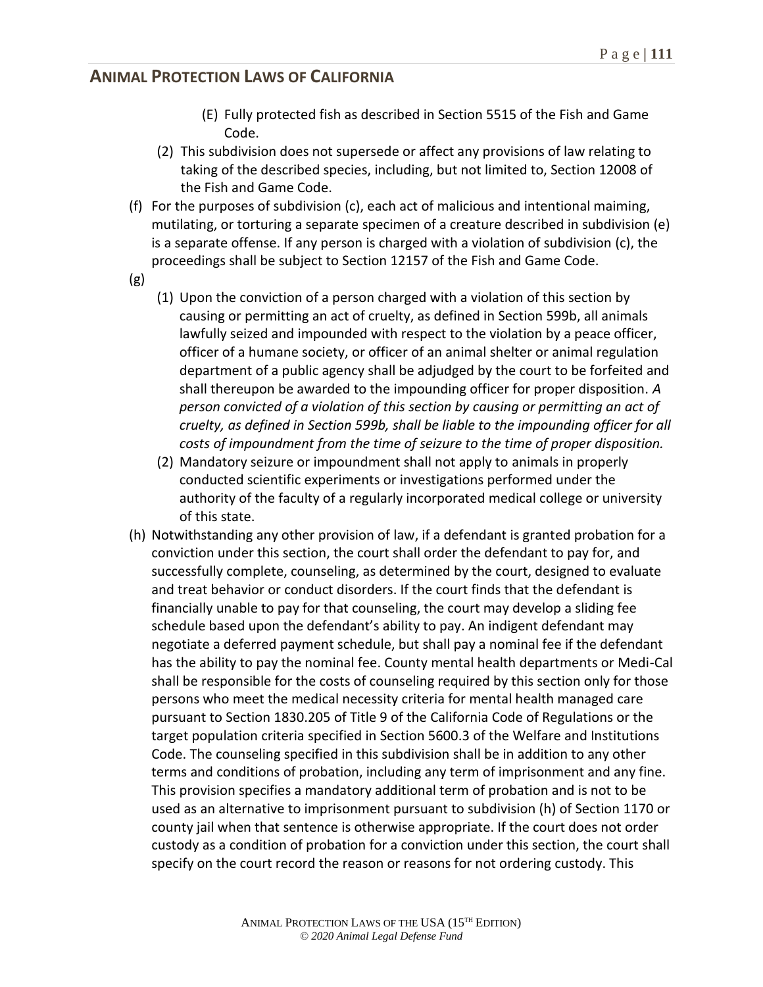- (E) Fully protected fish as described in Section 5515 of the Fish and Game Code.
- (2) This subdivision does not supersede or affect any provisions of law relating to taking of the described species, including, but not limited to, Section 12008 of the Fish and Game Code.
- (f) For the purposes of subdivision (c), each act of malicious and intentional maiming, mutilating, or torturing a separate specimen of a creature described in subdivision (e) is a separate offense. If any person is charged with a violation of subdivision (c), the proceedings shall be subject to Section 12157 of the Fish and Game Code.
- (g)
- (1) Upon the conviction of a person charged with a violation of this section by causing or permitting an act of cruelty, as defined in Section 599b, all animals lawfully seized and impounded with respect to the violation by a peace officer, officer of a humane society, or officer of an animal shelter or animal regulation department of a public agency shall be adjudged by the court to be forfeited and shall thereupon be awarded to the impounding officer for proper disposition. *A person convicted of a violation of this section by causing or permitting an act of cruelty, as defined in Section 599b, shall be liable to the impounding officer for all costs of impoundment from the time of seizure to the time of proper disposition.*
- (2) Mandatory seizure or impoundment shall not apply to animals in properly conducted scientific experiments or investigations performed under the authority of the faculty of a regularly incorporated medical college or university of this state.
- (h) Notwithstanding any other provision of law, if a defendant is granted probation for a conviction under this section, the court shall order the defendant to pay for, and successfully complete, counseling, as determined by the court, designed to evaluate and treat behavior or conduct disorders. If the court finds that the defendant is financially unable to pay for that counseling, the court may develop a sliding fee schedule based upon the defendant's ability to pay. An indigent defendant may negotiate a deferred payment schedule, but shall pay a nominal fee if the defendant has the ability to pay the nominal fee. County mental health departments or Medi-Cal shall be responsible for the costs of counseling required by this section only for those persons who meet the medical necessity criteria for mental health managed care pursuant to Section 1830.205 of Title 9 of the California Code of Regulations or the target population criteria specified in Section 5600.3 of the Welfare and Institutions Code. The counseling specified in this subdivision shall be in addition to any other terms and conditions of probation, including any term of imprisonment and any fine. This provision specifies a mandatory additional term of probation and is not to be used as an alternative to imprisonment pursuant to subdivision (h) of Section 1170 or county jail when that sentence is otherwise appropriate. If the court does not order custody as a condition of probation for a conviction under this section, the court shall specify on the court record the reason or reasons for not ordering custody. This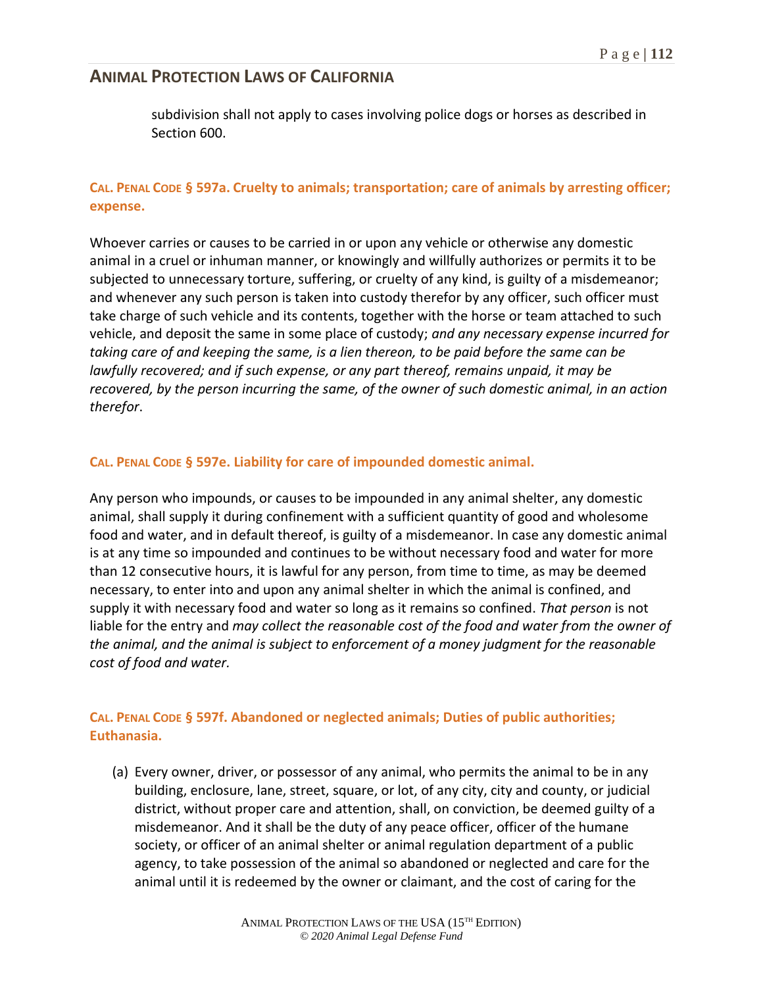subdivision shall not apply to cases involving police dogs or horses as described in Section 600.

#### **CAL. PENAL CODE § 597a. Cruelty to animals; transportation; care of animals by arresting officer; expense.**

Whoever carries or causes to be carried in or upon any vehicle or otherwise any domestic animal in a cruel or inhuman manner, or knowingly and willfully authorizes or permits it to be subjected to unnecessary torture, suffering, or cruelty of any kind, is guilty of a misdemeanor; and whenever any such person is taken into custody therefor by any officer, such officer must take charge of such vehicle and its contents, together with the horse or team attached to such vehicle, and deposit the same in some place of custody; *and any necessary expense incurred for taking care of and keeping the same, is a lien thereon, to be paid before the same can be lawfully recovered; and if such expense, or any part thereof, remains unpaid, it may be recovered, by the person incurring the same, of the owner of such domestic animal, in an action therefor*.

#### **CAL. PENAL CODE § 597e. Liability for care of impounded domestic animal.**

Any person who impounds, or causes to be impounded in any animal shelter, any domestic animal, shall supply it during confinement with a sufficient quantity of good and wholesome food and water, and in default thereof, is guilty of a misdemeanor. In case any domestic animal is at any time so impounded and continues to be without necessary food and water for more than 12 consecutive hours, it is lawful for any person, from time to time, as may be deemed necessary, to enter into and upon any animal shelter in which the animal is confined, and supply it with necessary food and water so long as it remains so confined. *That person* is not liable for the entry and *may collect the reasonable cost of the food and water from the owner of the animal, and the animal is subject to enforcement of a money judgment for the reasonable cost of food and water.*

#### **CAL. PENAL CODE § 597f. Abandoned or neglected animals; Duties of public authorities; Euthanasia.**

(a) Every owner, driver, or possessor of any animal, who permits the animal to be in any building, enclosure, lane, street, square, or lot, of any city, city and county, or judicial district, without proper care and attention, shall, on conviction, be deemed guilty of a misdemeanor. And it shall be the duty of any peace officer, officer of the humane society, or officer of an animal shelter or animal regulation department of a public agency, to take possession of the animal so abandoned or neglected and care for the animal until it is redeemed by the owner or claimant, and the cost of caring for the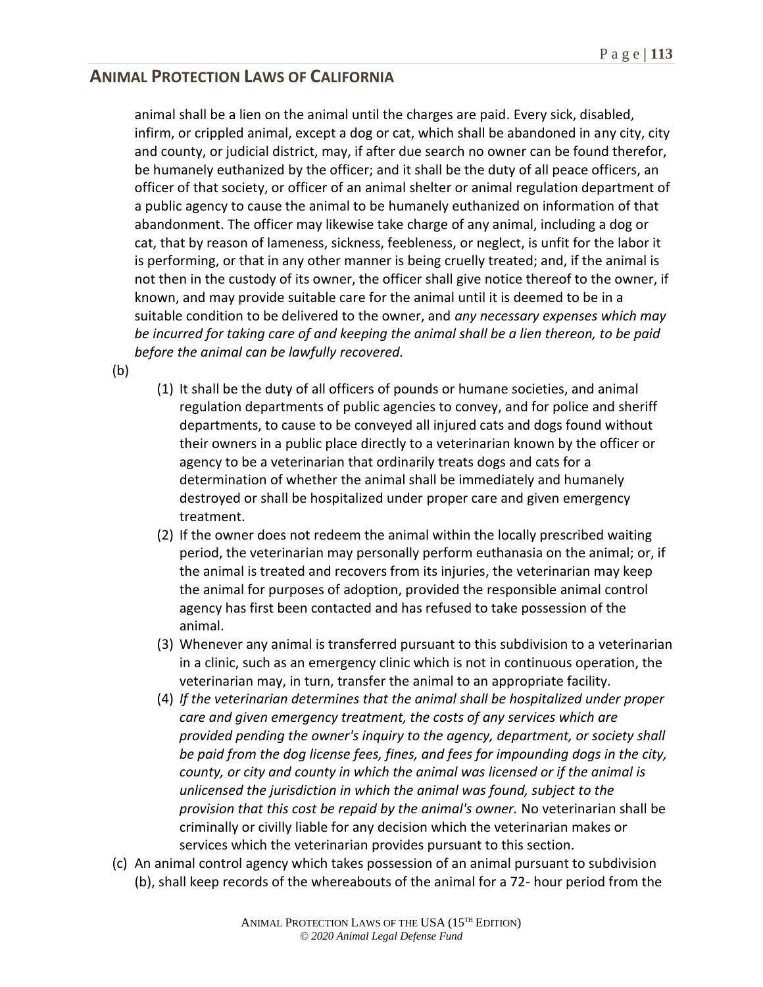animal shall be a lien on the animal until the charges are paid. Every sick, disabled, infirm, or crippled animal, except a dog or cat, which shall be abandoned in any city, city and county, or judicial district, may, if after due search no owner can be found therefor, be humanely euthanized by the officer; and it shall be the duty of all peace officers, an officer of that society, or officer of an animal shelter or animal regulation department of a public agency to cause the animal to be humanely euthanized on information of that abandonment. The officer may likewise take charge of any animal, including a dog or cat, that by reason of lameness, sickness, feebleness, or neglect, is unfit for the labor it is performing, or that in any other manner is being cruelly treated; and, if the animal is not then in the custody of its owner, the officer shall give notice thereof to the owner, if known, and may provide suitable care for the animal until it is deemed to be in a suitable condition to be delivered to the owner, and *any necessary expenses which may be incurred for taking care of and keeping the animal shall be a lien thereon, to be paid before the animal can be lawfully recovered.*

(b)

- (1) It shall be the duty of all officers of pounds or humane societies, and animal regulation departments of public agencies to convey, and for police and sheriff departments, to cause to be conveyed all injured cats and dogs found without their owners in a public place directly to a veterinarian known by the officer or agency to be a veterinarian that ordinarily treats dogs and cats for a determination of whether the animal shall be immediately and humanely destroyed or shall be hospitalized under proper care and given emergency treatment.
- (2) If the owner does not redeem the animal within the locally prescribed waiting period, the veterinarian may personally perform euthanasia on the animal; or, if the animal is treated and recovers from its injuries, the veterinarian may keep the animal for purposes of adoption, provided the responsible animal control agency has first been contacted and has refused to take possession of the animal.
- (3) Whenever any animal is transferred pursuant to this subdivision to a veterinarian in a clinic, such as an emergency clinic which is not in continuous operation, the veterinarian may, in turn, transfer the animal to an appropriate facility.
- (4) *If the veterinarian determines that the animal shall be hospitalized under proper care and given emergency treatment, the costs of any services which are provided pending the owner's inquiry to the agency, department, or society shall be paid from the dog license fees, fines, and fees for impounding dogs in the city, county, or city and county in which the animal was licensed or if the animal is unlicensed the jurisdiction in which the animal was found, subject to the provision that this cost be repaid by the animal's owner.* No veterinarian shall be criminally or civilly liable for any decision which the veterinarian makes or services which the veterinarian provides pursuant to this section.
- (c) An animal control agency which takes possession of an animal pursuant to subdivision (b), shall keep records of the whereabouts of the animal for a 72- hour period from the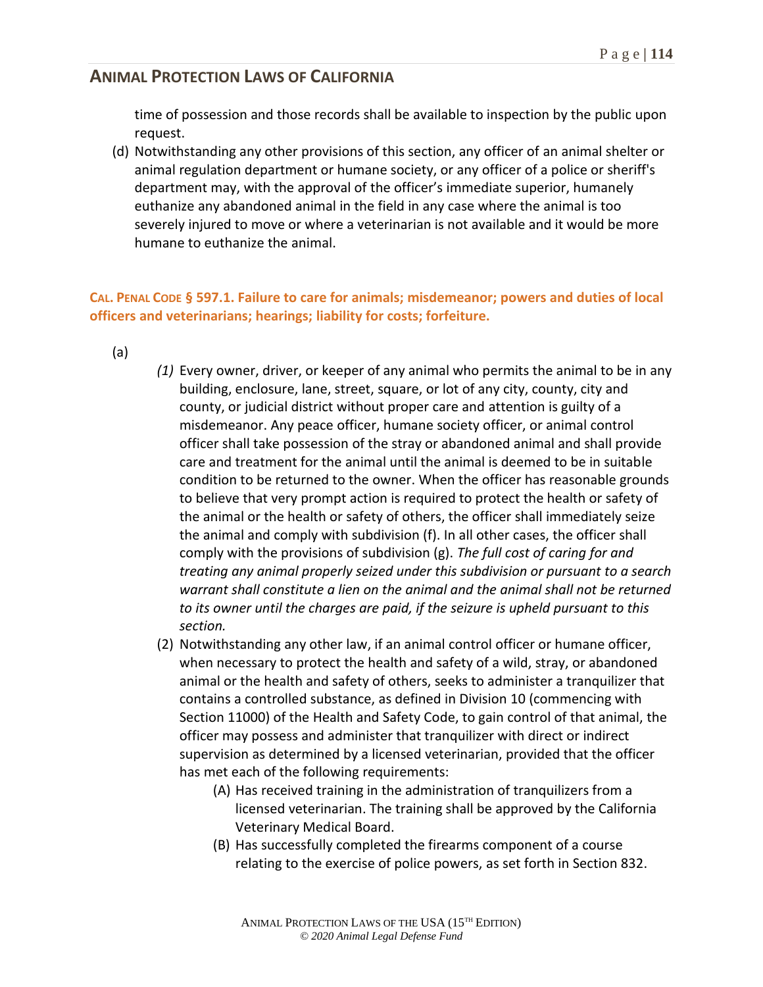time of possession and those records shall be available to inspection by the public upon request.

(d) Notwithstanding any other provisions of this section, any officer of an animal shelter or animal regulation department or humane society, or any officer of a police or sheriff's department may, with the approval of the officer's immediate superior, humanely euthanize any abandoned animal in the field in any case where the animal is too severely injured to move or where a veterinarian is not available and it would be more humane to euthanize the animal.

#### **CAL. PENAL CODE § 597.1. Failure to care for animals; misdemeanor; powers and duties of local officers and veterinarians; hearings; liability for costs; forfeiture.**

- (a)
- *(1)* Every owner, driver, or keeper of any animal who permits the animal to be in any building, enclosure, lane, street, square, or lot of any city, county, city and county, or judicial district without proper care and attention is guilty of a misdemeanor. Any peace officer, humane society officer, or animal control officer shall take possession of the stray or abandoned animal and shall provide care and treatment for the animal until the animal is deemed to be in suitable condition to be returned to the owner. When the officer has reasonable grounds to believe that very prompt action is required to protect the health or safety of the animal or the health or safety of others, the officer shall immediately seize the animal and comply with subdivision (f). In all other cases, the officer shall comply with the provisions of subdivision (g). *The full cost of caring for and treating any animal properly seized under this subdivision or pursuant to a search warrant shall constitute a lien on the animal and the animal shall not be returned to its owner until the charges are paid, if the seizure is upheld pursuant to this section.*
- (2) Notwithstanding any other law, if an animal control officer or humane officer, when necessary to protect the health and safety of a wild, stray, or abandoned animal or the health and safety of others, seeks to administer a tranquilizer that contains a controlled substance, as defined in Division 10 (commencing with Section 11000) of the Health and Safety Code, to gain control of that animal, the officer may possess and administer that tranquilizer with direct or indirect supervision as determined by a licensed veterinarian, provided that the officer has met each of the following requirements:
	- (A) Has received training in the administration of tranquilizers from a licensed veterinarian. The training shall be approved by the California Veterinary Medical Board.
	- (B) Has successfully completed the firearms component of a course relating to the exercise of police powers, as set forth in Section 832.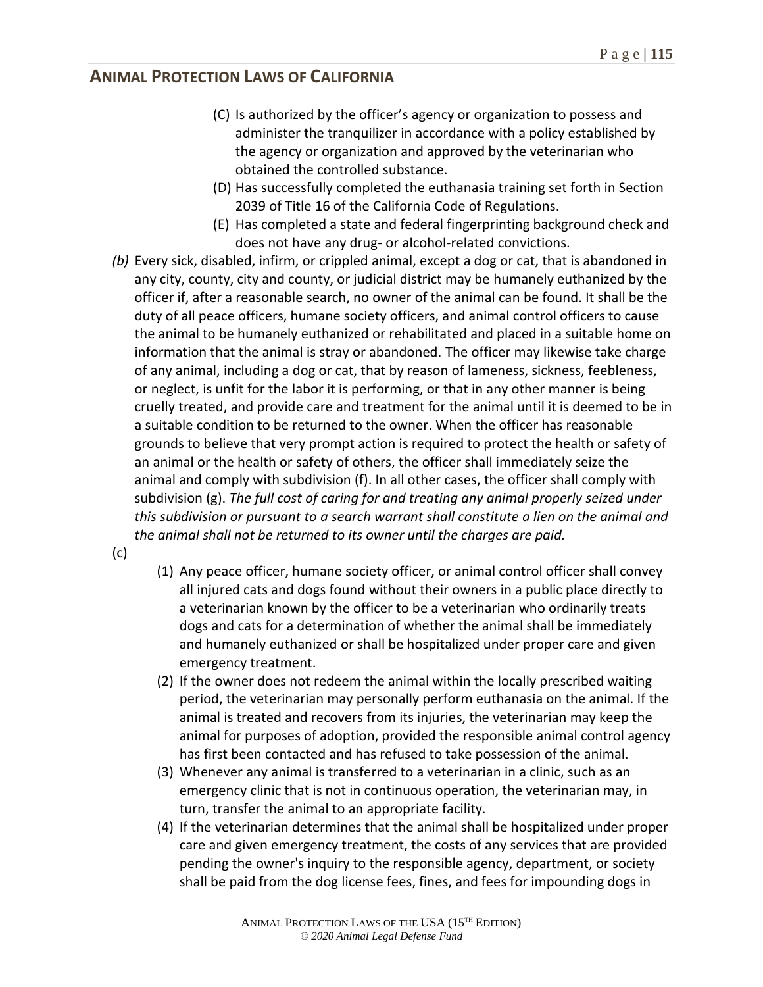- (C) Is authorized by the officer's agency or organization to possess and administer the tranquilizer in accordance with a policy established by the agency or organization and approved by the veterinarian who obtained the controlled substance.
- (D) Has successfully completed the euthanasia training set forth in Section 2039 of Title 16 of the California Code of Regulations.
- (E) Has completed a state and federal fingerprinting background check and does not have any drug- or alcohol-related convictions.
- *(b)* Every sick, disabled, infirm, or crippled animal, except a dog or cat, that is abandoned in any city, county, city and county, or judicial district may be humanely euthanized by the officer if, after a reasonable search, no owner of the animal can be found. It shall be the duty of all peace officers, humane society officers, and animal control officers to cause the animal to be humanely euthanized or rehabilitated and placed in a suitable home on information that the animal is stray or abandoned. The officer may likewise take charge of any animal, including a dog or cat, that by reason of lameness, sickness, feebleness, or neglect, is unfit for the labor it is performing, or that in any other manner is being cruelly treated, and provide care and treatment for the animal until it is deemed to be in a suitable condition to be returned to the owner. When the officer has reasonable grounds to believe that very prompt action is required to protect the health or safety of an animal or the health or safety of others, the officer shall immediately seize the animal and comply with subdivision (f). In all other cases, the officer shall comply with subdivision (g). *The full cost of caring for and treating any animal properly seized under this subdivision or pursuant to a search warrant shall constitute a lien on the animal and the animal shall not be returned to its owner until the charges are paid.*
- (c)
- (1) Any peace officer, humane society officer, or animal control officer shall convey all injured cats and dogs found without their owners in a public place directly to a veterinarian known by the officer to be a veterinarian who ordinarily treats dogs and cats for a determination of whether the animal shall be immediately and humanely euthanized or shall be hospitalized under proper care and given emergency treatment.
- (2) If the owner does not redeem the animal within the locally prescribed waiting period, the veterinarian may personally perform euthanasia on the animal. If the animal is treated and recovers from its injuries, the veterinarian may keep the animal for purposes of adoption, provided the responsible animal control agency has first been contacted and has refused to take possession of the animal.
- (3) Whenever any animal is transferred to a veterinarian in a clinic, such as an emergency clinic that is not in continuous operation, the veterinarian may, in turn, transfer the animal to an appropriate facility.
- (4) If the veterinarian determines that the animal shall be hospitalized under proper care and given emergency treatment, the costs of any services that are provided pending the owner's inquiry to the responsible agency, department, or society shall be paid from the dog license fees, fines, and fees for impounding dogs in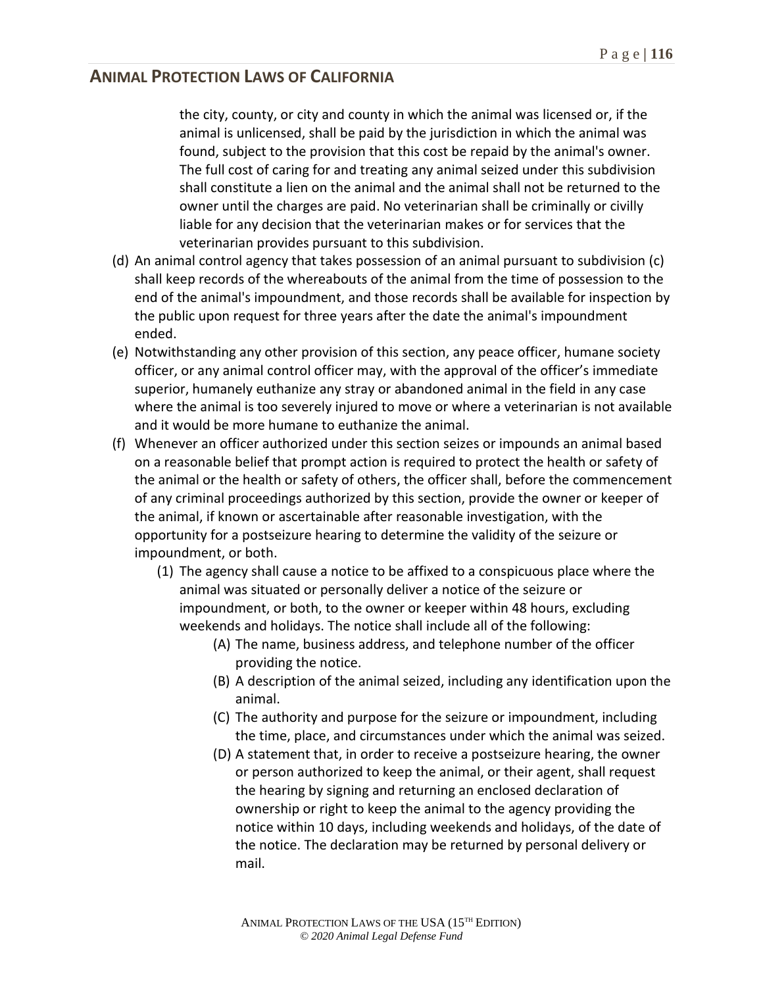the city, county, or city and county in which the animal was licensed or, if the animal is unlicensed, shall be paid by the jurisdiction in which the animal was found, subject to the provision that this cost be repaid by the animal's owner. The full cost of caring for and treating any animal seized under this subdivision shall constitute a lien on the animal and the animal shall not be returned to the owner until the charges are paid. No veterinarian shall be criminally or civilly liable for any decision that the veterinarian makes or for services that the veterinarian provides pursuant to this subdivision.

- (d) An animal control agency that takes possession of an animal pursuant to subdivision (c) shall keep records of the whereabouts of the animal from the time of possession to the end of the animal's impoundment, and those records shall be available for inspection by the public upon request for three years after the date the animal's impoundment ended.
- (e) Notwithstanding any other provision of this section, any peace officer, humane society officer, or any animal control officer may, with the approval of the officer's immediate superior, humanely euthanize any stray or abandoned animal in the field in any case where the animal is too severely injured to move or where a veterinarian is not available and it would be more humane to euthanize the animal.
- (f) Whenever an officer authorized under this section seizes or impounds an animal based on a reasonable belief that prompt action is required to protect the health or safety of the animal or the health or safety of others, the officer shall, before the commencement of any criminal proceedings authorized by this section, provide the owner or keeper of the animal, if known or ascertainable after reasonable investigation, with the opportunity for a postseizure hearing to determine the validity of the seizure or impoundment, or both.
	- (1) The agency shall cause a notice to be affixed to a conspicuous place where the animal was situated or personally deliver a notice of the seizure or impoundment, or both, to the owner or keeper within 48 hours, excluding weekends and holidays. The notice shall include all of the following:
		- (A) The name, business address, and telephone number of the officer providing the notice.
		- (B) A description of the animal seized, including any identification upon the animal.
		- (C) The authority and purpose for the seizure or impoundment, including the time, place, and circumstances under which the animal was seized.
		- (D) A statement that, in order to receive a postseizure hearing, the owner or person authorized to keep the animal, or their agent, shall request the hearing by signing and returning an enclosed declaration of ownership or right to keep the animal to the agency providing the notice within 10 days, including weekends and holidays, of the date of the notice. The declaration may be returned by personal delivery or mail.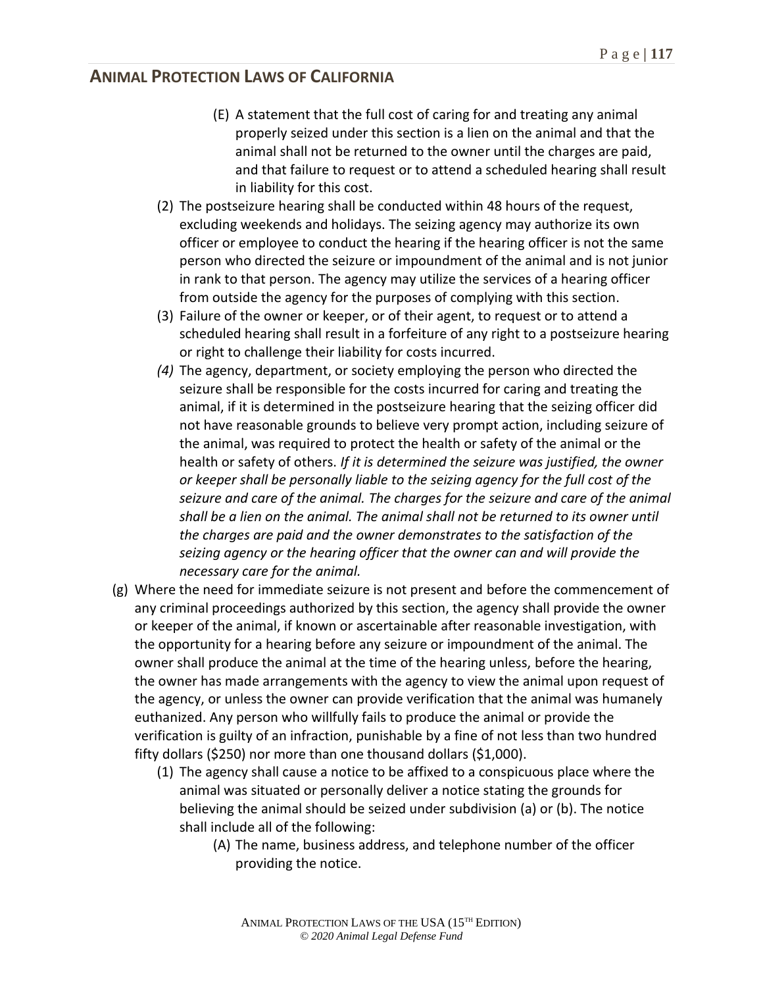- (E) A statement that the full cost of caring for and treating any animal properly seized under this section is a lien on the animal and that the animal shall not be returned to the owner until the charges are paid, and that failure to request or to attend a scheduled hearing shall result in liability for this cost.
- (2) The postseizure hearing shall be conducted within 48 hours of the request, excluding weekends and holidays. The seizing agency may authorize its own officer or employee to conduct the hearing if the hearing officer is not the same person who directed the seizure or impoundment of the animal and is not junior in rank to that person. The agency may utilize the services of a hearing officer from outside the agency for the purposes of complying with this section.
- (3) Failure of the owner or keeper, or of their agent, to request or to attend a scheduled hearing shall result in a forfeiture of any right to a postseizure hearing or right to challenge their liability for costs incurred.
- *(4)* The agency, department, or society employing the person who directed the seizure shall be responsible for the costs incurred for caring and treating the animal, if it is determined in the postseizure hearing that the seizing officer did not have reasonable grounds to believe very prompt action, including seizure of the animal, was required to protect the health or safety of the animal or the health or safety of others. *If it is determined the seizure was justified, the owner or keeper shall be personally liable to the seizing agency for the full cost of the seizure and care of the animal. The charges for the seizure and care of the animal shall be a lien on the animal. The animal shall not be returned to its owner until the charges are paid and the owner demonstrates to the satisfaction of the seizing agency or the hearing officer that the owner can and will provide the necessary care for the animal.*
- (g) Where the need for immediate seizure is not present and before the commencement of any criminal proceedings authorized by this section, the agency shall provide the owner or keeper of the animal, if known or ascertainable after reasonable investigation, with the opportunity for a hearing before any seizure or impoundment of the animal. The owner shall produce the animal at the time of the hearing unless, before the hearing, the owner has made arrangements with the agency to view the animal upon request of the agency, or unless the owner can provide verification that the animal was humanely euthanized. Any person who willfully fails to produce the animal or provide the verification is guilty of an infraction, punishable by a fine of not less than two hundred fifty dollars (\$250) nor more than one thousand dollars (\$1,000).
	- (1) The agency shall cause a notice to be affixed to a conspicuous place where the animal was situated or personally deliver a notice stating the grounds for believing the animal should be seized under subdivision (a) or (b). The notice shall include all of the following:
		- (A) The name, business address, and telephone number of the officer providing the notice.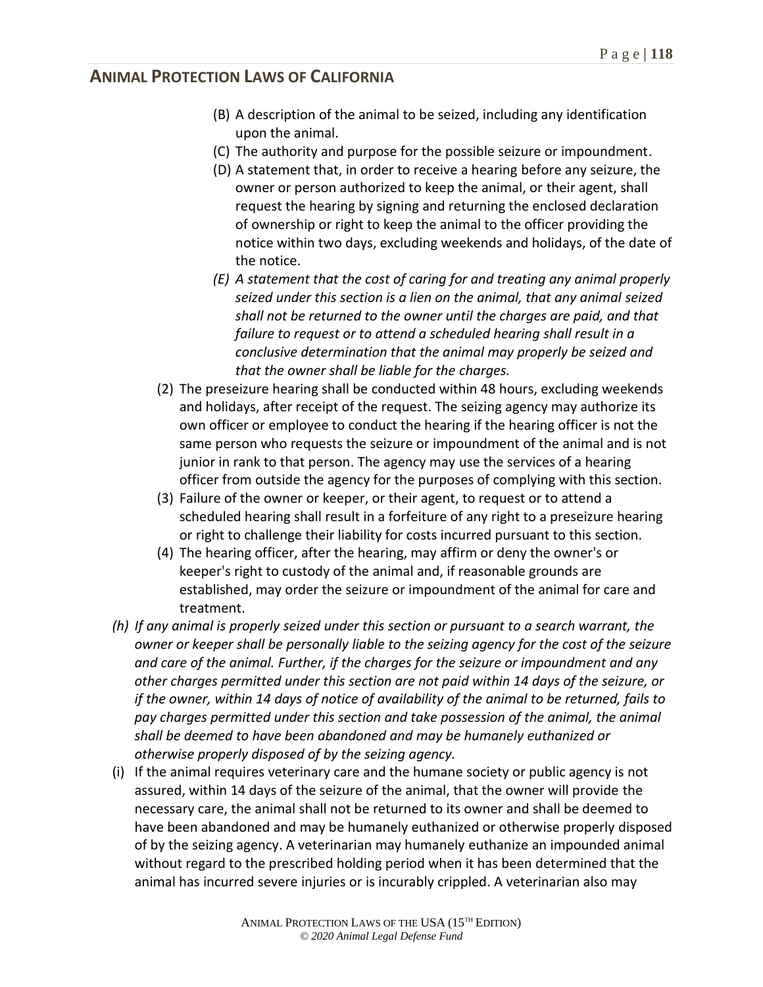- (B) A description of the animal to be seized, including any identification upon the animal.
- (C) The authority and purpose for the possible seizure or impoundment.
- (D) A statement that, in order to receive a hearing before any seizure, the owner or person authorized to keep the animal, or their agent, shall request the hearing by signing and returning the enclosed declaration of ownership or right to keep the animal to the officer providing the notice within two days, excluding weekends and holidays, of the date of the notice.
- *(E) A statement that the cost of caring for and treating any animal properly seized under this section is a lien on the animal, that any animal seized shall not be returned to the owner until the charges are paid, and that failure to request or to attend a scheduled hearing shall result in a conclusive determination that the animal may properly be seized and that the owner shall be liable for the charges.*
- (2) The preseizure hearing shall be conducted within 48 hours, excluding weekends and holidays, after receipt of the request. The seizing agency may authorize its own officer or employee to conduct the hearing if the hearing officer is not the same person who requests the seizure or impoundment of the animal and is not junior in rank to that person. The agency may use the services of a hearing officer from outside the agency for the purposes of complying with this section.
- (3) Failure of the owner or keeper, or their agent, to request or to attend a scheduled hearing shall result in a forfeiture of any right to a preseizure hearing or right to challenge their liability for costs incurred pursuant to this section.
- (4) The hearing officer, after the hearing, may affirm or deny the owner's or keeper's right to custody of the animal and, if reasonable grounds are established, may order the seizure or impoundment of the animal for care and treatment.
- *(h) If any animal is properly seized under this section or pursuant to a search warrant, the owner or keeper shall be personally liable to the seizing agency for the cost of the seizure and care of the animal. Further, if the charges for the seizure or impoundment and any other charges permitted under this section are not paid within 14 days of the seizure, or if the owner, within 14 days of notice of availability of the animal to be returned, fails to pay charges permitted under this section and take possession of the animal, the animal shall be deemed to have been abandoned and may be humanely euthanized or otherwise properly disposed of by the seizing agency.*
- (i) If the animal requires veterinary care and the humane society or public agency is not assured, within 14 days of the seizure of the animal, that the owner will provide the necessary care, the animal shall not be returned to its owner and shall be deemed to have been abandoned and may be humanely euthanized or otherwise properly disposed of by the seizing agency. A veterinarian may humanely euthanize an impounded animal without regard to the prescribed holding period when it has been determined that the animal has incurred severe injuries or is incurably crippled. A veterinarian also may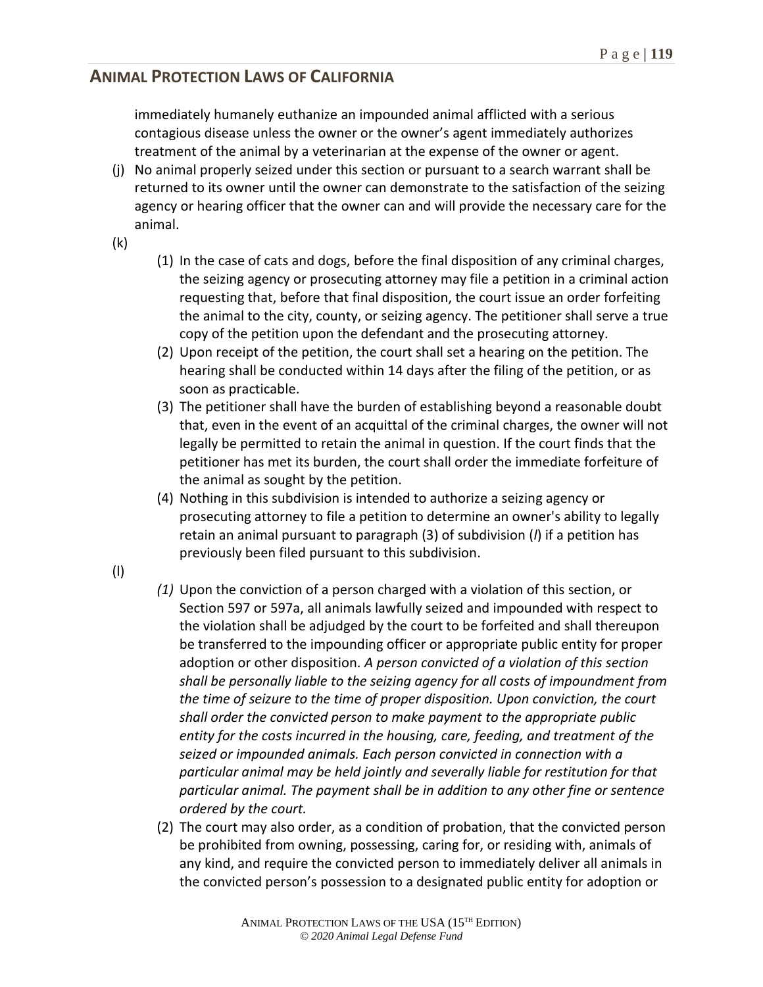immediately humanely euthanize an impounded animal afflicted with a serious contagious disease unless the owner or the owner's agent immediately authorizes treatment of the animal by a veterinarian at the expense of the owner or agent.

- (j) No animal properly seized under this section or pursuant to a search warrant shall be returned to its owner until the owner can demonstrate to the satisfaction of the seizing agency or hearing officer that the owner can and will provide the necessary care for the animal.
- (k)
- (1) In the case of cats and dogs, before the final disposition of any criminal charges, the seizing agency or prosecuting attorney may file a petition in a criminal action requesting that, before that final disposition, the court issue an order forfeiting the animal to the city, county, or seizing agency. The petitioner shall serve a true copy of the petition upon the defendant and the prosecuting attorney.
- (2) Upon receipt of the petition, the court shall set a hearing on the petition. The hearing shall be conducted within 14 days after the filing of the petition, or as soon as practicable.
- (3) The petitioner shall have the burden of establishing beyond a reasonable doubt that, even in the event of an acquittal of the criminal charges, the owner will not legally be permitted to retain the animal in question. If the court finds that the petitioner has met its burden, the court shall order the immediate forfeiture of the animal as sought by the petition.
- (4) Nothing in this subdivision is intended to authorize a seizing agency or prosecuting attorney to file a petition to determine an owner's ability to legally retain an animal pursuant to paragraph (3) of subdivision (*l*) if a petition has previously been filed pursuant to this subdivision.
- (l)
- *(1)* Upon the conviction of a person charged with a violation of this section, or Section 597 or 597a, all animals lawfully seized and impounded with respect to the violation shall be adjudged by the court to be forfeited and shall thereupon be transferred to the impounding officer or appropriate public entity for proper adoption or other disposition*. A person convicted of a violation of this section shall be personally liable to the seizing agency for all costs of impoundment from the time of seizure to the time of proper disposition. Upon conviction, the court shall order the convicted person to make payment to the appropriate public entity for the costs incurred in the housing, care, feeding, and treatment of the seized or impounded animals. Each person convicted in connection with a particular animal may be held jointly and severally liable for restitution for that particular animal. The payment shall be in addition to any other fine or sentence ordered by the court.*
- (2) The court may also order, as a condition of probation, that the convicted person be prohibited from owning, possessing, caring for, or residing with, animals of any kind, and require the convicted person to immediately deliver all animals in the convicted person's possession to a designated public entity for adoption or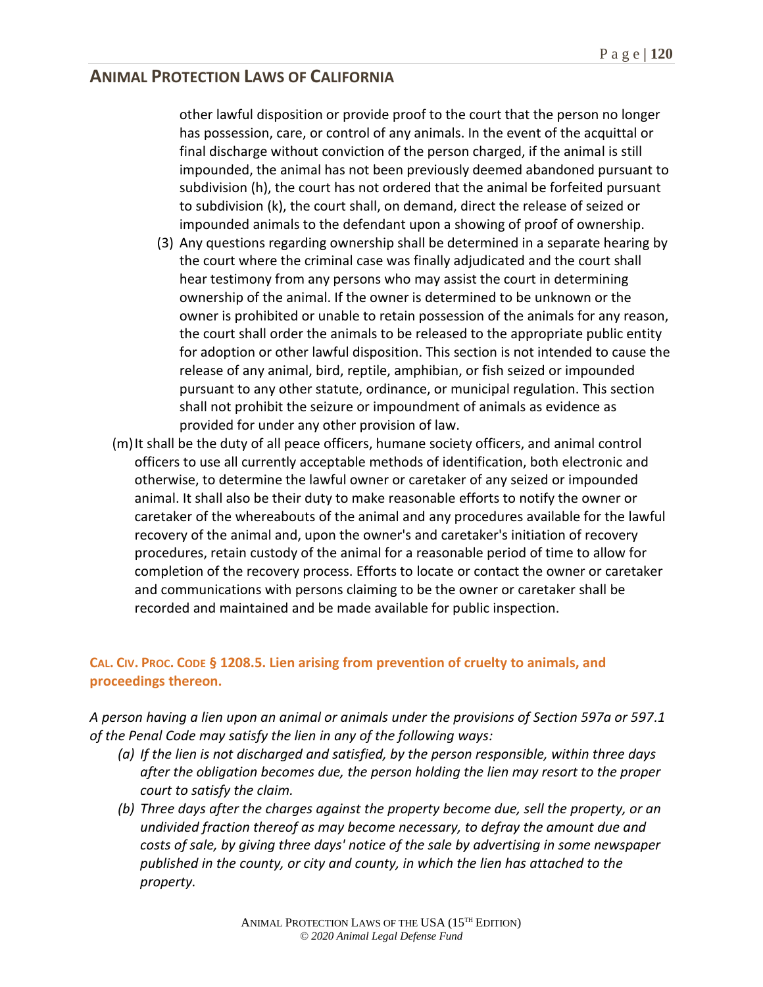other lawful disposition or provide proof to the court that the person no longer has possession, care, or control of any animals. In the event of the acquittal or final discharge without conviction of the person charged, if the animal is still impounded, the animal has not been previously deemed abandoned pursuant to subdivision (h), the court has not ordered that the animal be forfeited pursuant to subdivision (k), the court shall, on demand, direct the release of seized or impounded animals to the defendant upon a showing of proof of ownership.

- (3) Any questions regarding ownership shall be determined in a separate hearing by the court where the criminal case was finally adjudicated and the court shall hear testimony from any persons who may assist the court in determining ownership of the animal. If the owner is determined to be unknown or the owner is prohibited or unable to retain possession of the animals for any reason, the court shall order the animals to be released to the appropriate public entity for adoption or other lawful disposition. This section is not intended to cause the release of any animal, bird, reptile, amphibian, or fish seized or impounded pursuant to any other statute, ordinance, or municipal regulation. This section shall not prohibit the seizure or impoundment of animals as evidence as provided for under any other provision of law.
- (m) It shall be the duty of all peace officers, humane society officers, and animal control officers to use all currently acceptable methods of identification, both electronic and otherwise, to determine the lawful owner or caretaker of any seized or impounded animal. It shall also be their duty to make reasonable efforts to notify the owner or caretaker of the whereabouts of the animal and any procedures available for the lawful recovery of the animal and, upon the owner's and caretaker's initiation of recovery procedures, retain custody of the animal for a reasonable period of time to allow for completion of the recovery process. Efforts to locate or contact the owner or caretaker and communications with persons claiming to be the owner or caretaker shall be recorded and maintained and be made available for public inspection.

#### **CAL. CIV. PROC. CODE § 1208.5. Lien arising from prevention of cruelty to animals, and proceedings thereon.**

*A person having a lien upon an animal or animals under the provisions of Section 597a or 597.1 of the Penal Code may satisfy the lien in any of the following ways:* 

- *(a) If the lien is not discharged and satisfied, by the person responsible, within three days after the obligation becomes due, the person holding the lien may resort to the proper court to satisfy the claim.*
- *(b) Three days after the charges against the property become due, sell the property, or an undivided fraction thereof as may become necessary, to defray the amount due and costs of sale, by giving three days' notice of the sale by advertising in some newspaper published in the county, or city and county, in which the lien has attached to the property.*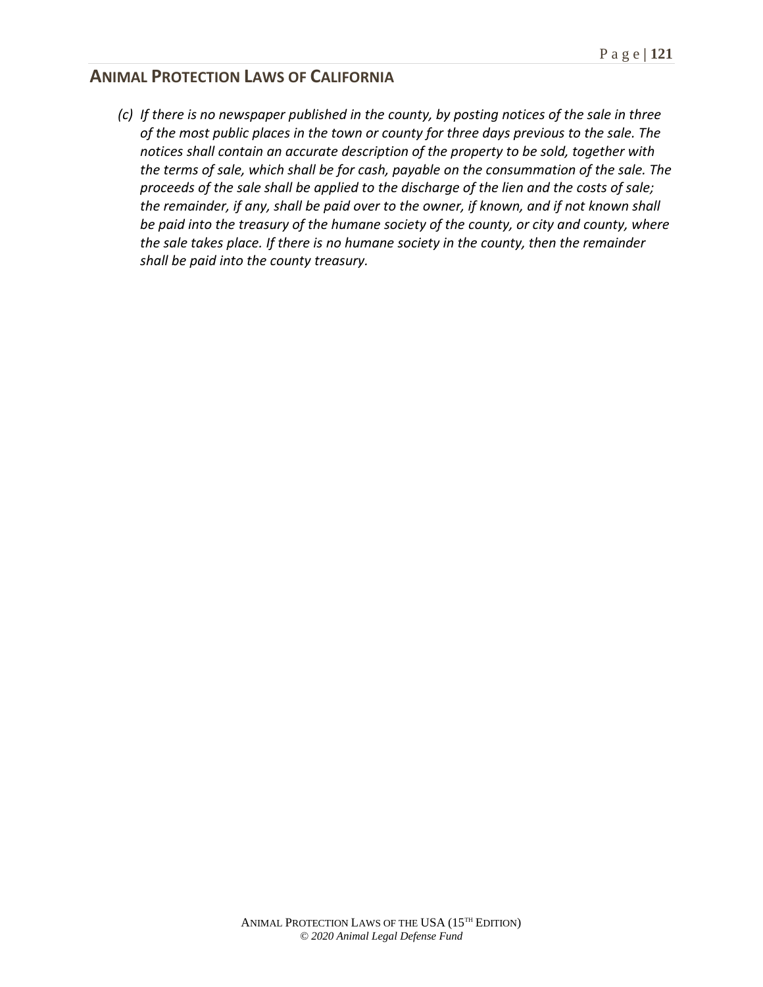*(c) If there is no newspaper published in the county, by posting notices of the sale in three of the most public places in the town or county for three days previous to the sale. The notices shall contain an accurate description of the property to be sold, together with the terms of sale, which shall be for cash, payable on the consummation of the sale. The proceeds of the sale shall be applied to the discharge of the lien and the costs of sale; the remainder, if any, shall be paid over to the owner, if known, and if not known shall be paid into the treasury of the humane society of the county, or city and county, where the sale takes place. If there is no humane society in the county, then the remainder shall be paid into the county treasury.*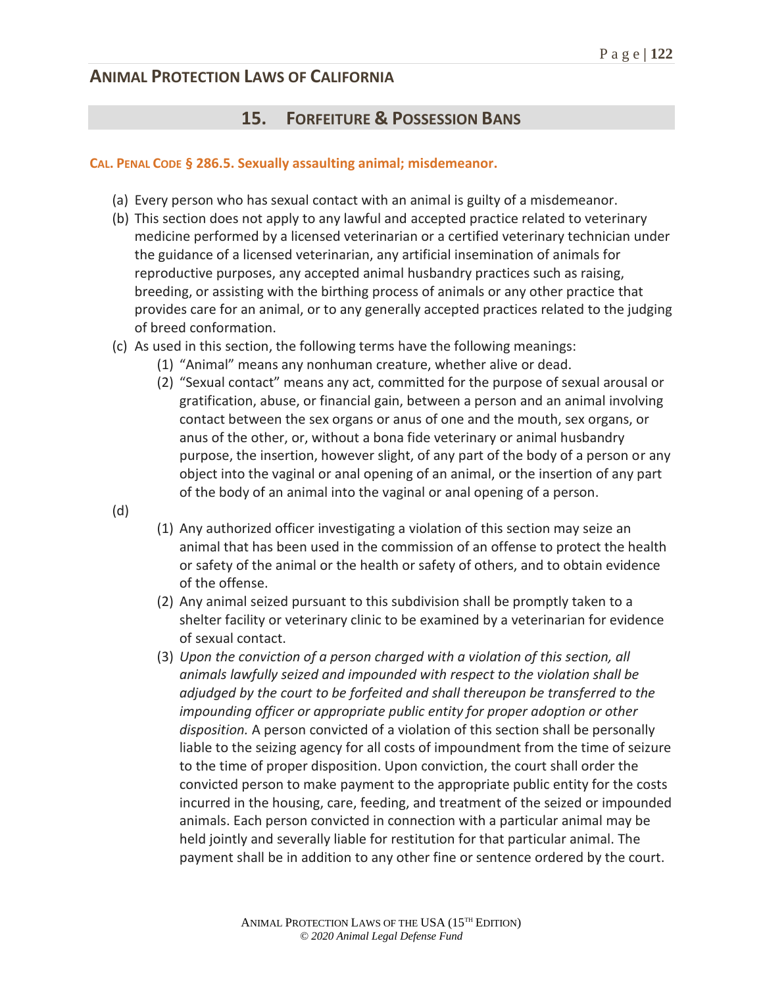# **15. FORFEITURE & POSSESSION BANS**

#### **CAL. PENAL CODE § 286.5. Sexually assaulting animal; misdemeanor.**

- (a) Every person who has sexual contact with an animal is guilty of a misdemeanor.
- (b) This section does not apply to any lawful and accepted practice related to veterinary medicine performed by a licensed veterinarian or a certified veterinary technician under the guidance of a licensed veterinarian, any artificial insemination of animals for reproductive purposes, any accepted animal husbandry practices such as raising, breeding, or assisting with the birthing process of animals or any other practice that provides care for an animal, or to any generally accepted practices related to the judging of breed conformation.
- (c) As used in this section, the following terms have the following meanings:
	- (1) "Animal" means any nonhuman creature, whether alive or dead.
	- (2) "Sexual contact" means any act, committed for the purpose of sexual arousal or gratification, abuse, or financial gain, between a person and an animal involving contact between the sex organs or anus of one and the mouth, sex organs, or anus of the other, or, without a bona fide veterinary or animal husbandry purpose, the insertion, however slight, of any part of the body of a person or any object into the vaginal or anal opening of an animal, or the insertion of any part of the body of an animal into the vaginal or anal opening of a person.
- (d)
- (1) Any authorized officer investigating a violation of this section may seize an animal that has been used in the commission of an offense to protect the health or safety of the animal or the health or safety of others, and to obtain evidence of the offense.
- (2) Any animal seized pursuant to this subdivision shall be promptly taken to a shelter facility or veterinary clinic to be examined by a veterinarian for evidence of sexual contact.
- (3) *Upon the conviction of a person charged with a violation of this section, all animals lawfully seized and impounded with respect to the violation shall be adjudged by the court to be forfeited and shall thereupon be transferred to the impounding officer or appropriate public entity for proper adoption or other disposition.* A person convicted of a violation of this section shall be personally liable to the seizing agency for all costs of impoundment from the time of seizure to the time of proper disposition. Upon conviction, the court shall order the convicted person to make payment to the appropriate public entity for the costs incurred in the housing, care, feeding, and treatment of the seized or impounded animals. Each person convicted in connection with a particular animal may be held jointly and severally liable for restitution for that particular animal. The payment shall be in addition to any other fine or sentence ordered by the court.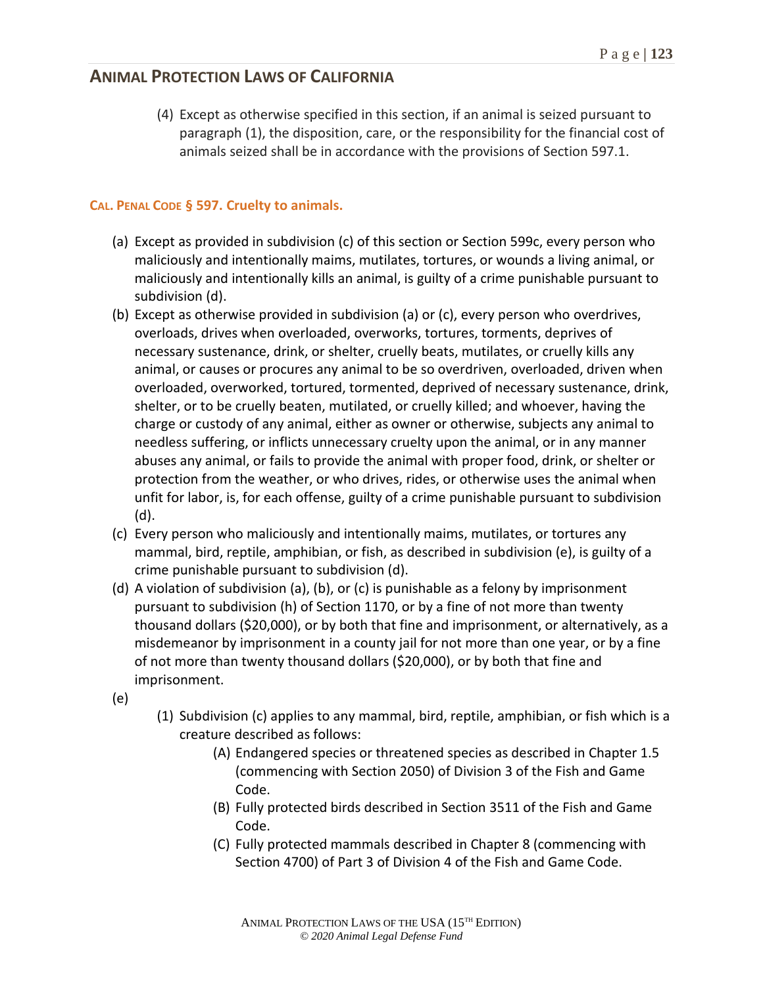(4) Except as otherwise specified in this section, if an animal is seized pursuant to paragraph (1), the disposition, care, or the responsibility for the financial cost of animals seized shall be in accordance with the provisions of Section 597.1.

#### **CAL. PENAL CODE § 597. Cruelty to animals.**

- (a) Except as provided in subdivision (c) of this section or Section 599c, every person who maliciously and intentionally maims, mutilates, tortures, or wounds a living animal, or maliciously and intentionally kills an animal, is guilty of a crime punishable pursuant to subdivision (d).
- (b) Except as otherwise provided in subdivision (a) or (c), every person who overdrives, overloads, drives when overloaded, overworks, tortures, torments, deprives of necessary sustenance, drink, or shelter, cruelly beats, mutilates, or cruelly kills any animal, or causes or procures any animal to be so overdriven, overloaded, driven when overloaded, overworked, tortured, tormented, deprived of necessary sustenance, drink, shelter, or to be cruelly beaten, mutilated, or cruelly killed; and whoever, having the charge or custody of any animal, either as owner or otherwise, subjects any animal to needless suffering, or inflicts unnecessary cruelty upon the animal, or in any manner abuses any animal, or fails to provide the animal with proper food, drink, or shelter or protection from the weather, or who drives, rides, or otherwise uses the animal when unfit for labor, is, for each offense, guilty of a crime punishable pursuant to subdivision (d).
- (c) Every person who maliciously and intentionally maims, mutilates, or tortures any mammal, bird, reptile, amphibian, or fish, as described in subdivision (e), is guilty of a crime punishable pursuant to subdivision (d).
- (d) A violation of subdivision (a), (b), or (c) is punishable as a felony by imprisonment pursuant to subdivision (h) of Section 1170, or by a fine of not more than twenty thousand dollars (\$20,000), or by both that fine and imprisonment, or alternatively, as a misdemeanor by imprisonment in a county jail for not more than one year, or by a fine of not more than twenty thousand dollars (\$20,000), or by both that fine and imprisonment.
- (e)
- (1) Subdivision (c) applies to any mammal, bird, reptile, amphibian, or fish which is a creature described as follows:
	- (A) Endangered species or threatened species as described in Chapter 1.5 (commencing with Section 2050) of Division 3 of the Fish and Game Code.
	- (B) Fully protected birds described in Section 3511 of the Fish and Game Code.
	- (C) Fully protected mammals described in Chapter 8 (commencing with Section 4700) of Part 3 of Division 4 of the Fish and Game Code.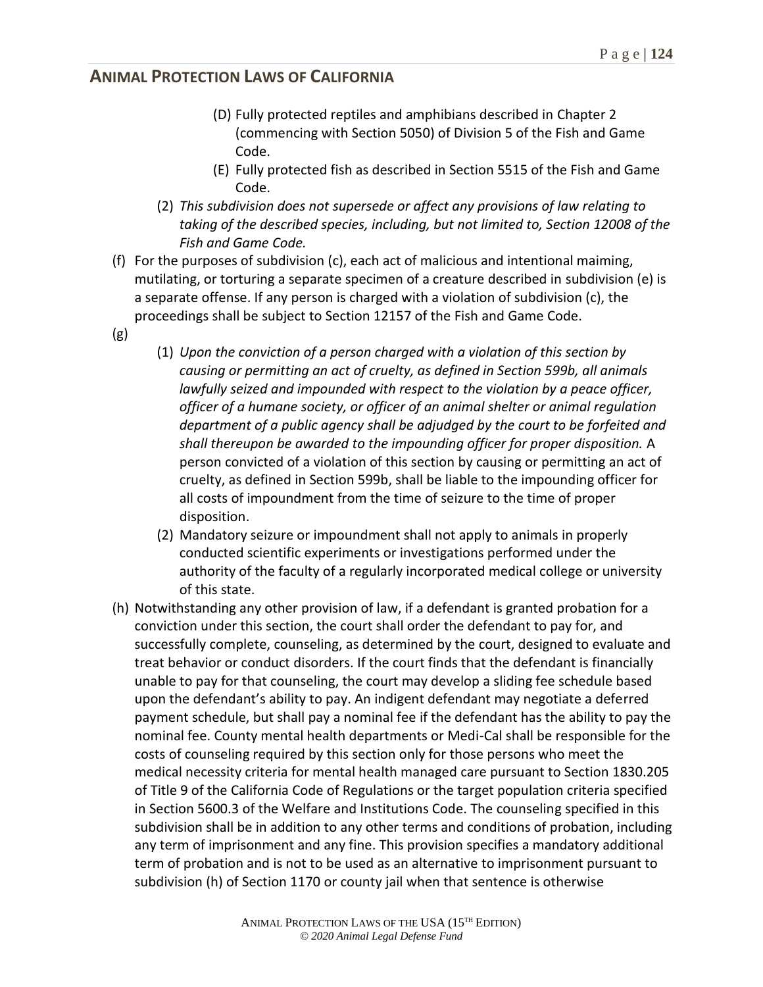- (D) Fully protected reptiles and amphibians described in Chapter 2 (commencing with Section 5050) of Division 5 of the Fish and Game Code.
- (E) Fully protected fish as described in Section 5515 of the Fish and Game Code.
- (2) *This subdivision does not supersede or affect any provisions of law relating to taking of the described species, including, but not limited to, Section 12008 of the Fish and Game Code.*
- (f) For the purposes of subdivision (c), each act of malicious and intentional maiming, mutilating, or torturing a separate specimen of a creature described in subdivision (e) is a separate offense. If any person is charged with a violation of subdivision (c), the proceedings shall be subject to Section 12157 of the Fish and Game Code.
- (g)
- (1) *Upon the conviction of a person charged with a violation of this section by causing or permitting an act of cruelty, as defined in Section 599b, all animals lawfully seized and impounded with respect to the violation by a peace officer, officer of a humane society, or officer of an animal shelter or animal regulation department of a public agency shall be adjudged by the court to be forfeited and shall thereupon be awarded to the impounding officer for proper disposition.* A person convicted of a violation of this section by causing or permitting an act of cruelty, as defined in Section 599b, shall be liable to the impounding officer for all costs of impoundment from the time of seizure to the time of proper disposition.
- (2) Mandatory seizure or impoundment shall not apply to animals in properly conducted scientific experiments or investigations performed under the authority of the faculty of a regularly incorporated medical college or university of this state.
- (h) Notwithstanding any other provision of law, if a defendant is granted probation for a conviction under this section, the court shall order the defendant to pay for, and successfully complete, counseling, as determined by the court, designed to evaluate and treat behavior or conduct disorders. If the court finds that the defendant is financially unable to pay for that counseling, the court may develop a sliding fee schedule based upon the defendant's ability to pay. An indigent defendant may negotiate a deferred payment schedule, but shall pay a nominal fee if the defendant has the ability to pay the nominal fee. County mental health departments or Medi-Cal shall be responsible for the costs of counseling required by this section only for those persons who meet the medical necessity criteria for mental health managed care pursuant to Section 1830.205 of Title 9 of the California Code of Regulations or the target population criteria specified in Section 5600.3 of the Welfare and Institutions Code. The counseling specified in this subdivision shall be in addition to any other terms and conditions of probation, including any term of imprisonment and any fine. This provision specifies a mandatory additional term of probation and is not to be used as an alternative to imprisonment pursuant to subdivision (h) of Section 1170 or county jail when that sentence is otherwise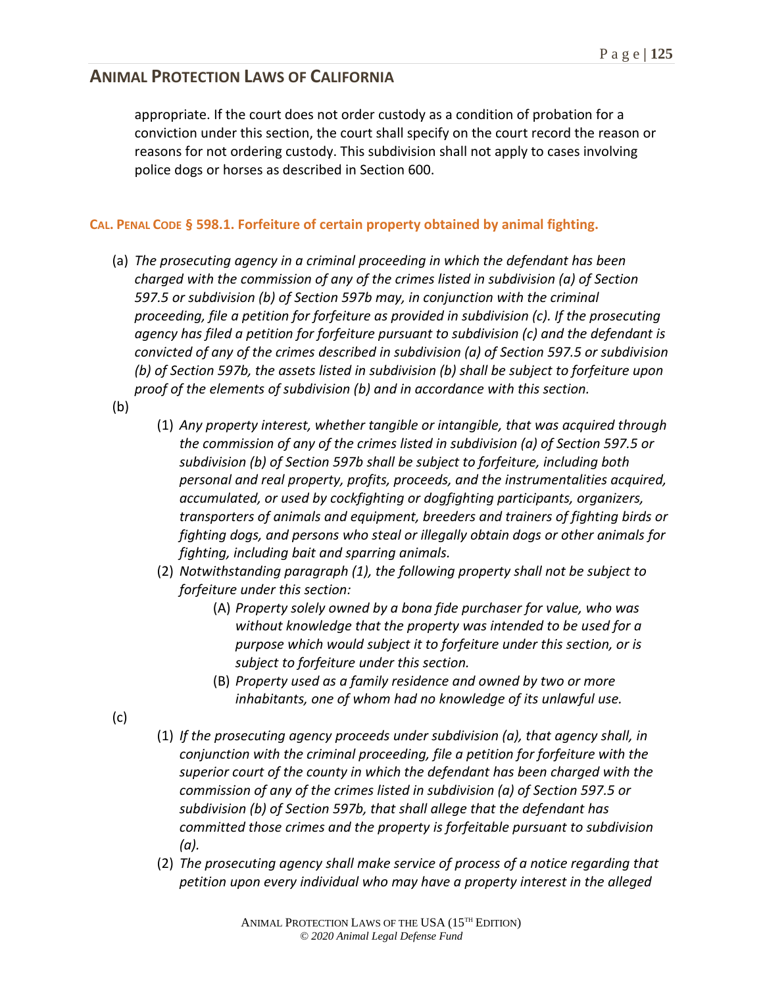appropriate. If the court does not order custody as a condition of probation for a conviction under this section, the court shall specify on the court record the reason or reasons for not ordering custody. This subdivision shall not apply to cases involving police dogs or horses as described in Section 600.

#### **CAL. PENAL CODE § 598.1. Forfeiture of certain property obtained by animal fighting.**

- (a) *The prosecuting agency in a criminal proceeding in which the defendant has been charged with the commission of any of the crimes listed in subdivision (a) of Section 597.5 or subdivision (b) of Section 597b may, in conjunction with the criminal proceeding, file a petition for forfeiture as provided in subdivision (c). If the prosecuting agency has filed a petition for forfeiture pursuant to subdivision (c) and the defendant is convicted of any of the crimes described in subdivision (a) of Section 597.5 or subdivision (b) of Section 597b, the assets listed in subdivision (b) shall be subject to forfeiture upon proof of the elements of subdivision (b) and in accordance with this section.*
- (b)
- (1) *Any property interest, whether tangible or intangible, that was acquired through the commission of any of the crimes listed in subdivision (a) of Section 597.5 or subdivision (b) of Section 597b shall be subject to forfeiture, including both personal and real property, profits, proceeds, and the instrumentalities acquired, accumulated, or used by cockfighting or dogfighting participants, organizers, transporters of animals and equipment, breeders and trainers of fighting birds or fighting dogs, and persons who steal or illegally obtain dogs or other animals for fighting, including bait and sparring animals.*
- (2) *Notwithstanding paragraph (1), the following property shall not be subject to forfeiture under this section:*
	- (A) *Property solely owned by a bona fide purchaser for value, who was without knowledge that the property was intended to be used for a purpose which would subject it to forfeiture under this section, or is subject to forfeiture under this section.*
	- (B) *Property used as a family residence and owned by two or more inhabitants, one of whom had no knowledge of its unlawful use.*
- (c)
- (1) *If the prosecuting agency proceeds under subdivision (a), that agency shall, in conjunction with the criminal proceeding, file a petition for forfeiture with the superior court of the county in which the defendant has been charged with the commission of any of the crimes listed in subdivision (a) of Section 597.5 or subdivision (b) of Section 597b, that shall allege that the defendant has committed those crimes and the property is forfeitable pursuant to subdivision (a).*
- (2) *The prosecuting agency shall make service of process of a notice regarding that petition upon every individual who may have a property interest in the alleged*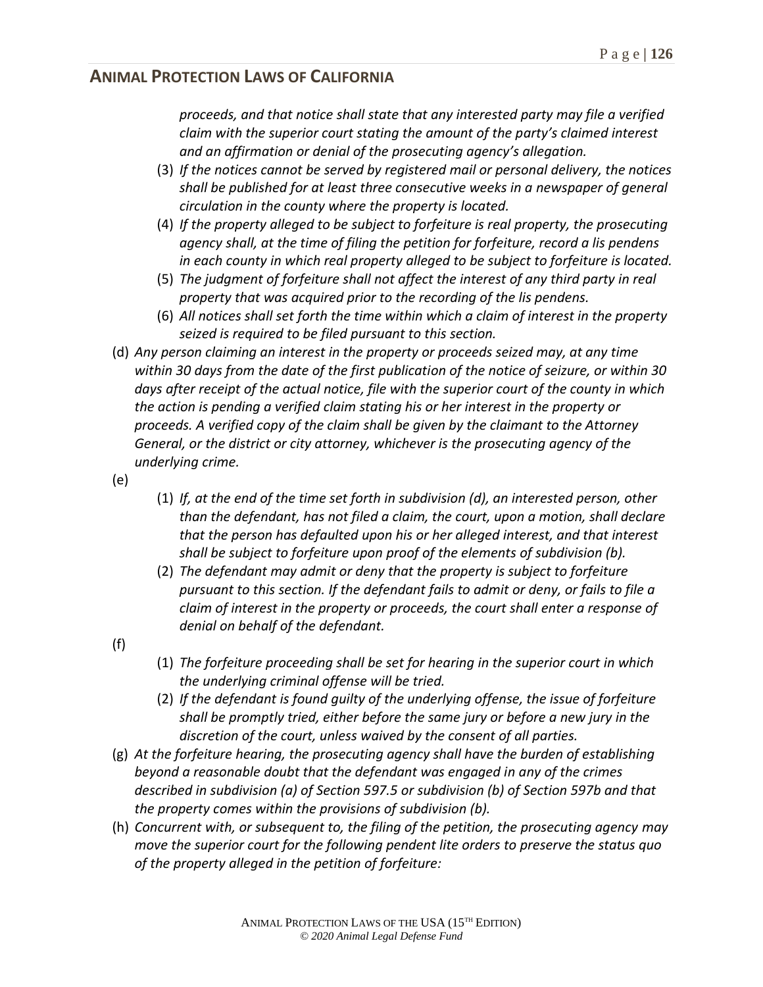*proceeds, and that notice shall state that any interested party may file a verified claim with the superior court stating the amount of the party's claimed interest and an affirmation or denial of the prosecuting agency's allegation.*

- (3) *If the notices cannot be served by registered mail or personal delivery, the notices shall be published for at least three consecutive weeks in a newspaper of general circulation in the county where the property is located.*
- (4) *If the property alleged to be subject to forfeiture is real property, the prosecuting agency shall, at the time of filing the petition for forfeiture, record a lis pendens in each county in which real property alleged to be subject to forfeiture is located.*
- (5) *The judgment of forfeiture shall not affect the interest of any third party in real property that was acquired prior to the recording of the lis pendens.*
- (6) *All notices shall set forth the time within which a claim of interest in the property seized is required to be filed pursuant to this section.*
- (d) *Any person claiming an interest in the property or proceeds seized may, at any time within 30 days from the date of the first publication of the notice of seizure, or within 30 days after receipt of the actual notice, file with the superior court of the county in which the action is pending a verified claim stating his or her interest in the property or proceeds. A verified copy of the claim shall be given by the claimant to the Attorney General, or the district or city attorney, whichever is the prosecuting agency of the underlying crime.*

(e)

- (1) *If, at the end of the time set forth in subdivision (d), an interested person, other than the defendant, has not filed a claim, the court, upon a motion, shall declare that the person has defaulted upon his or her alleged interest, and that interest shall be subject to forfeiture upon proof of the elements of subdivision (b).*
- (2) *The defendant may admit or deny that the property is subject to forfeiture pursuant to this section. If the defendant fails to admit or deny, or fails to file a claim of interest in the property or proceeds, the court shall enter a response of denial on behalf of the defendant.*

(f)

- (1) *The forfeiture proceeding shall be set for hearing in the superior court in which the underlying criminal offense will be tried.*
- (2) *If the defendant is found guilty of the underlying offense, the issue of forfeiture shall be promptly tried, either before the same jury or before a new jury in the discretion of the court, unless waived by the consent of all parties.*
- (g) *At the forfeiture hearing, the prosecuting agency shall have the burden of establishing beyond a reasonable doubt that the defendant was engaged in any of the crimes described in subdivision (a) of Section 597.5 or subdivision (b) of Section 597b and that the property comes within the provisions of subdivision (b).*
- (h) *Concurrent with, or subsequent to, the filing of the petition, the prosecuting agency may move the superior court for the following pendent lite orders to preserve the status quo of the property alleged in the petition of forfeiture:*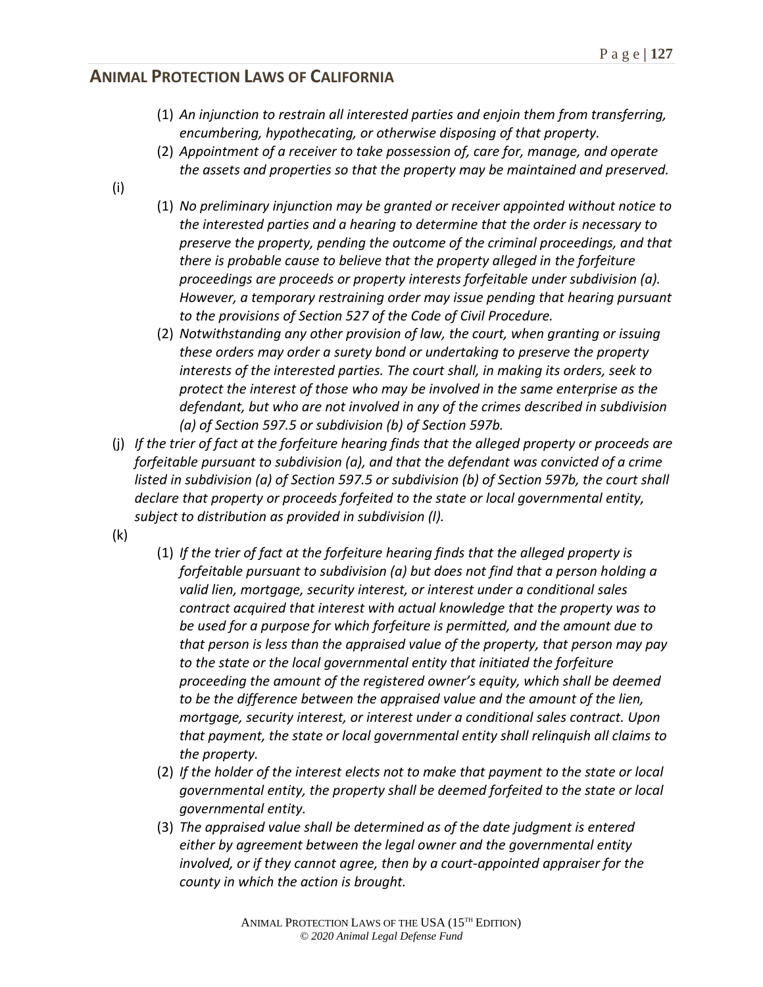- (1) *An injunction to restrain all interested parties and enjoin them from transferring, encumbering, hypothecating, or otherwise disposing of that property.*
- (2) *Appointment of a receiver to take possession of, care for, manage, and operate the assets and properties so that the property may be maintained and preserved.*
- (i)
- (1) *No preliminary injunction may be granted or receiver appointed without notice to the interested parties and a hearing to determine that the order is necessary to preserve the property, pending the outcome of the criminal proceedings, and that there is probable cause to believe that the property alleged in the forfeiture proceedings are proceeds or property interests forfeitable under subdivision (a). However, a temporary restraining order may issue pending that hearing pursuant to the provisions of Section 527 of the Code of Civil Procedure.*
- (2) *Notwithstanding any other provision of law, the court, when granting or issuing these orders may order a surety bond or undertaking to preserve the property interests of the interested parties. The court shall, in making its orders, seek to protect the interest of those who may be involved in the same enterprise as the defendant, but who are not involved in any of the crimes described in subdivision (a) of Section 597.5 or subdivision (b) of Section 597b.*
- (j) *If the trier of fact at the forfeiture hearing finds that the alleged property or proceeds are forfeitable pursuant to subdivision (a), and that the defendant was convicted of a crime listed in subdivision (a) of Section 597.5 or subdivision (b) of Section 597b, the court shall declare that property or proceeds forfeited to the state or local governmental entity, subject to distribution as provided in subdivision (l).*
- (k)
- (1) *If the trier of fact at the forfeiture hearing finds that the alleged property is forfeitable pursuant to subdivision (a) but does not find that a person holding a valid lien, mortgage, security interest, or interest under a conditional sales contract acquired that interest with actual knowledge that the property was to be used for a purpose for which forfeiture is permitted, and the amount due to that person is less than the appraised value of the property, that person may pay to the state or the local governmental entity that initiated the forfeiture proceeding the amount of the registered owner's equity, which shall be deemed to be the difference between the appraised value and the amount of the lien, mortgage, security interest, or interest under a conditional sales contract. Upon that payment, the state or local governmental entity shall relinquish all claims to the property.*
- (2) *If the holder of the interest elects not to make that payment to the state or local governmental entity, the property shall be deemed forfeited to the state or local governmental entity.*
- (3) *The appraised value shall be determined as of the date judgment is entered either by agreement between the legal owner and the governmental entity involved, or if they cannot agree, then by a court-appointed appraiser for the county in which the action is brought.*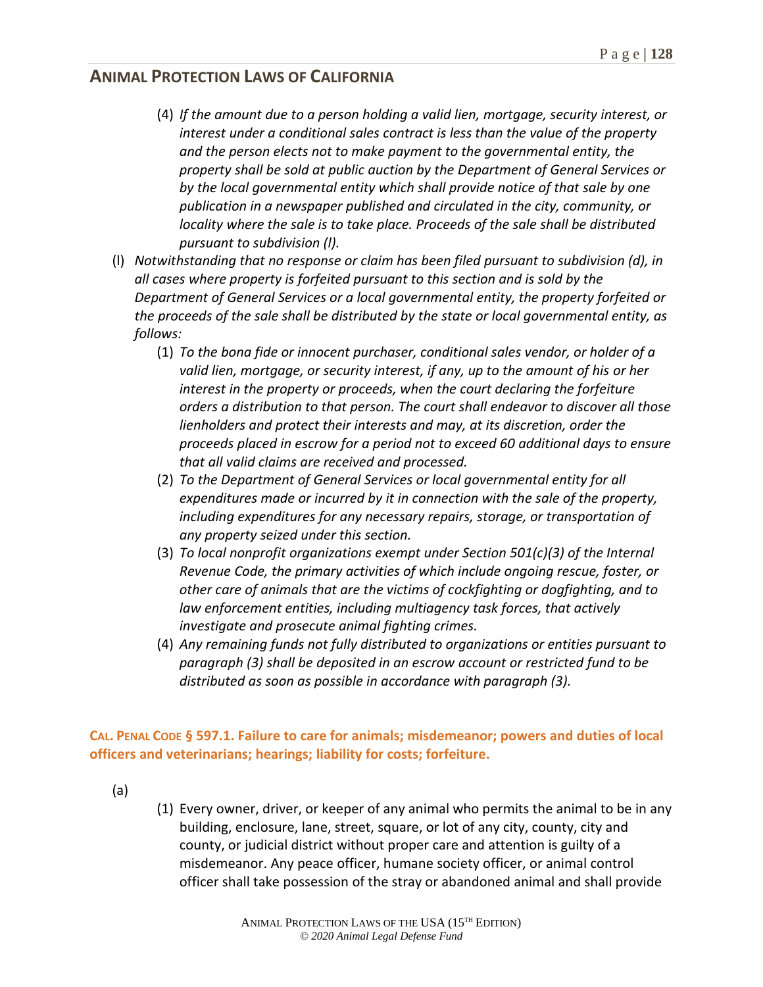- (4) *If the amount due to a person holding a valid lien, mortgage, security interest, or interest under a conditional sales contract is less than the value of the property and the person elects not to make payment to the governmental entity, the property shall be sold at public auction by the Department of General Services or by the local governmental entity which shall provide notice of that sale by one publication in a newspaper published and circulated in the city, community, or locality where the sale is to take place. Proceeds of the sale shall be distributed pursuant to subdivision (l).*
- (l) *Notwithstanding that no response or claim has been filed pursuant to subdivision (d), in all cases where property is forfeited pursuant to this section and is sold by the Department of General Services or a local governmental entity, the property forfeited or the proceeds of the sale shall be distributed by the state or local governmental entity, as follows:*
	- (1) *To the bona fide or innocent purchaser, conditional sales vendor, or holder of a valid lien, mortgage, or security interest, if any, up to the amount of his or her interest in the property or proceeds, when the court declaring the forfeiture orders a distribution to that person. The court shall endeavor to discover all those lienholders and protect their interests and may, at its discretion, order the proceeds placed in escrow for a period not to exceed 60 additional days to ensure that all valid claims are received and processed.*
	- (2) *To the Department of General Services or local governmental entity for all expenditures made or incurred by it in connection with the sale of the property, including expenditures for any necessary repairs, storage, or transportation of any property seized under this section.*
	- (3) *To local nonprofit organizations exempt under Section 501(c)(3) of the Internal Revenue Code, the primary activities of which include ongoing rescue, foster, or other care of animals that are the victims of cockfighting or dogfighting, and to law enforcement entities, including multiagency task forces, that actively investigate and prosecute animal fighting crimes.*
	- (4) *Any remaining funds not fully distributed to organizations or entities pursuant to paragraph (3) shall be deposited in an escrow account or restricted fund to be distributed as soon as possible in accordance with paragraph (3).*

**CAL. PENAL CODE § 597.1. Failure to care for animals; misdemeanor; powers and duties of local officers and veterinarians; hearings; liability for costs; forfeiture.**

- (a)
- (1) Every owner, driver, or keeper of any animal who permits the animal to be in any building, enclosure, lane, street, square, or lot of any city, county, city and county, or judicial district without proper care and attention is guilty of a misdemeanor. Any peace officer, humane society officer, or animal control officer shall take possession of the stray or abandoned animal and shall provide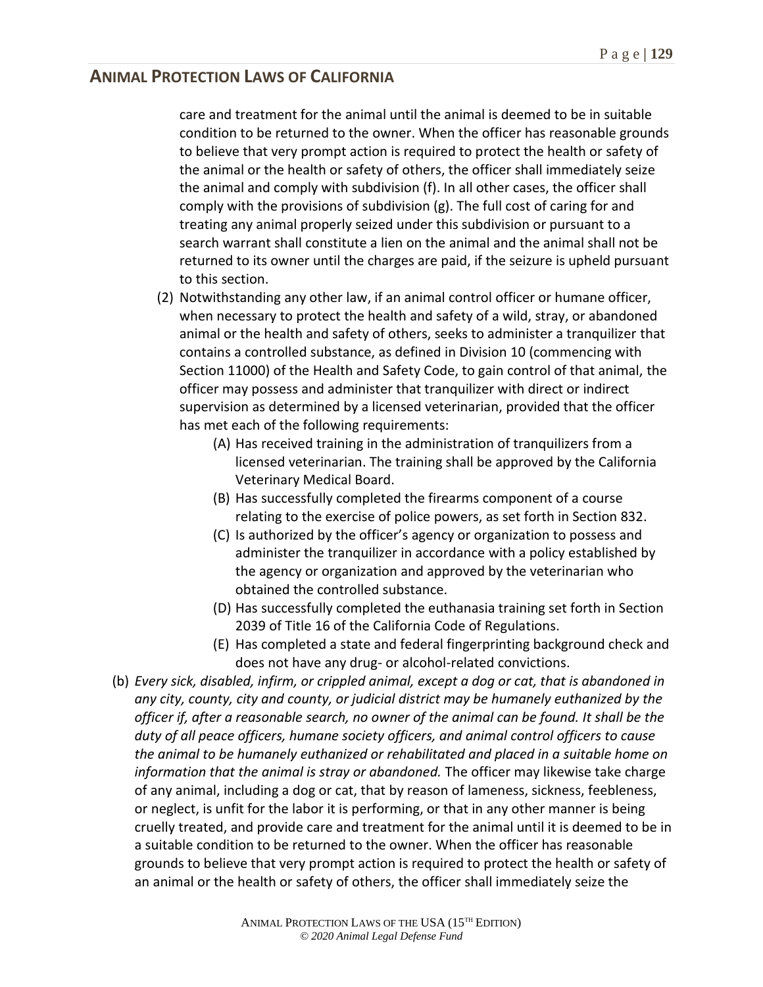care and treatment for the animal until the animal is deemed to be in suitable condition to be returned to the owner. When the officer has reasonable grounds to believe that very prompt action is required to protect the health or safety of the animal or the health or safety of others, the officer shall immediately seize the animal and comply with subdivision (f). In all other cases, the officer shall comply with the provisions of subdivision (g). The full cost of caring for and treating any animal properly seized under this subdivision or pursuant to a search warrant shall constitute a lien on the animal and the animal shall not be returned to its owner until the charges are paid, if the seizure is upheld pursuant to this section.

- (2) Notwithstanding any other law, if an animal control officer or humane officer, when necessary to protect the health and safety of a wild, stray, or abandoned animal or the health and safety of others, seeks to administer a tranquilizer that contains a controlled substance, as defined in Division 10 (commencing with Section 11000) of the Health and Safety Code, to gain control of that animal, the officer may possess and administer that tranquilizer with direct or indirect supervision as determined by a licensed veterinarian, provided that the officer has met each of the following requirements:
	- (A) Has received training in the administration of tranquilizers from a licensed veterinarian. The training shall be approved by the California Veterinary Medical Board.
	- (B) Has successfully completed the firearms component of a course relating to the exercise of police powers, as set forth in Section 832.
	- (C) Is authorized by the officer's agency or organization to possess and administer the tranquilizer in accordance with a policy established by the agency or organization and approved by the veterinarian who obtained the controlled substance.
	- (D) Has successfully completed the euthanasia training set forth in Section 2039 of Title 16 of the California Code of Regulations.
	- (E) Has completed a state and federal fingerprinting background check and does not have any drug- or alcohol-related convictions.
- (b) *Every sick, disabled, infirm, or crippled animal, except a dog or cat, that is abandoned in any city, county, city and county, or judicial district may be humanely euthanized by the officer if, after a reasonable search, no owner of the animal can be found. It shall be the duty of all peace officers, humane society officers, and animal control officers to cause the animal to be humanely euthanized or rehabilitated and placed in a suitable home on information that the animal is stray or abandoned.* The officer may likewise take charge of any animal, including a dog or cat, that by reason of lameness, sickness, feebleness, or neglect, is unfit for the labor it is performing, or that in any other manner is being cruelly treated, and provide care and treatment for the animal until it is deemed to be in a suitable condition to be returned to the owner. When the officer has reasonable grounds to believe that very prompt action is required to protect the health or safety of an animal or the health or safety of others, the officer shall immediately seize the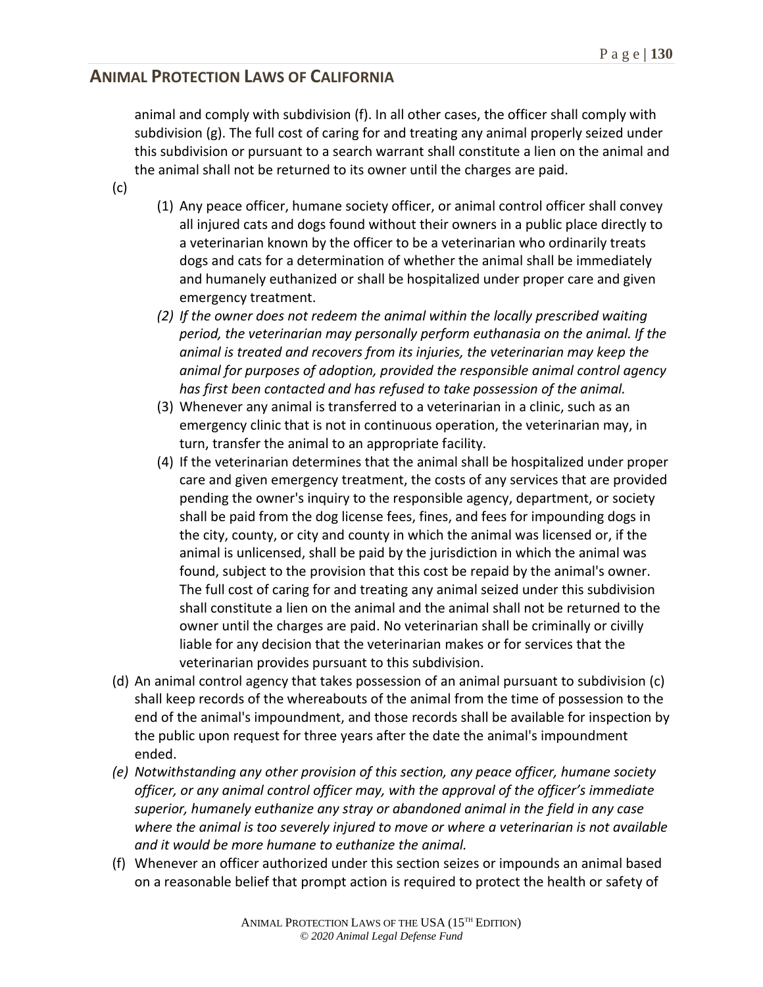animal and comply with subdivision (f). In all other cases, the officer shall comply with subdivision (g). The full cost of caring for and treating any animal properly seized under this subdivision or pursuant to a search warrant shall constitute a lien on the animal and the animal shall not be returned to its owner until the charges are paid.

 $(c)$ 

- (1) Any peace officer, humane society officer, or animal control officer shall convey all injured cats and dogs found without their owners in a public place directly to a veterinarian known by the officer to be a veterinarian who ordinarily treats dogs and cats for a determination of whether the animal shall be immediately and humanely euthanized or shall be hospitalized under proper care and given emergency treatment.
- *(2) If the owner does not redeem the animal within the locally prescribed waiting period, the veterinarian may personally perform euthanasia on the animal. If the animal is treated and recovers from its injuries, the veterinarian may keep the animal for purposes of adoption, provided the responsible animal control agency has first been contacted and has refused to take possession of the animal.*
- (3) Whenever any animal is transferred to a veterinarian in a clinic, such as an emergency clinic that is not in continuous operation, the veterinarian may, in turn, transfer the animal to an appropriate facility.
- (4) If the veterinarian determines that the animal shall be hospitalized under proper care and given emergency treatment, the costs of any services that are provided pending the owner's inquiry to the responsible agency, department, or society shall be paid from the dog license fees, fines, and fees for impounding dogs in the city, county, or city and county in which the animal was licensed or, if the animal is unlicensed, shall be paid by the jurisdiction in which the animal was found, subject to the provision that this cost be repaid by the animal's owner. The full cost of caring for and treating any animal seized under this subdivision shall constitute a lien on the animal and the animal shall not be returned to the owner until the charges are paid. No veterinarian shall be criminally or civilly liable for any decision that the veterinarian makes or for services that the veterinarian provides pursuant to this subdivision.
- (d) An animal control agency that takes possession of an animal pursuant to subdivision (c) shall keep records of the whereabouts of the animal from the time of possession to the end of the animal's impoundment, and those records shall be available for inspection by the public upon request for three years after the date the animal's impoundment ended.
- *(e) Notwithstanding any other provision of this section, any peace officer, humane society officer, or any animal control officer may, with the approval of the officer's immediate superior, humanely euthanize any stray or abandoned animal in the field in any case where the animal is too severely injured to move or where a veterinarian is not available and it would be more humane to euthanize the animal.*
- (f) Whenever an officer authorized under this section seizes or impounds an animal based on a reasonable belief that prompt action is required to protect the health or safety of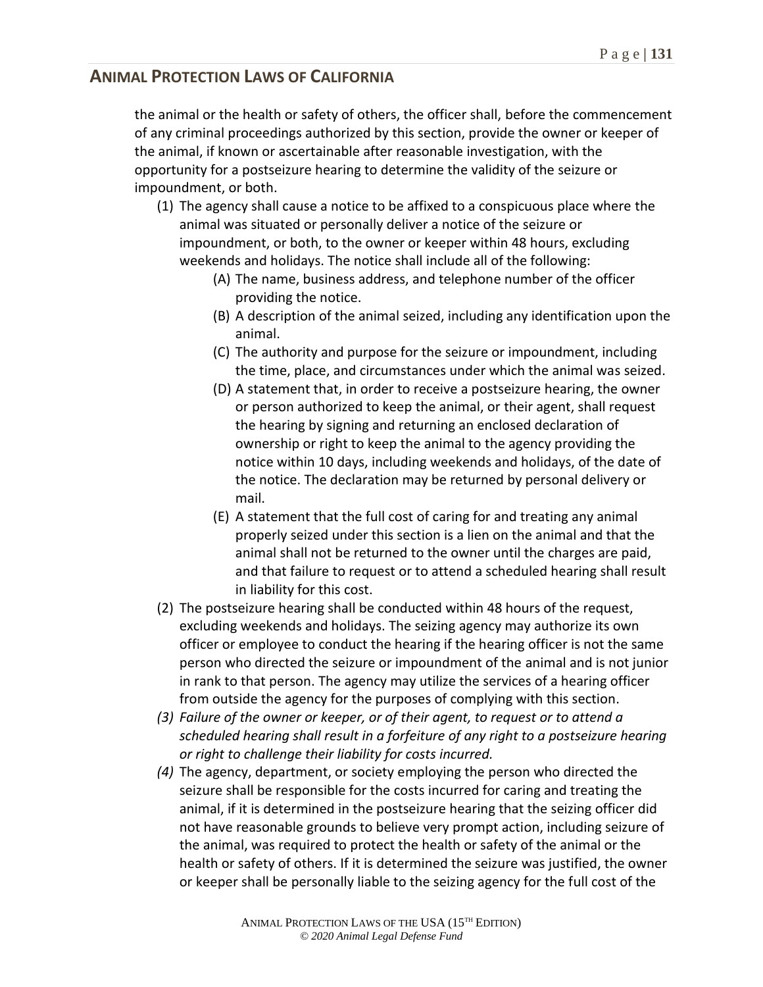the animal or the health or safety of others, the officer shall, before the commencement of any criminal proceedings authorized by this section, provide the owner or keeper of the animal, if known or ascertainable after reasonable investigation, with the opportunity for a postseizure hearing to determine the validity of the seizure or impoundment, or both.

- (1) The agency shall cause a notice to be affixed to a conspicuous place where the animal was situated or personally deliver a notice of the seizure or impoundment, or both, to the owner or keeper within 48 hours, excluding weekends and holidays. The notice shall include all of the following:
	- (A) The name, business address, and telephone number of the officer providing the notice.
	- (B) A description of the animal seized, including any identification upon the animal.
	- (C) The authority and purpose for the seizure or impoundment, including the time, place, and circumstances under which the animal was seized.
	- (D) A statement that, in order to receive a postseizure hearing, the owner or person authorized to keep the animal, or their agent, shall request the hearing by signing and returning an enclosed declaration of ownership or right to keep the animal to the agency providing the notice within 10 days, including weekends and holidays, of the date of the notice. The declaration may be returned by personal delivery or mail.
	- (E) A statement that the full cost of caring for and treating any animal properly seized under this section is a lien on the animal and that the animal shall not be returned to the owner until the charges are paid, and that failure to request or to attend a scheduled hearing shall result in liability for this cost.
- (2) The postseizure hearing shall be conducted within 48 hours of the request, excluding weekends and holidays. The seizing agency may authorize its own officer or employee to conduct the hearing if the hearing officer is not the same person who directed the seizure or impoundment of the animal and is not junior in rank to that person. The agency may utilize the services of a hearing officer from outside the agency for the purposes of complying with this section.
- *(3) Failure of the owner or keeper, or of their agent, to request or to attend a scheduled hearing shall result in a forfeiture of any right to a postseizure hearing or right to challenge their liability for costs incurred.*
- *(4)* The agency, department, or society employing the person who directed the seizure shall be responsible for the costs incurred for caring and treating the animal, if it is determined in the postseizure hearing that the seizing officer did not have reasonable grounds to believe very prompt action, including seizure of the animal, was required to protect the health or safety of the animal or the health or safety of others. If it is determined the seizure was justified, the owner or keeper shall be personally liable to the seizing agency for the full cost of the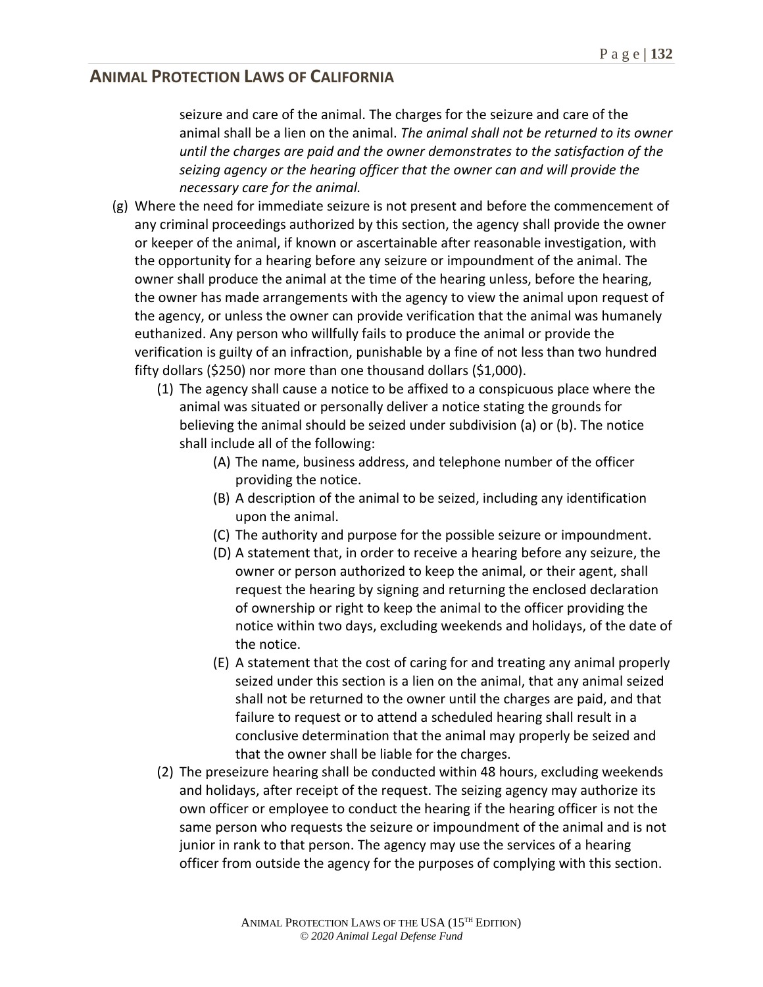seizure and care of the animal. The charges for the seizure and care of the animal shall be a lien on the animal. *The animal shall not be returned to its owner until the charges are paid and the owner demonstrates to the satisfaction of the seizing agency or the hearing officer that the owner can and will provide the necessary care for the animal.*

- (g) Where the need for immediate seizure is not present and before the commencement of any criminal proceedings authorized by this section, the agency shall provide the owner or keeper of the animal, if known or ascertainable after reasonable investigation, with the opportunity for a hearing before any seizure or impoundment of the animal. The owner shall produce the animal at the time of the hearing unless, before the hearing, the owner has made arrangements with the agency to view the animal upon request of the agency, or unless the owner can provide verification that the animal was humanely euthanized. Any person who willfully fails to produce the animal or provide the verification is guilty of an infraction, punishable by a fine of not less than two hundred fifty dollars (\$250) nor more than one thousand dollars (\$1,000).
	- (1) The agency shall cause a notice to be affixed to a conspicuous place where the animal was situated or personally deliver a notice stating the grounds for believing the animal should be seized under subdivision (a) or (b). The notice shall include all of the following:
		- (A) The name, business address, and telephone number of the officer providing the notice.
		- (B) A description of the animal to be seized, including any identification upon the animal.
		- (C) The authority and purpose for the possible seizure or impoundment.
		- (D) A statement that, in order to receive a hearing before any seizure, the owner or person authorized to keep the animal, or their agent, shall request the hearing by signing and returning the enclosed declaration of ownership or right to keep the animal to the officer providing the notice within two days, excluding weekends and holidays, of the date of the notice.
		- (E) A statement that the cost of caring for and treating any animal properly seized under this section is a lien on the animal, that any animal seized shall not be returned to the owner until the charges are paid, and that failure to request or to attend a scheduled hearing shall result in a conclusive determination that the animal may properly be seized and that the owner shall be liable for the charges.
	- (2) The preseizure hearing shall be conducted within 48 hours, excluding weekends and holidays, after receipt of the request. The seizing agency may authorize its own officer or employee to conduct the hearing if the hearing officer is not the same person who requests the seizure or impoundment of the animal and is not junior in rank to that person. The agency may use the services of a hearing officer from outside the agency for the purposes of complying with this section.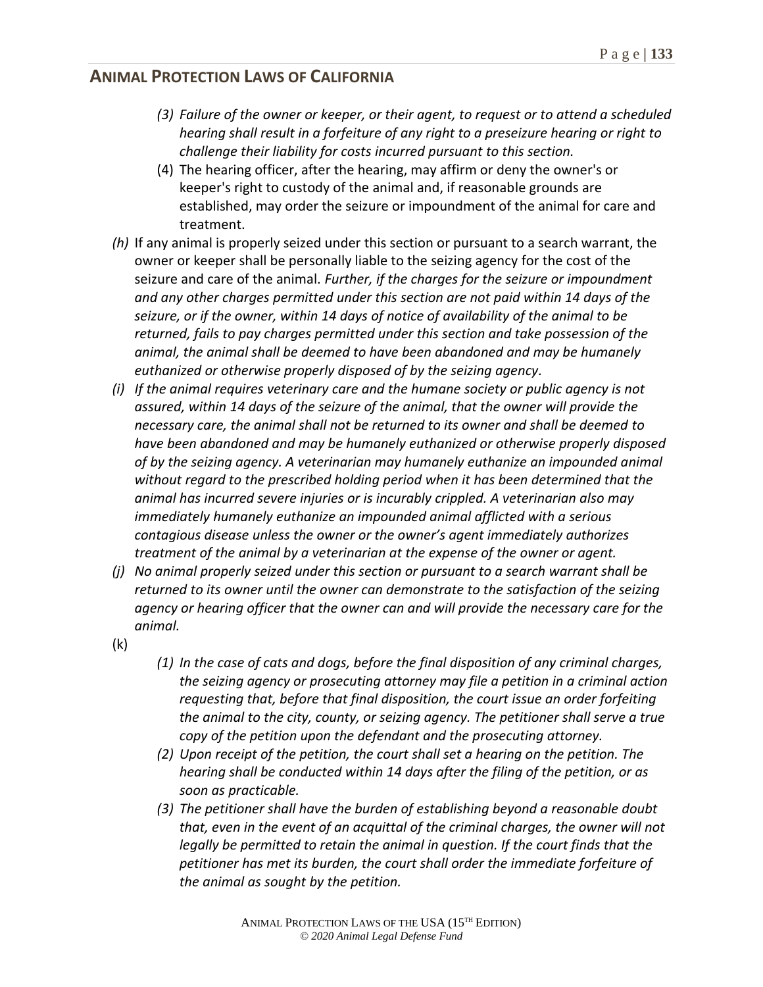- *(3) Failure of the owner or keeper, or their agent, to request or to attend a scheduled hearing shall result in a forfeiture of any right to a preseizure hearing or right to challenge their liability for costs incurred pursuant to this section.*
- (4) The hearing officer, after the hearing, may affirm or deny the owner's or keeper's right to custody of the animal and, if reasonable grounds are established, may order the seizure or impoundment of the animal for care and treatment.
- *(h)* If any animal is properly seized under this section or pursuant to a search warrant, the owner or keeper shall be personally liable to the seizing agency for the cost of the seizure and care of the animal. *Further, if the charges for the seizure or impoundment and any other charges permitted under this section are not paid within 14 days of the seizure, or if the owner, within 14 days of notice of availability of the animal to be returned, fails to pay charges permitted under this section and take possession of the animal, the animal shall be deemed to have been abandoned and may be humanely euthanized or otherwise properly disposed of by the seizing agency.*
- *(i) If the animal requires veterinary care and the humane society or public agency is not assured, within 14 days of the seizure of the animal, that the owner will provide the necessary care, the animal shall not be returned to its owner and shall be deemed to have been abandoned and may be humanely euthanized or otherwise properly disposed of by the seizing agency. A veterinarian may humanely euthanize an impounded animal without regard to the prescribed holding period when it has been determined that the animal has incurred severe injuries or is incurably crippled. A veterinarian also may immediately humanely euthanize an impounded animal afflicted with a serious contagious disease unless the owner or the owner's agent immediately authorizes treatment of the animal by a veterinarian at the expense of the owner or agent.*
- *(j) No animal properly seized under this section or pursuant to a search warrant shall be returned to its owner until the owner can demonstrate to the satisfaction of the seizing agency or hearing officer that the owner can and will provide the necessary care for the animal.*
- (k)
- *(1) In the case of cats and dogs, before the final disposition of any criminal charges, the seizing agency or prosecuting attorney may file a petition in a criminal action requesting that, before that final disposition, the court issue an order forfeiting the animal to the city, county, or seizing agency. The petitioner shall serve a true copy of the petition upon the defendant and the prosecuting attorney.*
- *(2) Upon receipt of the petition, the court shall set a hearing on the petition. The hearing shall be conducted within 14 days after the filing of the petition, or as soon as practicable.*
- *(3) The petitioner shall have the burden of establishing beyond a reasonable doubt that, even in the event of an acquittal of the criminal charges, the owner will not legally be permitted to retain the animal in question. If the court finds that the petitioner has met its burden, the court shall order the immediate forfeiture of the animal as sought by the petition.*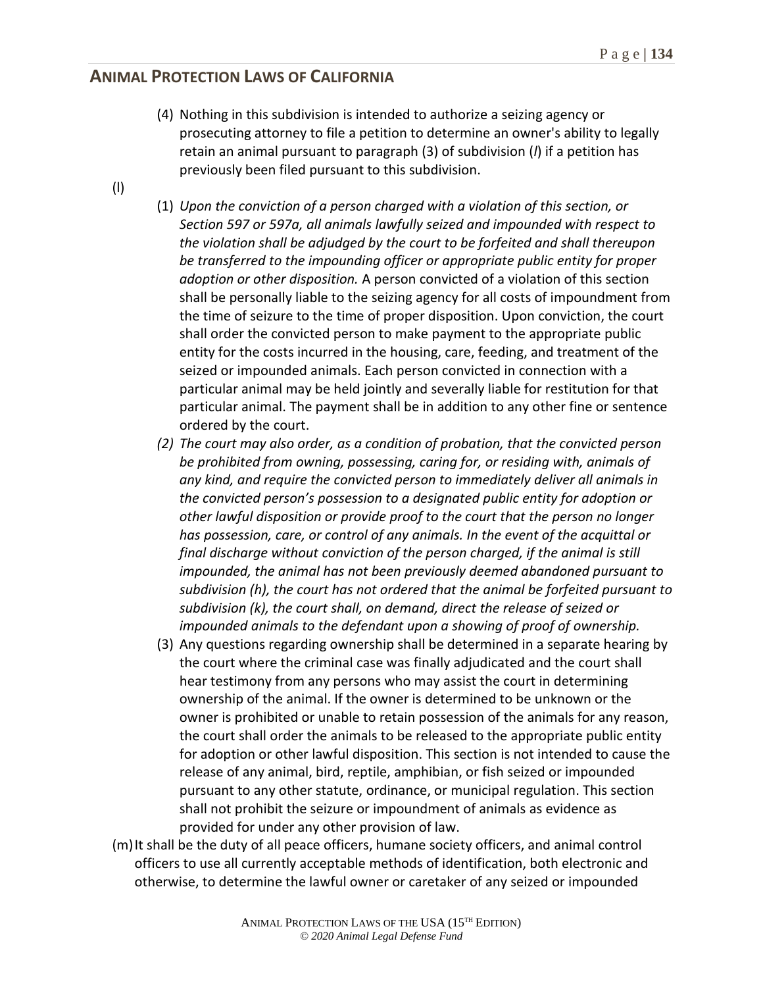- (4) Nothing in this subdivision is intended to authorize a seizing agency or prosecuting attorney to file a petition to determine an owner's ability to legally retain an animal pursuant to paragraph (3) of subdivision (*l*) if a petition has previously been filed pursuant to this subdivision.
- (l)
- (1) *Upon the conviction of a person charged with a violation of this section, or Section 597 or 597a, all animals lawfully seized and impounded with respect to the violation shall be adjudged by the court to be forfeited and shall thereupon be transferred to the impounding officer or appropriate public entity for proper adoption or other disposition.* A person convicted of a violation of this section shall be personally liable to the seizing agency for all costs of impoundment from the time of seizure to the time of proper disposition. Upon conviction, the court shall order the convicted person to make payment to the appropriate public entity for the costs incurred in the housing, care, feeding, and treatment of the seized or impounded animals. Each person convicted in connection with a particular animal may be held jointly and severally liable for restitution for that particular animal. The payment shall be in addition to any other fine or sentence ordered by the court.
- *(2) The court may also order, as a condition of probation, that the convicted person be prohibited from owning, possessing, caring for, or residing with, animals of any kind, and require the convicted person to immediately deliver all animals in the convicted person's possession to a designated public entity for adoption or other lawful disposition or provide proof to the court that the person no longer has possession, care, or control of any animals. In the event of the acquittal or final discharge without conviction of the person charged, if the animal is still impounded, the animal has not been previously deemed abandoned pursuant to subdivision (h), the court has not ordered that the animal be forfeited pursuant to subdivision (k), the court shall, on demand, direct the release of seized or impounded animals to the defendant upon a showing of proof of ownership.*
- (3) Any questions regarding ownership shall be determined in a separate hearing by the court where the criminal case was finally adjudicated and the court shall hear testimony from any persons who may assist the court in determining ownership of the animal. If the owner is determined to be unknown or the owner is prohibited or unable to retain possession of the animals for any reason, the court shall order the animals to be released to the appropriate public entity for adoption or other lawful disposition. This section is not intended to cause the release of any animal, bird, reptile, amphibian, or fish seized or impounded pursuant to any other statute, ordinance, or municipal regulation. This section shall not prohibit the seizure or impoundment of animals as evidence as provided for under any other provision of law.
- (m)It shall be the duty of all peace officers, humane society officers, and animal control officers to use all currently acceptable methods of identification, both electronic and otherwise, to determine the lawful owner or caretaker of any seized or impounded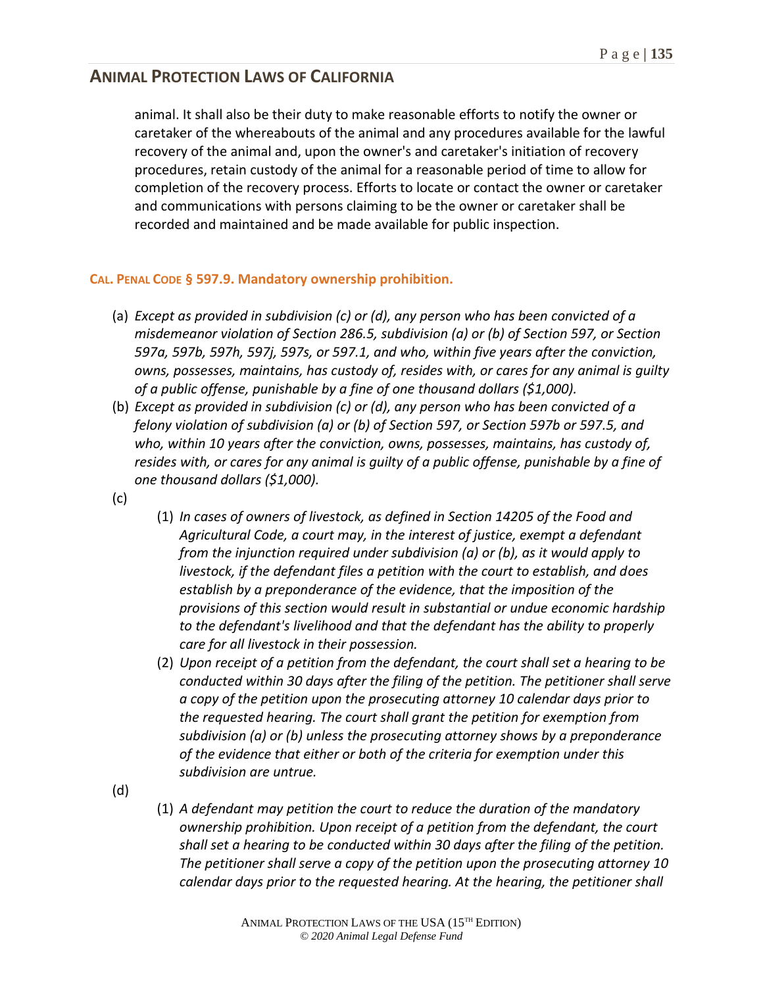animal. It shall also be their duty to make reasonable efforts to notify the owner or caretaker of the whereabouts of the animal and any procedures available for the lawful recovery of the animal and, upon the owner's and caretaker's initiation of recovery procedures, retain custody of the animal for a reasonable period of time to allow for completion of the recovery process. Efforts to locate or contact the owner or caretaker and communications with persons claiming to be the owner or caretaker shall be recorded and maintained and be made available for public inspection.

#### **CAL. PENAL CODE § 597.9. Mandatory ownership prohibition.**

- (a) *Except as provided in subdivision (c) or (d), any person who has been convicted of a misdemeanor violation of Section 286.5, subdivision (a) or (b) of Section 597, or Section 597a, 597b, 597h, 597j, 597s, or 597.1, and who, within five years after the conviction, owns, possesses, maintains, has custody of, resides with, or cares for any animal is guilty of a public offense, punishable by a fine of one thousand dollars (\$1,000).*
- (b) *Except as provided in subdivision (c) or (d), any person who has been convicted of a felony violation of subdivision (a) or (b) of Section 597, or Section 597b or 597.5, and who, within 10 years after the conviction, owns, possesses, maintains, has custody of,*  resides with, or cares for any animal is quilty of a public offense, punishable by a fine of *one thousand dollars (\$1,000).*
- (c)
- (1) *In cases of owners of livestock, as defined in Section 14205 of the Food and Agricultural Code, a court may, in the interest of justice, exempt a defendant from the injunction required under subdivision (a) or (b), as it would apply to livestock, if the defendant files a petition with the court to establish, and does establish by a preponderance of the evidence, that the imposition of the provisions of this section would result in substantial or undue economic hardship to the defendant's livelihood and that the defendant has the ability to properly care for all livestock in their possession.*
- (2) *Upon receipt of a petition from the defendant, the court shall set a hearing to be conducted within 30 days after the filing of the petition. The petitioner shall serve a copy of the petition upon the prosecuting attorney 10 calendar days prior to the requested hearing. The court shall grant the petition for exemption from subdivision (a) or (b) unless the prosecuting attorney shows by a preponderance of the evidence that either or both of the criteria for exemption under this subdivision are untrue.*
- (d)
- (1) *A defendant may petition the court to reduce the duration of the mandatory ownership prohibition. Upon receipt of a petition from the defendant, the court shall set a hearing to be conducted within 30 days after the filing of the petition. The petitioner shall serve a copy of the petition upon the prosecuting attorney 10 calendar days prior to the requested hearing. At the hearing, the petitioner shall*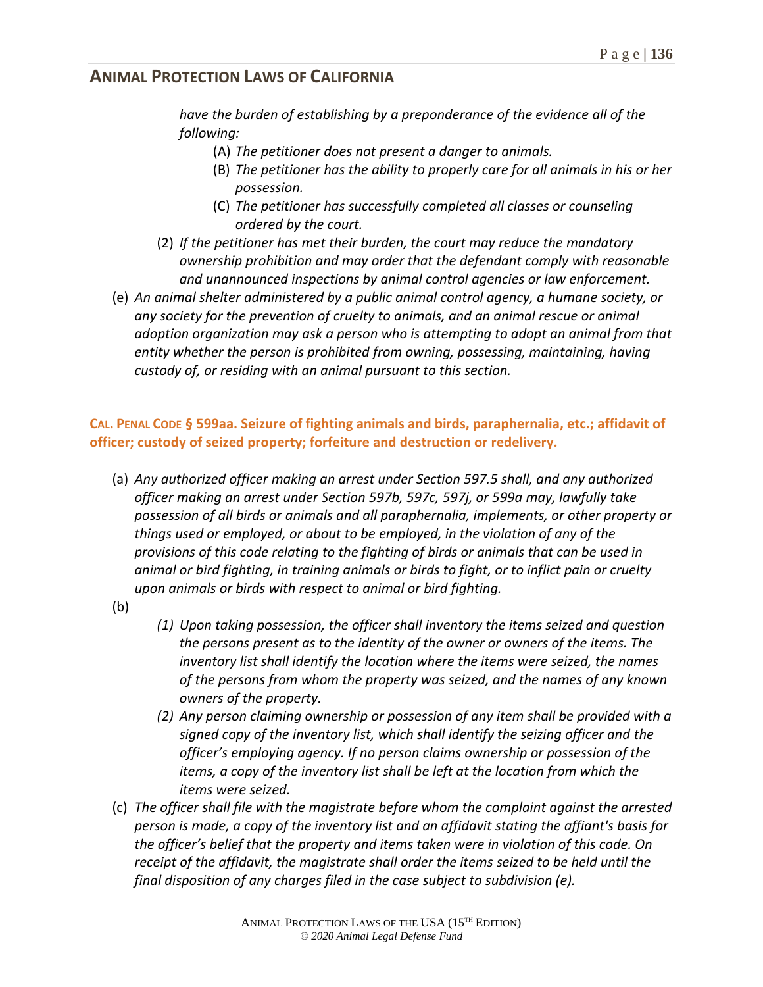*have the burden of establishing by a preponderance of the evidence all of the following:* 

- (A) *The petitioner does not present a danger to animals.*
- (B) *The petitioner has the ability to properly care for all animals in his or her possession.*
- (C) *The petitioner has successfully completed all classes or counseling ordered by the court.*
- (2) *If the petitioner has met their burden, the court may reduce the mandatory ownership prohibition and may order that the defendant comply with reasonable and unannounced inspections by animal control agencies or law enforcement.*
- (e) *An animal shelter administered by a public animal control agency, a humane society, or any society for the prevention of cruelty to animals, and an animal rescue or animal adoption organization may ask a person who is attempting to adopt an animal from that entity whether the person is prohibited from owning, possessing, maintaining, having custody of, or residing with an animal pursuant to this section.*

**CAL. PENAL CODE § 599aa. Seizure of fighting animals and birds, paraphernalia, etc.; affidavit of officer; custody of seized property; forfeiture and destruction or redelivery.** 

- (a) *Any authorized officer making an arrest under Section 597.5 shall, and any authorized officer making an arrest under Section 597b, 597c, 597j, or 599a may, lawfully take possession of all birds or animals and all paraphernalia, implements, or other property or things used or employed, or about to be employed, in the violation of any of the provisions of this code relating to the fighting of birds or animals that can be used in animal or bird fighting, in training animals or birds to fight, or to inflict pain or cruelty upon animals or birds with respect to animal or bird fighting.*
- (b)
- *(1) Upon taking possession, the officer shall inventory the items seized and question the persons present as to the identity of the owner or owners of the items. The inventory list shall identify the location where the items were seized, the names of the persons from whom the property was seized, and the names of any known owners of the property.*
- *(2) Any person claiming ownership or possession of any item shall be provided with a signed copy of the inventory list, which shall identify the seizing officer and the officer's employing agency. If no person claims ownership or possession of the items, a copy of the inventory list shall be left at the location from which the items were seized.*
- (c) *The officer shall file with the magistrate before whom the complaint against the arrested person is made, a copy of the inventory list and an affidavit stating the affiant's basis for the officer's belief that the property and items taken were in violation of this code. On receipt of the affidavit, the magistrate shall order the items seized to be held until the final disposition of any charges filed in the case subject to subdivision (e).*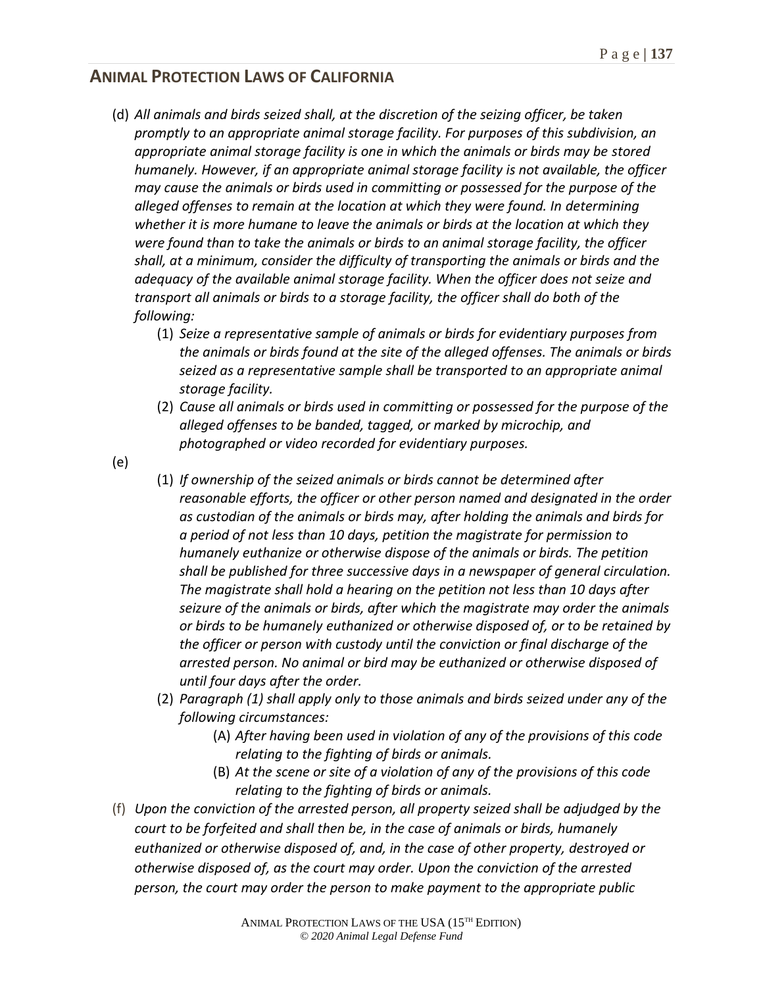- (d) *All animals and birds seized shall, at the discretion of the seizing officer, be taken promptly to an appropriate animal storage facility. For purposes of this subdivision, an appropriate animal storage facility is one in which the animals or birds may be stored humanely. However, if an appropriate animal storage facility is not available, the officer may cause the animals or birds used in committing or possessed for the purpose of the alleged offenses to remain at the location at which they were found. In determining whether it is more humane to leave the animals or birds at the location at which they were found than to take the animals or birds to an animal storage facility, the officer shall, at a minimum, consider the difficulty of transporting the animals or birds and the adequacy of the available animal storage facility. When the officer does not seize and transport all animals or birds to a storage facility, the officer shall do both of the following:*
	- (1) *Seize a representative sample of animals or birds for evidentiary purposes from the animals or birds found at the site of the alleged offenses. The animals or birds seized as a representative sample shall be transported to an appropriate animal storage facility.*
	- (2) *Cause all animals or birds used in committing or possessed for the purpose of the alleged offenses to be banded, tagged, or marked by microchip, and photographed or video recorded for evidentiary purposes.*
- (e)
- (1) *If ownership of the seized animals or birds cannot be determined after reasonable efforts, the officer or other person named and designated in the order as custodian of the animals or birds may, after holding the animals and birds for a period of not less than 10 days, petition the magistrate for permission to humanely euthanize or otherwise dispose of the animals or birds. The petition shall be published for three successive days in a newspaper of general circulation. The magistrate shall hold a hearing on the petition not less than 10 days after seizure of the animals or birds, after which the magistrate may order the animals or birds to be humanely euthanized or otherwise disposed of, or to be retained by the officer or person with custody until the conviction or final discharge of the arrested person. No animal or bird may be euthanized or otherwise disposed of until four days after the order.*
- (2) *Paragraph (1) shall apply only to those animals and birds seized under any of the following circumstances:*
	- (A) *After having been used in violation of any of the provisions of this code relating to the fighting of birds or animals.*
	- (B) *At the scene or site of a violation of any of the provisions of this code relating to the fighting of birds or animals.*
- (f) *Upon the conviction of the arrested person, all property seized shall be adjudged by the court to be forfeited and shall then be, in the case of animals or birds, humanely euthanized or otherwise disposed of, and, in the case of other property, destroyed or otherwise disposed of, as the court may order. Upon the conviction of the arrested person, the court may order the person to make payment to the appropriate public*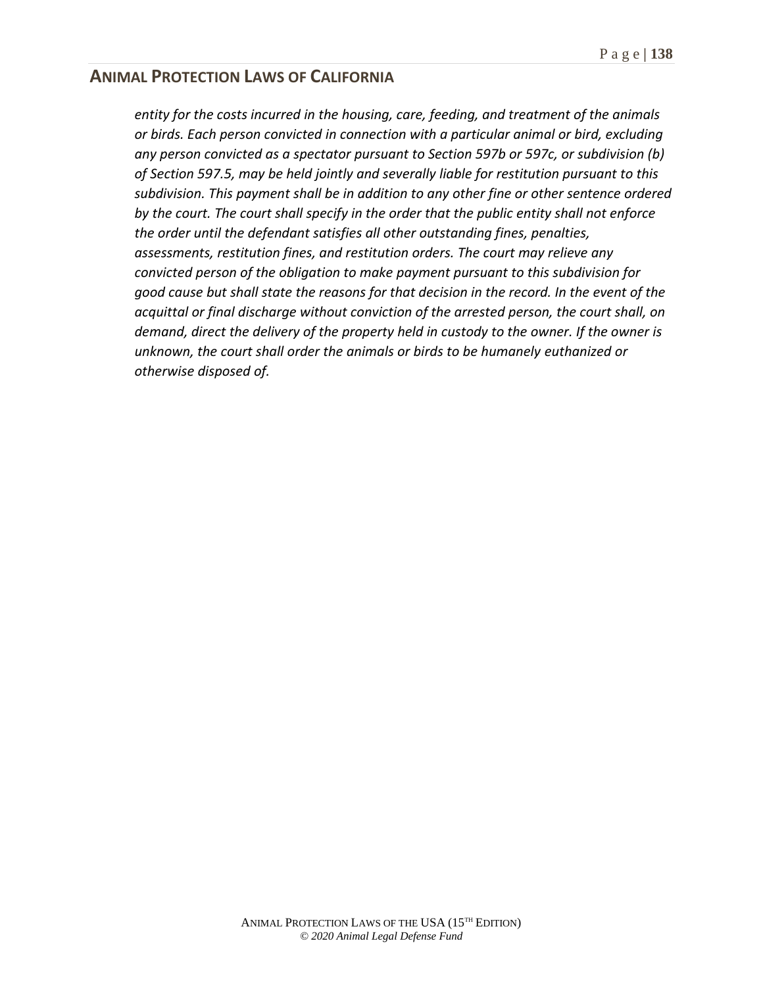*entity for the costs incurred in the housing, care, feeding, and treatment of the animals or birds. Each person convicted in connection with a particular animal or bird, excluding any person convicted as a spectator pursuant to Section 597b or 597c, or subdivision (b) of Section 597.5, may be held jointly and severally liable for restitution pursuant to this subdivision. This payment shall be in addition to any other fine or other sentence ordered by the court. The court shall specify in the order that the public entity shall not enforce the order until the defendant satisfies all other outstanding fines, penalties, assessments, restitution fines, and restitution orders. The court may relieve any convicted person of the obligation to make payment pursuant to this subdivision for good cause but shall state the reasons for that decision in the record. In the event of the acquittal or final discharge without conviction of the arrested person, the court shall, on demand, direct the delivery of the property held in custody to the owner. If the owner is unknown, the court shall order the animals or birds to be humanely euthanized or otherwise disposed of.*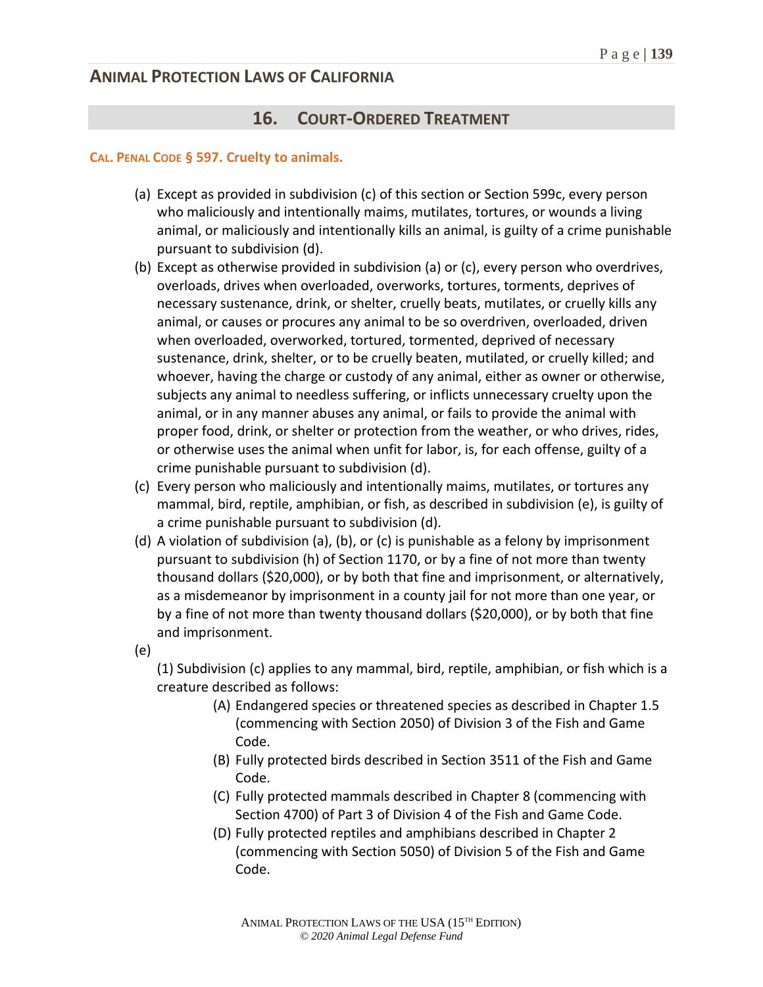#### **16. COURT-ORDERED TREATMENT**

#### **CAL. PENAL CODE § 597. Cruelty to animals.**

- (a) Except as provided in subdivision (c) of this section or Section 599c, every person who maliciously and intentionally maims, mutilates, tortures, or wounds a living animal, or maliciously and intentionally kills an animal, is guilty of a crime punishable pursuant to subdivision (d).
- (b) Except as otherwise provided in subdivision (a) or (c), every person who overdrives, overloads, drives when overloaded, overworks, tortures, torments, deprives of necessary sustenance, drink, or shelter, cruelly beats, mutilates, or cruelly kills any animal, or causes or procures any animal to be so overdriven, overloaded, driven when overloaded, overworked, tortured, tormented, deprived of necessary sustenance, drink, shelter, or to be cruelly beaten, mutilated, or cruelly killed; and whoever, having the charge or custody of any animal, either as owner or otherwise, subjects any animal to needless suffering, or inflicts unnecessary cruelty upon the animal, or in any manner abuses any animal, or fails to provide the animal with proper food, drink, or shelter or protection from the weather, or who drives, rides, or otherwise uses the animal when unfit for labor, is, for each offense, guilty of a crime punishable pursuant to subdivision (d).
- (c) Every person who maliciously and intentionally maims, mutilates, or tortures any mammal, bird, reptile, amphibian, or fish, as described in subdivision (e), is guilty of a crime punishable pursuant to subdivision (d).
- (d) A violation of subdivision (a), (b), or (c) is punishable as a felony by imprisonment pursuant to subdivision (h) of Section 1170, or by a fine of not more than twenty thousand dollars (\$20,000), or by both that fine and imprisonment, or alternatively, as a misdemeanor by imprisonment in a county jail for not more than one year, or by a fine of not more than twenty thousand dollars (\$20,000), or by both that fine and imprisonment.

(e)

(1) Subdivision (c) applies to any mammal, bird, reptile, amphibian, or fish which is a creature described as follows:

- (A) Endangered species or threatened species as described in Chapter 1.5 (commencing with Section 2050) of Division 3 of the Fish and Game Code.
- (B) Fully protected birds described in Section 3511 of the Fish and Game Code.
- (C) Fully protected mammals described in Chapter 8 (commencing with Section 4700) of Part 3 of Division 4 of the Fish and Game Code.
- (D) Fully protected reptiles and amphibians described in Chapter 2 (commencing with Section 5050) of Division 5 of the Fish and Game Code.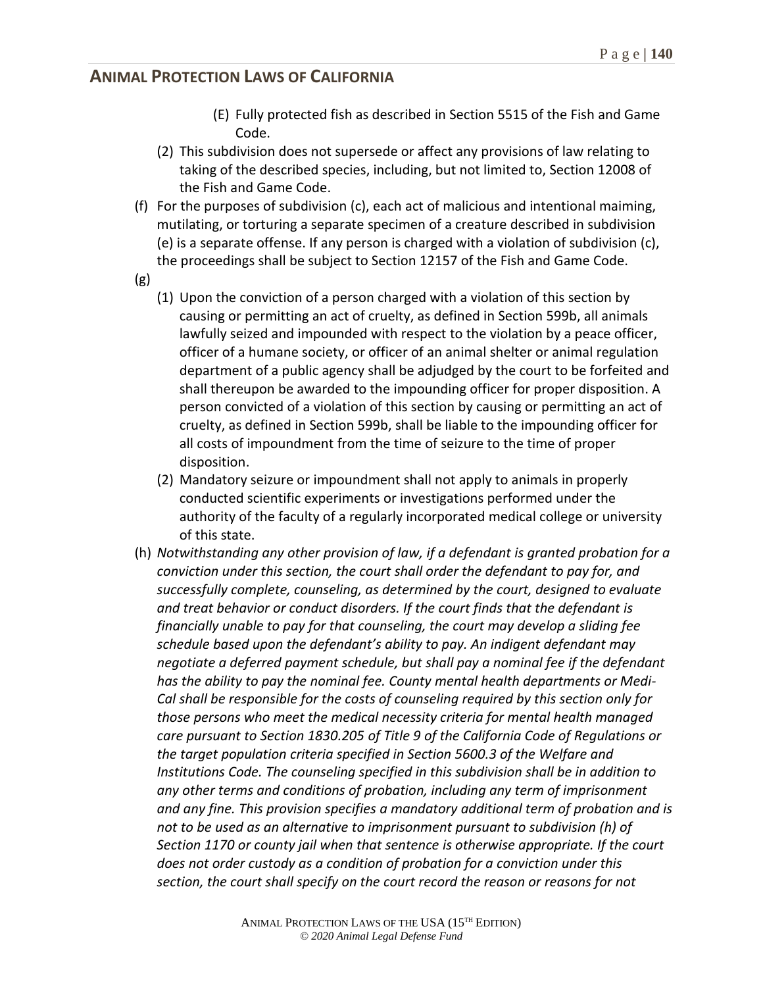- (E) Fully protected fish as described in Section 5515 of the Fish and Game Code.
- (2) This subdivision does not supersede or affect any provisions of law relating to taking of the described species, including, but not limited to, Section 12008 of the Fish and Game Code.
- (f) For the purposes of subdivision (c), each act of malicious and intentional maiming, mutilating, or torturing a separate specimen of a creature described in subdivision (e) is a separate offense. If any person is charged with a violation of subdivision (c), the proceedings shall be subject to Section 12157 of the Fish and Game Code.
- (g)
	- (1) Upon the conviction of a person charged with a violation of this section by causing or permitting an act of cruelty, as defined in Section 599b, all animals lawfully seized and impounded with respect to the violation by a peace officer, officer of a humane society, or officer of an animal shelter or animal regulation department of a public agency shall be adjudged by the court to be forfeited and shall thereupon be awarded to the impounding officer for proper disposition. A person convicted of a violation of this section by causing or permitting an act of cruelty, as defined in Section 599b, shall be liable to the impounding officer for all costs of impoundment from the time of seizure to the time of proper disposition.
	- (2) Mandatory seizure or impoundment shall not apply to animals in properly conducted scientific experiments or investigations performed under the authority of the faculty of a regularly incorporated medical college or university of this state.
- (h) *Notwithstanding any other provision of law, if a defendant is granted probation for a conviction under this section, the court shall order the defendant to pay for, and successfully complete, counseling, as determined by the court, designed to evaluate and treat behavior or conduct disorders. If the court finds that the defendant is financially unable to pay for that counseling, the court may develop a sliding fee schedule based upon the defendant's ability to pay. An indigent defendant may negotiate a deferred payment schedule, but shall pay a nominal fee if the defendant has the ability to pay the nominal fee. County mental health departments or Medi-Cal shall be responsible for the costs of counseling required by this section only for those persons who meet the medical necessity criteria for mental health managed care pursuant to Section 1830.205 of Title 9 of the California Code of Regulations or the target population criteria specified in Section 5600.3 of the Welfare and Institutions Code. The counseling specified in this subdivision shall be in addition to any other terms and conditions of probation, including any term of imprisonment and any fine. This provision specifies a mandatory additional term of probation and is not to be used as an alternative to imprisonment pursuant to subdivision (h) of Section 1170 or county jail when that sentence is otherwise appropriate. If the court does not order custody as a condition of probation for a conviction under this section, the court shall specify on the court record the reason or reasons for not*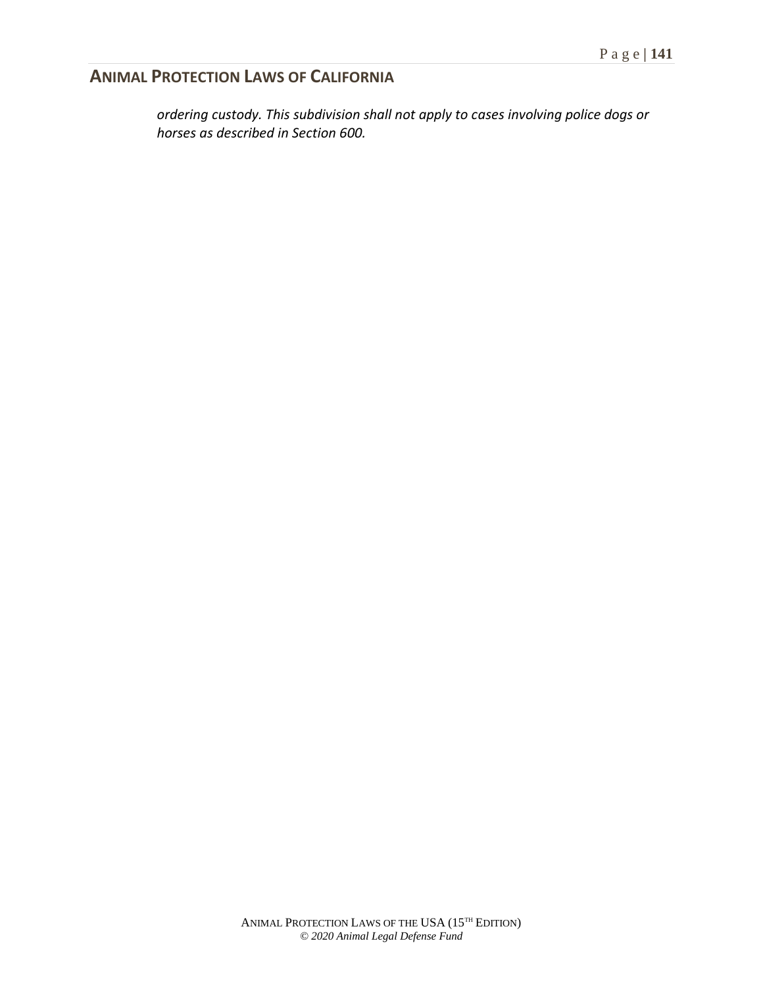*ordering custody. This subdivision shall not apply to cases involving police dogs or horses as described in Section 600.*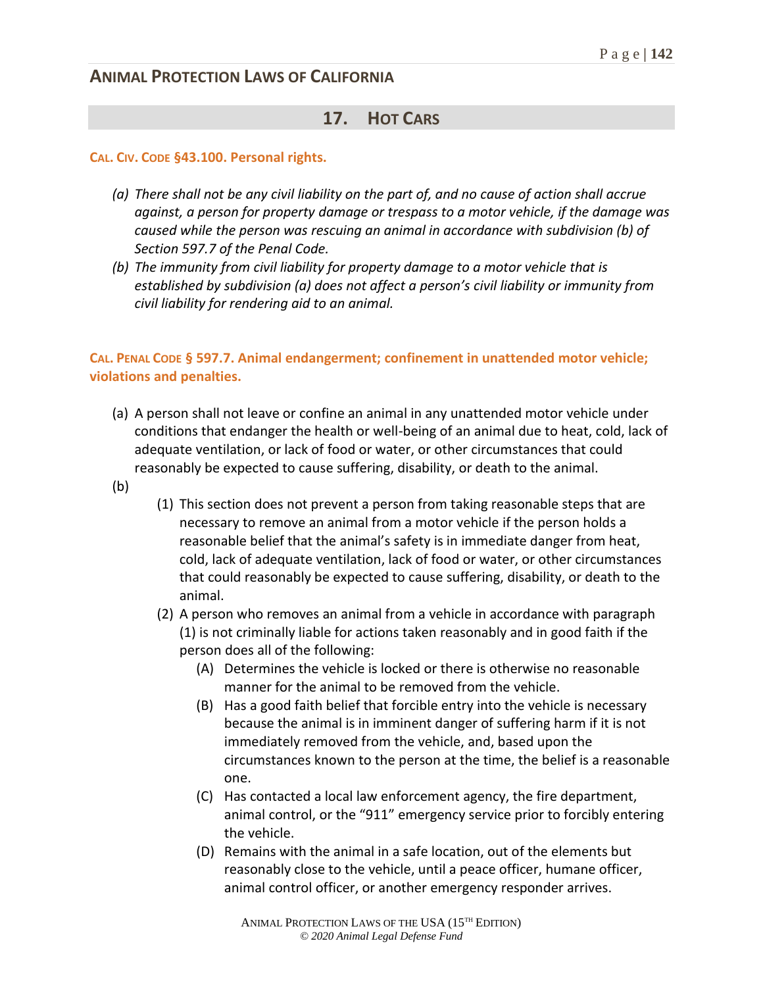# **17. HOT CARS**

#### **CAL. CIV. CODE §43.100. Personal rights.**

- *(a) There shall not be any civil liability on the part of, and no cause of action shall accrue against, a person for property damage or trespass to a motor vehicle, if the damage was caused while the person was rescuing an animal in accordance with subdivision (b) of Section 597.7 of the Penal Code.*
- *(b) The immunity from civil liability for property damage to a motor vehicle that is established by subdivision (a) does not affect a person's civil liability or immunity from civil liability for rendering aid to an animal.*

#### **CAL. PENAL CODE § 597.7. Animal endangerment; confinement in unattended motor vehicle; violations and penalties.**

- (a) A person shall not leave or confine an animal in any unattended motor vehicle under conditions that endanger the health or well-being of an animal due to heat, cold, lack of adequate ventilation, or lack of food or water, or other circumstances that could reasonably be expected to cause suffering, disability, or death to the animal.
- (b)
- (1) This section does not prevent a person from taking reasonable steps that are necessary to remove an animal from a motor vehicle if the person holds a reasonable belief that the animal's safety is in immediate danger from heat, cold, lack of adequate ventilation, lack of food or water, or other circumstances that could reasonably be expected to cause suffering, disability, or death to the animal.
- (2) A person who removes an animal from a vehicle in accordance with paragraph (1) is not criminally liable for actions taken reasonably and in good faith if the person does all of the following:
	- (A) Determines the vehicle is locked or there is otherwise no reasonable manner for the animal to be removed from the vehicle.
	- (B) Has a good faith belief that forcible entry into the vehicle is necessary because the animal is in imminent danger of suffering harm if it is not immediately removed from the vehicle, and, based upon the circumstances known to the person at the time, the belief is a reasonable one.
	- (C) Has contacted a local law enforcement agency, the fire department, animal control, or the "911" emergency service prior to forcibly entering the vehicle.
	- (D) Remains with the animal in a safe location, out of the elements but reasonably close to the vehicle, until a peace officer, humane officer, animal control officer, or another emergency responder arrives.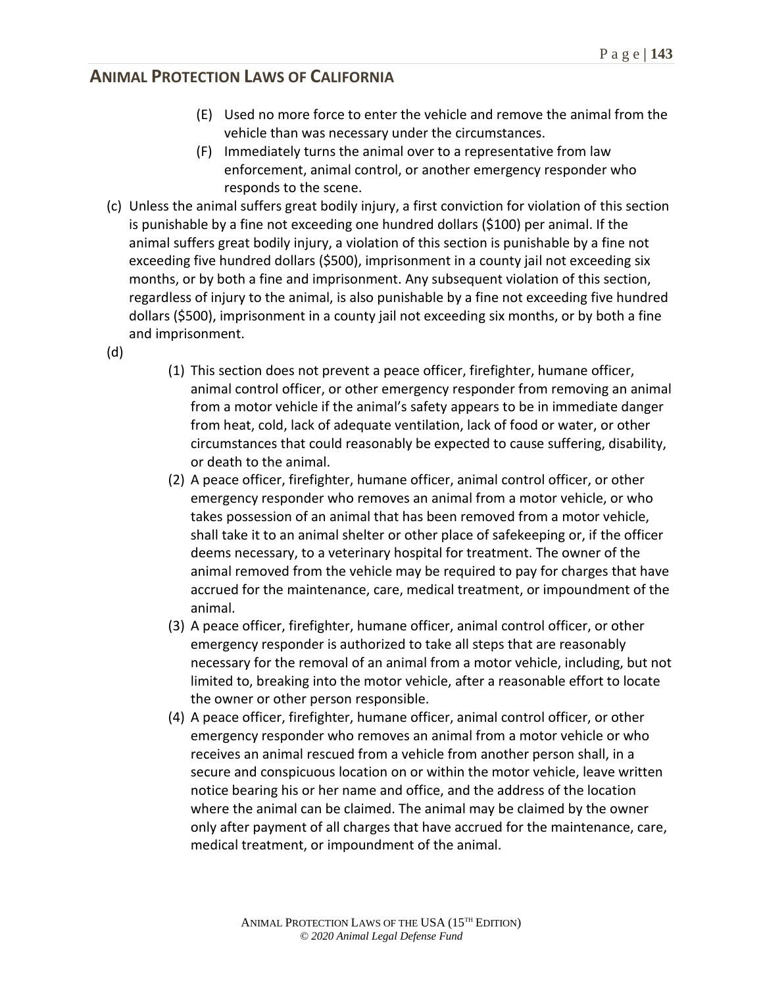- (E) Used no more force to enter the vehicle and remove the animal from the vehicle than was necessary under the circumstances.
- (F) Immediately turns the animal over to a representative from law enforcement, animal control, or another emergency responder who responds to the scene.
- (c) Unless the animal suffers great bodily injury, a first conviction for violation of this section is punishable by a fine not exceeding one hundred dollars (\$100) per animal. If the animal suffers great bodily injury, a violation of this section is punishable by a fine not exceeding five hundred dollars (\$500), imprisonment in a county jail not exceeding six months, or by both a fine and imprisonment. Any subsequent violation of this section, regardless of injury to the animal, is also punishable by a fine not exceeding five hundred dollars (\$500), imprisonment in a county jail not exceeding six months, or by both a fine and imprisonment.
- (d)
- (1) This section does not prevent a peace officer, firefighter, humane officer, animal control officer, or other emergency responder from removing an animal from a motor vehicle if the animal's safety appears to be in immediate danger from heat, cold, lack of adequate ventilation, lack of food or water, or other circumstances that could reasonably be expected to cause suffering, disability, or death to the animal.
- (2) A peace officer, firefighter, humane officer, animal control officer, or other emergency responder who removes an animal from a motor vehicle, or who takes possession of an animal that has been removed from a motor vehicle, shall take it to an animal shelter or other place of safekeeping or, if the officer deems necessary, to a veterinary hospital for treatment. The owner of the animal removed from the vehicle may be required to pay for charges that have accrued for the maintenance, care, medical treatment, or impoundment of the animal.
- (3) A peace officer, firefighter, humane officer, animal control officer, or other emergency responder is authorized to take all steps that are reasonably necessary for the removal of an animal from a motor vehicle, including, but not limited to, breaking into the motor vehicle, after a reasonable effort to locate the owner or other person responsible.
- (4) A peace officer, firefighter, humane officer, animal control officer, or other emergency responder who removes an animal from a motor vehicle or who receives an animal rescued from a vehicle from another person shall, in a secure and conspicuous location on or within the motor vehicle, leave written notice bearing his or her name and office, and the address of the location where the animal can be claimed. The animal may be claimed by the owner only after payment of all charges that have accrued for the maintenance, care, medical treatment, or impoundment of the animal.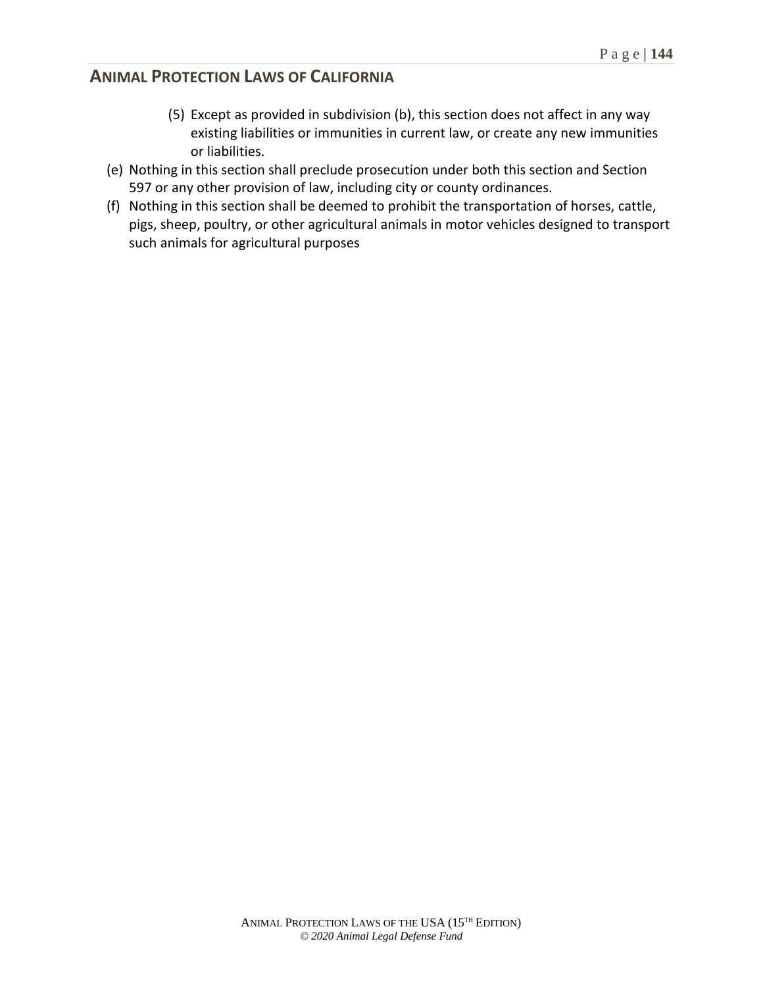- (5) Except as provided in subdivision (b), this section does not affect in any way existing liabilities or immunities in current law, or create any new immunities or liabilities.
- (e) Nothing in this section shall preclude prosecution under both this section and Section 597 or any other provision of law, including city or county ordinances.
- (f) Nothing in this section shall be deemed to prohibit the transportation of horses, cattle, pigs, sheep, poultry, or other agricultural animals in motor vehicles designed to transport such animals for agricultural purposes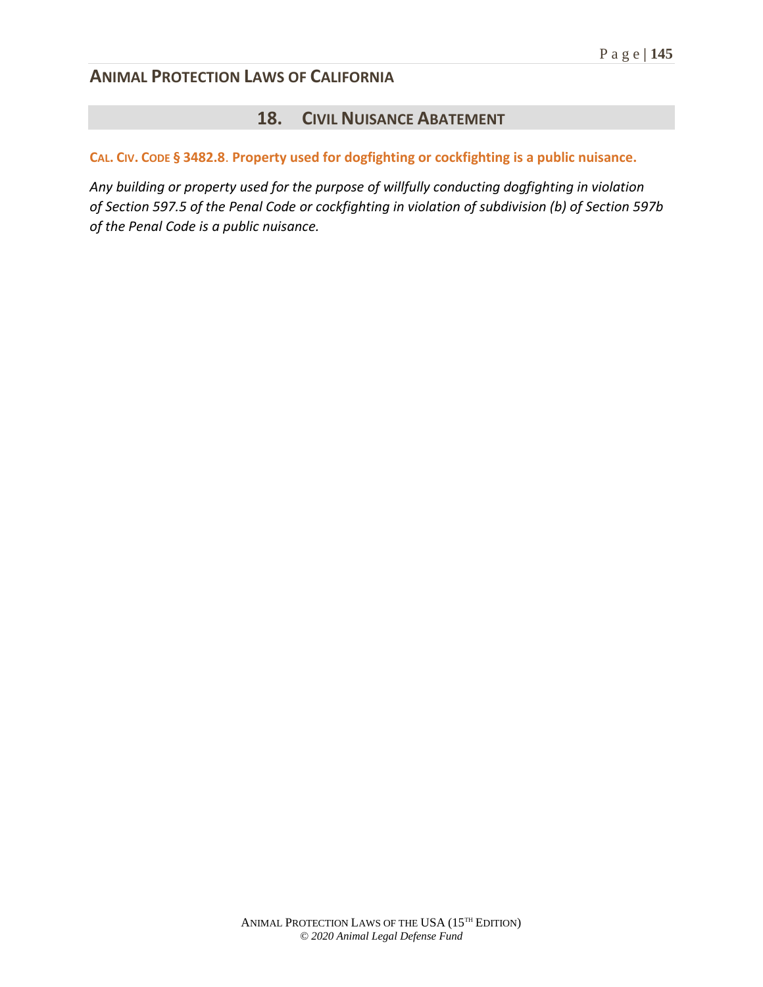## **ANIMAL PROTECTION LAWS OF CALIFORNIA**

## **18. CIVIL NUISANCE ABATEMENT**

#### **CAL. CIV. CODE § 3482.8**. **Property used for dogfighting or cockfighting is a public nuisance.**

*Any building or property used for the purpose of willfully conducting dogfighting in violation of Section 597.5 of the Penal Code or cockfighting in violation of subdivision (b) of Section 597b of the Penal Code is a public nuisance.*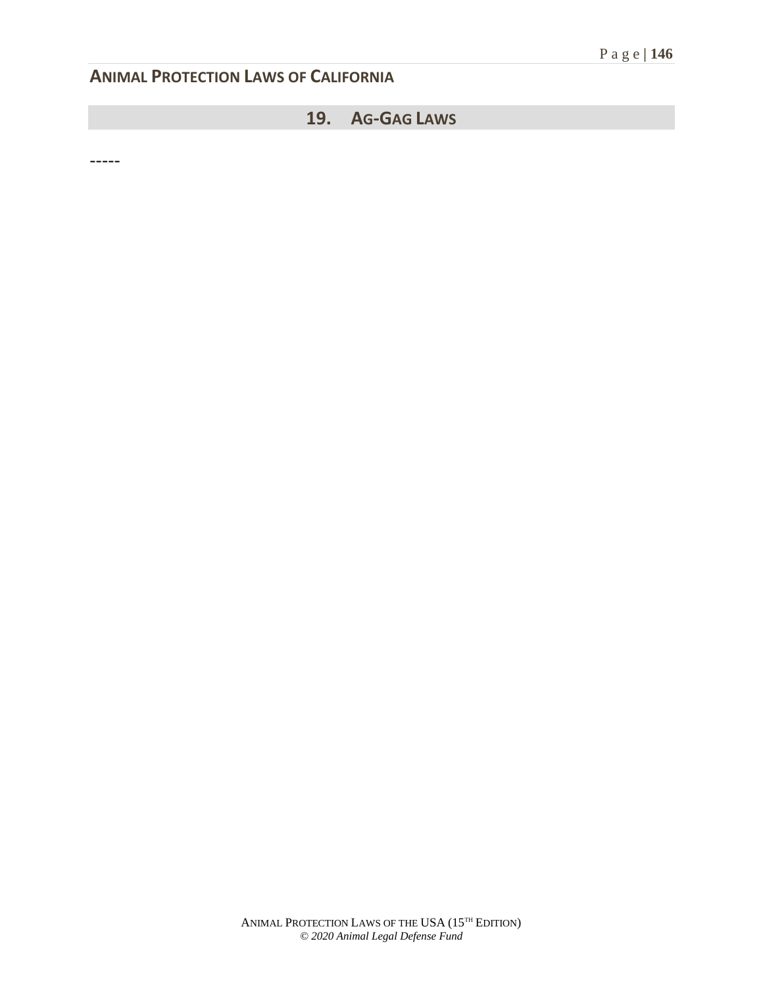## **ANIMAL PROTECTION LAWS OF CALIFORNIA**

# **19. AG-GAG LAWS**

-----